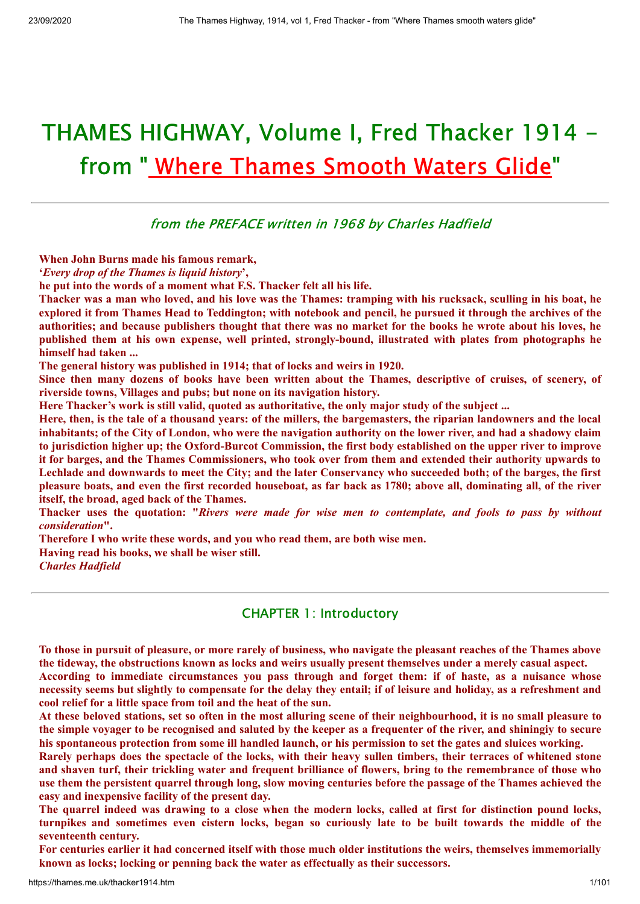# THAMES HIGHWAY, Volume I, Fred Thacker 1914 from " Where [Thames](http://thames.me.uk/) Smooth Waters Glide"

from the PREFACE written in 1968 by Charles Hadfield

**When John Burns made his famous remark,**

**'***Every drop of the Thames is liquid history***',**

**he put into the words of a moment what F.S. Thacker felt all his life.**

Thacker was a man who loved, and his love was the Thames: tramping with his rucksack, sculling in his boat, he explored it from Thames Head to Teddington; with notebook and pencil, he pursued it through the archives of the authorities; and because publishers thought that there was no market for the books he wrote about his loves, he **published them at his own expense, well printed, strongly-bound, illustrated with plates from photographs he himself had taken ...**

**The general history was published in 1914; that of locks and weirs in 1920.**

Since then many dozens of books have been written about the Thames, descriptive of cruises, of scenery, of **riverside towns, Villages and pubs; but none on its navigation history.**

**Here Thacker's work is still valid, quoted as authoritative, the only major study of the subject ...**

Here, then, is the tale of a thousand vears: of the millers, the bargemasters, the riparian landowners and the local inhabitants; of the City of London, who were the navigation authority on the lower river, and had a shadowy claim to jurisdiction higher up; the Oxford-Burcot Commission, the first body established on the upper river to improve it for barges, and the Thames Commissioners, who took over from them and extended their authority upwards to Lechlade and downwards to meet the City; and the later Conservancy who succeeded both; of the barges, the first pleasure boats, and even the first recorded houseboat, as far back as 1780; above all, dominating all, of the river **itself, the broad, aged back of the Thames.**

Thacker uses the quotation: "Rivers were made for wise men to contemplate, and fools to pass by without *consideration***".**

**Therefore I who write these words, and you who read them, are both wise men. Having read his books, we shall be wiser still.**

*Charles Hadfield*

### CHAPTER 1: Introductory

To those in pursuit of pleasure, or more rarely of business, who navigate the pleasant reaches of the Thames above the tideway, the obstructions known as locks and weirs usually present themselves under a merely casual aspect. **According to immediate circumstances you pass through and forget them: if of haste, as a nuisance whose** necessity seems but slightly to compensate for the delay they entail: if of leisure and holiday, as a refreshment and **cool relief for a little space from toil and the heat of the sun.**

At these beloved stations, set so often in the most alluring scene of their neighbourhood, it is no small pleasure to the simple voyager to be recognised and saluted by the keeper as a frequenter of the river, and shiningiy to secure his spontaneous protection from some ill handled launch, or his permission to set the gates and sluices working.

Rarely perhaps does the spectacle of the locks, with their heavy sullen timbers, their terraces of whitened stone and shaven turf, their trickling water and frequent brilliance of flowers, bring to the remembrance of those who use them the persistent quarrel through long, slow moving centuries before the passage of the Thames achieved the **easy and inexpensive facility of the present day.**

The quarrel indeed was drawing to a close when the modern locks, called at first for distinction pound locks, turnpikes and sometimes even cistern locks, began so curiously late to be built towards the middle of the **seventeenth century.**

For centuries earlier it had concerned itself with those much older institutions the weirs, themselves immemorially **known as locks; locking or penning back the water as effectually as their successors.**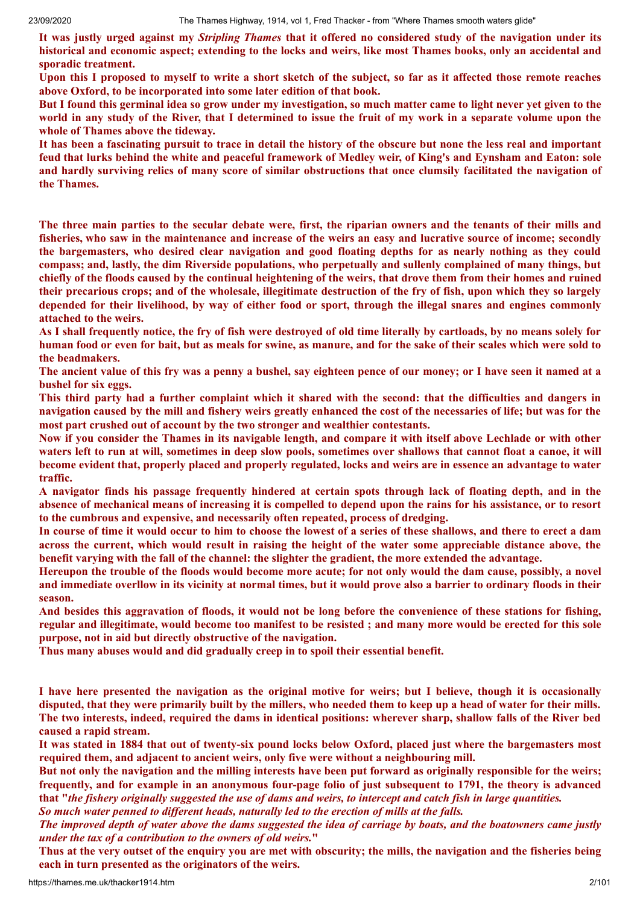It was justly urged against my *Stripling Thames* that it offered no considered study of the navigation under its historical and economic aspect; extending to the locks and weirs, like most Thames books, only an accidental and **sporadic treatment.**

Upon this I proposed to myself to write a short sketch of the subject, so far as it affected those remote reaches **above Oxford, to be incorporated into some later edition of that book.**

But I found this germinal idea so grow under my investigation, so much matter came to light never yet given to the world in any study of the River, that I determined to issue the fruit of my work in a separate volume upon the **whole of Thames above the tideway.**

It has been a fascinating pursuit to trace in detail the history of the obscure but none the less real and important feud that lurks behind the white and peaceful framework of Medley weir, of King's and Eynsham and Eaton: sole and hardly surviving relics of many score of similar obstructions that once clumsily facilitated the navigation of **the Thames.**

The three main parties to the secular debate were, first, the riparian owners and the tenants of their mills and fisheries, who saw in the maintenance and increase of the weirs an easy and lucrative source of income; secondly the bargemasters, who desired clear navigation and good floating depths for as nearly nothing as they could **compass; and, lastly, the dim Riverside populations, who perpetually and sullenly complained of many things, but** chiefly of the floods caused by the continual heightening of the weirs, that drove them from their homes and ruined their precarious crops; and of the wholesale, illegitimate destruction of the fry of fish, upon which they so largely depended for their livelihood, by way of either food or sport, through the illegal snares and engines commonly **attached to the weirs.**

As I shall frequently notice, the fry of fish were destroved of old time literally by cartloads, by no means solely for human food or even for bait, but as meals for swine, as manure, and for the sake of their scales which were sold to **the beadmakers.**

The ancient value of this fry was a penny a bushel, say eighteen pence of our money; or I have seen it named at a **bushel for six eggs.**

This third party had a further complaint which it shared with the second: that the difficulties and dangers in navigation caused by the mill and fishery weirs greatly enhanced the cost of the necessaries of life; but was for the **most part crushed out of account by the two stronger and wealthier contestants.**

Now if you consider the Thames in its navigable length, and compare it with itself above Lechlade or with other waters left to run at will, sometimes in deep slow pools, sometimes over shallows that cannot float a canoe, it will become evident that, properly placed and properly regulated, locks and weirs are in essence an advantage to water **traffic.**

A navigator finds his passage frequently hindered at certain spots through lack of floating depth, and in the absence of mechanical means of increasing it is compelled to depend upon the rains for his assistance, or to resort **to the cumbrous and expensive, and necessarily often repeated, process of dredging.**

In course of time it would occur to him to choose the lowest of a series of these shallows, and there to erect a dam across the current, which would result in raising the height of the water some appreciable distance above, the **benefit varying with the fall of the channel: the slighter the gradient, the more extended the advantage.**

Hereupon the trouble of the floods would become more acute: for not only would the dam cause, possibly, a novel and immediate overllow in its vicinity at normal times, but it would prove also a barrier to ordinary floods in their **season.**

And besides this aggravation of floods, it would not be long before the convenience of these stations for fishing, regular and illegitimate, would become too manifest to be resisted; and many more would be erected for this sole **purpose, not in aid but directly obstructive of the navigation.**

**Thus many abuses would and did gradually creep in to spoil their essential benefit.**

I have here presented the navigation as the original motive for weirs; but I believe, though it is occasionally disputed, that they were primarily built by the millers, who needed them to keep up a head of water for their mills. The two interests, indeed, required the dams in identical positions: wherever sharp, shallow falls of the River bed **caused a rapid stream.**

It was stated in 1884 that out of twenty-six pound locks below Oxford, placed just where the bargemasters most **required them, and adjacent to ancient weirs, only five were without a neighbouring mill.**

But not only the navigation and the milling interests have been put forward as originally responsible for the weirs: frequently, and for example in an anonymous four-page folio of just subsequent to 1791, the theory is advanced that "the fishery originally suggested the use of dams and weirs, to intercept and catch fish in large quantities. *So much water penned to dif erent heads, naturally led to the erection of mills at the falls.*

The improved depth of water above the dams suggested the idea of carriage by boats, and the boatowners came justly *under the tax of a contribution to the owners of old weirs.***"**

Thus at the very outset of the enquiry you are met with obscurity; the mills, the navigation and the fisheries being **each in turn presented as the originators of the weirs.**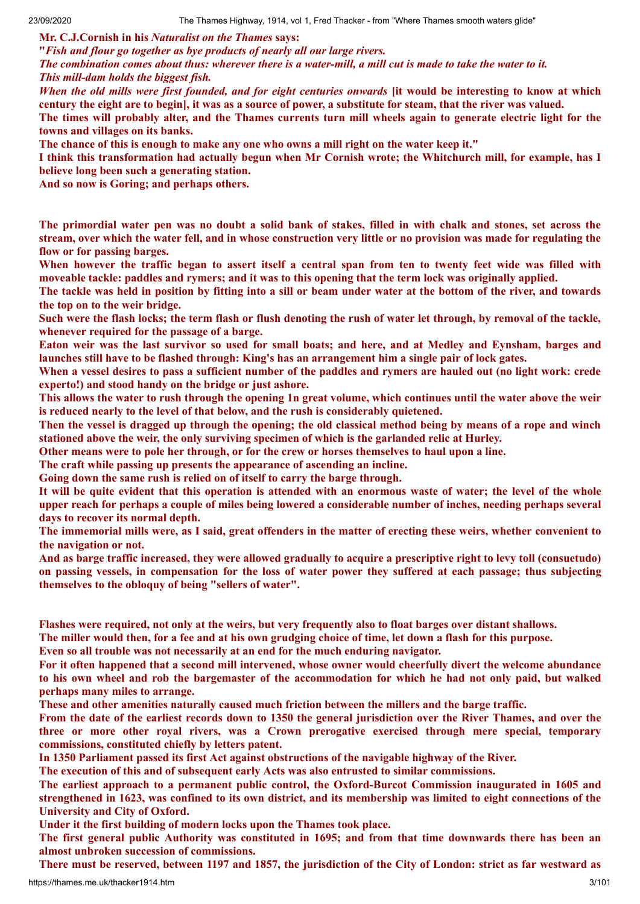**Mr. C.J.Cornish in his** *Naturalist on the Thames* **says:**

**"***Fish and flour go together as bye products of nearly all our large rivers.*

The combination comes about thus: wherever there is a water-mill, a mill cut is made to take the water to it. *This mill-dam holds the biggest fish.*

When the old mills were first founded, and for eight centuries onwards [it would be interesting to know at which century the eight are to begin], it was as a source of power, a substitute for steam, that the river was valued.

The times will probably alter, and the Thames currents turn mill wheels again to generate electric light for the **towns and villages on its banks.**

The chance of this is enough to make any one who owns a mill right on the water keep it."

I think this transformation had actually begun when Mr Cornish wrote; the Whitchurch mill, for example, has I **believe long been such a generating station.**

**And so now is Goring; and perhaps others.**

The primordial water pen was no doubt a solid bank of stakes, filled in with chalk and stones, set across the stream, over which the water fell, and in whose construction very little or no provision was made for regulating the **flow or for passing barges.**

When however the traffic began to assert itself a central span from ten to twenty feet wide was filled with moveable tackle: paddles and rymers; and it was to this opening that the term lock was originally applied.

The tackle was held in position by fitting into a sill or beam under water at the bottom of the river, and towards **the top on to the weir bridge.**

Such were the flash locks; the term flash or flush denoting the rush of water let through, by removal of the tackle, **whenever required for the passage of a barge.**

Eaton weir was the last survivor so used for small boats; and here, and at Medley and Eynsham, barges and launches still have to be flashed through: King's has an arrangement him a single pair of lock gates.

When a vessel desires to pass a sufficient number of the paddles and rymers are hauled out (no light work: crede **experto!) and stood handy on the bridge or just ashore.**

This allows the water to rush through the opening 1n great volume, which continues until the water above the weir **is reduced nearly to the level of that below, and the rush is considerably quietened.**

Then the vessel is dragged up through the opening; the old classical method being by means of a rope and winch **stationed above the weir, the only surviving specimen of which is the garlanded relic at Hurley.**

Other means were to pole her through, or for the crew or horses themselves to haul upon a line.

**The craft while passing up presents the appearance of ascending an incline.**

**Going down the same rush is relied on of itself to carry the barge through.**

It will be quite evident that this operation is attended with an enormous waste of water; the level of the whole upper reach for perhaps a couple of miles being lowered a considerable number of inches, needing perhaps several **days to recover its normal depth.**

The immemorial mills were, as I said, great offenders in the matter of erecting these weirs, whether convenient to **the navigation or not.**

And as barge traffic increased, they were allowed gradually to acquire a prescriptive right to levy toll (consuetudo) on passing vessels, in compensation for the loss of water power they suffered at each passage; thus subjecting **themselves to the obloquy of being "sellers of water".**

Flashes were required, not only at the weirs, but very frequently also to float barges over distant shallows.

The miller would then, for a fee and at his own grudging choice of time, let down a flash for this purpose.

**Even so all trouble was not necessarily at an end for the much enduring navigator.**

For it often happened that a second mill intervened, whose owner would cheerfully divert the welcome abundance to his own wheel and rob the bargemaster of the accommodation for which he had not only paid, but walked **perhaps many miles to arrange.**

**These and other amenities naturally caused much friction between the millers and the barge traffic.**

From the date of the earliest records down to 1350 the general jurisdiction over the River Thames, and over the **three or more other royal rivers, was a Crown prerogative exercised through mere special, temporary commissions, constituted chiefly by letters patent.**

**In 1350 Parliament passed its first Act against obstructions of the navigable highway of the River.**

**The execution of this and of subsequent early Acts was also entrusted to similar commissions.**

**The earliest approach to a permanent public control, the Oxford-Burcot Commission inaugurated in 1605 and** strengthened in 1623, was confined to its own district, and its membership was limited to eight connections of the **University and City of Oxford.**

**Under it the first building of modern locks upon the Thames took place.**

The first general public Authority was constituted in 1695; and from that time downwards there has been an **almost unbroken succession of commissions.**

There must be reserved, between 1197 and 1857, the jurisdiction of the City of London: strict as far westward as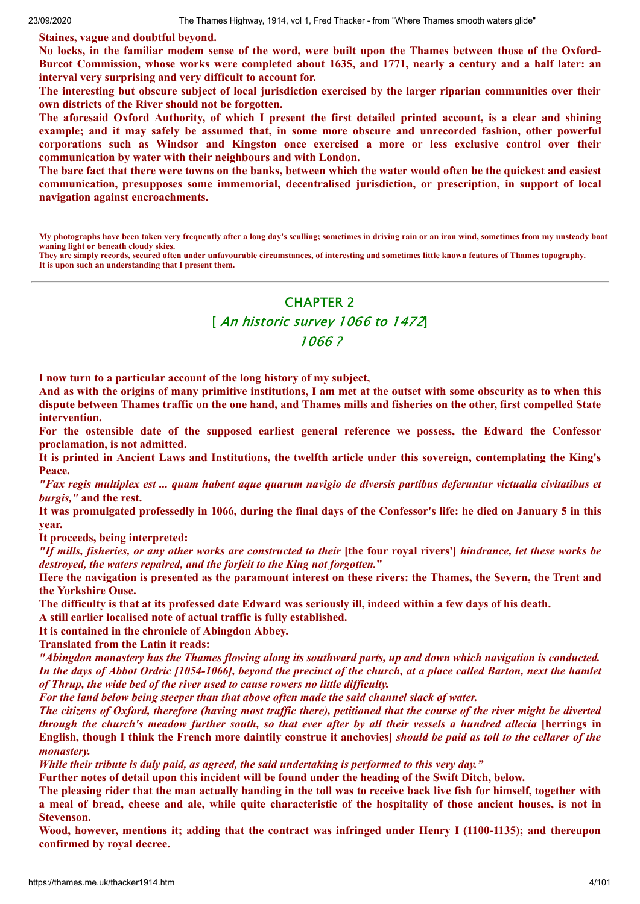**Staines, vague and doubtful beyond.**

No locks, in the familiar modem sense of the word, were built upon the Thames between those of the Oxford-Burcot Commission, whose works were completed about 1635, and 1771, nearly a century and a half later: an **interval very surprising and very difficult to account for.**

The interesting but obscure subject of local jurisdiction exercised by the larger riparian communities over their **own districts of the River should not be forgotten.**

The aforesaid Oxford Authority, of which I present the first detailed printed account, is a clear and shining **example; and it may safely be assumed that, in some more obscure and unrecorded fashion, other powerful corporations such as Windsor and Kingston once exercised a more or less exclusive control over their communication by water with their neighbours and with London.**

The bare fact that there were towns on the banks, between which the water would often be the quickest and easiest **communication, presupposes some immemorial, decentralised jurisdiction, or prescription, in support of local navigation against encroachments.**

**My photographs have been taken very frequently after a long day's sculling; sometimes in driving rain or an iron wind, sometimes from my unsteady boat waning light or beneath cloudy skies.**

**They are simply records, secured often under unfavourable circumstances, of interesting and sometimes little known features of Thames topography. It is upon such an understanding that I present them.**

# CHAPTER 2

# [ An historic survey 1066 to 1472] 1066 ?

**I now turn to a particular account of the long history of my subject,**

And as with the origins of many primitive institutions, I am met at the outset with some obscurity as to when this dispute between Thames traffic on the one hand, and Thames mills and fisheries on the other, first compelled State **intervention.**

**For the ostensible date of the supposed earliest general reference we possess, the Edward the Confessor proclamation, is not admitted.**

It is printed in Ancient Laws and Institutions, the twelfth article under this sovereign, contemplating the King's **Peace.**

"Fax regis multiplex est ... quam habent aque quarum navigio de diversis partibus deferuntur victualia civitatibus et *burgis,"* **and the rest.**

It was promulgated professedly in 1066, during the final days of the Confessor's life: he died on January 5 in this **year.**

**It proceeds, being interpreted:**

"If mills, fisheries, or any other works are constructed to their [the four royal rivers'] hindrance, let these works be *destroyed, the waters repaired, and the forfeit to the King not forgotten.***"**

Here the navigation is presented as the paramount interest on these rivers: the Thames, the Severn, the Trent and **the Yorkshire Ouse.**

The difficulty is that at its professed date Edward was seriously ill, indeed within a few days of his death.

**A still earlier localised note of actual traffic is fully established.**

**It is contained in the chronicle of Abingdon Abbey.**

**Translated from the Latin it reads:**

"Abingdon monastery has the Thames flowing along its southward parts, up and down which navigation is conducted. In the days of Abbot Ordric [1054-1066], beyond the precinct of the church, at a place called Barton, next the hamlet *of Thrup, the wide bed of the river used to cause rowers no little dif iculty.*

*For the land below being steeper than that above often made the said channel slack of water.*

The citizens of Oxford, therefore (having most traffic there), petitioned that the course of the river might be diverted through the church's meadow further south, so that ever after by all their vessels a hundred allecia [herrings in English, though I think the French more daintily construe it anchovies] should be paid as toll to the cellarer of the *monastery.*

*While their tribute is duly paid, as agreed, the said undertaking is performed to this very day."*

Further notes of detail upon this incident will be found under the heading of the Swift Ditch, below.

The pleasing rider that the man actually handing in the toll was to receive back live fish for himself, together with a meal of bread, cheese and ale, while quite characteristic of the hospitality of those ancient houses, is not in **Stevenson.**

**Wood, however, mentions it; adding that the contract was infringed under Henry I (1100-1135); and thereupon confirmed by royal decree.**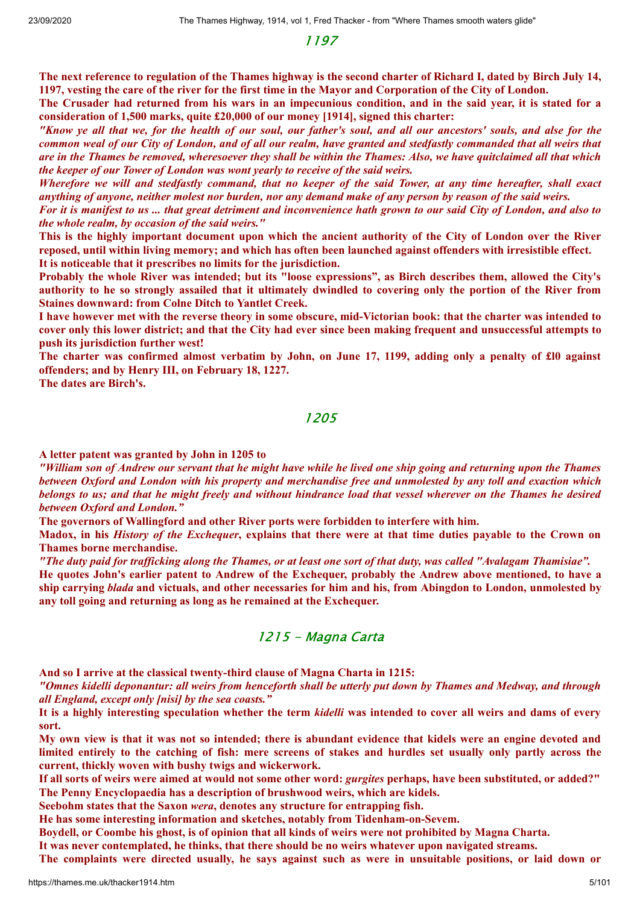1197

The next reference to regulation of the Thames highway is the second charter of Richard I, dated by Birch July 14, 1197, vesting the care of the river for the first time in the Mayor and Corporation of the City of London.

The Crusader had returned from his wars in an impecunious condition, and in the said year, it is stated for a **consideration of 1,500 marks, quite £20,000 of our money [1914], signed this charter:**

"Know ye all that we, for the health of our soul, our father's soul, and all our ancestors' souls, and alse for the common weal of our City of London, and of all our realm, have granted and stedfastly commanded that all weirs that are in the Thames be removed, wheresoever they shall be within the Thames: Also, we have quitclaimed all that which *the keeper of our Tower of London was wont yearly to receive of the said weirs.*

Wherefore we will and stedfastly command, that no keeper of the said Tower, at any time hereafter, shall exact anything of anyone, neither molest nor burden, nor any demand make of any person by reason of the said weirs.

For it is manifest to us ... that great detriment and inconvenience hath grown to our said City of London, and also to *the whole realm, by occasion of the said weirs."*

This is the highly important document upon which the ancient authority of the City of London over the River reposed, until within living memory; and which has often been launched against offenders with irresistible effect. **It is noticeable that it prescribes no limits for the jurisdiction.**

Probably the whole River was intended; but its "loose expressions", as Birch describes them, allowed the City's authority to he so strongly assailed that it ultimately dwindled to covering only the portion of the River from **Staines downward: from Colne Ditch to Yantlet Creek.**

I have however met with the reverse theory in some obscure, mid-Victorian book: that the charter was intended to cover only this lower district; and that the City had ever since been making frequent and unsuccessful attempts to **push its jurisdiction further west!**

The charter was confirmed almost verbatim by John, on June 17, 1199, adding only a penalty of £10 against **offenders; and by Henry III, on February 18, 1227.**

**The dates are Birch's.**

### 1205

**A letter patent was granted by John in 1205 to**

"William son of Andrew our servant that he might have while he lived one ship going and returning upon the Thames between Oxford and London with his property and merchandise free and unmolested by any toll and exaction which belongs to us; and that he might freely and without hindrance load that vessel wherever on the Thames he desired *between Oxford and London."*

**The governors of Wallingford and other River ports were forbidden to interfere with him.**

Madox, in his *History of the Exchequer*, explains that there were at that time duties payable to the Crown on **Thames borne merchandise.**

"The duty paid for trafficking along the Thames, or at least one sort of that duty, was called "Avalagam Thamisiae".

He quotes John's earlier patent to Andrew of the Exchequer, probably the Andrew above mentioned, to have a ship carrying *blada* and victuals, and other necessaries for him and his, from Abingdon to London, unmolested by **any toll going and returning as long as he remained at the Exchequer.**

### 1215 - Magna Carta

**And so I arrive at the classical twenty-third clause of Magna Charta in 1215:**

"Omnes kidelli deponantur: all weirs from henceforth shall be utterly put down by Thames and Medway, and through *all England, except only [nisi] by the sea coasts."*

It is a highly interesting speculation whether the term kidelli was intended to cover all weirs and dams of every **sort.**

My own view is that it was not so intended; there is abundant evidence that kidels were an engine devoted and limited entirely to the catching of fish: mere screens of stakes and hurdles set usually only partly across the **current, thickly woven with bushy twigs and wickerwork.**

If all sorts of weirs were aimed at would not some other word: *gurgites* perhaps, have been substituted, or added?" **The Penny Encyclopaedia has a description of brushwood weirs, which are kidels.**

**Seebohm states that the Saxon** *wera***, denotes any structure for entrapping fish.**

**He has some interesting information and sketches, notably from Tidenham-on-Sevem.**

Boydell, or Coombe his ghost, is of opinion that all kinds of weirs were not prohibited by Magna Charta.

**It was never contemplated, he thinks, that there should be no weirs whatever upon navigated streams.**

The complaints were directed usually, he says against such as were in unsuitable positions, or laid down or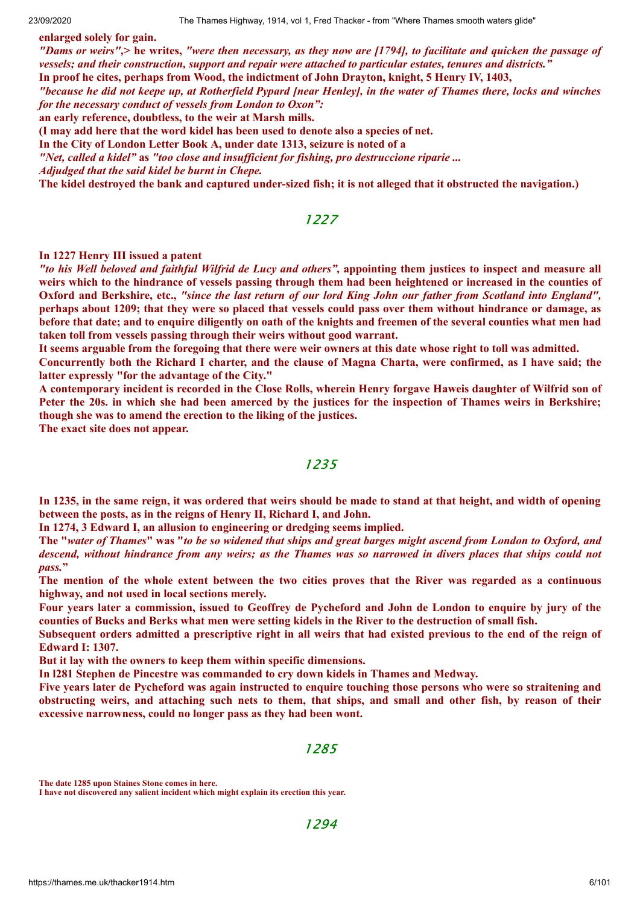**enlarged solely for gain.**

"Dams or weirs",> he writes, "were then necessary, as they now are [1794], to facilitate and quicken the passage of *vessels; and their construction, support and repair were attached to particular estates, tenures and districts."* **In proof he cites, perhaps from Wood, the indictment of John Drayton, knight, 5 Henry IV, 1403,**

"because he did not keepe up, at Rotherfield Pypard [near Henley], in the water of Thames there, locks and winches

*for the necessary conduct of vessels from London to Oxon":*

**an early reference, doubtless, to the weir at Marsh mills.**

**(I may add here that the word kidel has been used to denote also a species of net.**

**In the City of London Letter Book A, under date 1313, seizure is noted of a**

*"Net, called a kidel"* **as** *"too close and insuf icient for fishing, pro destruccione riparie ...*

*Adjudged that the said kidel be burnt in Chepe.*

The kidel destroved the bank and captured under-sized fish; it is not alleged that it obstructed the navigation.)

### 1227

#### **In 1227 Henry III issued a patent**

"to his Well beloved and faithful Wilfrid de Lucy and others", appointing them justices to inspect and measure all weirs which to the hindrance of vessels passing through them had been heightened or increased in the counties of Oxford and Berkshire, etc., "since the last return of our lord King John our father from Scotland into England", perhaps about 1209; that they were so placed that vessels could pass over them without hindrance or damage, as before that date; and to enquire diligently on oath of the knights and freemen of the several counties what men had **taken toll from vessels passing through their weirs without good warrant.**

It seems arguable from the foregoing that there were weir owners at this date whose right to toll was admitted.

Concurrently both the Richard I charter, and the clause of Magna Charta, were confirmed, as I have said; the **latter expressly "for the advantage of the City."**

A contemporary incident is recorded in the Close Rolls, wherein Henry forgave Haweis daughter of Wilfrid son of Peter the 20s. in which she had been amerced by the justices for the inspection of Thames weirs in Berkshire; **though she was to amend the erection to the liking of the justices.**

**The exact site does not appear.**

### 1235

In 1235, in the same reign, it was ordered that weirs should be made to stand at that height, and width of opening **between the posts, as in the reigns of Henry II, Richard I, and John.**

**In 1274, 3 Edward I, an allusion to engineering or dredging seems implied.**

The "water of Thames" was "to be so widened that ships and great barges might ascend from London to Oxford, and descend, without hindrance from any weirs; as the Thames was so narrowed in divers places that ships could not *pass.***"**

The mention of the whole extent between the two cities proves that the River was regarded as a continuous **highway, and not used in local sections merely.**

Four years later a commission, issued to Geoffrey de Pycheford and John de London to enquire by jury of the counties of Bucks and Berks what men were setting kidels in the River to the destruction of small fish.

Subsequent orders admitted a prescriptive right in all weirs that had existed previous to the end of the reign of **Edward I: 1307.**

**But it lay with the owners to keep them within specific dimensions.**

**In l281 Stephen de Pincestre was commanded to cry down kidels in Thames and Medway.**

Five years later de Pycheford was again instructed to enquire touching those persons who were so straitening and obstructing weirs, and attaching such nets to them, that ships, and small and other fish, by reason of their **excessive narrowness, could no longer pass as they had been wont.**

1285

**The date 1285 upon Staines Stone comes in here.**

**I have not discovered any salient incident which might explain its erection this year.**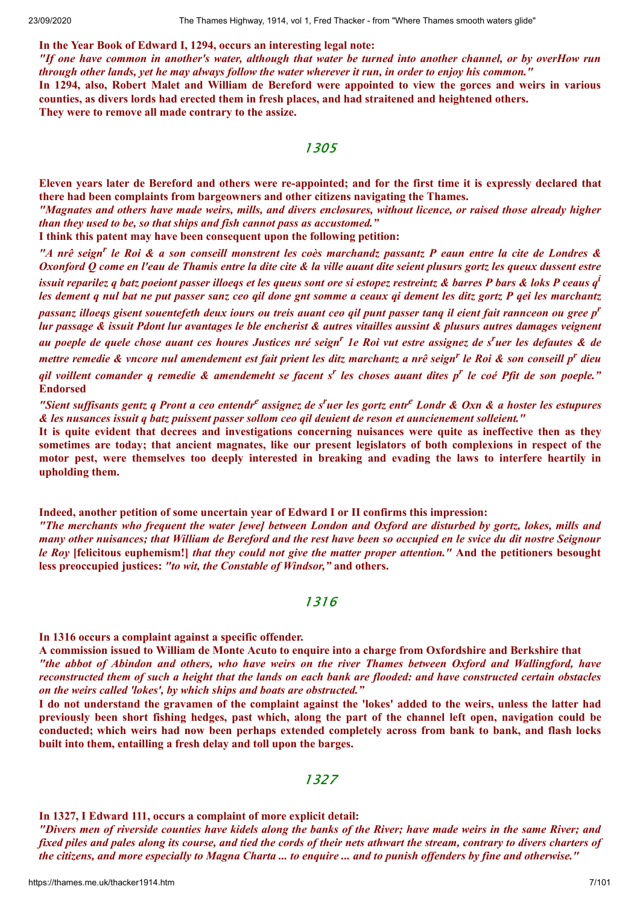#### **In the Year Book of Edward I, 1294, occurs an interesting legal note:**

"If one have common in another's water, although that water be turned into another channel, or by overHow run through other lands, yet he may always follow the water wherever it run, in order to enjoy his common."

In 1294, also, Robert Malet and William de Bereford were appointed to view the gorces and weirs in various **counties, as divers lords had erected them in fresh places, and had straitened and heightened others. They were to remove all made contrary to the assize.**

1305

Eleven vears later de Bereford and others were re-appointed; and for the first time it is expressly declared that **there had been complaints from bargeowners and other citizens navigating the Thames.**

"Magnates and others have made weirs, mills, and divers enclosures, without licence, or raised those already higher *than they used to be, so that ships and fish cannot pass as accustomed."*

**I think this patent may have been consequent upon the following petition:**

"A nrê seign<sup>r</sup> le Roi & a son conseill monstrent les coès marchandz passantz P eaun entre la cite de Londres & Oxonford Q come en l'eau de Thamis entre la dite cite & la ville auant dite seient plusurs gortz les queux dussent estre issuit reparilez q batz poeiont passer illoeqs et les queus sont ore si estopez restreintz & barres P bars & loks P ceaus q<sup>i</sup> les dement q nul bat ne put passer sanz ceo qil done gnt somme a ceaux qi dement les ditz gortz P qei les marchantz passanz illoeqs gisent souentefeth deux iours ou treis auant ceo qil punt passer tanq il eient fait rannceon ou gree p<sup>r</sup> lur passage & issuit Pdont lur avantages le ble encherist & autres vitailles aussint & plusurs autres damages veignent au poeple de quele chose auant ces houres Justices nré seign<sup>r</sup> 1e Roi vut estre assignez de s<sup>r</sup>uer les defautes & de mettre remedie & vncore nul amendement est fait prient les ditz marchantz a nrê seign<sup>r</sup> le Roi & son conseill p<sup>r</sup> dieu qil voillent comander q remedie & amendemeht se facent s<sup>r</sup> les choses auant dites p<sup>r</sup> le coé Pfit de son poeple." **Endorsed**

"Sient suffisants gentz q Pront a ceo entendr<sup>e</sup> assignez de s<sup>r</sup>uer les gortz entr<sup>e</sup> Londr & Oxn & a hoster les estupures *& les nusances issuit q batz puissent passer sollom ceo qil deuient de reson et auncienement solleient."*

It is quite evident that decrees and investigations concerning nuisances were quite as ineffective then as they sometimes are today; that ancient magnates, like our present legislators of both complexions in respect of the motor pest, were themselves too deeply interested in breaking and evading the laws to interfere heartily in **upholding them.**

**Indeed, another petition of some uncertain year of Edward I or II confirms this impression:**

"The merchants who frequent the water [ewe] between London and Oxford are disturbed by gortz, lokes, mills and many other nuisances; that William de Bereford and the rest have been so occupied en le svice du dit nostre Seignour le Roy [felicitous euphemism!] that they could not give the matter proper attention." And the petitioners besought **less preoccupied justices:** *"to wit, the Constable of Windsor,"* **and others.**

### 1316

#### **In 1316 occurs a complaint against a specific offender.**

A commission issued to William de Monte Acuto to enquire into a charge from Oxfordshire and Berkshire that "the abbot of Abindon and others, who have weirs on the river Thames between Oxford and Wallingford, have reconstructed them of such a height that the lands on each bank are flooded: and have constructed certain obstacles *on the weirs called 'lokes', by which ships and boats are obstructed."*

I do not understand the gravamen of the complaint against the 'lokes' added to the weirs, unless the latter had previously been short fishing hedges, past which, along the part of the channel left open, navigation could be **conducted; which weirs had now been perhaps extended completely across from bank to bank, and flash locks built into them, entailling a fresh delay and toll upon the barges.**

### 1327

**In 1327, I Edward 111, occurs a complaint of more explicit detail:**

"Divers men of riverside counties have kidels along the banks of the River; have made weirs in the same River; and fixed piles and pales along its course, and tied the cords of their nets athwart the stream, contrary to divers charters of the citizens, and more especially to Magna Charta ... to enguire ... and to punish offenders by fine and otherwise."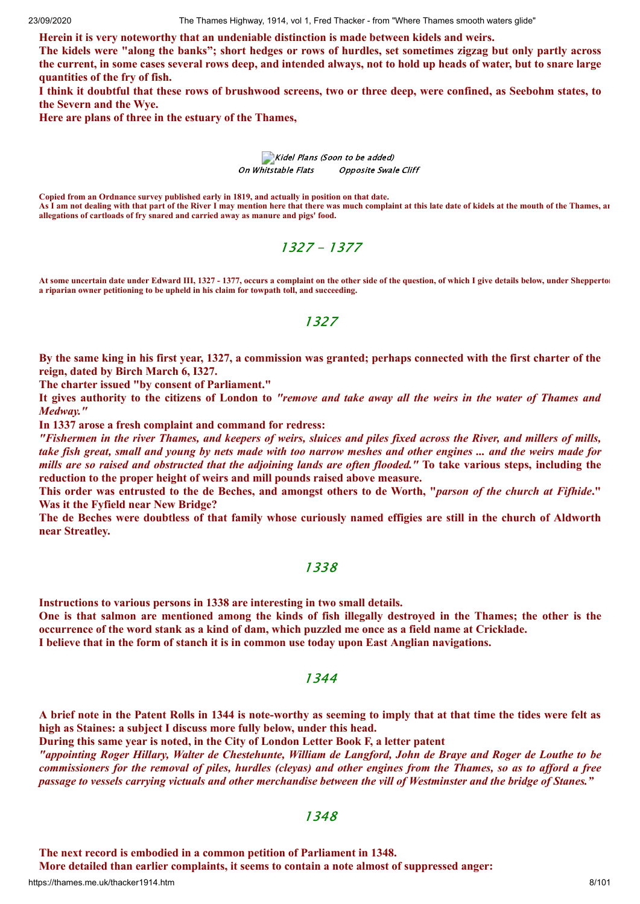**Herein it is very noteworthy that an undeniable distinction is made between kidels and weirs.**

The kidels were "along the banks"; short hedges or rows of hurdles, set sometimes zigzag but only partly across the current, in some cases several rows deep, and intended always, not to hold up heads of water, but to snare large **quantities of the fry of fish.**

I think it doubtful that these rows of brushwood screens, two or three deep, were confined, as Seebohm states, to **the Severn and the Wye.**

**Here are plans of three in the estuary of the Thames,**

Kidel Plans (Soon to be added) On Whitstable Flats Opposite Swale Cliff

**Copied from an Ordnance survey published early in 1819, and actually in position on that date. As I am not dealing with that part of the River I may mention here that there was much complaint at this late date of kidels at the mouth of the Thames, an allegations of cartloads of fry snared and carried away as manure and pigs' food.**

1327 - 1377

**At some uncertain date under Edward III, 1327 - 1377, occurs a complaint on the other side of the question, of which I give details below, under Shepperton a riparian owner petitioning to be upheld in his claim for towpath toll, and succeeding.**

1327

By the same king in his first year, 1327, a commission was granted; perhaps connected with the first charter of the **reign, dated by Birch March 6, I327.**

**The charter issued "by consent of Parliament."**

It gives authority to the citizens of London to "remove and take away all the weirs in the water of Thames and *Medway."*

**In 1337 arose a fresh complaint and command for redress:**

"Fishermen in the river Thames, and keepers of weirs, sluices and piles fixed across the River, and millers of mills, take fish great, small and young by nets made with too narrow meshes and other engines ... and the weirs made for mills are so raised and obstructed that the adjoining lands are often flooded." To take various steps, including the **reduction to the proper height of weirs and mill pounds raised above measure.**

This order was entrusted to the de Beches, and amongst others to de Worth, "parson of the church at Fifhide." **Was it the Fyfield near New Bridge?**

The de Beches were doubtless of that family whose curiously named effigies are still in the church of Aldworth **near Streatley.**

#### 1338

**Instructions to various persons in 1338 are interesting in two small details.** One is that salmon are mentioned among the kinds of fish illegally destroyed in the Thames; the other is the occurrence of the word stank as a kind of dam, which puzzled me once as a field name at Cricklade.

**I believe that in the form of stanch it is in common use today upon East Anglian navigations.**

1344

A brief note in the Patent Rolls in 1344 is note-worthy as seeming to imply that at that time the tides were felt as **high as Staines: a subject I discuss more fully below, under this head.**

**During this same year is noted, in the City of London Letter Book F, a letter patent**

"appointing Roger Hillary, Walter de Chestehunte, William de Langford, John de Braye and Roger de Louthe to be commissioners for the removal of piles, hurdles (clevas) and other engines from the Thames, so as to afford a free passage to vessels carrying victuals and other merchandise between the vill of Westminster and the bridge of Stanes."

### 1348

**The next record is embodied in a common petition of Parliament in 1348.**

**More detailed than earlier complaints, it seems to contain a note almost of suppressed anger:**

https://thames.me.uk/thacker1914.htm 8/101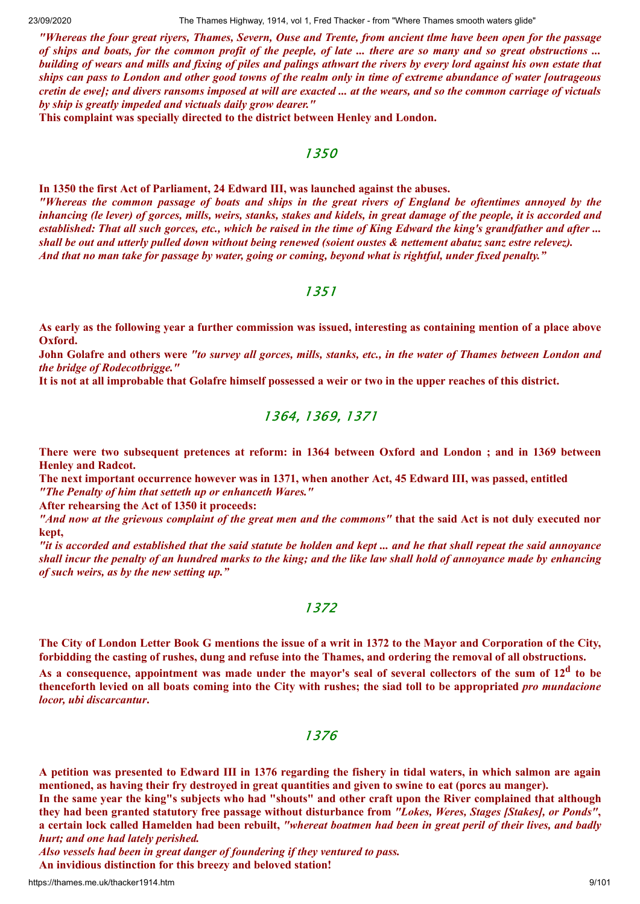23/09/2020 The Thames Highway, 1914, vol 1, Fred Thacker - from "Where Thames smooth waters glide"

"Whereas the four great rivers, Thames, Severn, Ouse and Trente, from ancient tlme have been open for the passage of ships and boats, for the common profit of the peeple, of late ... there are so many and so great obstructions ... building of wears and mills and fixing of piles and palings athwart the rivers by every lord against his own estate that ships can pass to London and other good towns of the realm only in time of extreme abundance of water [outrageous cretin de ewel; and divers ransoms imposed at will are exacted ... at the wears, and so the common carriage of victuals *by ship is greatly impeded and victuals daily grow dearer."*

**This complaint was specially directed to the district between Henley and London.**

### 1350

**In 1350 the first Act of Parliament, 24 Edward III, was launched against the abuses.** "Whereas the common passage of boats and ships in the great rivers of England be oftentimes annoved by the inhancing (le lever) of gorces, mills, weirs, stanks, stakes and kidels, in great damage of the people, it is accorded and established: That all such gorces, etc., which be raised in the time of King Edward the king's grandfather and after ... shall be out and utterly pulled down without being renewed (soient oustes & nettement abatuz sanz estre relevez). And that no man take for passage by water, going or coming, beyond what is rightful, under fixed penalty."

### 1351

As early as the following year a further commission was issued, interesting as containing mention of a place above **Oxford.**

John Golafre and others were "to survey all gorces, mills, stanks, etc., in the water of Thames between London and *the bridge of Rodecotbrigge."*

It is not at all improbable that Golafre himself possessed a weir or two in the upper reaches of this district.

### 1364, 1369, 1371

There were two subsequent pretences at reform: in 1364 between Oxford and London; and in 1369 between **Henley and Radcot.**

**The next important occurrence however was in 1371, when another Act, 45 Edward III, was passed, entitled** *"The Penalty of him that setteth up or enhanceth Wares."*

**After rehearsing the Act of 1350 it proceeds:**

"And now at the grievous complaint of the great men and the commons" that the said Act is not duly executed nor **kept,**

"it is accorded and established that the said statute be holden and kept ... and he that shall repeat the said annoyance shall incur the penalty of an hundred marks to the king; and the like law shall hold of annoyance made by enhancing *of such weirs, as by the new setting up."*

# 1372

The City of London Letter Book G mentions the issue of a writ in 1372 to the Mayor and Corporation of the City, forbidding the casting of rushes, dung and refuse into the Thames, and ordering the removal of all obstructions. As a consequence, appointment was made under the mayor's seal of several collectors of the sum of  $12^d$  to be thenceforth levied on all boats coming into the City with rushes; the siad toll to be appropriated pro mundacione

*locor, ubi discarcantur***.**

### 1376

A petition was presented to Edward III in 1376 regarding the fishery in tidal waters, in which salmon are again mentioned, as having their fry destroyed in great quantities and given to swine to eat (porcs au manger).

In the same year the king"s subjects who had "shouts" and other craft upon the River complained that although they had been granted statutory free passage without disturbance from "Lokes, Weres, Stages [Stakes], or Ponds", a certain lock called Hamelden had been rebuilt, "whereat boatmen had been in great peril of their lives, and badly *hurt; and one had lately perished.*

*Also vessels had been in great danger of foundering if they ventured to pass.*

**An invidious distinction for this breezy and beloved station!**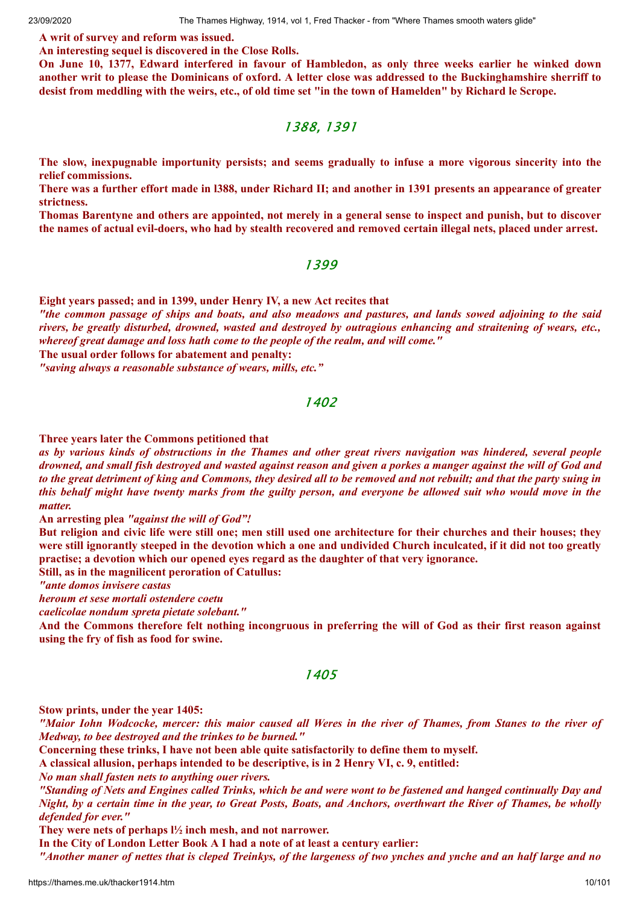#### **A writ of survey and reform was issued.**

**An interesting sequel is discovered in the Close Rolls.**

On June 10, 1377, Edward interfered in favour of Hambledon, as only three weeks earlier he winked down another writ to please the Dominicans of oxford. A letter close was addressed to the Buckinghamshire sherriff to desist from meddling with the weirs, etc., of old time set "in the town of Hamelden" by Richard le Scrope.

### 1388, 1391

**The slow, inexpugnable importunity persists; and seems gradually to infuse a more vigorous sincerity into the relief commissions.**

There was a further effort made in 1388, under Richard II; and another in 1391 presents an appearance of greater **strictness.**

Thomas Barentyne and others are appointed, not merely in a general sense to inspect and punish, but to discover the names of actual evil-doers, who had by stealth recovered and removed certain illegal nets, placed under arrest.

#### 1399

**Eight years passed; and in 1399, under Henry IV, a new Act recites that**

"the common passage of ships and boats, and also meadows and pastures, and lands sowed adjoining to the said rivers, be greatly disturbed, drowned, wasted and destroyed by outragious enhancing and straitening of wears, etc., *whereof great damage and loss hath come to the people of the realm, and will come."*

**The usual order follows for abatement and penalty:**

*"saving always a reasonable substance of wears, mills, etc."*

### 1402

**Three years later the Commons petitioned that**

as by various kinds of obstructions in the Thames and other great rivers navigation was hindered, several people drowned, and small fish destroyed and wasted against reason and given a porkes a manger against the will of God and to the great detriment of king and Commons, they desired all to be removed and not rebuilt; and that the party suing in this behalf might have twenty marks from the guilty person, and everyone be allowed suit who would move in the *matter.*

**An arresting plea** *"against the will of God"!*

But religion and civic life were still one; men still used one architecture for their churches and their houses; they were still ignorantly steeped in the devotion which a one and undivided Church inculcated, if it did not too greatly **practise; a devotion which our opened eyes regard as the daughter of that very ignorance.**

**Still, as in the magnilicent peroration of Catullus:**

*"ante domos invisere castas*

*heroum et sese mortali ostendere coetu*

*caelicolae nondum spreta pietate solebant."*

And the Commons therefore felt nothing incongruous in preferring the will of God as their first reason against **using the fry of fish as food for swine.**

#### 1405

**Stow prints, under the year 1405:**

"Maior John Wodcocke, mercer: this maior caused all Weres in the river of Thames, from Stanes to the river of *Medway, to bee destroyed and the trinkes to be burned."*

**Concerning these trinks, I have not been able quite satisfactorily to define them to myself.**

**A classical allusion, perhaps intended to be descriptive, is in 2 Henry VI, c. 9, entitled:**

*No man shall fasten nets to anything ouer rivers.*

"Standing of Nets and Engines called Trinks, which be and were wont to be fastened and hanged continually Day and Night, by a certain time in the year, to Great Posts, Boats, and Anchors, overthwart the River of Thames, be wholly *defended for ever."*

**They were nets of perhaps l½ inch mesh, and not narrower.**

**In the City of London Letter Book A I had a note of at least a century earlier:**

"Another maner of nettes that is cleped Treinkys, of the largeness of two ynches and ynche and an half large and no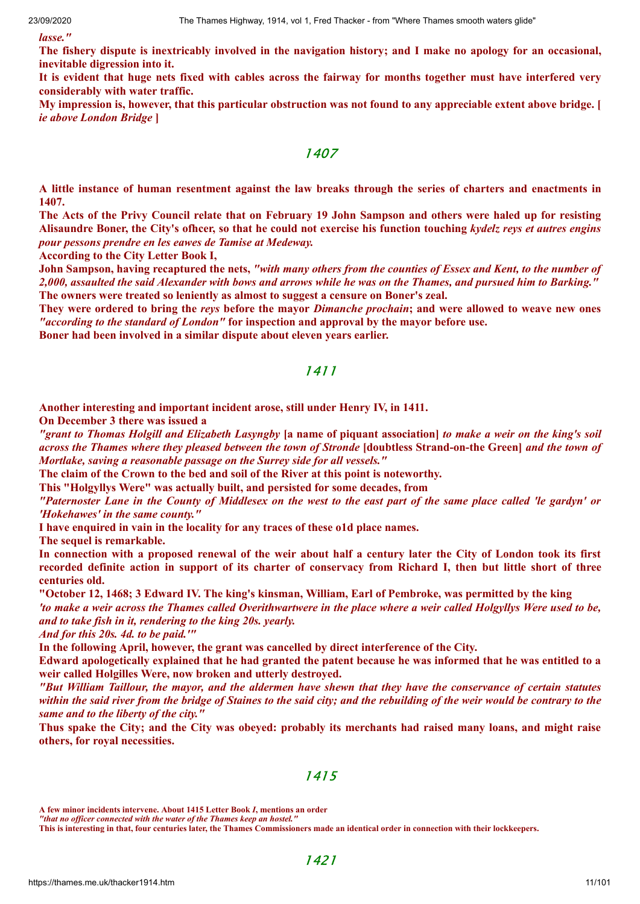*lasse."*

The fishery dispute is inextricably involved in the navigation history; and I make no apology for an occasional, **inevitable digression into it.**

It is evident that huge nets fixed with cables across the fairway for months together must have interfered very **considerably with water traffic.**

My impression is, however, that this particular obstruction was not found to any appreciable extent above bridge. [ *ie above London Bridge* **]**

1407

A little instance of human resentment against the law breaks through the series of charters and enactments in **1407.**

The Acts of the Privy Council relate that on February 19 John Sampson and others were haled up for resisting Alisaundre Boner, the City's officer, so that he could not exercise his function touching kydelz reys et autres engins *pour pessons prendre en les eawes de Tamise at Medeway.*

**According to the City Letter Book I,**

John Sampson, having recaptured the nets, "with many others from the counties of Essex and Kent, to the number of 2,000, assaulted the said Alexander with bows and arrows while he was on the Thames, and pursued him to Barking. **The owners were treated so leniently as almost to suggest a censure on Boner's zeal.**

They were ordered to bring the reys before the mayor Dimanche prochain; and were allowed to weave new ones *"according to the standard of London"* **for inspection and approval by the mayor before use.**

**Boner had been involved in a similar dispute about eleven years earlier.**

### 1411

**Another interesting and important incident arose, still under Henry IV, in 1411.**

**On December 3 there was issued a**

"grant to Thomas Holgill and Elizabeth Lasyngby [a name of piquant association] to make a weir on the king's soil across the Thames where they pleased between the town of Stronde [doubtless Strand-on-the Green] and the town of *Mortlake, saving a reasonable passage on the Surrey side for all vessels."*

**The claim of the Crown to the bed and soil of the River at this point is noteworthy.**

**This "Holgyllys Were" was actually built, and persisted for some decades, from**

"Paternoster Lane in the County of Middlesex on the west to the east part of the same place called 'le gardyn' or *'Hokehawes' in the same county."*

**I have enquired in vain in the locality for any traces of these o1d place names.**

**The sequel is remarkable.**

In connection with a proposed renewal of the weir about half a century later the City of London took its first recorded definite action in support of its charter of conservacy from Richard I, then but little short of three **centuries old.**

"October 12, 1468; 3 Edward IV. The king's kinsman, William, Earl of Pembroke, was permitted by the king 'to make a weir across the Thames called Overithwartwere in the place where a weir called Holgyllys Were used to be, *and to take fish in it, rendering to the king 20s. yearly.*

*And for this 20s. 4d. to be paid.'"*

**In the following April, however, the grant was cancelled by direct interference of the City.**

Edward apologetically explained that he had granted the patent because he was informed that he was entitled to a **weir called Holgilles Were, now broken and utterly destroyed.**

"But William Taillour, the mayor, and the aldermen have shewn that they have the conservance of certain statutes within the said river from the bridge of Staines to the said city; and the rebuilding of the weir would be contrary to the *same and to the liberty of the city."*

Thus spake the City; and the City was obeyed: probably its merchants had raised many loans, and might raise **others, for royal necessities.**

### 1415

**This is interesting in that, four centuries later, the Thames Commissioners made an identical order in connection with their lockkeepers.**

**A few minor incidents intervene. About 1415 Letter Book** *I***, mentions an order**

*<sup>&</sup>quot;that no officer connected with the water of the Thames keep an hostel."*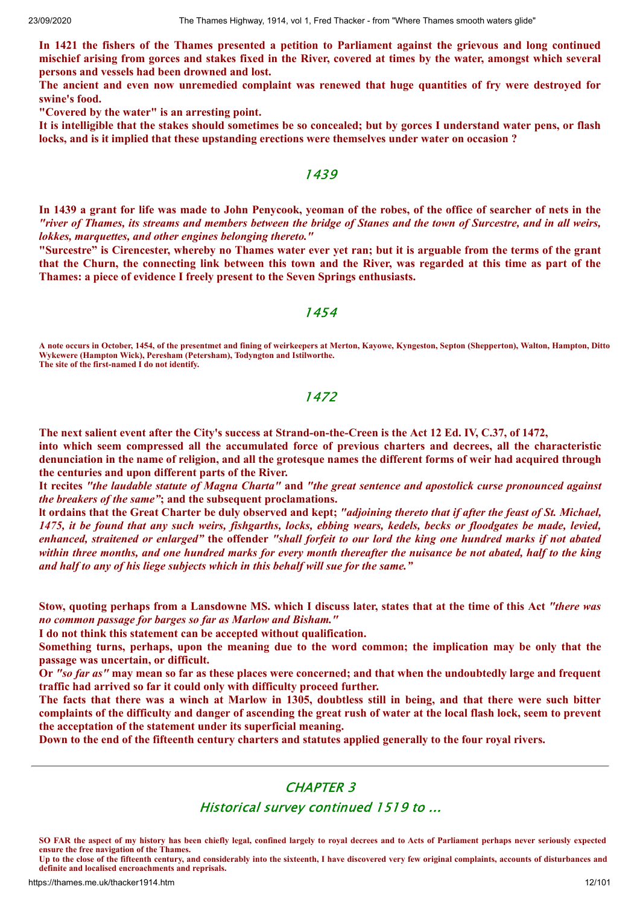In 1421 the fishers of the Thames presented a petition to Parliament against the grievous and long continued mischief arising from gorces and stakes fixed in the River, covered at times by the water, amongst which several **persons and vessels had been drowned and lost.**

**The ancient and even now unremedied complaint was renewed that huge quantities of fry were destroyed for swine's food.**

**"Covered by the water" is an arresting point.**

It is intelligible that the stakes should sometimes be so concealed; but by gorces I understand water pens, or flash **locks, and is it implied that these upstanding erections were themselves under water on occasion ?**

### 1439

In 1439 a grant for life was made to John Penycook, yeoman of the robes, of the office of searcher of nets in the "river of Thames, its streams and members between the bridge of Stanes and the town of Surcestre, and in all weirs, *lokkes, marquettes, and other engines belonging thereto."*

"Surcestre" is Cirencester, whereby no Thames water ever yet ran; but it is arguable from the terms of the grant that the Churn, the connecting link between this town and the River, was regarded at this time as part of the **Thames: a piece of evidence I freely present to the Seven Springs enthusiasts.**

#### 1454

**A note occurs in October, 1454, of the presentmet and fining of weirkeepers at Merton, Kayowe, Kyngeston, Septon (Shepperton), Walton, Hampton, Ditto Wykewere (Hampton Wick), Peresham (Petersham), Todyngton and Istilworthe. The site of the first-named I do not identify.**

# 1472

The next salient event after the City's success at Strand-on-the-Creen is the Act 12 Ed. IV, C.37, of 1472,

**into which seem compressed all the accumulated force of previous charters and decrees, all the characteristic** denunciation in the name of religion, and all the grotesque names the different forms of weir had acquired through **the centuries and upon different parts of the River.**

It recites "the laudable statute of Magna Charta" and "the great sentence and apostolick curse pronounced against *the breakers of the same"***; and the subsequent proclamations.**

It ordains that the Great Charter be duly observed and kept; "adjoining thereto that if after the feast of St. Michael, 1475, it be found that any such weirs, fishgarths, locks, ebbing wears, kedels, becks or floodgates be made, levied, enhanced, straitened or enlarged" the offender "shall forfeit to our lord the king one hundred marks if not abated within three months, and one hundred marks for every month thereafter the nuisance be not abated, half to the king *and half to any of his liege subjects which in this behalf will sue for the same."*

Stow, quoting perhaps from a Lansdowne MS. which I discuss later, states that at the time of this Act "there was *no common passage for barges so far as Marlow and Bisham."*

**I do not think this statement can be accepted without qualification.**

Something turns, perhaps, upon the meaning due to the word common; the implication may be only that the **passage was uncertain, or difficult.**

Or "so far as" may mean so far as these places were concerned; and that when the undoubtedly large and frequent **traffic had arrived so far it could only with difficulty proceed further.**

The facts that there was a winch at Marlow in 1305, doubtless still in being, and that there were such bitter complaints of the difficulty and danger of ascending the great rush of water at the local flash lock, seem to prevent **the acceptation of the statement under its superficial meaning.**

Down to the end of the fifteenth century charters and statutes applied generally to the four royal rivers.

# CHAPTER 3

# Historical survey continued 1519 to ...

**SO FAR the aspect of my history has been chiefly legal, confined largely to royal decrees and to Acts of Parliament perhaps never seriously expected ensure the free navigation of the Thames.**

**Up to the close of the fifteenth century, and considerably into the sixteenth, I have discovered very few original complaints, accounts of disturbances and definite and localised encroachments and reprisals.**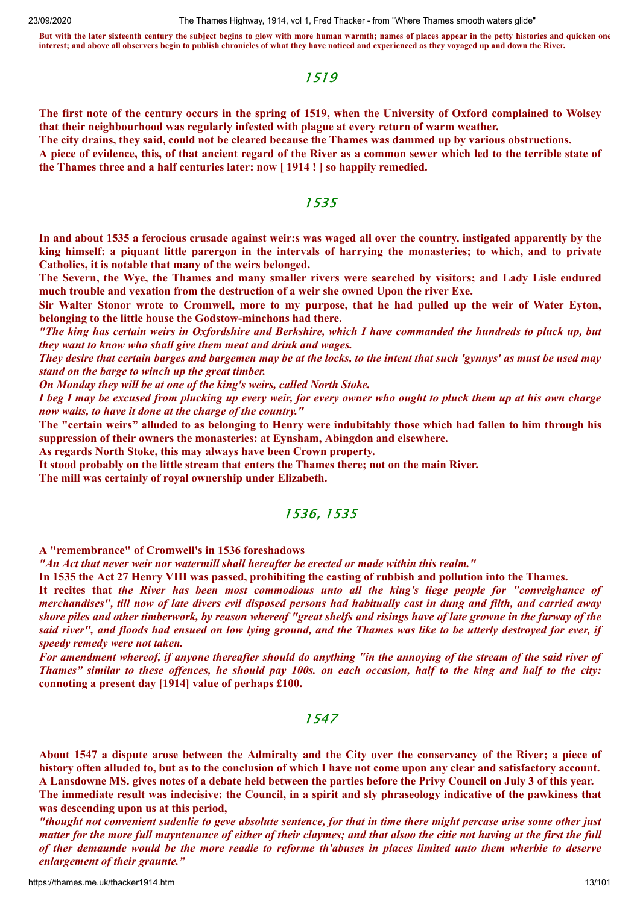**But with the later sixteenth century the subject begins to glow with more human warmth; names of places appear in the petty histories and quicken one interest; and above all observers begin to publish chronicles of what they have noticed and experienced as they voyaged up and down the River.**

# 1519

The first note of the century occurs in the spring of 1519, when the University of Oxford complained to Wolsey **that their neighbourhood was regularly infested with plague at every return of warm weather.**

The city drains, they said, could not be cleared because the Thames was dammed up by various obstructions.

A piece of evidence, this, of that ancient regard of the River as a common sewer which led to the terrible state of **the Thames three and a half centuries later: now [ 1914 ! ] so happily remedied.**

#### 1535

In and about 1535 a ferocious crusade against weir:s was waged all over the country, instigated apparently by the king himself: a piquant little parergon in the intervals of harrying the monasteries; to which, and to private **Catholics, it is notable that many of the weirs belonged.**

The Severn, the Wye, the Thames and many smaller rivers were searched by visitors; and Lady Lisle endured **much trouble and vexation from the destruction of a weir she owned Upon the river Exe.**

Sir Walter Stonor wrote to Cromwell, more to my purpose, that he had pulled up the weir of Water Eyton, **belonging to the little house the Godstow-minchons had there.**

"The king has certain weirs in Oxfordshire and Berkshire, which I have commanded the hundreds to pluck up, but *they want to know who shall give them meat and drink and wages.*

They desire that certain barges and bargemen may be at the locks, to the intent that such 'gynnys' as must be used may *stand on the barge to winch up the great timber.*

*On Monday they will be at one of the king's weirs, called North Stoke.*

I beg I may be excused from plucking up every weir, for every owner who ought to pluck them up at his own charge *now waits, to have it done at the charge of the country."*

The "certain weirs" alluded to as belonging to Henry were indubitably those which had fallen to him through his **suppression of their owners the monasteries: at Eynsham, Abingdon and elsewhere.**

**As regards North Stoke, this may always have been Crown property.**

**It stood probably on the little stream that enters the Thames there; not on the main River.**

**The mill was certainly of royal ownership under Elizabeth.**

# 1536, 1535

**A "remembrance" of Cromwell's in 1536 foreshadows**

*"An Act that never weir nor watermill shall hereafter be erected or made within this realm."*

In 1535 the Act 27 Henry VIII was passed, prohibiting the casting of rubbish and pollution into the Thames.

It recites that the River has been most commodious unto all the king's liege people for "conveighance of merchandises", till now of late divers evil disposed persons had habitually cast in dung and filth, and carried away shore piles and other timberwork, by reason whereof "great shelfs and risings have of late growne in the farway of the said river", and floods had ensued on low lying ground, and the Thames was like to be utterly destroyed for ever, if *speedy remedy were not taken.*

For amendment whereof, if anyone thereafter should do anything "in the annoying of the stream of the said river of Thames" similar to these offences, he should pay 100s. on each occasion, half to the king and half to the city: **connoting a present day [1914] value of perhaps £100.**

### 1547

About 1547 a dispute arose between the Admiralty and the City over the conservancy of the River; a piece of history often alluded to, but as to the conclusion of which I have not come upon any clear and satisfactory account. A Lansdowne MS, gives notes of a debate held between the parties before the Privy Council on July 3 of this year. The immediate result was indecisive: the Council, in a spirit and sly phraseology indicative of the pawkiness that **was descending upon us at this period,**

"thought not convenient sudenlie to geve absolute sentence, for that in time there might percase arise some other just matter for the more full mayntenance of either of their claymes; and that alsoo the citie not having at the first the full of ther demaunde would be the more readie to reforme th'abuses in places limited unto them wherbie to deserve *enlargement of their graunte."*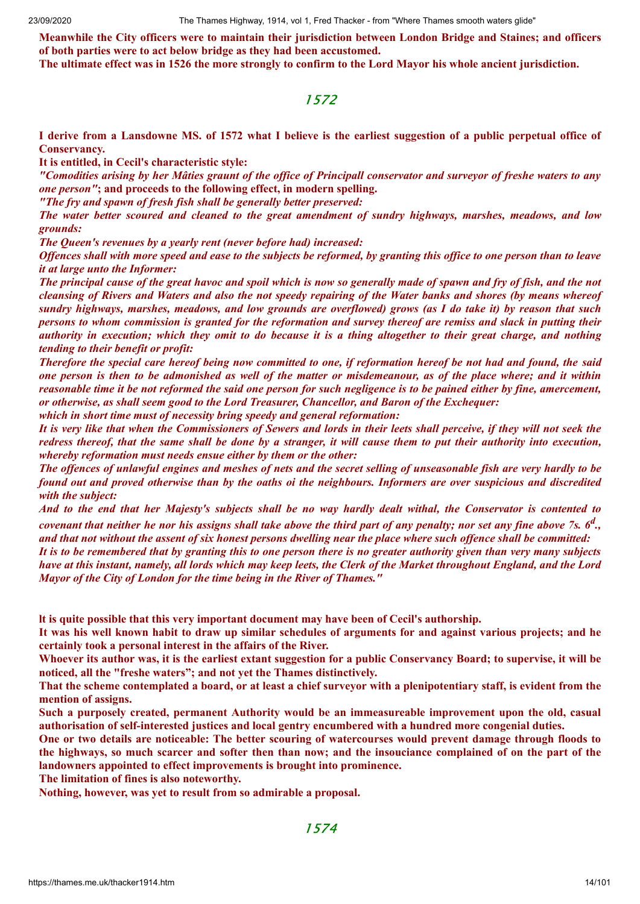**Meanwhile the City officers were to maintain their jurisdiction between London Bridge and Staines; and officers of both parties were to act below bridge as they had been accustomed.**

The ultimate effect was in 1526 the more strongly to confirm to the Lord Mayor his whole ancient jurisdiction.

### 1572

I derive from a Lansdowne MS. of 1572 what I believe is the earliest suggestion of a public perpetual office of **Conservancy.**

**It is entitled, in Cecil's characteristic style:**

"Comodities arising by her Mâties graunt of the office of Principall conservator and surveyor of freshe waters to any *one person"***; and proceeds to the following effect, in modern spelling.**

*"The fry and spawn of fresh fish shall be generally better preserved:*

*The water better scoured and cleaned to the great amendment of sundry highways, marshes, meadows, and low grounds:*

*The Queen's revenues by a yearly rent (never before had) increased:*

Offences shall with more speed and ease to the subjects be reformed, by granting this office to one person than to leave *it at large unto the Informer:*

The principal cause of the great havoc and spoil which is now so generally made of spawn and fry of fish, and the not cleansing of Rivers and Waters and also the not speedy repairing of the Water banks and shores (by means whereof sundry highways, marshes, meadows, and low grounds are overflowed) grows (as I do take it) by reason that such persons to whom commission is granted for the reformation and survey thereof are remiss and slack in putting their authority in execution; which they omit to do because it is a thing altogether to their great charge, and nothing *tending to their benefit or profit:*

Therefore the special care hereof being now committed to one, if reformation hereof be not had and found, the said one person is then to be admonished as well of the matter or misdemeanour, as of the place where; and it within reasonable time it be not reformed the said one person for such negligence is to be pained either by fine, amercement, *or otherwise, as shall seem good to the Lord Treasurer, Chancellor, and Baron of the Exchequer:*

*which in short time must of necessity bring speedy and general reformation:*

It is very like that when the Commissioners of Sewers and lords in their leets shall perceive, if they will not seek the redress thereof, that the same shall be done by a stranger, it will cause them to put their authority into execution, *whereby reformation must needs ensue either by them or the other:*

The offences of unlawful engines and meshes of nets and the secret selling of unseasonable fish are very hardly to be found out and proved otherwise than by the oaths oi the neighbours. Informers are over suspicious and discredited *with the subject:*

And to the end that her Majesty's subjects shall be no way hardly dealt withal, the Conservator is contented to covenant that neither he nor his assigns shall take above the third part of any penalty; nor set any fine above 7s. 6<sup>d</sup>., and that not without the assent of six honest persons dwelling near the place where such offence shall be committed:

It is to be remembered that by granting this to one person there is no greater authority given than very many subjects have at this instant, namely, all lords which may keep leets, the Clerk of the Market throughout England, and the Lord *Mayor of the City of London for the time being in the River of Thames."*

**lt is quite possible that this very important document may have been of Cecil's authorship.**

It was his well known habit to draw up similar schedules of arguments for and against various projects; and he **certainly took a personal interest in the affairs of the River.**

Whoever its author was, it is the earliest extant suggestion for a public Conservancy Board; to supervise, it will be **noticed, all the "freshe waters"; and not yet the Thames distinctively.**

That the scheme contemplated a board, or at least a chief surveyor with a plenipotentiary staff, is evident from the **mention of assigns.**

**Such a purposely created, permanent Authority would be an immeasureable improvement upon the old, casual authorisation of self-interested justices and local gentry encumbered with a hundred more congenial duties.**

One or two details are noticeable: The better scouring of watercourses would prevent damage through floods to the highways, so much scarcer and softer then than now; and the insouciance complained of on the part of the **landowners appointed to effect improvements is brought into prominence.**

**The limitation of fines is also noteworthy.**

**Nothing, however, was yet to result from so admirable a proposal.**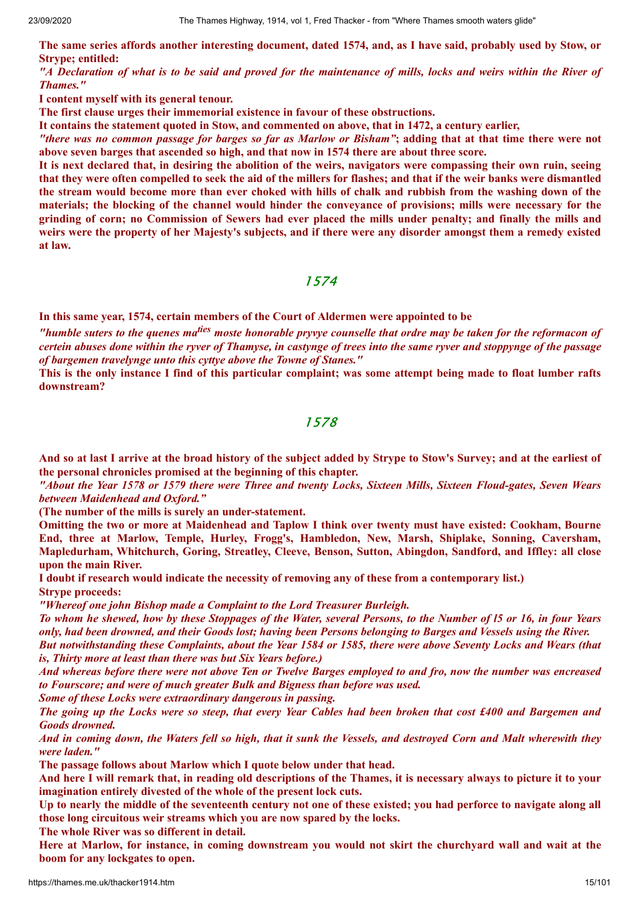The same series affords another interesting document, dated 1574, and, as I have said, probably used by Stow, or **Strype; entitled:**

"A Declaration of what is to be said and proved for the maintenance of mills, locks and weirs within the River of *Thames."*

**I content myself with its general tenour.**

**The first clause urges their immemorial existence in favour of these obstructions.**

**It contains the statement quoted in Stow, and commented on above, that in 1472, a century earlier,**

"there was no common passage for barges so far as Marlow or Bisham"; adding that at that time there were not **above seven barges that ascended so high, and that now in 1574 there are about three score.**

It is next declared that, in desiring the abolition of the weirs, navigators were compassing their own ruin, seeing that they were often compelled to seek the aid of the millers for flashes; and that if the weir banks were dismantled the stream would become more than ever choked with hills of chalk and rubbish from the washing down of the materials; the blocking of the channel would hinder the conveyance of provisions; mills were necessary for the grinding of corn; no Commission of Sewers had ever placed the mills under penalty; and finally the mills and weirs were the property of her Majesty's subjects, and if there were any disorder amongst them a remedy existed **at law.**

#### 1574

**In this same year, 1574, certain members of the Court of Aldermen were appointed to be**

"humble suters to the quenes ma<sup>ties</sup> moste honorable pryvye counselle that ordre may be taken for the reformacon of certein abuses done within the ryver of Thamyse, in castynge of trees into the same ryver and stoppynge of the passage *of bargemen travelynge unto this cyttye above the Towne of Stanes."*

This is the only instance I find of this particular complaint; was some attempt being made to float lumber rafts **downstream?**

#### 1578

And so at last I arrive at the broad history of the subject added by Strype to Stow's Survey; and at the earliest of **the personal chronicles promised at the beginning of this chapter.**

"About the Year 1578 or 1579 there were Three and twenty Locks, Sixteen Mills, Sixteen Floud-gates, Seven Wears *between Maidenhead and Oxford."*

**(The number of the mills is surely an under-statement.**

Omitting the two or more at Maidenhead and Taplow I think over twenty must have existed: Cookham, Bourne **End, three at Marlow, Temple, Hurley, Frogg's, Hambledon, New, Marsh, Shiplake, Sonning, Caversham, Mapledurham, Whitchurch, Goring, Streatley, Cleeve, Benson, Sutton, Abingdon, Sandford, and Iffley: all close upon the main River.**

**I doubt if research would indicate the necessity of removing any of these from a contemporary list.) Strype proceeds:**

*"Whereof one john Bishop made a Complaint to the Lord Treasurer Burleigh.*

To whom he shewed, how by these Stoppages of the Water, several Persons, to the Number of 15 or 16, in four Years only, had been drowned, and their Goods lost; having been Persons belonging to Barges and Vessels using the River.

But notwithstanding these Complaints, about the Year 1584 or 1585, there were above Seventy Locks and Wears (that *is, Thirty more at least than there was but Six Years before.)*

And whereas before there were not above Ten or Twelve Barges employed to and fro, now the number was encreased *to Fourscore; and were of much greater Bulk and Bigness than before was used.*

*Some of these Locks were extraordinary dangerous in passing.*

The going up the Locks were so steep, that every Year Cables had been broken that cost £400 and Bargemen and *Goods drowned.*

And in coming down, the Waters fell so high, that it sunk the Vessels, and destroyed Corn and Malt wherewith they *were laden."*

**The passage follows about Marlow which I quote below under that head.**

And here I will remark that, in reading old descriptions of the Thames, it is necessary always to picture it to your **imagination entirely divested of the whole of the present lock cuts.**

Up to nearly the middle of the seventeenth century not one of these existed; you had perforce to navigate along all **those long circuitous weir streams which you are now spared by the locks.**

**The whole River was so different in detail.**

Here at Marlow, for instance, in coming downstream you would not skirt the churchyard wall and wait at the **boom for any lockgates to open.**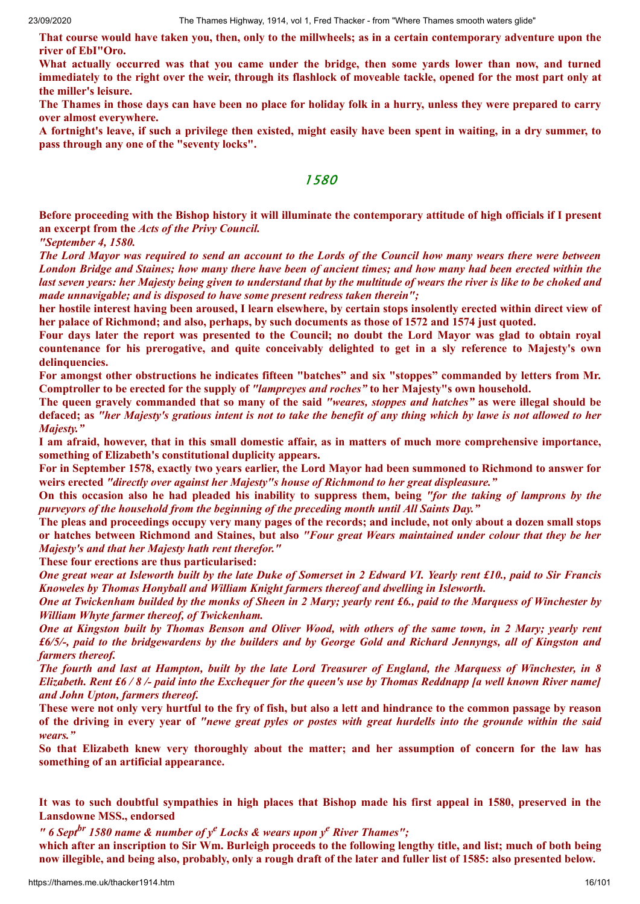That course would have taken you, then, only to the millwheels; as in a certain contemporary adventure upon the **river of EbI"Oro.**

What actually occurred was that you came under the bridge, then some yards lower than now, and turned immediately to the right over the weir, through its flashlock of moveable tackle, opened for the most part only at **the miller's leisure.**

The Thames in those days can have been no place for holiday folk in a hurry, unless they were prepared to carry **over almost everywhere.**

A fortnight's leave, if such a privilege then existed, might easily have been spent in waiting, in a dry summer, to **pass through any one of the "seventy locks".**

### 1580

Before proceeding with the Bishop history it will illuminate the contemporary attitude of high officials if I present **an excerpt from the** *Acts of the Privy Council.*

*"September 4, 1580.*

The Lord Mayor was required to send an account to the Lords of the Council how many wears there were between London Bridge and Staines; how many there have been of ancient times; and how many had been erected within the last seven years: her Majesty being given to understand that by the multitude of wears the river is like to be choked and *made unnavigable; and is disposed to have some present redress taken therein";*

her hostile interest having been aroused, I learn elsewhere, by certain stops insolently erected within direct view of her palace of Richmond; and also, perhaps, by such documents as those of 1572 and 1574 just quoted.

Four days later the report was presented to the Council: no doubt the Lord Mayor was glad to obtain royal countenance for his prerogative, and quite conceivably delighted to get in a sly reference to Majesty's own **delinquencies.**

**For amongst other obstructions he indicates fifteen "batches" and six "stoppes" commanded by letters from Mr. Comptroller to be erected for the supply of** *"lampreyes and roches"* **to her Majesty"s own household.**

The queen gravely commanded that so many of the said "weares, stoppes and hatches" as were illegal should be defaced; as "her Majesty's gratious intent is not to take the benefit of any thing which by lawe is not allowed to her *Majesty."*

I am afraid, however, that in this small domestic affair, as in matters of much more comprehensive importance, **something of Elizabeth's constitutional duplicity appears.**

For in September 1578, exactly two years earlier, the Lord Mayor had been summoned to Richmond to answer for **weirs erected** *"directly over against her Majesty"s house of Richmond to her great displeasure."*

On this occasion also he had pleaded his inability to suppress them, being "for the taking of lamprons by the *purveyors of the household from the beginning of the preceding month until All Saints Day."*

The pleas and proceedings occupy very many pages of the records; and include, not only about a dozen small stops or hatches between Richmond and Staines, but also "Four great Wears maintained under colour that they be her *Majesty's and that her Majesty hath rent therefor."*

**These four erections are thus particularised:**

One great wear at Isleworth built by the late Duke of Somerset in 2 Edward VI. Yearly rent £10, paid to Sir Francis *Knoweles by Thomas Honyball and William Knight farmers thereof and dwelling in Isleworth.*

One at Twickenham builded by the monks of Sheen in 2 Mary; yearly rent £6., paid to the Marquess of Winchester by *William Whyte farmer thereof, of Twickenham.*

One at Kingston built by Thomas Benson and Oliver Wood, with others of the same town, in 2 Mary; yearly rent  $£6/5/$ -, paid to the bridgewardens by the builders and by George Gold and Richard Jennyngs, all of Kingston and *farmers thereof.*

The fourth and last at Hampton, built by the late Lord Treasurer of England, the Marguess of Winchester, in 8 Elizabeth. Rent £6/8/- paid into the Exchequer for the queen's use by Thomas Reddnapp [a well known River name] *and John Upton, farmers thereof.*

These were not only very hurtful to the fry of fish, but also a lett and hindrance to the common passage by reason of the driving in every year of "newe great pyles or postes with great hurdells into the grounde within the said *wears."*

So that Elizabeth knew very thoroughly about the matter; and her assumption of concern for the law has **something of an artificial appearance.**

It was to such doubtful sympathies in high places that Bishop made his first appeal in 1580, preserved in the **Lansdowne MSS., endorsed**

*" 6 Sept br 1580 name & number of y <sup>e</sup> Locks & wears upon y <sup>e</sup> River Thames";*

which after an inscription to Sir Wm. Burleigh proceeds to the following lengthy title, and list; much of both being now illegible, and being also, probably, only a rough draft of the later and fuller list of 1585: also presented below.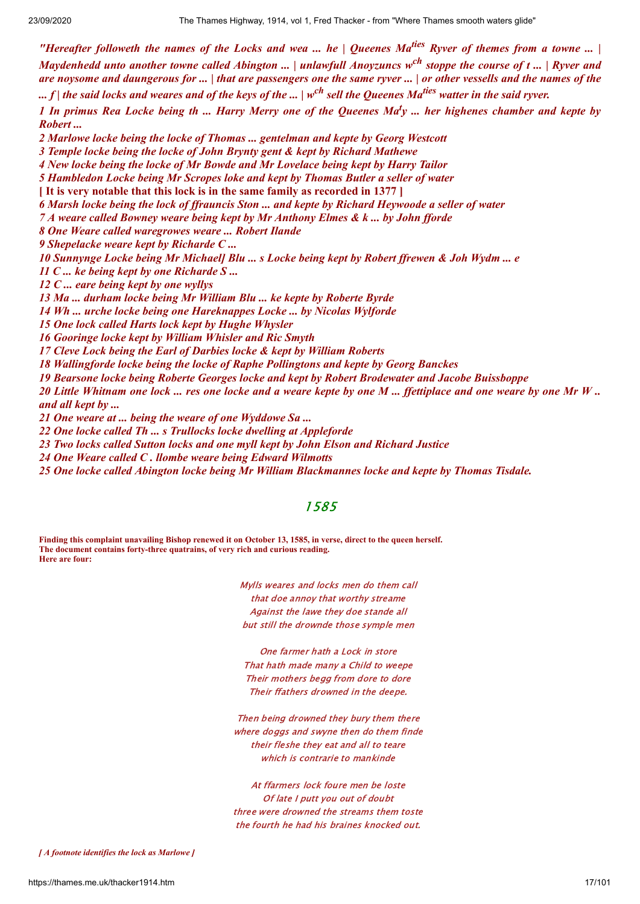"Hereafter followeth the names of the Locks and wea ... he  $\vert$  Queenes Ma<sup>ties</sup> Ryver of themes from a towne ...  $\vert$ Maydenhedd unto another towne called Abington ... | unlawfull Anoyzuncs w<sup>ch</sup> stoppe the course of t ... | Ryver and are novsome and daungerous for  $\dots$  | that are passengers one the same ryver  $\dots$  | or other vessells and the names of the ... f | the said locks and weares and of the keys of the ... | w<sup>ch</sup> sell the Queenes Ma<sup>ties</sup> watter in the said ryver. 1 In primus Rea Locke being th ... Harry Merry one of the Queenes Ma<sup>t</sup>y ... her highenes chamber and kepte by *Robert ... Marlowe locke being the locke of Thomas ... gentelman and kepte by Georg Westcott Temple locke being the locke of John Brynty gent & kept by Richard Mathewe New locke being the locke of Mr Bowde and Mr Lovelace being kept by Harry Tailor Hambledon Locke being Mr Scropes loke and kept by Thomas Butler a seller of water* **[ It is very notable that this lock is in the same family as recorded in 1377 ]** 6 Marsh locke being the lock of ffrauncis Ston ... and kepte by Richard Heywoode a seller of water *A weare called Bowney weare being kept by Mr Anthony Elmes & k ... by John f orde One Weare called waregrowes weare ... Robert Ilande Shepelacke weare kept by Richarde C ...* 10 Sunnynge Locke being Mr Michaell Blu ... s Locke being kept by Robert ffrewen & Joh Wydm ... e *C ... ke being kept by one Richarde S ... C ... eare being kept by one wyllys Ma ... durham locke being Mr William Blu ... ke kepte by Roberte Byrde Wh ... urche locke being one Hareknappes Locke ... by Nicolas Wylforde One lock called Harts lock kept by Hughe Whysler Gooringe locke kept by William Whisler and Ric Smyth Cleve Lock being the Earl of Darbies locke & kept by William Roberts Wallingforde locke being the locke of Raphe Pollingtons and kepte by Georg Banckes Bearsone locke being Roberte Georges locke and kept by Robert Brodewater and Jacobe Buissboppe* 20 Little Whitnam one lock ... res one locke and a weare kepte by one M ... ffettiplace and one weare by one Mr W .. *and all kept by ... One weare at ... being the weare of one Wyddowe Sa ... One locke called Th ... s Trullocks locke dwelling at Appleforde*

*23 Two locks called Sutton locks and one myll kept by John Elson and Richard Justice*

*24 One Weare called C . llombe weare being Edward Wilmotts*

*25 One locke called Abington locke being Mr William Blackmannes locke and kepte by Thomas Tisdale.*

#### 1585

**Finding this complaint unavailing Bishop renewed it on October 13, 1585, in verse, direct to the queen herself. The document contains forty-three quatrains, of very rich and curious reading. Here are four:**

> Mylls weares and locks men do them call that doe annoy that worthy streame Against the lawe they doe stande all but still the drownde those symple men

One farmer hath a Lock in store That hath made many a Child to weepe Their mothers begg from dore to dore Their ffathers drowned in the deepe.

Then being drowned they bury them there where doggs and swyne then do them finde their fleshe they eat and all to teare which is contrarie to mankinde

At ffarmers lock foure men be loste Of late I putt you out of doubt three were drowned the streams them toste the fourth he had his braines knocked out.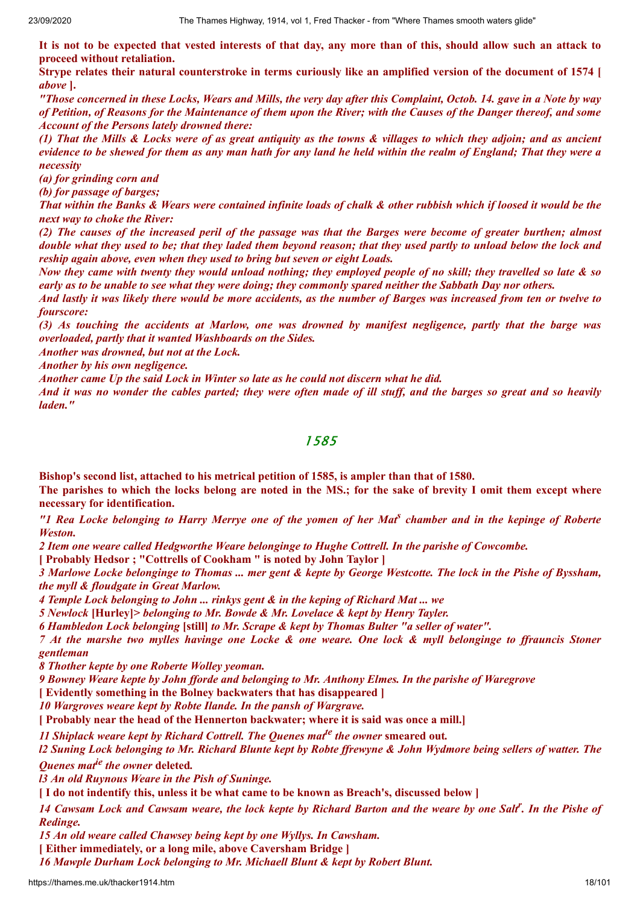It is not to be expected that vested interests of that day, any more than of this, should allow such an attack to **proceed without retaliation.**

Strype relates their natural counterstroke in terms curiously like an amplified version of the document of 1574 [ *above* **].**

"Those concerned in these Locks, Wears and Mills, the very day after this Complaint, Octob. 14. gave in a Note by way of Petition, of Reasons for the Maintenance of them upon the River; with the Causes of the Danger thereof, and some *Account of the Persons lately drowned there:*

(1) That the Mills & Locks were of as great antiquity as the towns & villages to which they adioin; and as ancient evidence to be shewed for them as any man hath for any land he held within the realm of England; That they were a *necessity*

*(a) for grinding corn and*

*(b) for passage of barges;*

That within the Banks & Wears were contained infinite loads of chalk & other rubbish which if loosed it would be the *next way to choke the River:*

(2) The causes of the increased peril of the passage was that the Barges were become of greater burthen; almost double what they used to be; that they laded them beyond reason; that they used partly to unload below the lock and *reship again above, even when they used to bring but seven or eight Loads.*

Now they came with twenty they would unload nothing; they employed people of no skill; they travelled so late & so early as to be unable to see what they were doing; they commonly spared neither the Sabbath Day nor others.

And lastly it was likely there would be more accidents, as the number of Barges was increased from ten or twelve to *fourscore:*

(3) As touching the accidents at Marlow, one was drowned by manifest negligence, partly that the barge was *overloaded, partly that it wanted Washboards on the Sides.*

*Another was drowned, but not at the Lock.*

*Another by his own negligence.*

*Another came Up the said Lock in Winter so late as he could not discern what he did.*

And it was no wonder the cables parted; they were often made of ill stuff, and the barges so great and so heavily *laden."*

1585

**Bishop's second list, attached to his metrical petition of 1585, is ampler than that of 1580.**

The parishes to which the locks belong are noted in the MS.; for the sake of brevity I omit them except where **necessary for identification.**

"I Rea Locke belonging to Harry Merrye one of the yomen of her Mat<sup>s</sup> chamber and in the kepinge of Roberte *Weston.*

*2 Item one weare called Hedgworthe Weare belonginge to Hughe Cottrell. In the parishe of Cowcombe.*

**[ Probably Hedsor ; "Cottrells of Cookham " is noted by John Taylor ]**

3 Marlowe Locke belonginge to Thomas ... mer gent & kepte by George Westcotte. The lock in the Pishe of Byssham, *the myll & floudgate in Great Marlow.*

*4 Temple Lock belonging to John ... rinkys gent & in the keping of Richard Mat ... we*

*5 Newlock* **[Hurley]***> belonging to Mr. Bowde & Mr. Lovelace & kept by Henry Tayler.*

*6 Hambledon Lock belonging* **[still]** *to Mr. Scrape & kept by Thomas Bulter "a seller of water".*

7 At the marshe two mylles havinge one Locke & one weare. One lock & myll belonginge to ffrauncis Stoner *gentleman*

*8 Thother kepte by one Roberte Wolley yeoman.*

9 Bowney Weare kepte by John fforde and belonging to Mr. Anthony Elmes. In the parishe of Waregrove

**[ Evidently something in the Bolney backwaters that has disappeared ]**

*10 Wargroves weare kept by Robte Ilande. In the pansh of Wargrave.*

**[ Probably near the head of the Hennerton backwater; where it is said was once a mill.]**

*11 Shiplack weare kept by Richard Cottrell. The Quenes mat te the owner* **smeared out***.* 12 Suning Lock belonging to Mr. Richard Blunte kept by Robte ffrewyne & John Wydmore being sellers of watter. The

*Quenes mat ie the owner* **deleted***.*

*l3 An old Ruynous Weare in the Pish of Suninge.*

[I do not indentify this, unless it be what came to be known as Breach's, discussed below]

14 Cawsam Lock and Cawsam weare, the lock kepte by Richard Barton and the weare by one Salt<sup>r</sup>. In the Pishe of *Redinge.*

*15 An old weare called Chawsey being kept by one Wyllys. In Cawsham.*

**[ Either immediately, or a long mile, above Caversham Bridge ]**

*16 Mawple Durham Lock belonging to Mr. Michaell Blunt & kept by Robert Blunt.*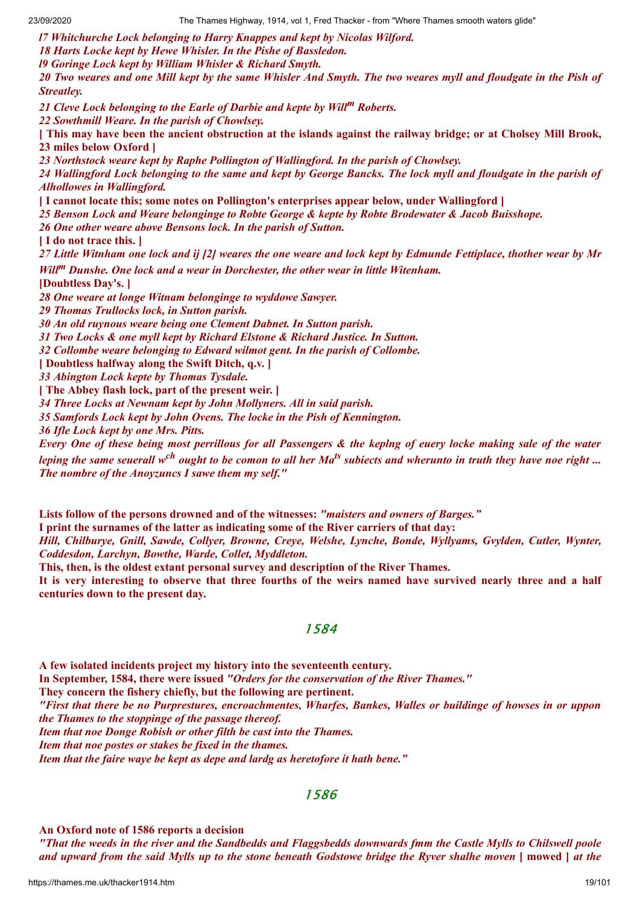*l7 Whitchurche Lock belonging to Harry Knappes and kept by Nicolas Wilford.*

*18 Harts Locke kept by Hewe Whisler. In the Pishe of Bassledon.*

*l9 Goringe Lock kept by William Whisler & Richard Smyth.*

20 Two weares and one Mill kept by the same Whisler And Smyth. The two weares myll and floudgate in the Pish of *Streatley.*

*21 Cleve Lock belonging to the Earle of Darbie and kepte by Will<sup>m</sup> Roberts.*

*22 Sowthmill Weare. In the parish of Chowlsey.*

[This may have been the ancient obstruction at the islands against the railway bridge; or at Cholsey Mill Brook, **23 miles below Oxford ]**

*23 Northstock weare kept by Raphe Pollington of Wallingford. In the parish of Chowlsey.*

24 Wallingford Lock belonging to the same and kept by George Bancks. The lock myll and floudgate in the parish of *Alhollowes in Wallingford.*

**[ I cannot locate this; some notes on Pollington's enterprises appear below, under Wallingford ]**

*25 Benson Lock and Weare belonginge to Robte George & kepte by Robte Brodewater & Jacob Buisshope.*

*26 One other weare above Bensons lock. In the parish of Sutton.*

**[ I do not trace this. ]**

27 Little Witnham one lock and ij [2] weares the one weare and lock kept by Edmunde Fettiplace, thother wear by Mr

*Will<sup>m</sup> Dunshe. One lock and a wear in Dorchester, the other wear in little Witenham.* **[Doubtless Day's. ]**

*28 One weare at longe Witnam belonginge to wyddowe Sawyer.*

*29 Thomas Trullocks lock, in Sutton parish.*

*30 An old ruynous weare being one Clement Dabnet. In Sutton parish.*

*31 Two Locks & one myll kept by Richard Elstone & Richard Justice. In Sutton.*

*32 Collombe weare belonging to Edward wilmot gent. In the parish of Collombe.*

**[ Doubtless halfway along the Swift Ditch, q.v. ]**

*33 Abington Lock kepte by Thomas Tysdale.*

**[ The Abbey flash lock, part of the present weir. ]**

*34 Three Locks at Newnam kept by John Mollyners. All in said parish.*

*35 Samfords Lock kept by John Ovens. The locke in the Pish of Kennington.*

*36 Ifle Lock kept by one Mrs. Pitts.*

Every One of these being most perrillous for all Passengers & the keplng of euery locke making sale of the water leping the same seuerall w<sup>ch</sup> ought to be comon to all her Ma<sup>ts</sup> subiects and wherunto in truth they have noe right … *The nombre of the Anoyzuncs I sawe them my self."*

**Lists follow of the persons drowned and of the witnesses:** *"maisters and owners of Barges."*

**I print the surnames of the latter as indicating some of the River carriers of that day:**

*Hill, Chilburye, Gnill, Sawde, Collyer, Browne, Creye, Welshe, Lynche, Bonde, Wyllyams, Gvylden, Cutler, Wynter, Coddesdon, Larchyn, Bowthe, Warde, Collet, Myddleton.*

**This, then, is the oldest extant personal survey and description of the River Thames.**

It is very interesting to observe that three fourths of the weirs named have survived nearly three and a half **centuries down to the present day.**

### 1584

**A few isolated incidents project my history into the seventeenth century. In September, 1584, there were issued** *"Orders for the conservation of the River Thames."* **They concern the fishery chiefly, but the following are pertinent.** "First that there be no Purprestures, encroachmentes, Wharfes, Bankes, Walles or buildinge of howses in or uppon *the Thames to the stoppinge of the passage thereof. Item that noe Donge Robish or other filth be cast into the Thames. Item that noe postes or stakes be fixed in the thames. Item that the faire waye be kept as depe and lardg as heretofore it hath bene."*

# 1586

**An Oxford note of 1586 reports a decision**

"That the weeds in the river and the Sandbedds and Flaggsbedds downwards fmm the Castle Mylls to Chilswell poole and upward from the said Mylls up to the stone beneath Godstowe bridge the Ryver shalhe moven [ mowed ] at the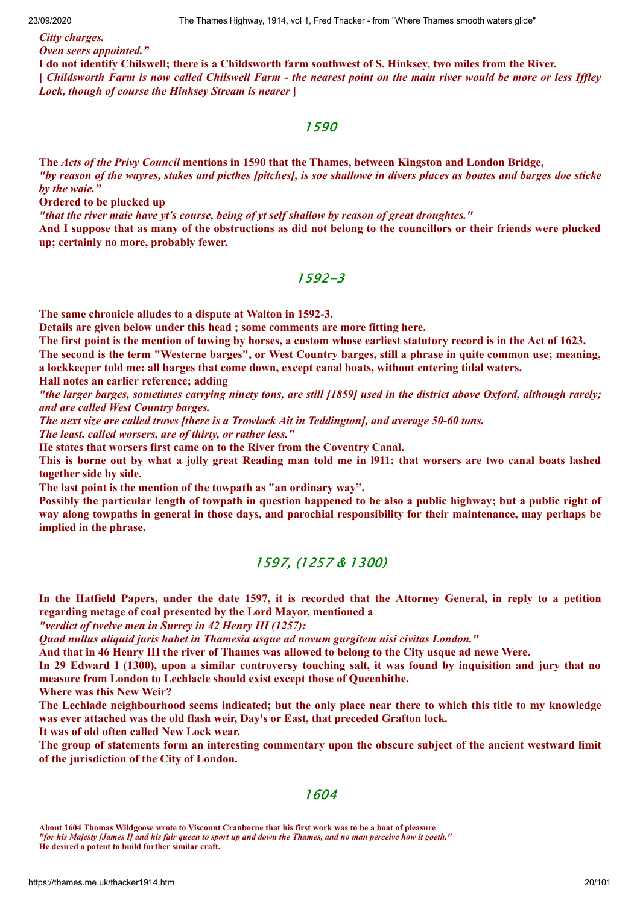#### *Citty charges. Oven seers appointed."*

I do not identify Chilswell; there is a Childsworth farm southwest of S. Hinksey, two miles from the River. [ Childsworth Farm is now called Chilswell Farm - the nearest point on the main river would be more or less Iffley *Lock, though of course the Hinksey Stream is nearer* **]**

### 1590

**The** *Acts of the Privy Council* **mentions in 1590 that the Thames, between Kingston and London Bridge,** "by reason of the wayres, stakes and picthes [pitches], is soe shallowe in divers places as boates and barges doe sticke *by the waie."*

**Ordered to be plucked up**

*"that the river maie have yt's course, being of yt self shallow by reason of great droughtes."*

And I suppose that as many of the obstructions as did not belong to the councillors or their friends were plucked **up; certainly no more, probably fewer.**

### 1592-3

**The same chronicle alludes to a dispute at Walton in 1592-3.**

**Details are given below under this head ; some comments are more fitting here.**

The first point is the mention of towing by horses, a custom whose earliest statutory record is in the Act of 1623.

The second is the term "Westerne barges", or West Country barges, still a phrase in quite common use; meaning, **a lockkeeper told me: all barges that come down, except canal boats, without entering tidal waters.**

**Hall notes an earlier reference; adding**

"the larger barges, sometimes carrying ninety tons, are still [1859] used in the district above Oxford, although rarely; *and are called West Country barges.*

*The next size are called trows [there is a Trowlock Ait in Teddington], and average 50-60 tons.*

*The least, called worsers, are of thirty, or rather less."*

**He states that worsers first came on to the River from the Coventry Canal.**

This is borne out by what a jolly great Reading man told me in 1911: that worsers are two canal boats lashed **together side by side.**

**The last point is the mention of the towpath as "an ordinary way".**

Possibly the particular length of towpath in question happened to be also a public highway; but a public right of way along towpaths in general in those days, and parochial responsibility for their maintenance, may perhaps be **implied in the phrase.**

# 1597, (1257 & 1300)

In the Hatfield Papers, under the date 1597, it is recorded that the Attorney General, in reply to a petition **regarding metage of coal presented by the Lord Mayor, mentioned a**

*"verdict of twelve men in Surrey in 42 Henry III (1257):*

*Quad nullus aliquid juris habet in Thamesia usque ad novum gurgitem nisi civitas London."*

And that in 46 Henry III the river of Thames was allowed to belong to the City usque ad newe Were.

In 29 Edward I (1300), upon a similar controversy touching salt, it was found by inquisition and jury that no **measure from London to Lechlacle should exist except those of Queenhithe.**

**Where was this New Weir?**

The Lechlade neighbourhood seems indicated; but the only place near there to which this title to my knowledge **was ever attached was the old flash weir, Day's or East, that preceded Grafton lock.**

**It was of old often called New Lock wear.**

The group of statements form an interesting commentary upon the obscure subject of the ancient westward limit **of the jurisdiction of the City of London.**

### 1604

**He desired a patent to build further similar craft.**

**About 1604 Thomas Wildgoose wrote to Viscount Cranborne that his first work was to be a boat of pleasure** *"for his Majesty [James I] and his fair queen to sport up and down the Thames, and no man perceive how it goeth."*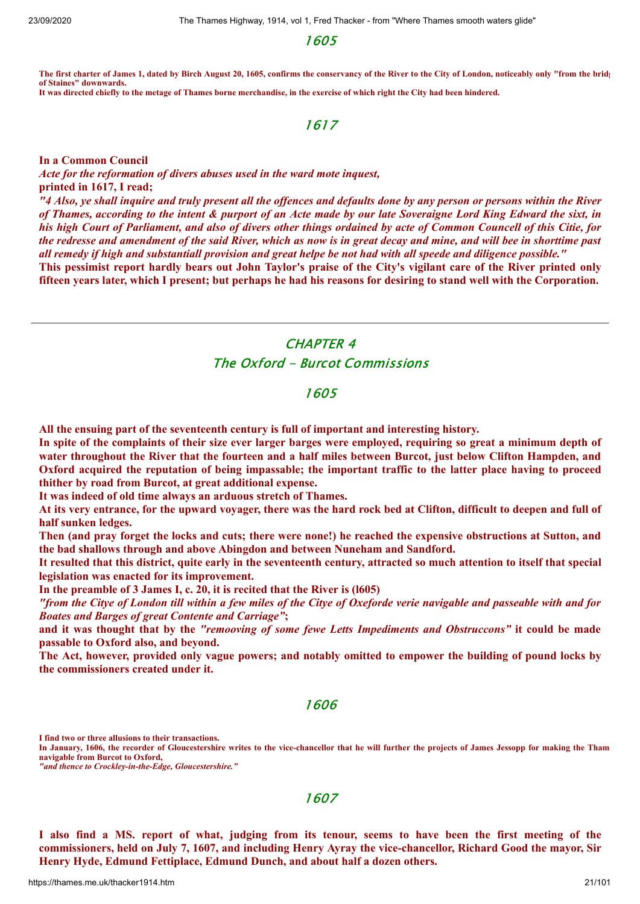1605

**The first charter of James 1, dated by Birch August 20, 1605, confirms the conservancy of the River to the City of London, noticeably only "from the bridg of Staines" downwards. It was directed chiefly to the metage of Thames borne merchandise, in the exercise of which right the City had been hindered.**

# 1617

**In a Common Council**

*Acte for the reformation of divers abuses used in the ward mote inquest,* **printed in 1617, I read;** "4 Also, ye shall inquire and truly present all the offences and defaults done by any person or persons within the River

of Thames, according to the intent & purport of an Acte made by our late Soveraigne Lord King Edward the sixt, in his high Court of Parliament, and also of divers other things ordained by acte of Common Councell of this Citie, for the redresse and amendment of the said River, which as now is in great decay and mine, and will bee in shorttime past all remedy if high and substantiall provision and great helpe be not had with all speede and diligence possible."

This pessimist report hardly bears out John Taylor's praise of the City's vigilant care of the River printed only fifteen vears later, which I present; but perhaps he had his reasons for desiring to stand well with the Corporation.

# CHAPTER 4 The Oxford - Burcot Commissions

### 1605

**All the ensuing part of the seventeenth century is full of important and interesting history.**

In spite of the complaints of their size ever larger barges were employed, requiring so great a minimum depth of water throughout the River that the fourteen and a half miles between Burcot, just below Clifton Hampden, and Oxford acquired the reputation of being impassable; the important traffic to the latter place having to proceed **thither by road from Burcot, at great additional expense.**

**It was indeed of old time always an arduous stretch of Thames.**

At its very entrance, for the upward voyager, there was the hard rock bed at Clifton, difficult to deepen and full of **half sunken ledges.**

Then (and pray forget the locks and cuts; there were none!) he reached the expensive obstructions at Sutton, and **the bad shallows through and above Abingdon and between Nuneham and Sandford.**

It resulted that this district, quite early in the seventeenth century, attracted so much attention to itself that special **legislation was enacted for its improvement.**

**In the preamble of 3 James I, c. 20, it is recited that the River is (l605)**

"from the Citye of London till within a few miles of the Citye of Oxeforde verie navigable and passeable with and for *Boates and Barges of great Contente and Carriage"***;**

and it was thought that by the "remooving of some fewe Letts Impediments and Obstruccons" it could be made **passable to Oxford also, and beyond.**

The Act, however, provided only vague powers; and notably omitted to empower the building of pound locks by **the commissioners created under it.**

### 1606

**I find two or three allusions to their transactions.**

**In January, 1606, the recorder of Gloucestershire writes to the vice-chancellor that he will further the projects of James Jessopp for making the Tham navigable from Burcot to Oxford,**

*"and thence to Crockley-in-the-Edge, Gloucestershire."*

1607

I also find a MS. report of what, judging from its tenour, seems to have been the first meeting of the commissioners, held on July 7, 1607, and including Henry Ayray the vice-chancellor, Richard Good the mayor, Sir **Henry Hyde, Edmund Fettiplace, Edmund Dunch, and about half a dozen others.**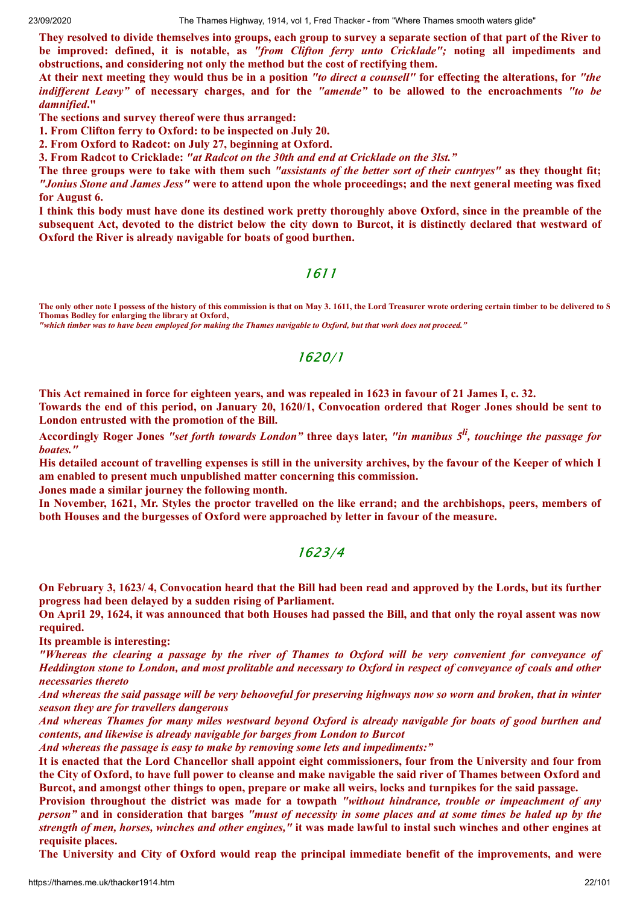23/09/2020 The Thames Highway, 1914, vol 1, Fred Thacker - from "Where Thames smooth waters glide"

They resolved to divide themselves into groups, each group to survey a separate section of that part of the River to **be improved: defined, it is notable, as** *"from Clifton ferry unto Cricklade";* **noting all impediments and obstructions, and considering not only the method but the cost of rectifying them.**

At their next meeting they would thus be in a position "to direct a counsell" for effecting the alterations, for "the *indifferent Leavy*" of necessary charges, and for the "amende" to be allowed to the encroachments "to be *damnified***."**

**The sections and survey thereof were thus arranged:**

**1. From Clifton ferry to Oxford: to be inspected on July 20.**

**2. From Oxford to Radcot: on July 27, beginning at Oxford.**

**3. From Radcot to Cricklade:** *"at Radcot on the 30th and end at Cricklade on the 3lst."*

The three groups were to take with them such "assistants of the better sort of their cuntryes" as they thought fit; "Jonius Stone and James Jess" were to attend upon the whole proceedings; and the next general meeting was fixed **for August 6.**

I think this body must have done its destined work pretty thoroughly above Oxford, since in the preamble of the subsequent Act, devoted to the district below the city down to Burcot, it is distinctly declared that westward of **Oxford the River is already navigable for boats of good burthen.**

1611

**The only other note I possess of the history of this commission is that on May 3. 1611, the Lord Treasurer wrote ordering certain timber to be delivered to S Thomas Bodley for enlarging the library at Oxford,**

*"which timber was to have been employed for making the Thames navigable to Oxford, but that work does not proceed."*

### 1620/1

This Act remained in force for eighteen years, and was repealed in 1623 in favour of 21 James I, c. 32.

Towards the end of this period, on January 20, 1620/1, Convocation ordered that Roger Jones should be sent to **London entrusted with the promotion of the Bill.**

Accordingly Roger Jones "set forth towards London" three days later, "in manibus 5<sup>li</sup>, touchinge the passage for *boates."*

His detailed account of travelling expenses is still in the university archives, by the favour of the Keeper of which I **am enabled to present much unpublished matter concerning this commission.**

**Jones made a similar journey the following month.**

In November, 1621, Mr. Styles the proctor travelled on the like errand; and the archbishops, peers, members of **both Houses and the burgesses of Oxford were approached by letter in favour of the measure.**

### 1623/4

On February 3, 1623/4, Convocation heard that the Bill had been read and approved by the Lords, but its further **progress had been delayed by a sudden rising of Parliament.**

On April 29, 1624, it was announced that both Houses had passed the Bill, and that only the royal assent was now **required.**

**Its preamble is interesting:**

"Whereas the clearing a passage by the river of Thames to Oxford will be very convenient for conveyance of Heddington stone to London, and most prolitable and necessary to Oxford in respect of conveyance of coals and other *necessaries thereto*

And whereas the said passage will be very behooveful for preserving highways now so worn and broken, that in winter *season they are for travellers dangerous*

And whereas Thames for many miles westward beyond Oxford is already navigable for boats of good burthen and *contents, and likewise is already navigable for barges from London to Burcot*

*And whereas the passage is easy to make by removing some lets and impediments:"*

It is enacted that the Lord Chancellor shall appoint eight commissioners, four from the University and four from the City of Oxford, to have full power to cleanse and make navigable the said river of Thames between Oxford and Burcot, and amongst other things to open, prepare or make all weirs, locks and turnpikes for the said passage.

**Provision throughout the district was made for a towpath** *"without hindrance, trouble or impeachment of any* person" and in consideration that barges "must of necessity in some places and at some times be haled up by the strength of men, horses, winches and other engines," it was made lawful to instal such winches and other engines at **requisite places.**

The University and City of Oxford would reap the principal immediate benefit of the improvements, and were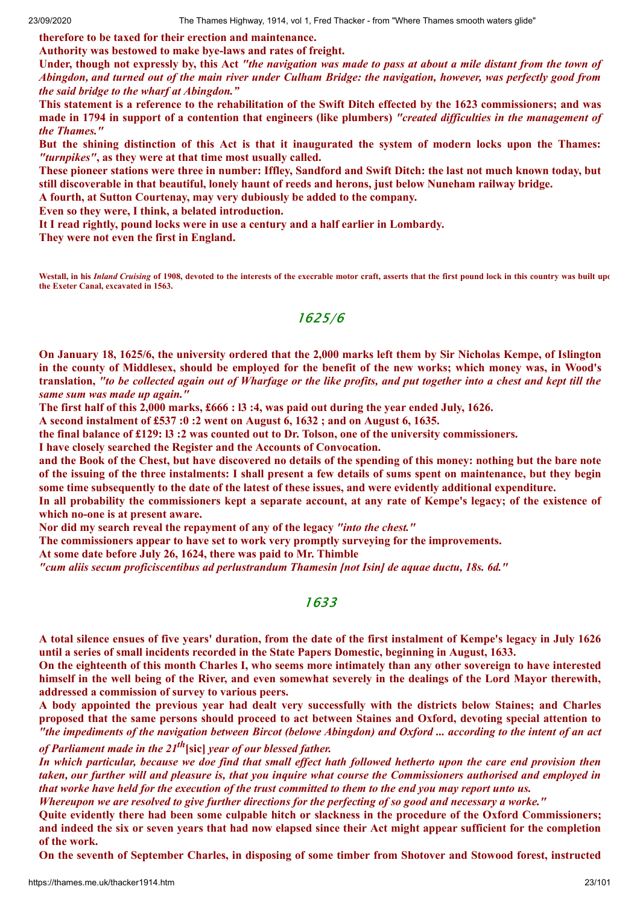**therefore to be taxed for their erection and maintenance.**

**Authority was bestowed to make bye-laws and rates of freight.**

Under, though not expressly by, this Act "the navigation was made to pass at about a mile distant from the town of Abingdon, and turned out of the main river under Culham Bridge: the navigation, however, was perfectly good from *the said bridge to the wharf at Abingdon."*

This statement is a reference to the rehabilitation of the Swift Ditch effected by the 1623 commissioners; and was made in 1794 in support of a contention that engineers (like plumbers) "created difficulties in the management of *the Thames."*

But the shining distinction of this Act is that it inaugurated the system of modern locks upon the Thames: *"turnpikes"***, as they were at that time most usually called.**

These pioneer stations were three in number: Iffley, Sandford and Swift Ditch: the last not much known today, but **still discoverable in that beautiful, lonely haunt of reeds and herons, just below Nuneham railway bridge.**

**A fourth, at Sutton Courtenay, may very dubiously be added to the company.**

**Even so they were, I think, a belated introduction.**

**It I read rightly, pound locks were in use a century and a half earlier in Lombardy.**

**They were not even the first in England.**

**Westall, in his** *Inland Cruising* **of 1908, devoted to the interests of the execrable motor craft, asserts that the first pound lock in this country was built upo the Exeter Canal, excavated in 1563.**

# 1625/6

On January 18, 1625/6, the university ordered that the 2,000 marks left them by Sir Nicholas Kempe, of Islington in the county of Middlesex, should be employed for the benefit of the new works; which money was, in Wood's translation, "to be collected again out of Wharfage or the like profits, and put together into a chest and kept till the *same sum was made up again."*

The first half of this 2,000 marks, £666 : 13 :4, was paid out during the vear ended July, 1626.

**A second instalment of £537 :0 :2 went on August 6, 1632 ; and on August 6, 1635.**

the final balance of £129: 13 :2 was counted out to Dr. Tolson, one of the university commissioners.

**I have closely searched the Register and the Accounts of Convocation.**

and the Book of the Chest, but have discovered no details of the spending of this money: nothing but the bare note of the issuing of the three instalments: I shall present a few details of sums spent on maintenance, but they begin some time subsequently to the date of the latest of these issues, and were evidently additional expenditure.

In all probability the commissioners kept a separate account, at any rate of Kempe's legacy; of the existence of **which no-one is at present aware.**

**Nor did my search reveal the repayment of any of the legacy** *"into the chest."*

**The commissioners appear to have set to work very promptly surveying for the improvements.**

**At some date before July 26, 1624, there was paid to Mr. Thimble**

*"cum aliis secum proficiscentibus ad perlustrandum Thamesin [not Isin] de aquae ductu, 18s. 6d."*

### 1633

A total silence ensues of five years' duration, from the date of the first instalment of Kempe's legacy in July 1626 **until a series of small incidents recorded in the State Papers Domestic, beginning in August, 1633.**

On the eighteenth of this month Charles I, who seems more intimately than any other sovereign to have interested himself in the well being of the River, and even somewhat severely in the dealings of the Lord Mayor therewith, **addressed a commission of survey to various peers.**

A body appointed the previous year had dealt very successfully with the districts below Staines; and Charles proposed that the same persons should proceed to act between Staines and Oxford, devoting special attention to "the impediments of the navigation between Bircot (belowe Abingdon) and Oxford ... according to the intent of an act *of Parliament made in the 21 th* **[sic]** *year of our blessed father.*

In which particular, because we doe find that small effect hath followed hetherto upon the care end provision then taken, our further will and pleasure is, that you inquire what course the Commissioners authorised and employed in that worke have held for the execution of the trust committed to them to the end you may report unto us.

Whereupon we are resolved to give further directions for the perfecting of so good and necessary a worke."

Quite evidently there had been some culpable hitch or slackness in the procedure of the Oxford Commissioners; and indeed the six or seven years that had now elapsed since their Act might appear sufficient for the completion **of the work.**

On the seventh of September Charles, in disposing of some timber from Shotover and Stowood forest, instructed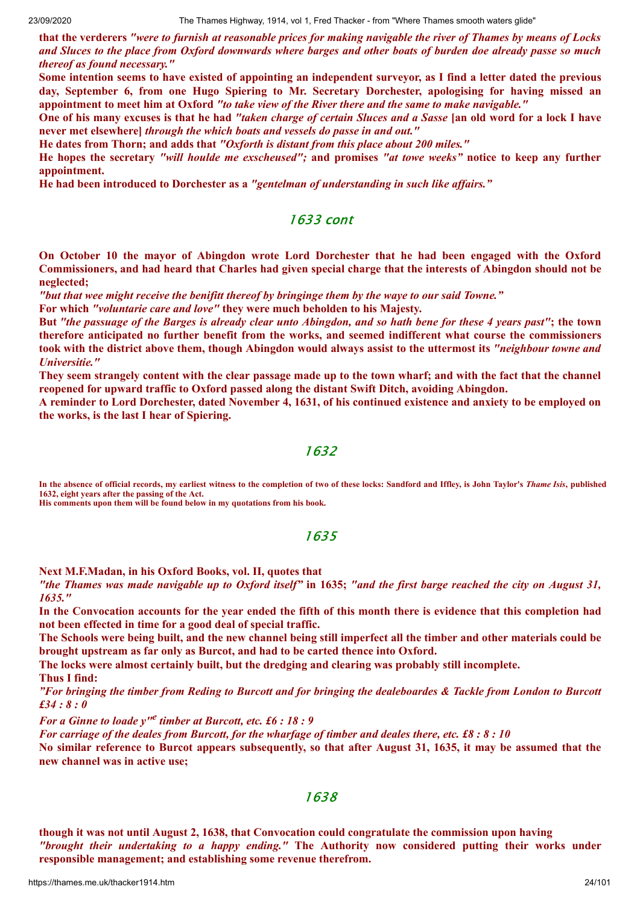that the verderers "were to furnish at reasonable prices for making navigable the river of Thames by means of Locks and Sluces to the place from Oxford downwards where barges and other boats of burden doe already passe so much *thereof as found necessary."*

Some intention seems to have existed of appointing an independent surveyor, as I find a letter dated the previous **day, September 6, from one Hugo Spiering to Mr. Secretary Dorchester, apologising for having missed an** appointment to meet him at Oxford "to take view of the River there and the same to make navigable."

One of his many excuses is that he had "taken charge of certain Sluces and a Sasse [an old word for a lock I have **never met elsewhere]** *through the which boats and vessels do passe in and out."*

**He dates from Thorn; and adds that** *"Oxforth is distant from this place about 200 miles."*

He hopes the secretary "will houlde me exscheused"; and promises "at towe weeks" notice to keep any further **appointment.**

**He had been introduced to Dorchester as a** *"gentelman of understanding in such like af airs."*

# 1633 cont

**On October 10 the mayor of Abingdon wrote Lord Dorchester that he had been engaged with the Oxford** Commissioners, and had heard that Charles had given special charge that the interests of Abingdon should not be **neglected;**

*"but that wee might receive the benifitt thereof by bringinge them by the waye to our said Towne."*

**For which** *"voluntarie care and love"* **they were much beholden to his Majesty.**

But "the passuage of the Barges is already clear unto Abingdon, and so hath bene for these 4 years past"; the town **therefore anticipated no further benefit from the works, and seemed indifferent what course the commissioners** took with the district above them, though Abingdon would always assist to the uttermost its "neighbour towne and *Universitie."*

They seem strangely content with the clear passage made up to the town wharf; and with the fact that the channel **reopened for upward traffic to Oxford passed along the distant Swift Ditch, avoiding Abingdon.**

A reminder to Lord Dorchester, dated November 4, 1631, of his continued existence and anxiety to be employed on **the works, is the last I hear of Spiering.**

#### 1632

**In the absence of official records, my earliest witness to the completion of two of these locks: Sandford and Iffley, is John Taylor's** *Thame Isis***, published 1632, eight years after the passing of the Act.**

**His comments upon them will be found below in my quotations from his book.**

### 1635

**Next M.F.Madan, in his Oxford Books, vol. II, quotes that**

"the Thames was made navigable up to Oxford itself" in 1635; "and the first barge reached the city on August 31, *1635."*

In the Convocation accounts for the year ended the fifth of this month there is evidence that this completion had **not been effected in time for a good deal of special traffic.**

The Schools were being built, and the new channel being still imperfect all the timber and other materials could be **brought upstream as far only as Burcot, and had to be carted thence into Oxford.**

**The locks were almost certainly built, but the dredging and clearing was probably still incomplete.**

**Thus I find:**

"For bringing the timber from Reding to Burcott and for bringing the dealeboardes & Tackle from London to Burcott *£34 : 8 : 0*

*For a Ginne to loade y" e timber at Burcott, etc. £6 : 18 : 9*

For carriage of the deales from Burcott, for the wharfage of timber and deales there, etc. £8:8:10

No similar reference to Burcot appears subsequently, so that after August 31, 1635, it may be assumed that the **new channel was in active use;**

# 1638

**though it was not until August 2, 1638, that Convocation could congratulate the commission upon having** *"brought their undertaking to a happy ending."* **The Authority now considered putting their works under responsible management; and establishing some revenue therefrom.**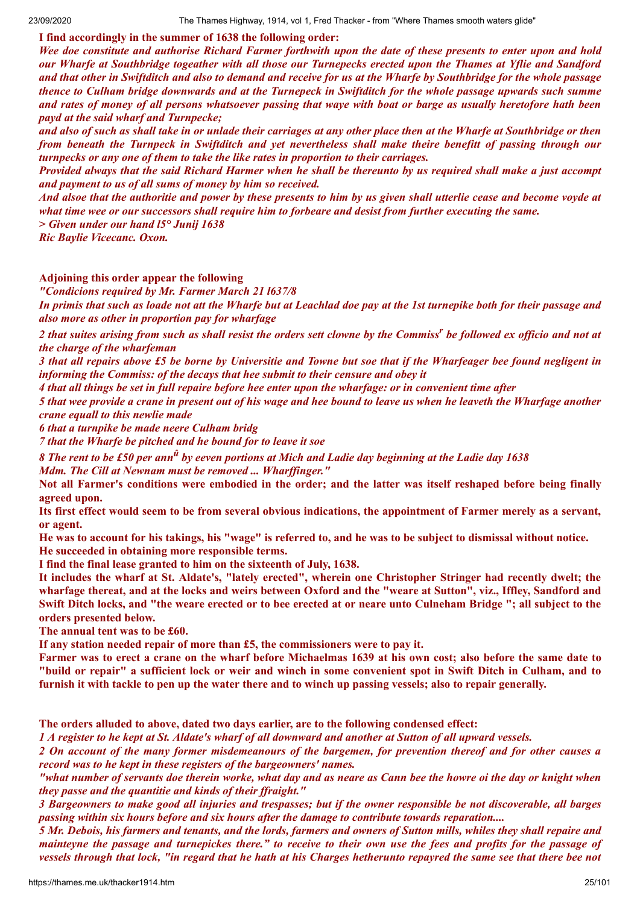**I find accordingly in the summer of 1638 the following order:**

Wee doe constitute and authorise Richard Farmer forthwith upon the date of these presents to enter upon and hold our Wharfe at Southbridge togeather with all those our Turnepecks erected upon the Thames at Yflie and Sandford and that other in Swiftditch and also to demand and receive for us at the Wharfe by Southbridge for the whole passage thence to Culham bridge downwards and at the Turnepeck in Swiftditch for the whole passage upwards such summe and rates of money of all persons whatsoever passing that waye with boat or barge as usually heretofore hath been *payd at the said wharf and Turnpecke;*

and also of such as shall take in or unlade their carriages at any other place then at the Wharfe at Southbridge or then from beneath the Turnpeck in Swiftditch and vet nevertheless shall make theire benefitt of passing through our *turnpecks or any one of them to take the like rates in proportion to their carriages.*

Provided always that the said Richard Harmer when he shall be thereunto by us required shall make a just accompt *and payment to us of all sums of money by him so received.*

And alsoe that the authoritie and power by these presents to him by us given shall utterlie cease and become voyde at what time wee or our successors shall require him to forbeare and desist from further executing the same.

*> Given under our hand l5° Junij 1638*

*Ric Baylie Vicecanc. Oxon.*

#### **Adjoining this order appear the following**

*"Condicions required by Mr. Farmer March 21 l637/8*

In primis that such as loade not att the Wharfe but at Leachlad doe pay at the 1st turnepike both for their passage and *also more as other in proportion pay for wharfage*

2 that suites arising from such as shall resist the orders sett clowne by the Commiss<sup>r</sup> be followed ex officio and not at *the charge of the wharfeman*

3 that all repairs above £5 be borne by Universitie and Towne but soe that if the Wharfeager bee found negligent in *informing the Commiss: of the decays that hee submit to their censure and obey it*

4 that all things be set in full repaire before hee enter upon the wharfage: or in convenient time after

5 that wee provide a crane in present out of his wage and hee bound to leave us when he leaveth the Wharfage another *crane equall to this newlie made*

*6 that a turnpike be made neere Culham bridg*

*7 that the Wharfe be pitched and he bound for to leave it soe*

 $8$  The rent to be £50 per ann $^{\hat{u}}$  by eeven portions at Mich and Ladie day beginning at the Ladie day 1638 *Mdm. The Cill at Newnam must be removed ... Wharf inger."*

Not all Farmer's conditions were embodied in the order; and the latter was itself reshaped before being finally **agreed upon.**

Its first effect would seem to be from several obvious indications, the appointment of Farmer merely as a servant, **or agent.**

He was to account for his takings, his "wage" is referred to, and he was to be subject to dismissal without notice. **He succeeded in obtaining more responsible terms.**

**I find the final lease granted to him on the sixteenth of July, 1638.**

It includes the wharf at St. Aldate's, "lately erected", wherein one Christopher Stringer had recently dwelt; the wharfage thereat, and at the locks and weirs between Oxford and the "weare at Sutton", viz., Iffley, Sandford and Swift Ditch locks, and "the weare erected or to bee erected at or neare unto Culneham Bridge"; all subject to the **orders presented below.**

**The annual tent was to be £60.**

**If any station needed repair of more than £5, the commissioners were to pay it.**

Farmer was to erect a crane on the wharf before Michaelmas 1639 at his own cost; also before the same date to "build or repair" a sufficient lock or weir and winch in some convenient spot in Swift Ditch in Culham, and to furnish it with tackle to pen up the water there and to winch up passing vessels; also to repair generally.

**The orders alluded to above, dated two days earlier, are to the following condensed effect:**

1 A register to he kept at St. Aldate's wharf of all downward and another at Sutton of all upward vessels.

2 On account of the many former misdemeanours of the bargemen, for prevention thereof and for other causes a *record was to he kept in these registers of the bargeowners' names.*

5 Mr. Debois, his farmers and tenants, and the lords, farmers and owners of Sutton mills, whiles they shall repaire and mainteyne the passage and turnepickes there." to receive to their own use the fees and profits for the passage of vessels through that lock, "in regard that he hath at his Charges hetherunto repayred the same see that there bee not

<sup>&</sup>quot;what number of servants doe therein worke, what day and as neare as Cann bee the howre oi the day or knight when *they passe and the quantitie and kinds of their f raight."*

<sup>3</sup> Bargeowners to make good all injuries and trespasses; but if the owner responsible be not discoverable, all barges *passing within six hours before and six hours after the damage to contribute towards reparation....*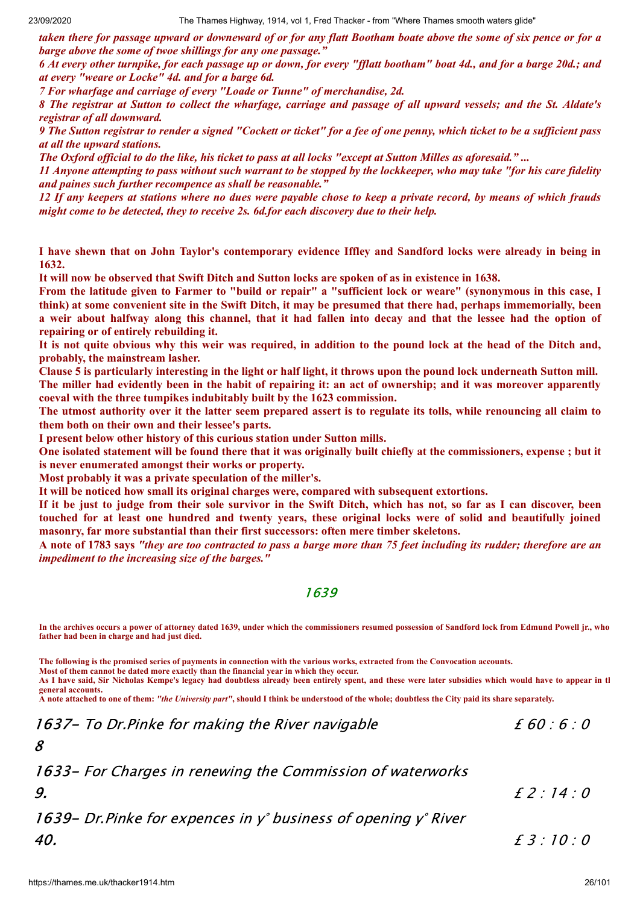taken there for passage upward or downeward of or for any flatt Bootham boate above the some of six pence or for a *barge above the some of twoe shillings for any one passage."*

6 At every other turnpike, for each passage up or down, for every "fflatt bootham" boat 4d., and for a barge 20d.; and *at every "weare or Locke" 4d. and for a barge 6d.*

*7 For wharfage and carriage of every "Loade or Tunne" of merchandise, 2d.*

8 The registrar at Sutton to collect the wharfage, carriage and passage of all upward vessels; and the St. Aldate's *registrar of all downward.*

9 The Sutton registrar to render a signed "Cockett or ticket" for a fee of one penny, which ticket to be a sufficient pass *at all the upward stations.*

The Oxford official to do the like, his ticket to pass at all locks "except at Sutton Milles as aforesaid."...

11 Anyone attempting to pass without such warrant to be stopped by the lockkeeper, who may take "for his care fidelity *and paines such further recompence as shall be reasonable."*

12 If any keepers at stations where no dues were payable chose to keep a private record, by means of which frauds *might come to be detected, they to receive 2s. 6d.for each discovery due to their help.*

I have shewn that on John Taylor's contemporary evidence Iffley and Sandford locks were already in being in **1632.**

It will now be observed that Swift Ditch and Sutton locks are spoken of as in existence in 1638.

From the latitude given to Farmer to "build or repair" a "sufficient lock or weare" (synonymous in this case, I think) at some convenient site in the Swift Ditch, it may be presumed that there had, perhaps immemorially, been a weir about halfway along this channel, that it had fallen into decay and that the lessee had the option of **repairing or of entirely rebuilding it.**

It is not quite obvious why this weir was required, in addition to the pound lock at the head of the Ditch and, **probably, the mainstream lasher.**

Clause 5 is particularly interesting in the light or half light, it throws upon the pound lock underneath Sutton mill. The miller had evidently been in the habit of repairing it: an act of ownership; and it was moreover apparently **coeval with the three tumpikes indubitably built by the 1623 commission.**

The utmost authority over it the latter seem prepared assert is to regulate its tolls, while renouncing all claim to **them both on their own and their lessee's parts.**

**I present below other history of this curious station under Sutton mills.**

One isolated statement will be found there that it was originally built chiefly at the commissioners, expense; but it **is never enumerated amongst their works or property.**

**Most probably it was a private speculation of the miller's.**

**It will be noticed how small its original charges were, compared with subsequent extortions.**

If it be just to judge from their sole survivor in the Swift Ditch, which has not, so far as I can discover, been touched for at least one hundred and twenty years, these original locks were of solid and beautifully joined **masonry, far more substantial than their first successors: often mere timber skeletons.**

A note of 1783 says "they are too contracted to pass a barge more than 75 feet including its rudder; therefore are an *impediment to the increasing size of the barges."*

#### 1639

**In the archives occurs a power of attorney dated 1639, under which the commissioners resumed possession of Sandford lock from Edmund Powell jr., who father had been in charge and had just died.**

**The following is the promised series of payments in connection with the various works, extracted from the Convocation accounts.**

**Most of them cannot be dated more exactly than the financial year in which they occur.**

**As I have said, Sir Nicholas Kempe's legacy had doubtless already been entirely spent, and these were later subsidies which would have to appear in th general accounts.**

**A note attached to one of them:** *"the University part"***, should I think be understood of the whole; doubtless the City paid its share separately.**

1637 - To Dr. Pinke for making the River navigable  $\begin{array}{cc} 1637 - 70 \end{array}$ 

1633- For Charges in renewing the Commission of waterworks

£ 2 : 14 : 0

1639- Dr.Pinke for expences in y° business of opening y° River 40.

£ 3 : 10 : 0

8

9.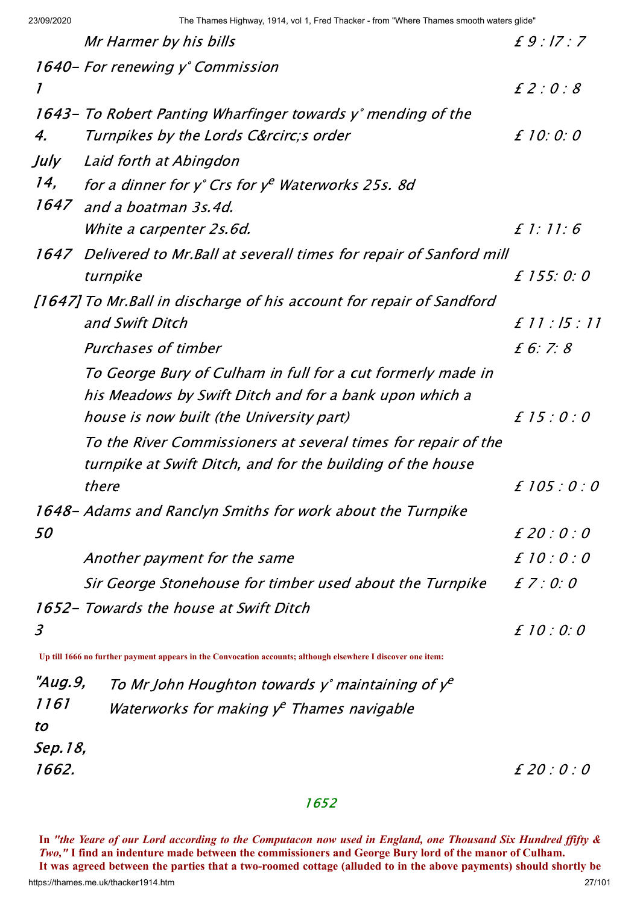23/09/2020 The Thames Highway, 1914, vol 1, Fred Thacker - from "Where Thames smooth waters glide"

|              | Mr Harmer by his bills                                                                                       | $f9$ : 17 : 7  |
|--------------|--------------------------------------------------------------------------------------------------------------|----------------|
|              | 1640 - For renewing y° Commission                                                                            |                |
| $\mathcal I$ |                                                                                                              | E2:0:8         |
|              | 1643 - To Robert Panting Wharfinger towards y° mending of the                                                |                |
| 4.           | Turnpikes by the Lords C&rcircs order                                                                        | f10:0:0        |
| July         | Laid forth at Abingdon                                                                                       |                |
| 14,          | for a dinner for $y^{\circ}$ Crs for $y^e$ Waterworks 25s. 8d                                                |                |
|              | 1647 and a boatman 3s.4d.                                                                                    |                |
|              | <i>White a carpenter 2s.6d.</i>                                                                              | $f$ 1:11:6     |
|              | 1647 Delivered to Mr. Ball at severall times for repair of Sanford mill                                      |                |
|              | turnpike                                                                                                     | £ 155:0:0      |
|              | [1647] To Mr. Ball in discharge of his account for repair of Sandford                                        |                |
|              | and Swift Ditch                                                                                              | £ 11 : 15 : 11 |
|              | Purchases of timber                                                                                          | f 6: 7: 8      |
|              | To George Bury of Culham in full for a cut formerly made in                                                  |                |
|              | his Meadows by Swift Ditch and for a bank upon which a                                                       |                |
|              | house is now built (the University part)                                                                     | £ 15:0:0       |
|              | To the River Commissioners at several times for repair of the                                                |                |
|              | turnpike at Swift Ditch, and for the building of the house                                                   |                |
|              | there                                                                                                        | £105:0:0       |
|              | 1648 – Adams and Ranclyn Smiths for work about the Turnpike                                                  |                |
| 50           |                                                                                                              | £ 20 : 0 : 0   |
|              | Another payment for the same                                                                                 | £ 10 : 0 : 0   |
|              | Sir George Stonehouse for timber used about the Turnpike                                                     | $E$ 7 : 0:0    |
|              | 1652 – Towards the house at Swift Ditch                                                                      |                |
| 3            |                                                                                                              | £ 10 : 0:0     |
|              | Up till 1666 no further payment appears in the Convocation accounts; although elsewhere I discover one item: |                |
| "Aug.9,      | To Mr John Houghton towards y° maintaining of $v^e$                                                          |                |

|         | "Aug.9, To Mr John Houghton towards y° maintaining of $y^e$ |
|---------|-------------------------------------------------------------|
| 1161    | Waterworks for making $y^e$ Thames navigable                |
| tο      |                                                             |
| Sep.18, |                                                             |
| 1662.   |                                                             |

£ 20 : 0 : 0

### 1652

https://thames.me.uk/thacker1914.htm In "the Yeare of our Lord according to the Computacon now used in England, one Thousand Six Hundred ffifty & Two," I find an indenture made between the commissioners and George Bury lord of the manor of Culham. It was agreed between the parties that a two-roomed cottage (alluded to in the above payments) should shortly be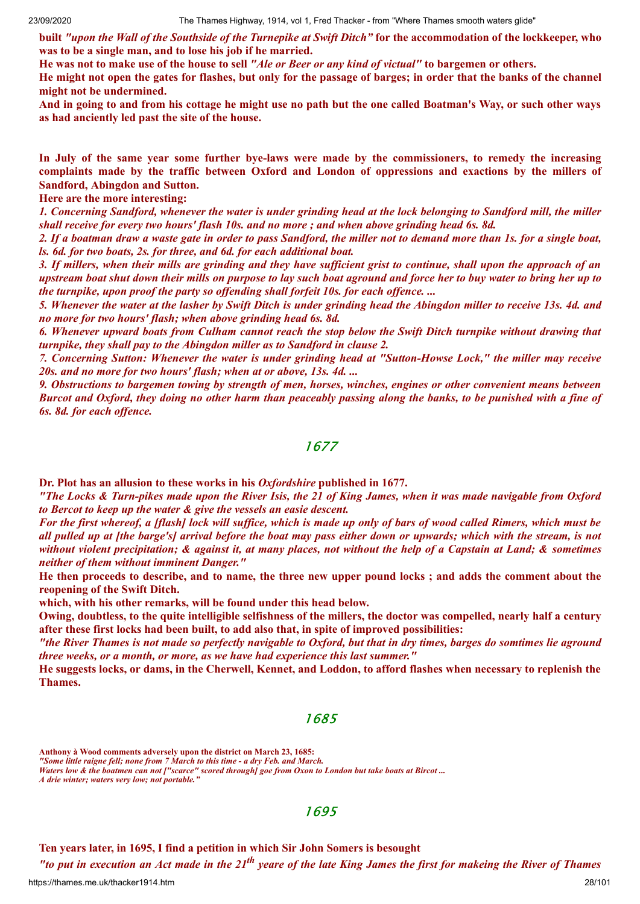built "upon the Wall of the Southside of the Turnepike at Swift Ditch" for the accommodation of the lockkeeper, who **was to be a single man, and to lose his job if he married.**

He was not to make use of the house to sell "Ale or Beer or any kind of victual" to bargemen or others.

He might not open the gates for flashes, but only for the passage of barges; in order that the banks of the channel **might not be undermined.**

And in going to and from his cottage he might use no path but the one called Boatman's Way, or such other ways **as had anciently led past the site of the house.**

In July of the same year some further bye-laws were made by the commissioners, to remedy the increasing **complaints made by the traffic between Oxford and London of oppressions and exactions by the millers of Sandford, Abingdon and Sutton.**

#### **Here are the more interesting:**

1. Concerning Sandford, whenever the water is under grinding head at the lock belonging to Sandford mill, the miller shall receive for every two hours' flash 10s, and no more; and when above grinding head 6s, 8d.

2. If a boatman draw a waste gate in order to pass Sandford, the miller not to demand more than 1s. for a single boat, *ls. 6d. for two boats, 2s. for three, and 6d. for each additional boat.*

3. If millers, when their mills are grinding and they have sufficient grist to continue, shall upon the approach of an upstream boat shut down their mills on purpose to lay such boat aground and force her to buy water to bring her up to *the turnpike, upon proof the party so of ending shall forfeit 10s. for each of ence. ...*

5. Whenever the water at the lasher by Swift Ditch is under grinding head the Abingdon miller to receive 13s. 4d. and *no more for two hours' flash; when above grinding head 6s. 8d.*

6. Whenever upward boats from Culham cannot reach the stop below the Swift Ditch turnpike without drawing that *turnpike, they shall pay to the Abingdon miller as to Sandford in clause 2.*

7. Concerning Sutton: Whenever the water is under grinding head at "Sutton-Howse Lock," the miller may receive *20s. and no more for two hours' flash; when at or above, 13s. 4d. ...*

9. Obstructions to bargemen towing by strength of men, horses, winches, engines or other convenient means between Burcot and Oxford, they doing no other harm than peaceably passing along the banks, to be punished with a fine of *6s. 8d. for each of ence.*

### 1677

**Dr. Plot has an allusion to these works in his** *Oxfordshire* **published in 1677.**

"The Locks & Turn-pikes made upon the River Isis, the 21 of King James, when it was made navigable from Oxford *to Bercot to keep up the water & give the vessels an easie descent.*

For the first whereof, a [flash] lock will suffice, which is made up only of bars of wood called Rimers, which must be all pulled up at [the barge's] arrival before the boat may pass either down or upwards; which with the stream, is not without violent precipitation; & against it, at many places, not without the help of a Capstain at Land; & sometimes *neither of them without imminent Danger."*

He then proceeds to describe, and to name, the three new upper pound locks; and adds the comment about the **reopening of the Swift Ditch.**

**which, with his other remarks, will be found under this head below.**

Owing, doubtless, to the quite intelligible selfishness of the millers, the doctor was compelled, nearly half a century **after these first locks had been built, to add also that, in spite of improved possibilities:**

"the River Thames is not made so perfectly navigable to Oxford, but that in dry times, barges do somtimes lie aground *three weeks, or a month, or more, as we have had experience this last summer."*

He suggests locks, or dams, in the Cherwell, Kennet, and Loddon, to afford flashes when necessary to replenish the **Thames.**

#### 1685

**Anthony à Wood comments adversely upon the district on March 23, 1685:**

*"Some little raigne fell; none from 7 March to this time - a dry Feb. and March.*

*Waters low & the boatmen can not ["scarce" scored through] goe from Oxon to London but take boats at Bircot ...*

*A drie winter; waters very low; not portable."*

### 1695

**Ten years later, in 1695, I find a petition in which Sir John Somers is besought**

"to put in execution an Act made in the  $21^{th}$  yeare of the late King James the first for makeing the River of Thames

https://thames.me.uk/thacker1914.htm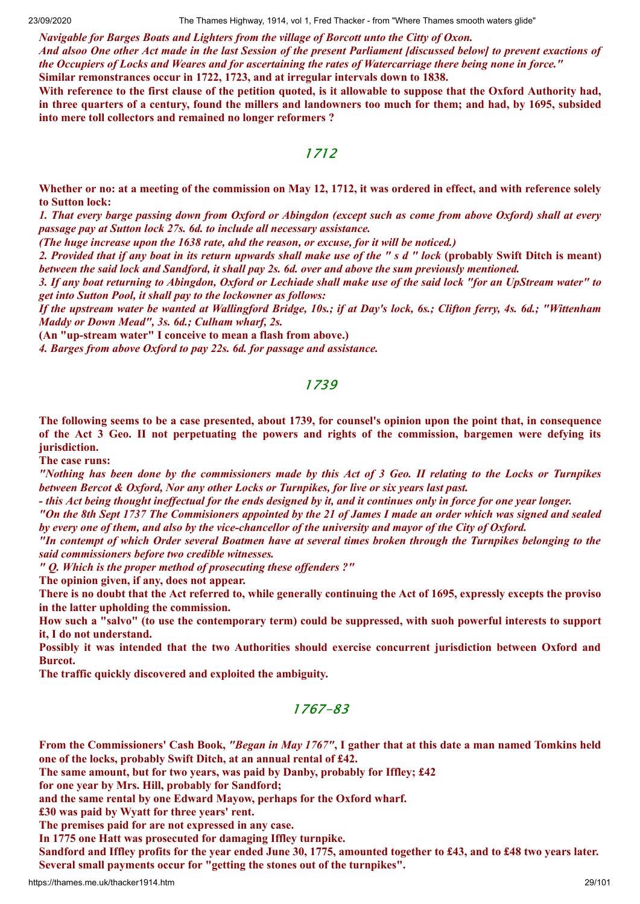23/09/2020 The Thames Highway, 1914, vol 1, Fred Thacker - from "Where Thames smooth waters glide"

*Navigable for Barges Boats and Lighters from the village of Borcott unto the Citty of Oxon.* And alsoo One other Act made in the last Session of the present Parliament [discussed below] to prevent exactions of the Occupiers of Locks and Weares and for ascertaining the rates of Watercarriage there being none in force." **Similar remonstrances occur in 1722, 1723, and at irregular intervals down to 1838.**

With reference to the first clause of the petition quoted, is it allowable to suppose that the Oxford Authority had, in three quarters of a century, found the millers and landowners too much for them; and had, by 1695, subsided **into mere toll collectors and remained no longer reformers ?**

### 1712

Whether or no: at a meeting of the commission on May 12, 1712, it was ordered in effect, and with reference solely **to Sutton lock:**

1. That every barge passing down from Oxford or Abingdon (except such as come from above Oxford) shall at every *passage pay at Sutton lock 27s. 6d. to include all necessary assistance.*

*(The huge increase upon the 1638 rate, ahd the reason, or excuse, for it will be noticed.)*

2. Provided that if any boat in its return upwards shall make use of the " s d " lock (probably Swift Ditch is meant) between the said lock and Sandford, it shall pay 2s. 6d. over and above the sum previously mentioned.

3. If any boat returning to Abingdon, Oxford or Lechiade shall make use of the said lock "for an UpStream water" to *get into Sutton Pool, it shall pay to the lockowner as follows:*

If the upstream water be wanted at Wallingford Bridge, 10s.; if at Day's lock, 6s.; Clifton ferry, 4s. 6d.; "Wittenham *Maddy or Down Mead", 3s. 6d.; Culham wharf, 2s.*

**(An "up-stream water" I conceive to mean a flash from above.)**

*4. Barges from above Oxford to pay 22s. 6d. for passage and assistance.*

### 1739

The following seems to be a case presented, about 1739, for counsel's opinion upon the point that, in consequence of the Act 3 Geo. II not perpetuating the powers and rights of the commission, bargemen were defying its **jurisdiction.**

**The case runs:**

"Nothing has been done by the commissioners made by this Act of 3 Geo. II relating to the Locks or Turnpikes *between Bercot & Oxford, Nor any other Locks or Turnpikes, for live or six years last past.*

- this Act being thought ineffectual for the ends designed by it, and it continues only in force for one year longer.

"On the 8th Sept 1737 The Commisioners appointed by the 21 of James I made an order which was signed and sealed by every one of them, and also by the vice-chancellor of the university and mayor of the City of Oxford.

"In contempt of which Order several Boatmen have at several times broken through the Turnpikes belonging to the *said commissioners before two credible witnesses.*

*" Q. Which is the proper method of prosecuting these of enders ?"*

**The opinion given, if any, does not appear.**

There is no doubt that the Act referred to, while generally continuing the Act of 1695, expressly excepts the proviso **in the latter upholding the commission.**

How such a "salvo" (to use the contemporary term) could be suppressed, with such powerful interests to support **it, I do not understand.**

**Possibly it was intended that the two Authorities should exercise concurrent jurisdiction between Oxford and Burcot.**

**The traffic quickly discovered and exploited the ambiguity.**

# 1767-83

From the Commissioners' Cash Book, "Began in May 1767", I gather that at this date a man named Tomkins held **one of the locks, probably Swift Ditch, at an annual rental of £42.**

**The same amount, but for two years, was paid by Danby, probably for Iffley; £42**

**for one year by Mrs. Hill, probably for Sandford;**

**and the same rental by one Edward Mayow, perhaps for the Oxford wharf.**

**£30 was paid by Wyatt for three years' rent.**

**The premises paid for are not expressed in any case.**

**In 1775 one Hatt was prosecuted for damaging Iffley turnpike.**

Sandford and Iffley profits for the year ended June 30, 1775, amounted together to £43, and to £48 two years later. **Several small payments occur for "getting the stones out of the turnpikes".**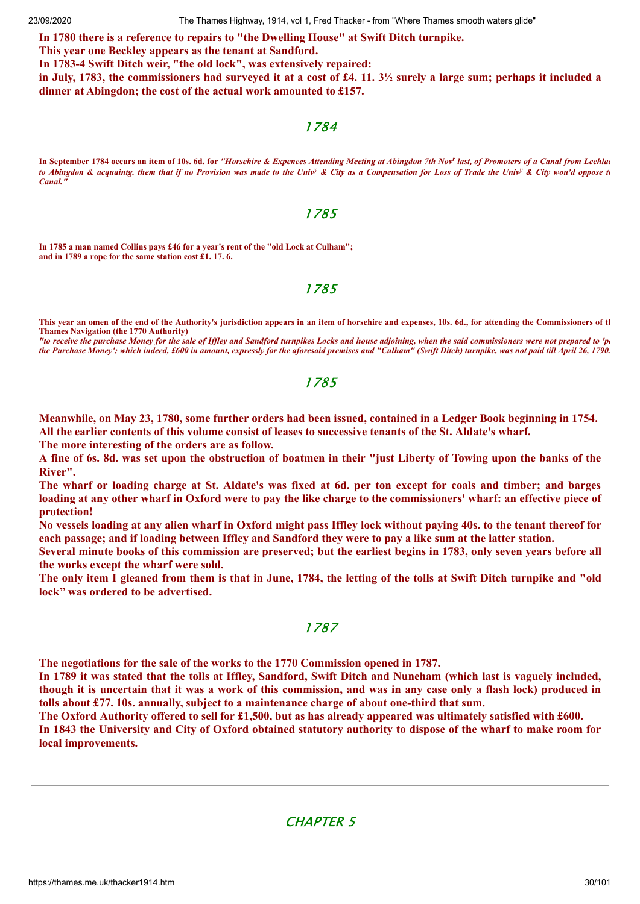23/09/2020 The Thames Highway, 1914, vol 1, Fred Thacker - from "Where Thames smooth waters glide"

**In 1780 there is a reference to repairs to "the Dwelling House" at Swift Ditch turnpike.**

**This year one Beckley appears as the tenant at Sandford.**

**In 1783-4 Swift Ditch weir, "the old lock", was extensively repaired:**

in July, 1783, the commissioners had surveyed it at a cost of £4, 11,  $3\frac{1}{2}$  surely a large sum; perhaps it included a **dinner at Abingdon; the cost of the actual work amounted to £157.**

### 1784

In September 1784 occurs an item of 10s. 6d. for "Horsehire & Expences Attending Meeting at Abingdon 7th Nov<sup>r</sup> last, of Promoters of a Canal from Lechlad *to Abingdon & acquaintg. them that if no Provision was made to the Univ<sup>y</sup> & City as a Compensation for Loss of Trade the Univ<sup>y</sup> & City wou'd oppose th Canal."*

#### 1785

**In 1785 a man named Collins pays £46 for a year's rent of the "old Lock at Culham"; and in 1789 a rope for the same station cost £1. 17. 6.**

### 1785

**This year an omen of the end of the Authority's jurisdiction appears in an item of horsehire and expenses, 10s. 6d., for attending the Commissioners of th Thames Navigation (the 1770 Authority)**

*"to receive the purchase Money for the sale of Iffley and Sandford turnpikes Locks and house adjoining, when the said commissioners were not prepared to 'pa the Purchase Money'; which indeed, £600 in amount, expressly for the aforesaid premises and "Culham" (Swift Ditch) turnpike, was not paid till April 26, 1790.*

### 1785

Meanwhile, on May 23, 1780, some further orders had been issued, contained in a Ledger Book beginning in 1754. All the earlier contents of this volume consist of leases to successive tenants of the St. Aldate's wharf.

**The more interesting of the orders are as follow.**

A fine of 6s. 8d. was set upon the obstruction of boatmen in their "just Liberty of Towing upon the banks of the **River".**

The wharf or loading charge at St. Aldate's was fixed at 6d. per ton except for coals and timber; and barges loading at any other wharf in Oxford were to pay the like charge to the commissioners' wharf: an effective piece of **protection!**

No vessels loading at any alien wharf in Oxford might pass Iffley lock without paying 40s, to the tenant thereof for each passage; and if loading between Iffley and Sandford they were to pay a like sum at the latter station.

Several minute books of this commission are preserved; but the earliest begins in 1783, only seven years before all **the works except the wharf were sold.**

The only item I gleaned from them is that in June, 1784, the letting of the tolls at Swift Ditch turnpike and "old **lock" was ordered to be advertised.**

### 1787

**The negotiations for the sale of the works to the 1770 Commission opened in 1787.**

In 1789 it was stated that the tolls at Iffley, Sandford, Swift Ditch and Nuneham (which last is vaguely included, though it is uncertain that it was a work of this commission, and was in any case only a flash lock) produced in **tolls about £77. 10s. annually, subject to a maintenance charge of about one-third that sum.**

The Oxford Authority offered to sell for £1,500, but as has already appeared was ultimately satisfied with £600. In 1843 the University and City of Oxford obtained statutory authority to dispose of the wharf to make room for **local improvements.**

### CHAPTER 5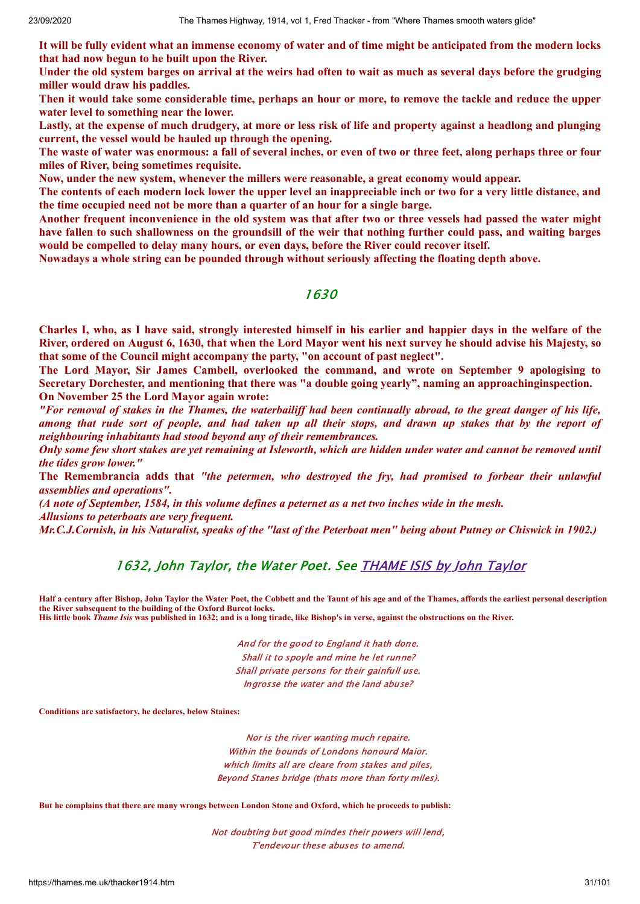It will be fully evident what an immense economy of water and of time might be anticipated from the modern locks **that had now begun to he built upon the River.**

Under the old system barges on arrival at the weirs had often to wait as much as several days before the grudging **miller would draw his paddles.**

Then it would take some considerable time, perhaps an hour or more, to remove the tackle and reduce the upper **water level to something near the lower.**

Lastly, at the expense of much drudgery, at more or less risk of life and property against a headlong and plunging **current, the vessel would be hauled up through the opening.**

The waste of water was enormous: a fall of several inches, or even of two or three feet, along perhaps three or four **miles of River, being sometimes requisite.**

**Now, under the new system, whenever the millers were reasonable, a great economy would appear.**

The contents of each modern lock lower the upper level an inappreciable inch or two for a very little distance, and **the time occupied need not be more than a quarter of an hour for a single barge.**

Another frequent inconvenience in the old system was that after two or three vessels had passed the water might have fallen to such shallowness on the groundsill of the weir that nothing further could pass, and waiting barges **would be compelled to delay many hours, or even days, before the River could recover itself.**

**Nowadays a whole string can be pounded through without seriously affecting the floating depth above.**

### 1630

Charles I, who, as I have said, strongly interested himself in his earlier and happier days in the welfare of the River, ordered on August 6, 1630, that when the Lord Mayor went his next survey he should advise his Majesty, so **that some of the Council might accompany the party, "on account of past neglect".**

**The Lord Mayor, Sir James Cambell, overlooked the command, and wrote on September 9 apologising to Secretary Dorchester, and mentioning that there was "a double going yearly", naming an approachinginspection. On November 25 the Lord Mayor again wrote:**

"For removal of stakes in the Thames, the waterbailiff had been continually abroad, to the great danger of his life, among that rude sort of people, and had taken up all their stops, and drawn up stakes that by the report of *neighbouring inhabitants had stood beyond any of their remembrances.*

Only some few short stakes are yet remaining at Isleworth, which are hidden under water and cannot be removed until *the tides grow lower."*

**The Remembrancia adds that** *"the petermen, who destroyed the fry, had promised to forbear their unlawful assemblies and operations".*

(A note of September, 1584, in this volume defines a peternet as a net two inches wide in the mesh.

*Allusions to peterboats are very frequent.*

Mr.C.J.Cornish, in his Naturalist, speaks of the "last of the Peterboat men" being about Putney or Chiswick in 1902.)

### 1632, John Taylor, the Water Poet. See [THAME](https://thames.me.uk/taylor1632.htm) ISIS by John Taylor

**Half a century after Bishop, John Taylor the Water Poet, the Cobbett and the Taunt of his age and of the Thames, affords the earliest personal description the River subsequent to the building of the Oxford Burcot locks. His little book** *Thame Isis* **was published in 1632; and is a long tirade, like Bishop's in verse, against the obstructions on the River.**

> And for the good to England it hath done. Shall it to spoyle and mine he let runne? Shall private persons for their gainfull use. Ingrosse the water and the land abuse?

**Conditions are satisfactory, he declares, below Staines:**

Nor is the river wanting much repaire. Within the bounds of Londons honourd Maior. which limits all are cleare from stakes and piles, Beyond Stanes bridge (thats more than forty miles).

**But he complains that there are many wrongs between London Stone and Oxford, which he proceeds to publish:**

Not doubting but good mindes their powers will lend, T'endevour these abuses to amend.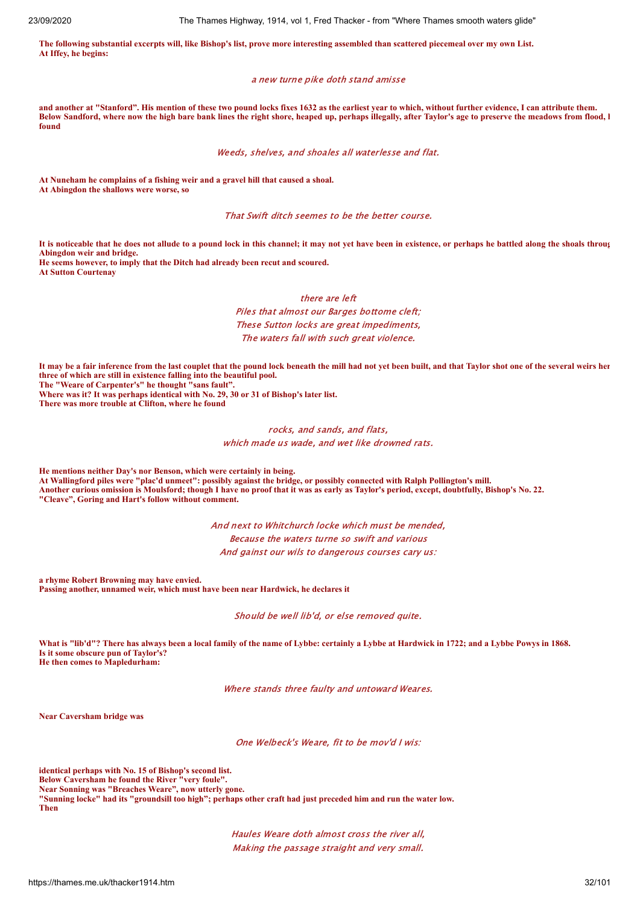**The following substantial excerpts will, like Bishop's list, prove more interesting assembled than scattered piecemeal over my own List. At Iffey, he begins:**

#### a new turne pike doth stand amisse

**and another at "Stanford". His mention of these two pound locks fixes 1632 as the earliest year to which, without further evidence, I can attribute them. Below Sandford, where now the high bare bank lines the right shore, heaped up, perhaps illegally, after Taylor's age to preserve the meadows from flood, h found**

#### Weeds, shelves, and shoales all waterlesse and flat.

**At Nuneham he complains of a fishing weir and a gravel hill that caused a shoal. At Abingdon the shallows were worse, so**

#### That Swift ditch seemes to be the better course.

**It is noticeable that he does not allude to a pound lock in this channel; it may not yet have been in existence, or perhaps he battled along the shoals throug Abingdon weir and bridge.**

**He seems however, to imply that the Ditch had already been recut and scoured. At Sutton Courtenay**

#### there are left Piles that almost our Barges bottome cleft; These Sutton locks are great impediments,

The waters fall with such great violence.

**It may be a fair inference from the last couplet that the pound lock beneath the mill had not yet been built, and that Taylor shot one of the several weirs her three of which are still in existence falling into the beautiful pool. The "Weare of Carpenter's" he thought "sans fault".**

**Where was it? It was perhaps identical with No. 29, 30 or 31 of Bishop's later list.**

**There was more trouble at Clifton, where he found**

#### rocks, and sands, and flats, which made us wade, and wet like drowned rats.

**He mentions neither Day's nor Benson, which were certainly in being. At Wallingford piles were "plac'd unmeet": possibly against the bridge, or possibly connected with Ralph Pollington's mill. Another curious omission is Moulsford; though I have no proof that it was as early as Taylor's period, except, doubtfully, Bishop's No. 22. "Cleave", Goring and Hart's follow without comment.**

> And next to Whitchurch locke which must be mended, Because the waters turne so swift and various And gainst our wils to dangerous courses cary us:

**a rhyme Robert Browning may have envied. Passing another, unnamed weir, which must have been near Hardwick, he declares it**

Should be well lib'd, or else removed quite.

**What is "lib'd"? There has always been a local family of the name of Lybbe: certainly a Lybbe at Hardwick in 1722; and a Lybbe Powys in 1868. Is it some obscure pun of Taylor's? He then comes to Mapledurham:**

Where stands three faulty and untoward Weares.

**Near Caversham bridge was**

One Welbeck's Weare, fit to be mov'd I wis:

**identical perhaps with No. 15 of Bishop's second list. Below Caversham he found the River "very foule". Near Sonning was "Breaches Weare", now utterly gone. "Sunning locke" had its "groundsill too high"; perhaps other craft had just preceded him and run the water low. Then**

> Haules Weare doth almost cross the river all, Making the passage straight and very small.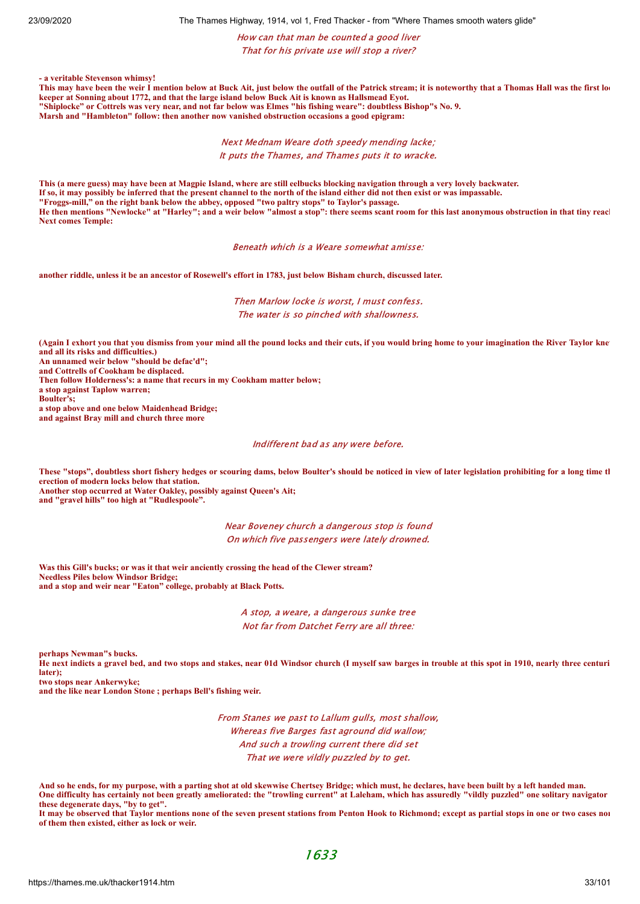23/09/2020 The Thames Highway, 1914, vol 1, Fred Thacker - from "Where Thames smooth waters glide"

#### How can that man be counted a good liver That for his private use will stop a river?

**- a veritable Stevenson whimsy! This may have been the weir I mention below at Buck Ait, just below the outfall of the Patrick stream; it is noteworthy that a Thomas Hall was the first loc keeper at Sonning about 1772, and that the large island below Buck Ait is known as Hallsmead Eyot.**

**"Shiplocke" or Cottrels was very near, and not far below was Elmes "his fishing weare": doubtless Bishop"s No. 9.**

**Marsh and "Hambleton" follow: then another now vanished obstruction occasions a good epigram:**

Next Mednam Weare doth speedy mending lacke; It puts the Thames, and Thames puts it to wracke.

**This (a mere guess) may have been at Magpie Island, where are still eelbucks blocking navigation through a very lovely backwater. If so, it may possibly be inferred that the present channel to the north of the island either did not then exist or was impassable. "Froggs-mill," on the right bank below the abbey, opposed "two paltry stops" to Taylor's passage.** He then mentions "Newlocke" at "Harley"; and a weir below "almost a stop": there seems scant room for this last anonymous obstruction in that tiny reach **Next comes Temple:**

Beneath which is a Weare somewhat amisse:

**another riddle, unless it be an ancestor of Rosewell's effort in 1783, just below Bisham church, discussed later.**

Then Marlow locke is worst, I must confess. The water is so pinched with shallowness.

**(Again I exhort you that you dismiss from your mind all the pound locks and their cuts, if you would bring home to your imagination the River Taylor knew and all its risks and difficulties.)**

**An unnamed weir below "should be defac'd";**

**and Cottrells of Cookham be displaced.**

**Then follow Holderness's: a name that recurs in my Cookham matter below;**

**a stop against Taplow warren; Boulter's;**

**a stop above and one below Maidenhead Bridge;**

**and against Bray mill and church three more**

Indifferent bad as any were before.

**These "stops", doubtless short fishery hedges or scouring dams, below Boulter's should be noticed in view of later legislation prohibiting for a long time th erection of modern locks below that station. Another stop occurred at Water Oakley, possibly against Queen's Ait;**

**and "gravel hills" too high at "Rudlespoole".**

Near Boveney church a dangerous stop is found On which five passengers were lately drowned.

**Was this Gill's bucks; or was it that weir anciently crossing the head of the Clewer stream? Needless Piles below Windsor Bridge; and a stop and weir near "Eaton" college, probably at Black Potts.**

> A stop, a weare, a dangerous sunke tree Not far from Datchet Ferry are all three:

**perhaps Newman"s bucks.**

**He next indicts a gravel bed, and two stops and stakes, near 01d Windsor church (I myself saw barges in trouble at this spot in 1910, nearly three centuri later);**

**two stops near Ankerwyke;**

**and the like near London Stone ; perhaps Bell's fishing weir.**

From Stanes we past to Lallum gulls, most shallow, Whereas five Barges fast aground did wallow; And such a trowling current there did set That we were vildly puzzled by to get.

**And so he ends, for my purpose, with a parting shot at old skewwise Chertsey Bridge; which must, he declares, have been built by a left handed man. One difficulty has certainly not been greatly ameliorated: the "trowling current" at Laleham, which has assuredly "vildly puzzled" one solitary navigator these degenerate days, "by to get".**

**It may be observed that Taylor mentions none of the seven present stations from Penton Hook to Richmond; except as partial stops in one or two cases non of them then existed, either as lock or weir.**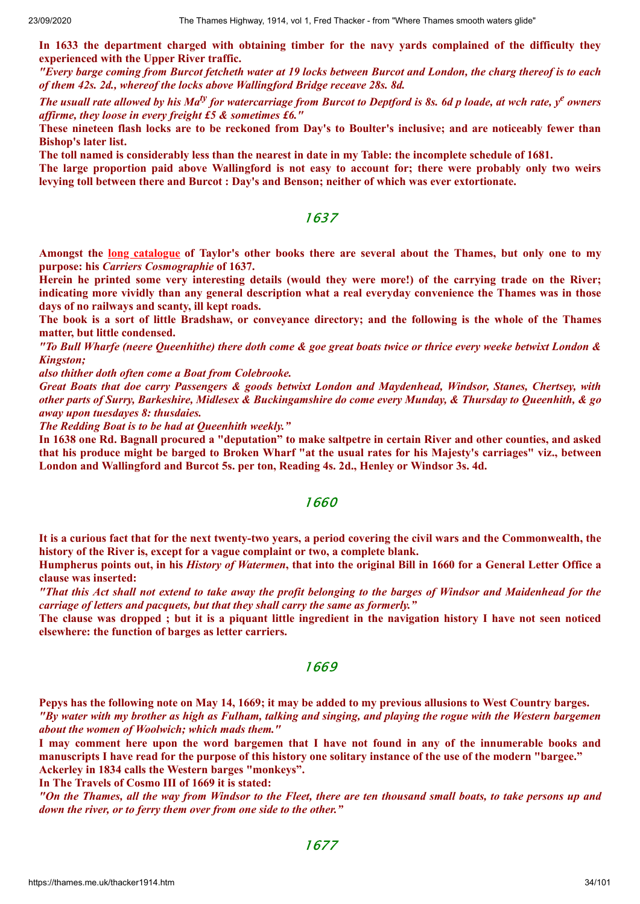**In 1633 the department charged with obtaining timber for the navy yards complained of the difficulty they experienced with the Upper River traffic.**

"Every barge coming from Burcot fetcheth water at 19 locks between Burcot and London, the charg thereof is to each *of them 42s. 2d., whereof the locks above Wallingford Bridge receave 28s. 8d.*

The usuall rate allowed by his Ma<sup>ty</sup> for watercarriage from Burcot to Deptford is 8s. 6d p loade, at wch rate,  $y^e$  owners *af irme, they loose in every freight £5 & sometimes £6."*

These nineteen flash locks are to be reckoned from Day's to Boulter's inclusive; and are noticeably fewer than **Bishop's later list.**

The toll named is considerably less than the nearest in date in my Table: the incomplete schedule of 1681.

The large proportion paid above Wallingford is not easy to account for; there were probably only two weirs **levying toll between there and Burcot : Day's and Benson; neither of which was ever extortionate.**

### 1637

Amongst the long [catalogue](https://quod.lib.umich.edu/e/eebo?key=author;page=browse;value=ta) of Taylor's other books there are several about the Thames, but only one to my **purpose: his** *Carriers Cosmographie* **of 1637.**

Herein he printed some very interesting details (would they were more!) of the carrying trade on the River; indicating more vividly than any general description what a real everyday convenience the Thames was in those **days of no railways and scanty, ill kept roads.**

The book is a sort of little Bradshaw, or convevance directory; and the following is the whole of the Thames **matter, but little condensed.**

"To Bull Wharfe (neere Queenhithe) there doth come & goe great boats twice or thrice every weeke betwixt London & *Kingston;*

*also thither doth often come a Boat from Colebrooke.*

*Great Boats that doe carry Passengers & goods betwixt London and Maydenhead, Windsor, Stanes, Chertsey, with* other parts of Surry, Barkeshire, Midlesex & Buckingamshire do come every Munday, & Thursday to Queenhith, & go *away upon tuesdayes 8: thusdaies.*

*The Redding Boat is to be had at Queenhith weekly."*

In 1638 one Rd. Bagnall procured a "deputation" to make saltpetre in certain River and other counties, and asked that his produce might be barged to Broken Wharf "at the usual rates for his Majesty's carriages" viz., between **London and Wallingford and Burcot 5s. per ton, Reading 4s. 2d., Henley or Windsor 3s. 4d.**

### 1660

It is a curious fact that for the next twenty-two years, a period covering the civil wars and the Commonwealth, the **history of the River is, except for a vague complaint or two, a complete blank.**

Humpherus points out, in his History of Watermen, that into the original Bill in 1660 for a General Letter Office a **clause was inserted:**

"That this Act shall not extend to take away the profit belonging to the barges of Windsor and Maidenhead for the *carriage of letters and pacquets, but that they shall carry the same as formerly."*

The clause was dropped; but it is a piquant little ingredient in the navigation history I have not seen noticed **elsewhere: the function of barges as letter carriers.**

### 1669

Pepys has the following note on May 14, 1669; it may be added to my previous allusions to West Country barges. "By water with my brother as high as Fulham, talking and singing, and playing the rogue with the Western bargemen *about the women of Woolwich; which mads them."*

I may comment here upon the word bargemen that I have not found in any of the innumerable books and manuscripts I have read for the purpose of this history one solitary instance of the use of the modern "bargee." **Ackerley in 1834 calls the Western barges "monkeys".**

**In The Travels of Cosmo III of 1669 it is stated:**

"On the Thames, all the way from Windsor to the Fleet, there are ten thousand small boats, to take persons up and *down the river, or to ferry them over from one side to the other."*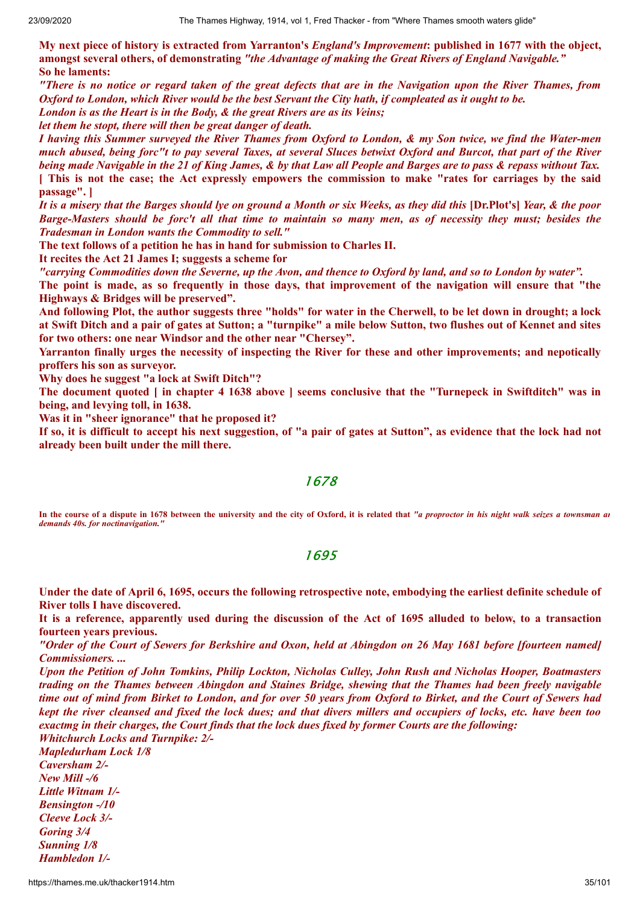My next piece of history is extracted from Yarranton's *England's Improvement*: published in 1677 with the object, **amongst several others, of demonstrating** *"the Advantage of making the Great Rivers of England Navigable."* **So he laments:**

"There is no notice or regard taken of the great defects that are in the Navigation upon the River Thames, from Oxford to London, which River would be the best Servant the City hath, if compleated as it ought to be.

*London is as the Heart is in the Body, & the great Rivers are as its Veins;*

*let them he stopt, there will then be great danger of death.*

I having this Summer surveyed the River Thames from Oxford to London, & my Son twice, we find the Water-men much abused, being forc"t to pay several Taxes, at several Sluces betwixt Oxford and Burcot, that part of the River being made Navigable in the 21 of King James, & by that Law all People and Barges are to pass & repass without Tax. [ This is not the case; the Act expressly empowers the commission to make "rates for carriages by the said **passage". ]**

It is a misery that the Barges should lye on ground a Month or six Weeks, as they did this [Dr.Plot's] Year, & the poor Barge-Masters should be forc't all that time to maintain so many men, as of necessity they must; besides the *Tradesman in London wants the Commodity to sell."*

**The text follows of a petition he has in hand for submission to Charles II.**

**It recites the Act 21 James I; suggests a scheme for**

"carrying Commodities down the Severne, up the Avon, and thence to Oxford by land, and so to London by water".

The point is made, as so frequently in those days, that improvement of the navigation will ensure that "the **Highways & Bridges will be preserved".**

And following Plot, the author suggests three "holds" for water in the Cherwell, to be let down in drought; a lock at Swift Ditch and a pair of gates at Sutton; a "turnpike" a mile below Sutton, two flushes out of Kennet and sites **for two others: one near Windsor and the other near "Chersey".**

**Yarranton finally urges the necessity of inspecting the River for these and other improvements; and nepotically proffers his son as surveyor.**

**Why does he suggest "a lock at Swift Ditch"?**

The document quoted [in chapter 4 1638 above ] seems conclusive that the "Turnepeck in Swiftditch" was in **being, and levying toll, in 1638.**

**Was it in "sheer ignorance" that he proposed it?**

If so, it is difficult to accept his next suggestion, of "a pair of gates at Sutton", as evidence that the lock had not **already been built under the mill there.**

### 1678

**In the course of a dispute in 1678 between the university and the city of Oxford, it is related that** *"a proproctor in his night walk seizes a townsman an demands 40s. for noctinavigation."*

### 1695

Under the date of April 6, 1695, occurs the following retrospective note, embodying the earliest definite schedule of **River tolls I have discovered.**

It is a reference, apparently used during the discussion of the Act of 1695 alluded to below, to a transaction **fourteen years previous.**

"Order of the Court of Sewers for Berkshire and Oxon, held at Abingdon on 26 May 1681 before [fourteen named] *Commissioners. ...*

*Upon the Petition of John Tomkins, Philip Lockton, Nicholas Culley, John Rush and Nicholas Hooper, Boatmasters* trading on the Thames between Abingdon and Staines Bridge, shewing that the Thames had been freely navigable time out of mind from Birket to London, and for over 50 years from Oxford to Birket, and the Court of Sewers had kept the river cleansed and fixed the lock dues; and that divers millers and occupiers of locks, etc. have been too exactme in their charges, the Court finds that the lock dues fixed by former Courts are the following:

*Whitchurch Locks and Turnpike: 2/- Mapledurham Lock 1/8 Caversham 2/- New Mill -/6 Little Witnam 1/- Bensington -/10 Cleeve Lock 3/- Goring 3/4 Sunning 1/8 Hambledon 1/-*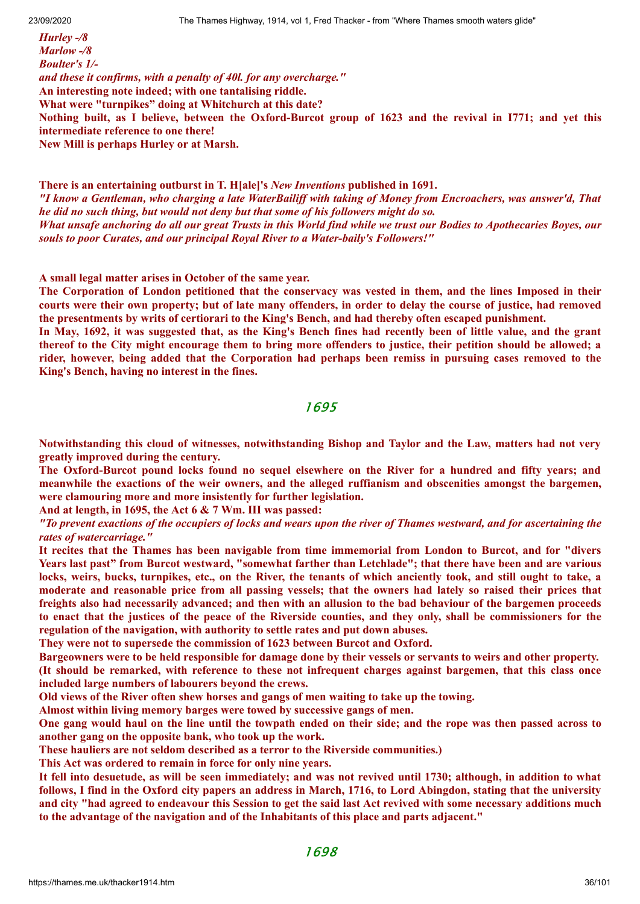*Hurley -/8 Marlow -/8 Boulter's 1/ and these it confirms, with a penalty of 40l. for any overcharge."* **An interesting note indeed; with one tantalising riddle. What were "turnpikes" doing at Whitchurch at this date?** Nothing built, as I believe, between the Oxford-Burcot group of 1623 and the revival in 1771; and yet this **intermediate reference to one there! New Mill is perhaps Hurley or at Marsh.**

**There is an entertaining outburst in T. H[ale]'s** *New Inventions* **published in 1691.** "I know a Gentleman, who charging a late WaterBailiff with taking of Money from Encroachers, was answer'd, That *he did no such thing, but would not deny but that some of his followers might do so.* What unsafe anchoring do all our great Trusts in this World find while we trust our Bodies to Apothecaries Boyes, our *souls to poor Curates, and our principal Royal River to a Water-baily's Followers!"*

**A small legal matter arises in October of the same year.**

The Corporation of London petitioned that the conservacy was vested in them, and the lines Imposed in their courts were their own property; but of late many offenders, in order to delay the course of justice, had removed **the presentments by writs of certiorari to the King's Bench, and had thereby often escaped punishment.**

In May, 1692, it was suggested that, as the King's Bench fines had recently been of little value, and the grant thereof to the City might encourage them to bring more offenders to justice, their petition should be allowed; a **rider, however, being added that the Corporation had perhaps been remiss in pursuing cases removed to the King's Bench, having no interest in the fines.**

1695

**Notwithstanding this cloud of witnesses, notwithstanding Bishop and Taylor and the Law, matters had not very greatly improved during the century.**

The Oxford-Burcot pound locks found no sequel elsewhere on the River for a hundred and fifty years; and **meanwhile the exactions of the weir owners, and the alleged ruffianism and obscenities amongst the bargemen, were clamouring more and more insistently for further legislation.**

**And at length, in 1695, the Act 6 & 7 Wm. III was passed:**

"To prevent exactions of the occupiers of locks and wears upon the river of Thames westward, and for ascertaining the *rates of watercarriage."*

It recites that the Thames has been navigable from time immemorial from London to Burcot, and for "divers" Years last past" from Burcot westward, "somewhat farther than Letchlade"; that there have been and are various locks, weirs, bucks, turnpikes, etc., on the River, the tenants of which anciently took, and still ought to take, a moderate and reasonable price from all passing vessels; that the owners had lately so raised their prices that freights also had necessarily advanced; and then with an allusion to the bad behaviour of the bargemen proceeds to enact that the justices of the peace of the Riverside counties, and they only, shall be commissioners for the **regulation of the navigation, with authority to settle rates and put down abuses.**

**They were not to supersede the commission of 1623 between Burcot and Oxford.**

Bargeowners were to be held responsible for damage done by their vessels or servants to weirs and other property. (It should be remarked, with reference to these not infrequent charges against bargemen, that this class once **included large numbers of labourers beyond the crews.**

**Old views of the River often shew horses and gangs of men waiting to take up the towing.**

**Almost within living memory barges were towed by successive gangs of men.**

One gang would haul on the line until the towpath ended on their side; and the rope was then passed across to **another gang on the opposite bank, who took up the work.**

**These hauliers are not seldom described as a terror to the Riverside communities.)**

**This Act was ordered to remain in force for only nine years.**

It fell into desuetude, as will be seen immediately; and was not revived until 1730; although, in addition to what follows, I find in the Oxford city papers an address in March, 1716, to Lord Abingdon, stating that the university and city "had agreed to endeavour this Session to get the said last Act revived with some necessary additions much **to the advantage of the navigation and of the Inhabitants of this place and parts adjacent."**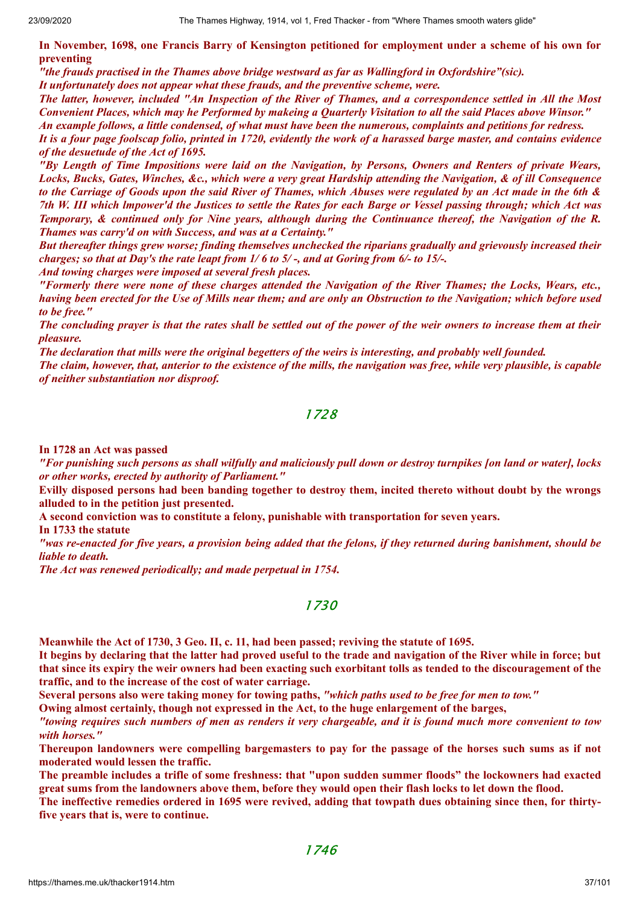In November, 1698, one Francis Barry of Kensington petitioned for employment under a scheme of his own for **preventing**

*"the frauds practised in the Thames above bridge westward as far as Wallingford in Oxfordshire"(sic).*

*It unfortunately does not appear what these frauds, and the preventive scheme, were.*

The latter, however, included "An Inspection of the River of Thames, and a correspondence settled in All the Most Convenient Places, which may he Performed by makeing a Quarterly Visitation to all the said Places above Winsor." An example follows, a little condensed, of what must have been the numerous, complaints and petitions for redress,

It is a four page foolscap folio, printed in 1720, evidently the work of a harassed barge master, and contains evidence *of the desuetude of the Act of 1695.*

"By Length of Time Impositions were laid on the Navigation, by Persons, Owners and Renters of private Wears, Locks, Bucks, Gates, Winches, &c., which were a very great Hardship attending the Navigation, & of ill Consequence to the Carriage of Goods upon the said River of Thames, which Abuses were regulated by an Act made in the 6th & 7th W. III which Impower'd the Justices to settle the Rates for each Barge or Vessel passing through; which Act was Temporary, & continued only for Nine years, although during the Continuance thereof, the Navigation of the R. *Thames was carry'd on with Success, and was at a Certainty."*

*But thereafter things grew worse; finding themselves unchecked the riparians gradually and grievously increased their* charges; so that at Day's the rate leapt from  $1/6$  to  $5/$ -, and at Goring from  $6/$ - to 15/-.

*And towing charges were imposed at several fresh places.*

"Formerly there were none of these charges attended the Navigation of the River Thames; the Locks, Wears, etc., having been erected for the Use of Mills near them; and are only an Obstruction to the Navigation; which before used *to be free."*

The concluding prayer is that the rates shall be settled out of the power of the weir owners to increase them at their *pleasure.*

The declaration that mills were the original begetters of the weirs is interesting, and probably well founded.

The claim, however, that, anterior to the existence of the mills, the navigation was free, while very plausible, is capable *of neither substantiation nor disproof.*

#### 1728

**In 1728 an Act was passed**

"For punishing such persons as shall wilfully and maliciously pull down or destroy turnpikes [on land or water], locks *or other works, erected by authority of Parliament."*

Evilly disposed persons had been banding together to destroy them, incited thereto without doubt by the wrongs **alluded to in the petition just presented.**

**A second conviction was to constitute a felony, punishable with transportation for seven years.**

**In 1733 the statute**

"was re-enacted for five years, a provision being added that the felons, if they returned during banishment, should be *liable to death.*

*The Act was renewed periodically; and made perpetual in 1754.*

#### 1730

**Meanwhile the Act of 1730, 3 Geo. II, c. 11, had been passed; reviving the statute of 1695.**

It begins by declaring that the latter had proved useful to the trade and navigation of the River while in force; but that since its expiry the weir owners had been exacting such exorbitant tolls as tended to the discouragement of the **traffic, and to the increase of the cost of water carriage.**

Several persons also were taking money for towing paths, "which paths used to be free for men to tow."

**Owing almost certainly, though not expressed in the Act, to the huge enlargement of the barges,**

"towing requires such numbers of men as renders it very chargeable, and it is found much more convenient to tow *with horses."*

Thereupon landowners were compelling bargemasters to pay for the passage of the horses such sums as if not **moderated would lessen the traffic.**

The preamble includes a trifle of some freshness: that "upon sudden summer floods" the lockowners had exacted great sums from the landowners above them, before they would open their flash locks to let down the flood.

The ineffective remedies ordered in 1695 were revived, adding that towpath dues obtaining since then, for thirty**five years that is, were to continue.**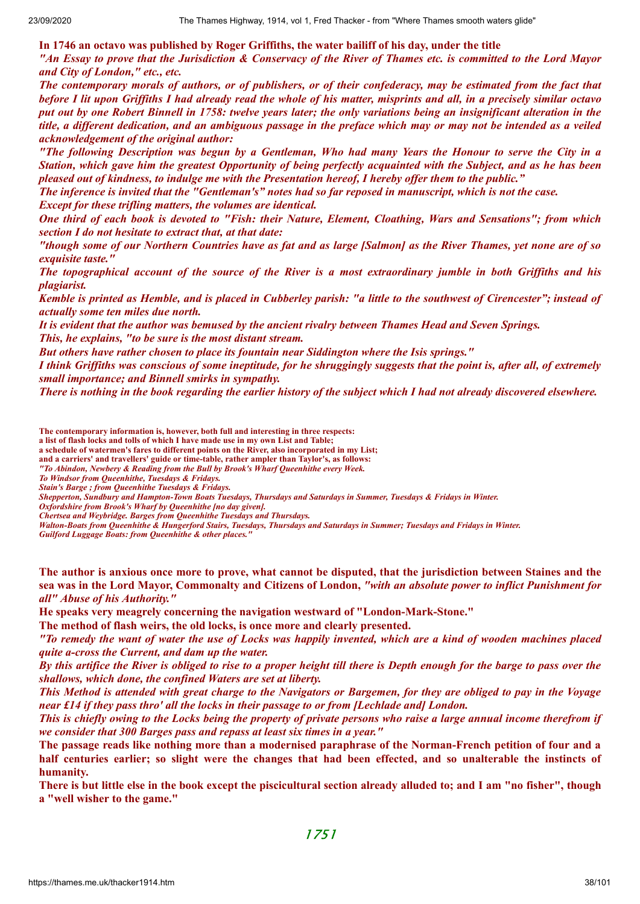**In 1746 an octavo was published by Roger Griffiths, the water bailiff of his day, under the title** "An Essay to prove that the Jurisdiction & Conservacy of the River of Thames etc. is committed to the Lord Mayor *and City of London," etc., etc.*

The contemporary morals of authors, or of publishers, or of their confederacy, may be estimated from the fact that before I lit upon Griffiths I had already read the whole of his matter, misprints and all, in a precisely similar octavo put out by one Robert Binnell in 1758: twelve years later; the only variations being an insignificant alteration in the title, a different dedication, and an ambiguous passage in the preface which may or may not be intended as a veiled *acknowledgement of the original author:*

"The following Description was begun by a Gentleman, Who had many Years the Honour to serve the City in a Station, which gave him the greatest Opportunity of being perfectly acquainted with the Subject, and as he has been pleased out of kindness, to indulge me with the Presentation hereof, I hereby offer them to the public."

The inference is invited that the "Gentleman's" notes had so far reposed in manuscript, which is not the case.

*Except for these trifling matters, the volumes are identical.*

One third of each book is devoted to "Fish: their Nature, Element, Cloathing, Wars and Sensations"; from which *section I do not hesitate to extract that, at that date:*

"though some of our Northern Countries have as fat and as large [Salmon] as the River Thames, yet none are of so *exquisite taste."*

The topographical account of the source of the River is a most extraordinary jumble in both Griffiths and his *plagiarist.*

Kemble is printed as Hemble, and is placed in Cubberley parish: "a little to the southwest of Cirencester"; instead of *actually some ten miles due north.*

It is evident that the author was bemused by the ancient rivalry between Thames Head and Seven Springs. *This, he explains, "to be sure is the most distant stream.*

*But others have rather chosen to place its fountain near Siddington where the Isis springs."*

I think Griffiths was conscious of some ineptitude, for he shruggingly suggests that the point is, after all, of extremely *small importance; and Binnell smirks in sympathy.*

There is nothing in the book regarding the earlier history of the subject which I had not already discovered elsewhere.

**The contemporary information is, however, both full and interesting in three respects:**

**a list of flash locks and tolls of which I have made use in my own List and Table;**

**a schedule of watermen's fares to different points on the River, also incorporated in my List;**

**and a carriers' and travellers' guide or time-table, rather ampler than Taylor's, as follows:**

*"To Abindon, Newbery & Reading from the Bull by Brook's Wharf Queenhithe every Week.*

*To Windsor from Queenhithe, Tuesdays & Fridays. Stain's Barge ; from Queenhithe Tuesdays & Fridays.*

*Shepperton, Sundbury and Hampton-Town Boats Tuesdays, Thursdays and Saturdays in Summer, Tuesdays & Fridays in Winter.*

*Oxfordshire from Brook's Wharf by Queenhithe [no day given].*

*Chertsea and Weybridge. Barges from Queenhithe Tuesdays and Thursdays.*

*Walton-Boats from Queenhithe & Hungerford Stairs, Tuesdays, Thursdays and Saturdays in Summer; Tuesdays and Fridays in Winter.*

*Guilford Luggage Boats: from Queenhithe & other places."*

The author is anxious once more to prove, what cannot be disputed, that the jurisdiction between Staines and the sea was in the Lord Mayor, Commonalty and Citizens of London, "with an absolute power to inflict Punishment for *all" Abuse of his Authority."*

**He speaks very meagrely concerning the navigation westward of "London-Mark-Stone."**

**The method of flash weirs, the old locks, is once more and clearly presented.**

"To remedy the want of water the use of Locks was happily invented, which are a kind of wooden machines placed *quite a-cross the Current, and dam up the water.*

By this artifice the River is obliged to rise to a proper height till there is Depth enough for the barge to pass over the *shallows, which done, the confined Waters are set at liberty.*

This Method is attended with great charge to the Navigators or Bargemen, for they are obliged to pay in the Voyage *near £14 if they pass thro' all the locks in their passage to or from [Lechlade and] London.*

This is chiefly owing to the Locks being the property of private persons who raise a large annual income therefrom if *we consider that 300 Barges pass and repass at least six times in a year."*

The passage reads like nothing more than a modernised paraphrase of the Norman-French petition of four and a half centuries earlier; so slight were the changes that had been effected, and so unalterable the instincts of **humanity.**

There is but little else in the book except the piscicultural section already alluded to; and I am "no fisher", though **a "well wisher to the game."**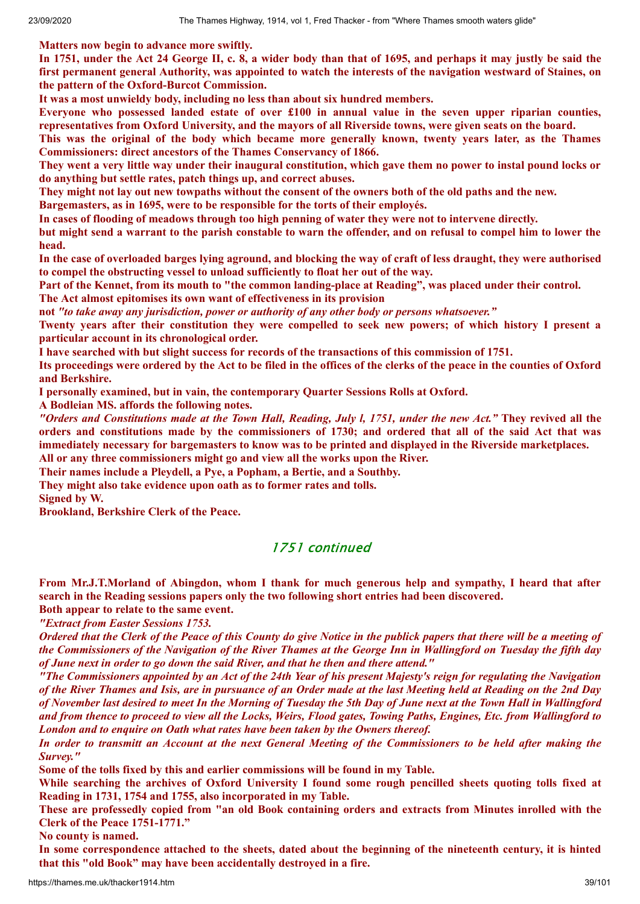**Matters now begin to advance more swiftly.**

In 1751, under the Act 24 George II, c. 8, a wider body than that of 1695, and perhaps it may justly be said the first permanent general Authority, was appointed to watch the interests of the navigation westward of Staines, on **the pattern of the Oxford-Burcot Commission.**

**It was a most unwieldy body, including no less than about six hundred members.**

**Everyone who possessed landed estate of over £100 in annual value in the seven upper riparian counties,** representatives from Oxford University, and the mayors of all Riverside towns, were given seats on the board.

This was the original of the body which became more generally known, twenty years later, as the Thames **Commissioners: direct ancestors of the Thames Conservancy of 1866.**

They went a very little way under their inaugural constitution, which gave them no power to instal pound locks or **do anything but settle rates, patch things up, and correct abuses.**

They might not lay out new towpaths without the consent of the owners both of the old paths and the new.

**Bargemasters, as in 1695, were to be responsible for the torts of their employés.**

In cases of flooding of meadows through too high penning of water they were not to intervene directly.

but might send a warrant to the parish constable to warn the offender, and on refusal to compel him to lower the **head.**

In the case of overloaded barges lying aground, and blocking the way of craft of less draught, they were authorised **to compel the obstructing vessel to unload sufficiently to float her out of the way.**

Part of the Kennet, from its mouth to "the common landing-place at Reading", was placed under their control. **The Act almost epitomises its own want of effectiveness in its provision**

**not** *"to take away any jurisdiction, power or authority of any other body or persons whatsoever."*

Twenty years after their constitution they were compelled to seek new powers; of which history I present a **particular account in its chronological order.**

**I have searched with but slight success for records of the transactions of this commission of 1751.**

Its proceedings were ordered by the Act to be filed in the offices of the clerks of the peace in the counties of Oxford **and Berkshire.**

**I personally examined, but in vain, the contemporary Quarter Sessions Rolls at Oxford.**

**A Bodleian MS. affords the following notes.**

"Orders and Constitutions made at the Town Hall, Reading, July l, 1751, under the new Act." They revived all the orders and constitutions made by the commissioners of 1730; and ordered that all of the said Act that was **immediately necessary for bargemasters to know was to be printed and displayed in the Riverside marketplaces.**

**All or any three commissioners might go and view all the works upon the River.**

**Their names include a Pleydell, a Pye, a Popham, a Bertie, and a Southby.**

**They might also take evidence upon oath as to former rates and tolls.**

**Signed by W.**

**Brookland, Berkshire Clerk of the Peace.**

# 1751 continued

**From Mr.J.T.Morland of Abingdon, whom I thank for much generous help and sympathy, I heard that after search in the Reading sessions papers only the two following short entries had been discovered.**

**Both appear to relate to the same event.**

*"Extract from Easter Sessions 1753.*

Ordered that the Clerk of the Peace of this County do give Notice in the publick papers that there will be a meeting of the Commissioners of the Navigation of the River Thames at the George Inn in Wallingford on Tuesday the fifth day *of June next in order to go down the said River, and that he then and there attend."*

"The Commissioners appointed by an Act of the 24th Year of his present Majesty's reign for regulating the Navigation of the River Thames and Isis, are in pursuance of an Order made at the last Meeting held at Reading on the 2nd Dav of November last desired to meet In the Morning of Tuesday the 5th Day of June next at the Town Hall in Wallingford and from thence to proceed to view all the Locks, Weirs, Flood gates, Towing Paths, Engines, Etc. from Wallingford to *London and to enquire on Oath what rates have been taken by the Owners thereof.*

In order to transmitt an Account at the next General Meeting of the Commissioners to be held after making the *Survey."*

**Some of the tolls fixed by this and earlier commissions will be found in my Table.**

While searching the archives of Oxford University I found some rough pencilled sheets quoting tolls fixed at **Reading in 1731, 1754 and 1755, also incorporated in my Table.**

These are professedly copied from "an old Book containing orders and extracts from Minutes inrolled with the **Clerk of the Peace 1751-1771."**

**No county is named.**

In some correspondence attached to the sheets, dated about the beginning of the nineteenth century, it is hinted **that this "old Book" may have been accidentally destroyed in a fire.**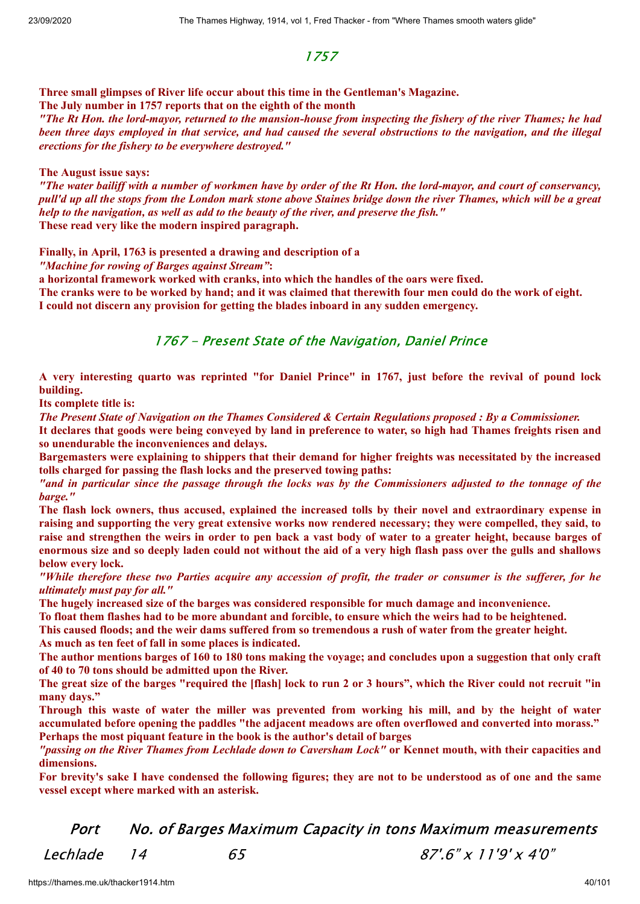# 1757

**Three small glimpses of River life occur about this time in the Gentleman's Magazine. The July number in 1757 reports that on the eighth of the month**

"The Rt Hon, the lord-mayor, returned to the mansion-house from inspecting the fishery of the river Thames; he had been three days employed in that service, and had caused the several obstructions to the navigation, and the illegal *erections for the fishery to be everywhere destroyed."*

#### **The August issue says:**

"The water bailiff with a number of workmen have by order of the Rt Hon, the lord-mayor, and court of conservancy, pull'd up all the stops from the London mark stone above Staines bridge down the river Thames, which will be a great *help to the navigation, as well as add to the beauty of the river, and preserve the fish."* **These read very like the modern inspired paragraph.**

**Finally, in April, 1763 is presented a drawing and description of a**

*"Machine for rowing of Barges against Stream"***:**

**a horizontal framework worked with cranks, into which the handles of the oars were fixed.**

The cranks were to be worked by hand; and it was claimed that therewith four men could do the work of eight. **I could not discern any provision for getting the blades inboard in any sudden emergency.**

# 1767 - Present State of the Navigation, Daniel Prince

A very interesting quarto was reprinted "for Daniel Prince" in 1767, just before the revival of pound lock **building.**

**Its complete title is:**

The Present State of Navigation on the Thames Considered & Certain Regulations proposed : By a Commissioner.

It declares that goods were being conveved by land in preference to water, so high had Thames freights risen and **so unendurable the inconveniences and delays.**

**Bargemasters were explaining to shippers that their demand for higher freights was necessitated by the increased tolls charged for passing the flash locks and the preserved towing paths:**

"and in particular since the passage through the locks was by the Commissioners adjusted to the tonnage of the *barge."*

The flash lock owners, thus accused, explained the increased tolls by their novel and extraordinary expense in raising and supporting the very great extensive works now rendered necessary; they were compelled, they said, to raise and strengthen the weirs in order to pen back a vast body of water to a greater height, because barges of enormous size and so deeply laden could not without the aid of a very high flash pass over the gulls and shallows **below every lock.**

"While therefore these two Parties acquire any accession of profit, the trader or consumer is the sufferer, for he *ultimately must pay for all."*

**The hugely increased size of the barges was considered responsible for much damage and inconvenience.**

To float them flashes had to be more abundant and forcible, to ensure which the weirs had to be heightened. This caused floods; and the weir dams suffered from so tremendous a rush of water from the greater height.

**As much as ten feet of fall in some places is indicated.**

The author mentions barges of 160 to 180 tons making the voyage; and concludes upon a suggestion that only craft **of 40 to 70 tons should be admitted upon the River.**

The great size of the barges "required the [flash] lock to run 2 or 3 hours", which the River could not recruit "in **many days."**

Through this waste of water the miller was prevented from working his mill, and by the height of water **accumulated before opening the paddles "the adjacent meadows are often overflowed and converted into morass." Perhaps the most piquant feature in the book is the author's detail of barges**

"passing on the River Thames from Lechlade down to Caversham Lock" or Kennet mouth, with their capacities and **dimensions.**

For brevity's sake I have condensed the following figures; they are not to be understood as of one and the same **vessel except where marked with an asterisk.**

Port No. of Barges Maximum Capacity in tons Maximum measurements

 $Lechlade$  14 65 87'.6" x 11'9' x 4'0"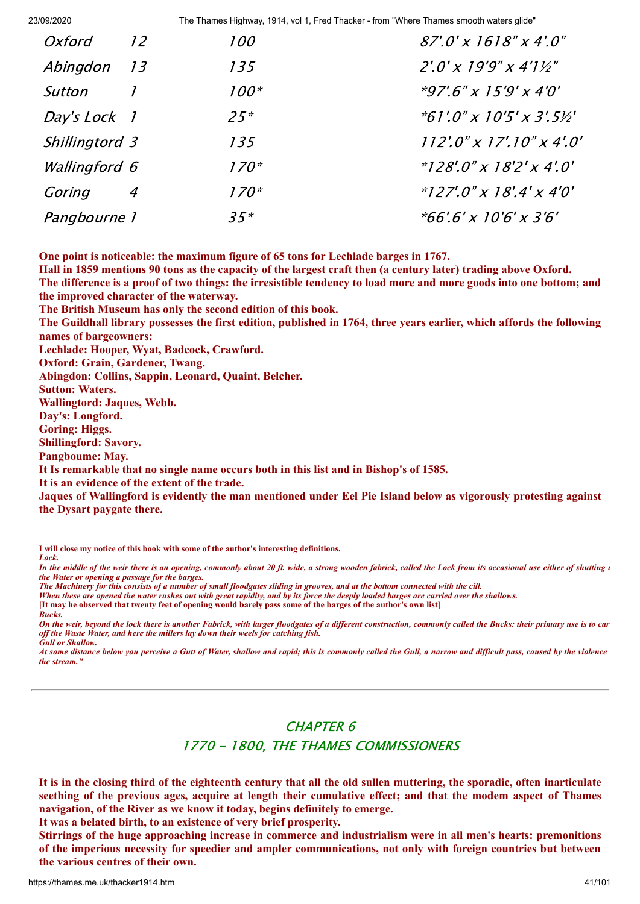| Oxford         | 12 | <i>100</i> | $87'.0' \times 1618'' \times 4'.0''$           |
|----------------|----|------------|------------------------------------------------|
| Abingdon 13    |    | 135        | $2'.0'$ x 19'9" x 4'1½"                        |
| Sutton         |    | $100*$     | $*97'$ .6" x 15'9' x 4'0'                      |
| Day's Lock 1   |    | $25*$      | $*61'.0'' \times 10'5' \times 3'.5\frac{1}{2}$ |
| Shillingtord 3 |    | 135        | $112'.0'' \times 17'.10'' \times 4'.0'$        |
| Wallingford 6  |    | $170*$     | $*128'$ :0" x 18'2' x 4'.0"                    |
| Goring         | 4  | $170*$     | $*127'$ :0" x 18'.4' x 4'0'                    |
| Pangbourne 1   |    | $35*$      | $*66'.6' \times 10'6' \times 3'6'$             |

**One point is noticeable: the maximum figure of 65 tons for Lechlade barges in 1767.**

Hall in 1859 mentions 90 tons as the capacity of the largest craft then (a century later) trading above Oxford. The difference is a proof of two things: the irresistible tendency to load more and more goods into one bottom; and **the improved character of the waterway.**

**The British Museum has only the second edition of this book.**

The Guildhall library possesses the first edition, published in 1764, three years earlier, which affords the following **names of bargeowners:**

**Lechlade: Hooper, Wyat, Badcock, Crawford.**

**Oxford: Grain, Gardener, Twang.**

**Abingdon: Collins, Sappin, Leonard, Quaint, Belcher.**

**Sutton: Waters.**

**Wallingtord: Jaques, Webb.**

**Day's: Longford.**

**Goring: Higgs.**

**Shillingford: Savory.**

**Pangboume: May.**

**It Is remarkable that no single name occurs both in this list and in Bishop's of 1585.**

**It is an evidence of the extent of the trade.**

Jaques of Wallingford is evidently the man mentioned under Eel Pie Island below as vigorously protesting against **the Dysart paygate there.**

**I will close my notice of this book with some of the author's interesting definitions.** *Lock.*

*In the middle of the weir there is an opening, commonly about 20 ft. wide, a strong wooden fabrick, called the Lock from its occasional use either of shutting u the Water or opening a passage for the barges.*

*The Machinery for this consists of a number of small floodgates sliding in grooves, and at the bottom connected with the cill.*

*When these are opened the water rushes out with great rapidity, and by its force the deeply loaded barges are carried over the shallows.*

**[It may he observed that twenty feet of opening would barely pass some of the barges of the author's own list]** *Bucks.*

*On the weir, beyond the lock there is another Fabrick, with larger floodgates of a different construction, commonly called the Bucks: their primary use is to car off the Waste Water, and here the millers lay down their weels for catching fish. Gull or Shallow.*

*At some distance below you perceive a Gutt of Water, shallow and rapid; this is commonly called the Gull, a narrow and difficult pass, caused by the violence the stream."*

# CHAPTER 6 1770 - 1800, THE THAMES COMMISSIONERS

It is in the closing third of the eighteenth century that all the old sullen muttering, the sporadic, often inarticulate seething of the previous ages, acquire at length their cumulative effect; and that the modem aspect of Thames **navigation, of the River as we know it today, begins definitely to emerge.**

**It was a belated birth, to an existence of very brief prosperity.**

**Stirrings of the huge approaching increase in commerce and industrialism were in all men's hearts: premonitions of the imperious necessity for speedier and ampler communications, not only with foreign countries but between the various centres of their own.**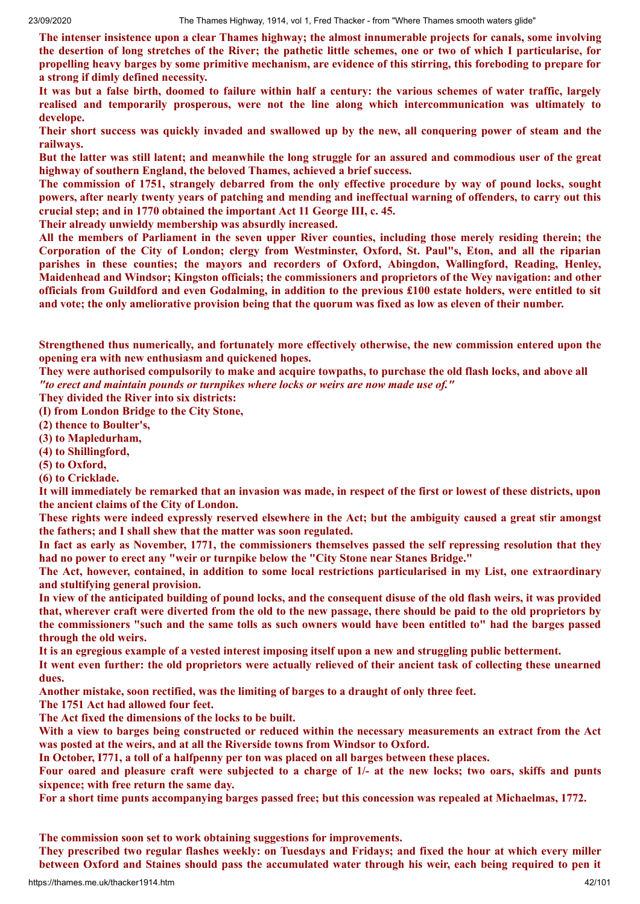**The intenser insistence upon a clear Thames highway; the almost innumerable projects for canals, some involving** the desertion of long stretches of the River; the pathetic little schemes, one or two of which I particularise, for propelling heavy barges by some primitive mechanism, are evidence of this stirring, this foreboding to prepare for **a strong if dimly defined necessity.**

It was but a false birth, doomed to failure within half a century: the various schemes of water traffic, largely **realised and temporarily prosperous, were not the line along which intercommunication was ultimately to develope.**

Their short success was quickly invaded and swallowed up by the new, all conquering power of steam and the **railways.**

But the latter was still latent; and meanwhile the long struggle for an assured and commodious user of the great **highway of southern England, the beloved Thames, achieved a brief success.**

The commission of 1751, strangely debarred from the only effective procedure by way of pound locks, sought powers, after nearly twenty years of patching and mending and ineffectual warning of offenders, to carry out this **crucial step; and in 1770 obtained the important Act 11 George III, c. 45.**

**Their already unwieldy membership was absurdly increased.**

All the members of Parliament in the seven upper River counties, including those merely residing therein; the Corporation of the City of London; clergy from Westminster, Oxford, St. Paul"s, Eton, and all the riparian **parishes in these counties; the mayors and recorders of Oxford, Abingdon, Wallingford, Reading, Henley, Maidenhead and Windsor; Kingston officials; the commissioners and proprietors of the Wey navigation: and other** officials from Guildford and even Godalming, in addition to the previous £100 estate holders, were entitled to sit and vote: the only ameliorative provision being that the quorum was fixed as low as eleven of their number.

**Strengthened thus numerically, and fortunately more effectively otherwise, the new commission entered upon the opening era with new enthusiasm and quickened hopes.**

They were authorised compulsorily to make and acquire towpaths, to purchase the old flash locks, and above all *"to erect and maintain pounds or turnpikes where locks or weirs are now made use of."*

**They divided the River into six districts:**

**(I) from London Bridge to the City Stone,**

**(2) thence to Boulter's,**

**(3) to Mapledurham,**

**(4) to Shillingford,**

**(5) to Oxford,**

**(6) to Cricklade.**

It will immediately be remarked that an invasion was made, in respect of the first or lowest of these districts, upon **the ancient claims of the City of London.**

These rights were indeed expressly reserved elsewhere in the Act; but the ambiguity caused a great stir amongst **the fathers; and I shall shew that the matter was soon regulated.**

In fact as early as November, 1771, the commissioners themselves passed the self repressing resolution that they **had no power to erect any "weir or turnpike below the "City Stone near Stanes Bridge."**

**The Act, however, contained, in addition to some local restrictions particularised in my List, one extraordinary and stultifying general provision.**

In view of the anticipated building of pound locks, and the consequent disuse of the old flash weirs, it was provided that, wherever craft were diverted from the old to the new passage, there should be paid to the old proprietors by the commissioners "such and the same tolls as such owners would have been entitled to" had the barges passed **through the old weirs.**

It is an egregious example of a vested interest imposing itself upon a new and struggling public betterment.

It went even further: the old proprietors were actually relieved of their ancient task of collecting these unearned **dues.**

**Another mistake, soon rectified, was the limiting of barges to a draught of only three feet.**

**The 1751 Act had allowed four feet.**

**The Act fixed the dimensions of the locks to be built.**

With a view to barges being constructed or reduced within the necessary measurements an extract from the Act **was posted at the weirs, and at all the Riverside towns from Windsor to Oxford.**

**In October, I771, a toll of a halfpenny per ton was placed on all barges between these places.**

Four oared and pleasure craft were subjected to a charge of 1/- at the new locks; two oars, skiffs and punts **sixpence; with free return the same day.**

For a short time punts accompanying barges passed free; but this concession was repealed at Michaelmas, 1772.

**The commission soon set to work obtaining suggestions for improvements.**

They prescribed two regular flashes weekly: on Tuesdays and Fridays; and fixed the hour at which every miller between Oxford and Staines should pass the accumulated water through his weir, each being required to pen it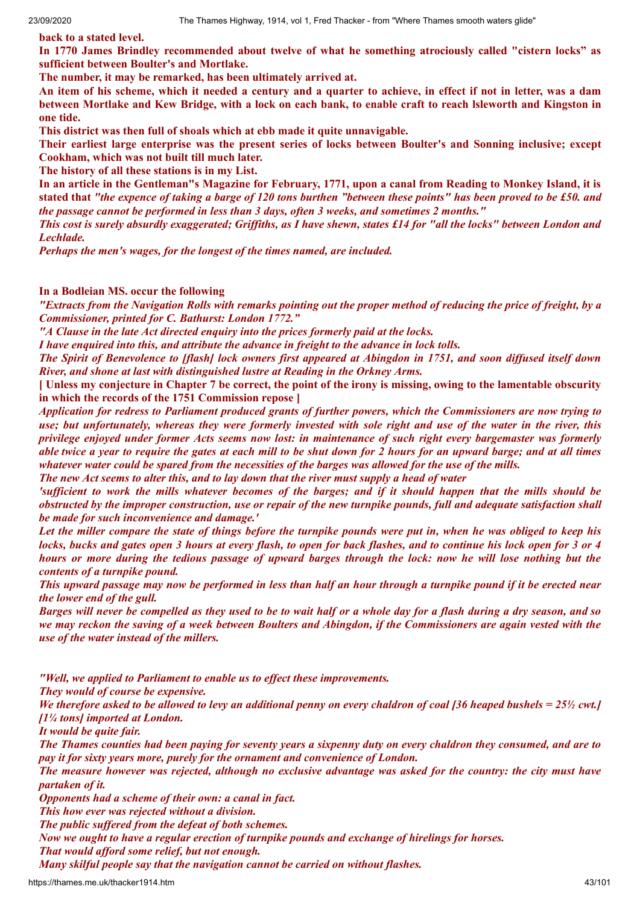**back to a stated level.**

**In 1770 James Brindley recommended about twelve of what he something atrociously called "cistern locks" as sufficient between Boulter's and Mortlake.**

**The number, it may be remarked, has been ultimately arrived at.**

An item of his scheme, which it needed a century and a quarter to achieve, in effect if not in letter, was a dam between Mortlake and Kew Bridge, with a lock on each bank, to enable craft to reach Isleworth and Kingston in **one tide.**

**This district was then full of shoals which at ebb made it quite unnavigable.**

**Their earliest large enterprise was the present series of locks between Boulter's and Sonning inclusive; except Cookham, which was not built till much later.**

**The history of all these stations is in my List.**

In an article in the Gentleman's Magazine for February, 1771, upon a canal from Reading to Monkey Island, it is stated that "the expence of taking a barge of 120 tons burthen "between these points" has been proved to be £50, and *the passage cannot be performed in less than 3 days, often 3 weeks, and sometimes 2 months."*

This cost is surely absurdly exaggerated; Griffiths, as I have shewn, states £14 for "all the locks" between London and *Lechlade.*

*Perhaps the men's wages, for the longest of the times named, are included.*

**In a Bodleian MS. occur the following**

"Extracts from the Navigation Rolls with remarks pointing out the proper method of reducing the price of freight, by a *Commissioner, printed for C. Bathurst: London 1772."*

*"A Clause in the late Act directed enquiry into the prices formerly paid at the locks.*

*I have enquired into this, and attribute the advance in freight to the advance in lock tolls.*

The Spirit of Benevolence to [flash] lock owners first appeared at Abingdon in 1751, and soon diffused itself down *River, and shone at last with distinguished lustre at Reading in the Orkney Arms.*

[Unless my conjecture in Chapter 7 be correct, the point of the irony is missing, owing to the lamentable obscurity **in which the records of the 1751 Commission repose ]**

Application for redress to Parliament produced grants of further powers, which the Commissioners are now trying to use; but unfortunately, whereas they were formerly invested with sole right and use of the water in the river, this privilege enjoyed under former Acts seems now lost: in maintenance of such right every bargemaster was formerly able twice a year to require the gates at each mill to be shut down for 2 hours for an upward barge; and at all times whatever water could be spared from the necessities of the barges was allowed for the use of the mills.

The new Act seems to alter this, and to lay down that the river must supply a head of water

'sufficient to work the mills whatever becomes of the barges; and if it should happen that the mills should be obstructed by the improper construction, use or repair of the new turnpike pounds, full and adequate satisfaction shall *be made for such inconvenience and damage.'*

Let the miller compare the state of things before the turnpike pounds were put in, when he was obliged to keep his locks, bucks and gates open 3 hours at every flash, to open for back flashes, and to continue his lock open for 3 or 4 hours or more during the tedious passage of upward barges through the lock: now he will lose nothing but the *contents of a turnpike pound.*

This upward passage may now be performed in less than half an hour through a turnpike pound if it be erected near *the lower end of the gull.*

Barges will never be compelled as they used to be to wait half or a whole day for a flash during a dry season, and so we may reckon the saving of a week between Boulters and Abingdon, if the Commissioners are again vested with the *use of the water instead of the millers.*

*"Well, we applied to Parliament to enable us to ef ect these improvements.*

*They would of course be expensive.*

We therefore asked to be allowed to levy an additional penny on every chaldron of coal [36 heaped bushels =  $25\frac{1}{2}$  cwt.] *[1¼ tons] imported at London.*

*It would be quite fair.*

The Thames counties had been paying for seventy years a sixpenny duty on every chaldron they consumed, and are to *pay it for sixty years more, purely for the ornament and convenience of London.*

The measure however was rejected, although no exclusive advantage was asked for the country: the city must have *partaken of it.*

*Opponents had a scheme of their own: a canal in fact.*

*This how ever was rejected without a division.*

*The public suf ered from the defeat of both schemes.*

*Now we ought to have a regular erection of turnpike pounds and exchange of hirelings for horses.*

*That would af ord some relief, but not enough.*

*Many skilful people say that the navigation cannot be carried on without flashes.*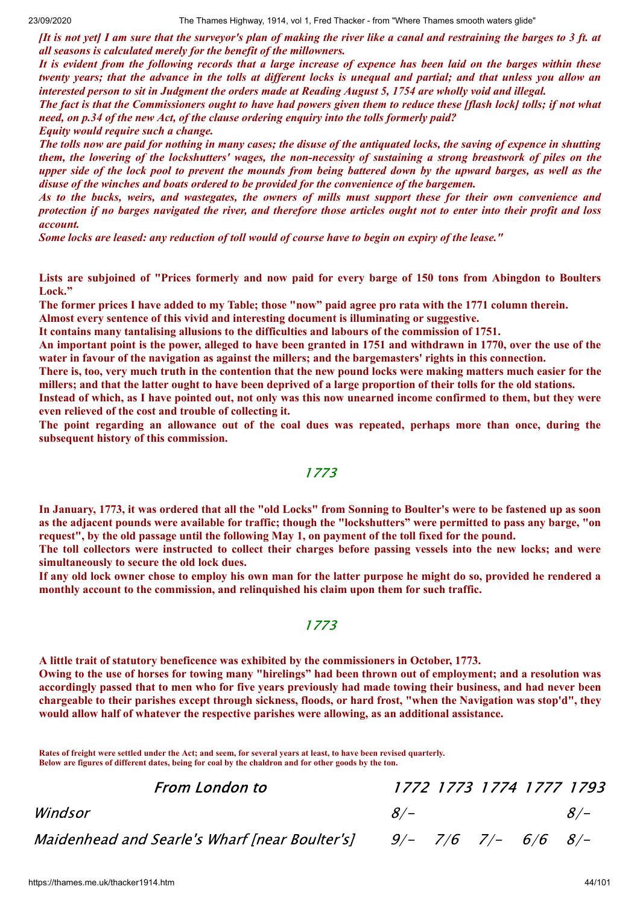If is not yet] I am sure that the surveyor's plan of making the river like a canal and restraining the barges to 3 ft. at *all seasons is calculated merely for the benefit of the millowners.*

It is evident from the following records that a large increase of expence has been laid on the barges within these twenty years; that the advance in the tolls at different locks is unequal and partial; and that unless you allow an interested person to sit in Judgment the orders made at Reading August 5, 1754 are wholly void and illegal.

The fact is that the Commissioners ought to have had powers given them to reduce these [flash lock] tolls; if not what *need, on p.34 of the new Act, of the clause ordering enquiry into the tolls formerly paid?*

*Equity would require such a change.*

The tolls now are paid for nothing in many cases; the disuse of the antiquated locks, the saving of expence in shutting them, the lowering of the lockshutters' wages, the non-necessity of sustaining a strong breastwork of piles on the upper side of the lock pool to prevent the mounds from being battered down by the upward barges, as well as the *disuse of the winches and boats ordered to be provided for the convenience of the bargemen.*

As to the bucks, weirs, and wastegates, the owners of mills must support these for their own convenience and protection if no barges navigated the river, and therefore those articles ought not to enter into their profit and loss *account.*

Some locks are leased: any reduction of toll would of course have to begin on expiry of the lease."

Lists are subjoined of "Prices formerly and now paid for every barge of 150 tons from Abingdon to Boulters **Lock."**

The former prices I have added to my Table; those "now" paid agree pro rata with the 1771 column therein.

**Almost every sentence of this vivid and interesting document is illuminating or suggestive.**

**It contains many tantalising allusions to the difficulties and labours of the commission of 1751.**

An important point is the power, alleged to have been granted in 1751 and withdrawn in 1770, over the use of the water in favour of the navigation as against the millers; and the bargemasters' rights in this connection.

There is, too, very much truth in the contention that the new pound locks were making matters much easier for the millers; and that the latter ought to have been deprived of a large proportion of their tolls for the old stations.

Instead of which, as I have pointed out, not only was this now unearned income confirmed to them, but they were **even relieved of the cost and trouble of collecting it.**

The point regarding an allowance out of the coal dues was repeated, perhaps more than once, during the **subsequent history of this commission.**

#### 1773

In January, 1773, it was ordered that all the "old Locks" from Sonning to Boulter's were to be fastened up as soon as the adjacent pounds were available for traffic; though the "lockshutters" were permitted to pass any barge, "on request", by the old passage until the following May 1, on payment of the toll fixed for the pound.

The toll collectors were instructed to collect their charges before passing vessels into the new locks; and were **simultaneously to secure the old lock dues.**

If any old lock owner chose to employ his own man for the latter purpose he might do so, provided he rendered a **monthly account to the commission, and relinquished his claim upon them for such traffic.**

#### 1773

**A little trait of statutory beneficence was exhibited by the commissioners in October, 1773.**

Owing to the use of horses for towing many "hirelings" had been thrown out of employment; and a resolution was accordingly passed that to men who for five years previously had made towing their business, and had never been chargeable to their parishes except through sickness, floods, or hard frost, "when the Navigation was stop'd", they **would allow half of whatever the respective parishes were allowing, as an additional assistance.**

**Rates of freight were settled under the Act; and seem, for several years at least, to have been revised quarterly. Below are figures of different dates, being for coal by the chaldron and for other goods by the ton.**

Maidenhead and Searle's Wharf Inear Boulter's  $\vert 9/ - 7/6 7/ - 6/6 8/ -$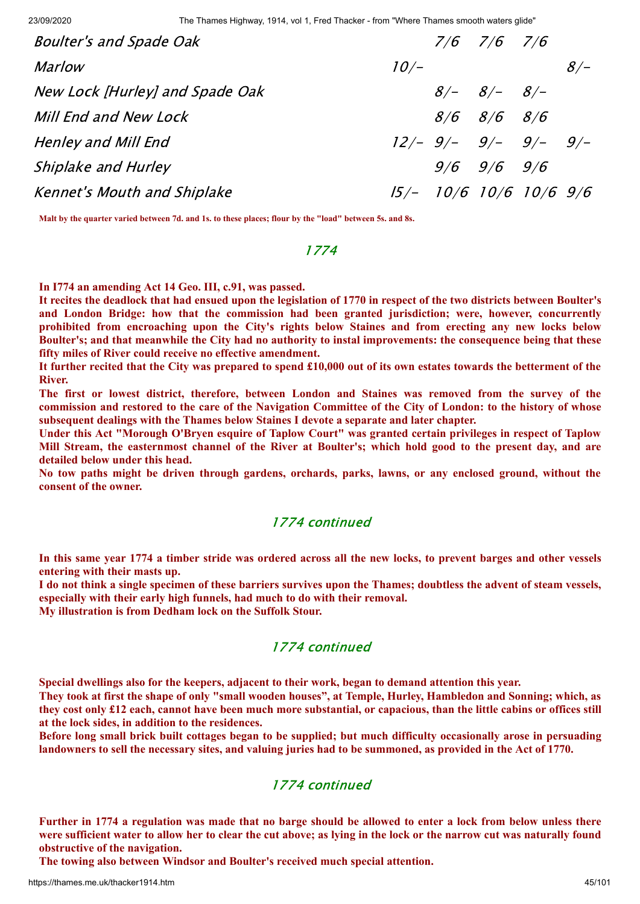| <b>Boulter's and Spade Oak</b>     |                                | $7/6$ $7/6$ $7/6$ |       |
|------------------------------------|--------------------------------|-------------------|-------|
| <i>Marlow</i>                      | $10/-$                         |                   | $8/-$ |
| New Lock [Hurley] and Spade Oak    |                                | $8/ 8/ 8/-$       |       |
| Mill End and New Lock              |                                | $8/6$ $8/6$ $8/6$ |       |
| Henley and Mill End                | $12/- 9/- 9/- 9/- 9/- 9/-$     |                   |       |
| Shiplake and Hurley                |                                | $9/6$ $9/6$ $9/6$ |       |
| <b>Kennet's Mouth and Shiplake</b> | $15/ 10/6$ $10/6$ $10/6$ $9/6$ |                   |       |

**Malt by the quarter varied between 7d. and 1s. to these places; flour by the "load" between 5s. and 8s.**

#### 1774

#### **In I774 an amending Act 14 Geo. III, c.91, was passed.**

It recites the deadlock that had ensued upon the legislation of 1770 in respect of the two districts between Boulter's **and London Bridge: how that the commission had been granted jurisdiction; were, however, concurrently prohibited from encroaching upon the City's rights below Staines and from erecting any new locks below** Boulter's; and that meanwhile the City had no authority to instal improvements: the consequence being that these **fifty miles of River could receive no effective amendment.**

It further recited that the City was prepared to spend £10,000 out of its own estates towards the betterment of the **River.**

**The first or lowest district, therefore, between London and Staines was removed from the survey of the** commission and restored to the care of the Navigation Committee of the City of London: to the history of whose **subsequent dealings with the Thames below Staines I devote a separate and later chapter.**

Under this Act "Morough O'Bryen esquire of Taplow Court" was granted certain privileges in respect of Taplow Mill Stream, the easternmost channel of the River at Boulter's; which hold good to the present day, and are **detailed below under this head.**

**No tow paths might be driven through gardens, orchards, parks, lawns, or any enclosed ground, without the consent of the owner.**

#### 1774 continued

In this same year 1774 a timber stride was ordered across all the new locks, to prevent barges and other vessels **entering with their masts up.**

I do not think a single specimen of these barriers survives upon the Thames; doubtless the advent of steam vessels, **especially with their early high funnels, had much to do with their removal.**

**My illustration is from Dedham lock on the Suffolk Stour.**

# 1774 continued

**Special dwellings also for the keepers, adjacent to their work, began to demand attention this year.**

They took at first the shape of only "small wooden houses", at Temple, Hurley, Hambledon and Sonning; which, as they cost only £12 each, cannot have been much more substantial, or capacious, than the little cabins or offices still **at the lock sides, in addition to the residences.**

Before long small brick built cottages began to be supplied; but much difficulty occasionally arose in persuading landowners to sell the necessary sites, and valuing juries had to be summoned, as provided in the Act of 1770.

#### 1774 continued

Further in 1774 a regulation was made that no barge should be allowed to enter a lock from below unless there were sufficient water to allow her to clear the cut above; as lying in the lock or the narrow cut was naturally found **obstructive of the navigation.**

**The towing also between Windsor and Boulter's received much special attention.**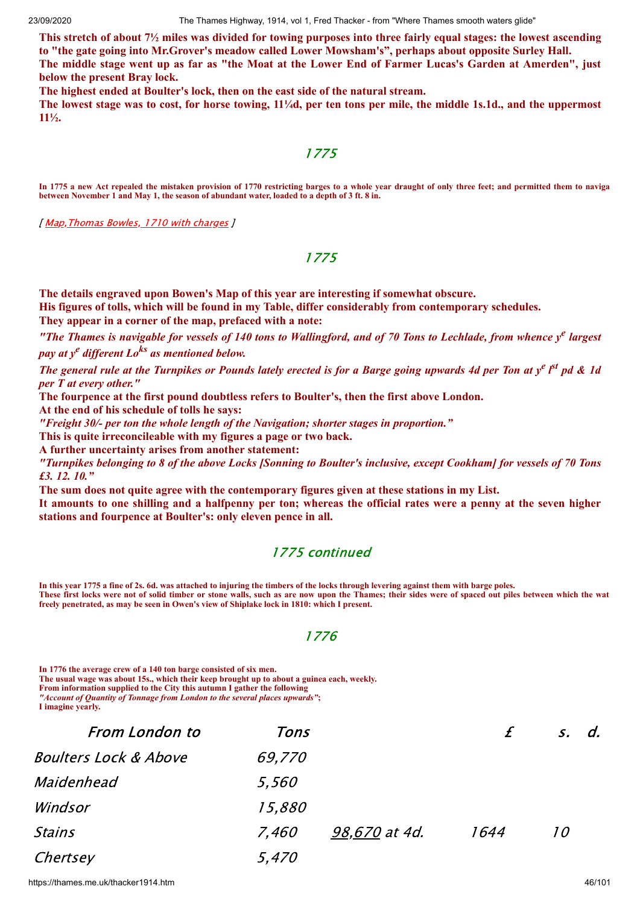This stretch of about  $7\frac{1}{2}$  miles was divided for towing purposes into three fairly equal stages: the lowest ascending **to "the gate going into Mr.Grover's meadow called Lower Mowsham's", perhaps about opposite Surley Hall.** The middle stage went up as far as "the Moat at the Lower End of Farmer Lucas's Garden at Amerden", just **below the present Bray lock.**

**The highest ended at Boulter's lock, then on the east side of the natural stream.**

The lowest stage was to cost, for horse towing,  $11/4d$ , per ten tons per mile, the middle 1s.1d., and the uppermost **11½.**

#### 1775

**In 1775 a new Act repealed the mistaken provision of 1770 restricting barges to a whole year draught of only three feet; and permitted them to naviga between November 1 and May 1, the season of abundant water, loaded to a depth of 3 ft. 8 in.**

[ Map, Thomas Bowles, 1710 with charges ]

#### 1775

**The details engraved upon Bowen's Map of this year are interesting if somewhat obscure.**

**His figures of tolls, which will be found in my Table, differ considerably from contemporary schedules.**

**They appear in a corner of the map, prefaced with a note:**

"The Thames is navigable for vessels of 140 tons to Wallingford, and of 70 Tons to Lechlade, from whence  $y^e$  largest *pay at y <sup>e</sup> dif erent Lo ks as mentioned below.*

The general rule at the Turnpikes or Pounds lately erected is for a Barge going upwards 4d per Ton at y<sup>e pst</sup> pd & 1d *per T at every other."*

**The fourpence at the first pound doubtless refers to Boulter's, then the first above London.**

**At the end of his schedule of tolls he says:**

*"Freight 30/- per ton the whole length of the Navigation; shorter stages in proportion."*

**This is quite irreconcileable with my figures a page or two back.**

**A further uncertainty arises from another statement:**

"Turnpikes belonging to 8 of the above Locks [Sonning to Boulter's inclusive, except Cookham] for vessels of 70 Tons *£3. 12. 10."*

**The sum does not quite agree with the contemporary figures given at these stations in my List.**

It amounts to one shilling and a halfpenny per ton; whereas the official rates were a penny at the seven higher **stations and fourpence at Boulter's: only eleven pence in all.**

# 1775 continued

**In this year 1775 a fine of 2s. 6d. was attached to injuring the timbers of the locks through levering against them with barge poles. These first locks were not of solid timber or stone walls, such as are now upon the Thames; their sides were of spaced out piles between which the wat freely penetrated, as may be seen in Owen's view of Shiplake lock in 1810: which I present.**

#### 1776

**In 1776 the average crew of a 140 ton barge consisted of six men. The usual wage was about 15s., which their keep brought up to about a guinea each, weekly. From information supplied to the City this autumn I gather the following** *"Account of Quantity of Tonnage from London to the several places upwards"***;**

**I imagine yearly.**

| <b>From London to</b>            | Tons   |               |      | s, d. |
|----------------------------------|--------|---------------|------|-------|
| <b>Boulters Lock &amp; Above</b> | 69,770 |               |      |       |
| Maidenhead                       | 5,560  |               |      |       |
| Windsor                          | 15,880 |               |      |       |
| Stains                           | 7,460  | 98,670 at 4d. | 1644 | 10    |
| Chertsey                         | 5,470  |               |      |       |

https://thames.me.uk/thacker1914.htm 46/101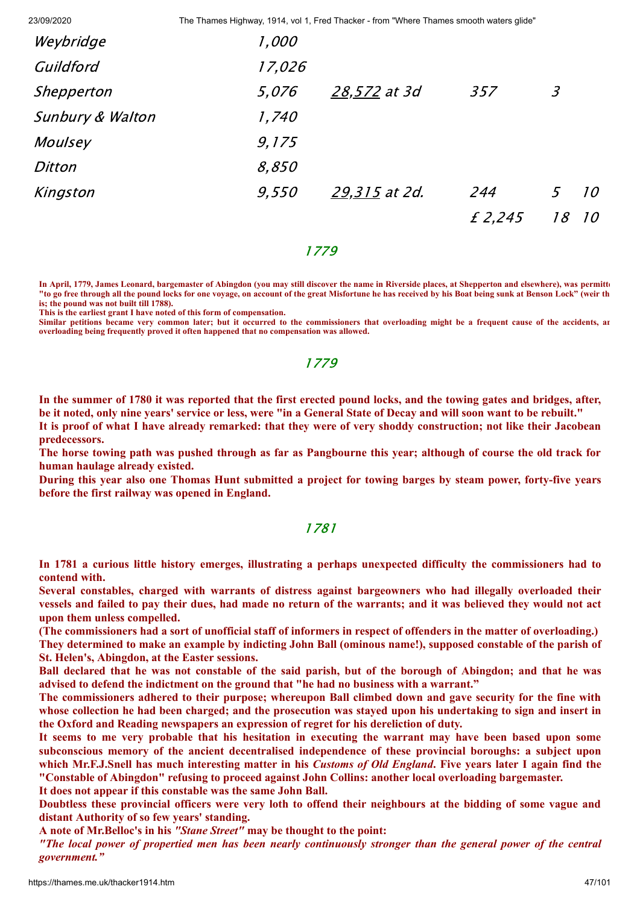| Weybridge                   | 1,000  |               |         |    |    |
|-----------------------------|--------|---------------|---------|----|----|
| Guildford                   | 17,026 |               |         |    |    |
| Shepperton                  | 5,076  | 28,572 at 3d  | 357     | 3  |    |
| <b>Sunbury &amp; Walton</b> | 1,740  |               |         |    |    |
| Moulsey                     | 9,175  |               |         |    |    |
| Ditton                      | 8,850  |               |         |    |    |
| Kingston                    | 9,550  | 29,315 at 2d. | 244     | 5  | 10 |
|                             |        |               | £ 2,245 | 18 | 10 |

#### 1779

**In April, 1779, James Leonard, bargemaster of Abingdon (you may still discover the name in Riverside places, at Shepperton and elsewhere), was permitte "to go free through all the pound locks for one voyage, on account of the great Misfortune he has received by his Boat being sunk at Benson Lock" (weir th is; the pound was not built till 1788).**

**This is the earliest grant I have noted of this form of compensation.**

**Similar petitions became very common later; but it occurred to the commissioners that overloading might be a frequent cause of the accidents, an overloading being frequently proved it often happened that no compensation was allowed.**

### 1779

In the summer of 1780 it was reported that the first erected pound locks, and the towing gates and bridges, after, be it noted, only nine years' service or less, were "in a General State of Decay and will soon want to be rebuilt."

It is proof of what I have already remarked: that they were of very shoddy construction; not like their Jacobean **predecessors.**

The horse towing path was pushed through as far as Pangbourne this year; although of course the old track for **human haulage already existed.**

During this year also one Thomas Hunt submitted a project for towing barges by steam power, forty-five years **before the first railway was opened in England.**

#### 1781

**In 1781 a curious little history emerges, illustrating a perhaps unexpected difficulty the commissioners had to contend with.**

**Several constables, charged with warrants of distress against bargeowners who had illegally overloaded their** vessels and failed to pay their dues, had made no return of the warrants; and it was believed they would not act **upon them unless compelled.**

(The commissioners had a sort of unofficial staff of informers in respect of offenders in the matter of overloading.) They determined to make an example by indicting John Ball (ominous name!), supposed constable of the parish of **St. Helen's, Abingdon, at the Easter sessions.**

Ball declared that he was not constable of the said parish, but of the borough of Abingdon; and that he was **advised to defend the indictment on the ground that "he had no business with a warrant."**

The commissioners adhered to their purpose; whereupon Ball climbed down and gave security for the fine with whose collection he had been charged; and the prosecution was stayed upon his undertaking to sign and insert in **the Oxford and Reading newspapers an expression of regret for his dereliction of duty.**

It seems to me very probable that his hesitation in executing the warrant may have been based upon some **subconscious memory of the ancient decentralised independence of these provincial boroughs: a subject upon** which Mr.F.J.Snell has much interesting matter in his Customs of Old England. Five years later I again find the **"Constable of Abingdon" refusing to proceed against John Collins: another local overloading bargemaster. It does not appear if this constable was the same John Ball.**

Doubtless these provincial officers were very loth to offend their neighbours at the bidding of some vague and **distant Authority of so few years' standing.**

**A note of Mr.Belloc's in his** *"Stane Street"* **may be thought to the point:**

"The local power of propertied men has been nearly continuously stronger than the general power of the central *government."*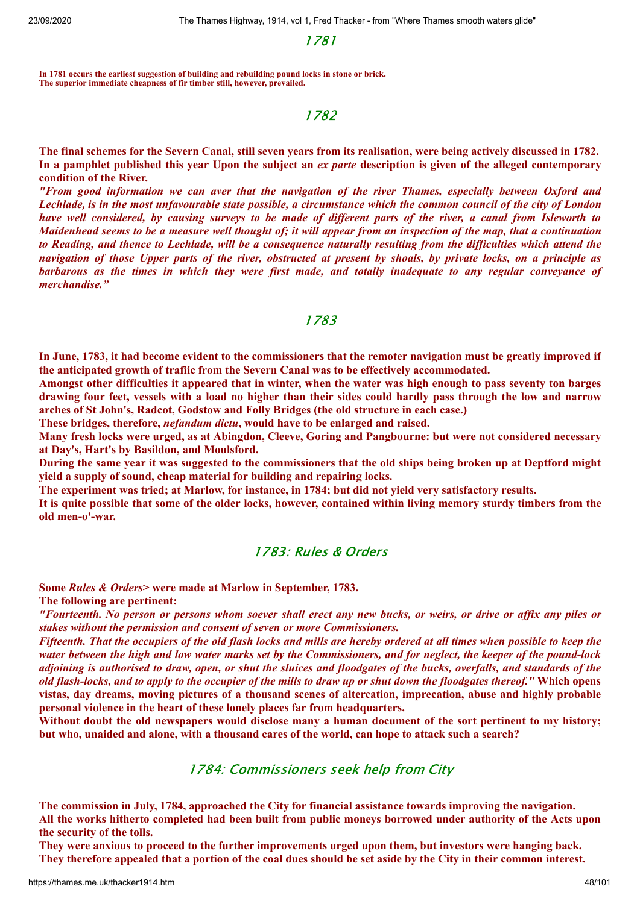1781

**In 1781 occurs the earliest suggestion of building and rebuilding pound locks in stone or brick. The superior immediate cheapness of fir timber still, however, prevailed.**

#### 1782

The final schemes for the Severn Canal, still seven years from its realisation, were being actively discussed in 1782. In a pamphlet published this year Upon the subject an ex parte description is given of the alleged contemporary **condition of the River.**

*"From good information we can aver that the navigation of the river Thames, especially between Oxford and* Lechlade, is in the most unfavourable state possible, a circumstance which the common council of the city of London have well considered, by causing surveys to be made of different parts of the river, a canal from Isleworth to Maidenhead seems to be a measure well thought of; it will appear from an inspection of the map, that a continuation to Reading, and thence to Lechlade, will be a consequence naturally resulting from the difficulties which attend the navigation of those Upper parts of the river, obstructed at present by shoals, by private locks, on a principle as barbarous as the times in which they were first made, and totally inadequate to any regular conveyance of *merchandise."*

#### 1783

In June, 1783, it had become evident to the commissioners that the remoter navigation must be greatly improved if **the anticipated growth of trafiic from the Severn Canal was to be effectively accommodated.**

Amongst other difficulties it appeared that in winter, when the water was high enough to pass seventy ton barges drawing four feet, vessels with a load no higher than their sides could hardly pass through the low and narrow **arches of St John's, Radcot, Godstow and Folly Bridges (the old structure in each case.)**

**These bridges, therefore,** *nefandum dictu***, would have to be enlarged and raised.**

Many fresh locks were urged, as at Abingdon, Cleeve, Goring and Pangbourne: but were not considered necessary **at Day's, Hart's by Basildon, and Moulsford.**

During the same year it was suggested to the commissioners that the old ships being broken up at Deptford might **yield a supply of sound, cheap material for building and repairing locks.**

**The experiment was tried; at Marlow, for instance, in 1784; but did not yield very satisfactory results.**

It is quite possible that some of the older locks, however, contained within living memory sturdy timbers from the **old men-o'-war.**

#### 1783: Rules & Orders

**Some** *Rules & Orders***> were made at Marlow in September, 1783.**

**The following are pertinent:**

"Fourteenth. No person or persons whom soever shall erect any new bucks, or weirs, or drive or affix any piles or *stakes without the permission and consent of seven or more Commissioners.*

Fifteenth. That the occupiers of the old flash locks and mills are hereby ordered at all times when possible to keep the water between the high and low water marks set by the Commissioners, and for neglect, the keeper of the pound-lock adjoining is authorised to draw, open, or shut the sluices and floodgates of the bucks, overfalls, and standards of the old flash-locks, and to apply to the occupier of the mills to draw up or shut down the floodgates thereof." Which opens **vistas, day dreams, moving pictures of a thousand scenes of altercation, imprecation, abuse and highly probable personal violence in the heart of these lonely places far from headquarters.**

Without doubt the old newspapers would disclose many a human document of the sort pertinent to my history; but who, unaided and alone, with a thousand cares of the world, can hope to attack such a search?

# 1784: Commissioners seek help from City

**The commission in July, 1784, approached the City for financial assistance towards improving the navigation.** All the works hitherto completed had been built from public moneys borrowed under authority of the Acts upon **the security of the tolls.**

They were anxious to proceed to the further improvements urged upon them, but investors were hanging back. They therefore appealed that a portion of the coal dues should be set aside by the City in their common interest.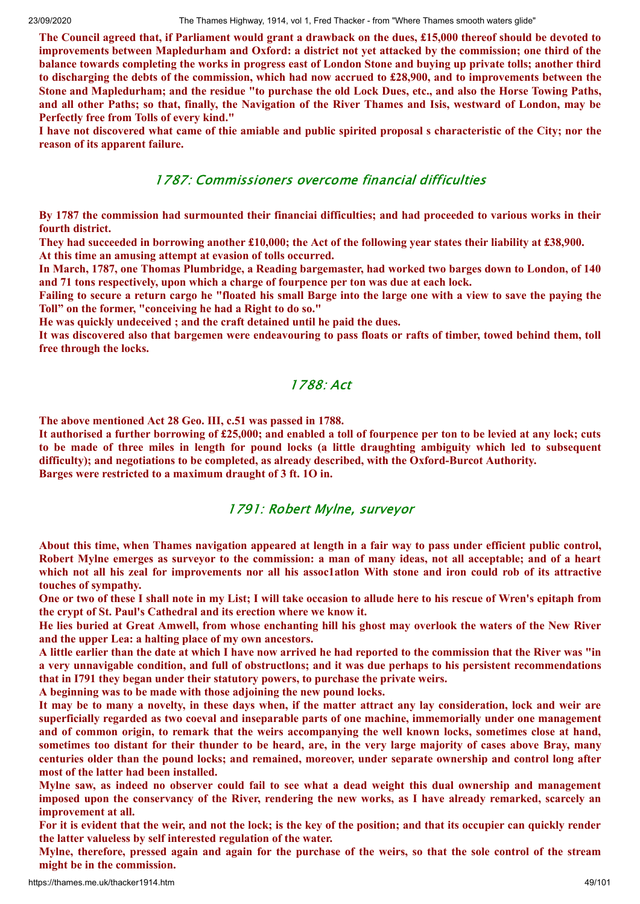The Council agreed that, if Parliament would grant a drawback on the dues, £15,000 thereof should be devoted to improvements between Mapledurham and Oxford: a district not yet attacked by the commission; one third of the balance towards completing the works in progress east of London Stone and buying up private tolls; another third to discharging the debts of the commission, which had now accrued to £28,900, and to improvements between the Stone and Mapledurham; and the residue "to purchase the old Lock Dues, etc., and also the Horse Towing Paths, and all other Paths; so that, finally, the Navigation of the River Thames and Isis, westward of London, may be **Perfectly free from Tolls of every kind."**

I have not discovered what came of thie amiable and public spirited proposal s characteristic of the City; nor the **reason of its apparent failure.**

### 1787: Commissioners overcome financial difficulties

By 1787 the commission had surmounted their financial difficulties; and had proceeded to various works in their **fourth district.**

They had succeeded in borrowing another £10,000; the Act of the following year states their liability at £38,900. **At this time an amusing attempt at evasion of tolls occurred.**

In March, 1787, one Thomas Plumbridge, a Reading bargemaster, had worked two barges down to London, of 140 **and 71 tons respectively, upon which a charge of fourpence per ton was due at each lock.**

Failing to secure a return cargo he "floated his small Barge into the large one with a view to save the paying the **Toll" on the former, "conceiving he had a Right to do so."**

**He was quickly undeceived ; and the craft detained until he paid the dues.**

It was discovered also that bargemen were endeavouring to pass floats or rafts of timber, towed behind them, toll **free through the locks.**

# 1788: Act

**The above mentioned Act 28 Geo. III, c.51 was passed in 1788.**

It authorised a further borrowing of £25,000; and enabled a toll of fourpence per ton to be levied at any lock; cuts to be made of three miles in length for pound locks (a little draughting ambiguity which led to subsequent **difficulty); and negotiations to be completed, as already described, with the Oxford-Burcot Authority. Barges were restricted to a maximum draught of 3 ft. 1O in.**

#### 1791: Robert Mylne, surveyor

About this time, when Thames navigation appeared at length in a fair way to pass under efficient public control, Robert Mylne emerges as surveyor to the commission: a man of many ideas, not all acceptable; and of a heart which not all his zeal for improvements nor all his assoc1ation With stone and iron could rob of its attractive **touches of sympathy.**

One or two of these I shall note in my List; I will take occasion to allude here to his rescue of Wren's epitaph from **the crypt of St. Paul's Cathedral and its erection where we know it.**

He lies buried at Great Amwell, from whose enchanting hill his ghost may overlook the waters of the New River **and the upper Lea: a halting place of my own ancestors.**

A little earlier than the date at which I have now arrived he had reported to the commission that the River was "in a very unnavigable condition, and full of obstructions; and it was due perhaps to his persistent recommendations **that in I791 they began under their statutory powers, to purchase the private weirs.**

**A beginning was to be made with those adjoining the new pound locks.**

It may be to many a novelty, in these days when, if the matter attract any lay consideration, lock and weir are **superficially regarded as two coeval and inseparable parts of one machine, immemorially under one management** and of common origin, to remark that the weirs accompanying the well known locks, sometimes close at hand, sometimes too distant for their thunder to be heard, are, in the very large majority of cases above Bray, many **centuries older than the pound locks; and remained, moreover, under separate ownership and control long after most of the latter had been installed.**

Mylne saw, as indeed no observer could fail to see what a dead weight this dual ownership and management imposed upon the conservancy of the River, rendering the new works, as I have already remarked, scarcely an **improvement at all.**

For it is evident that the weir, and not the lock; is the key of the position; and that its occupier can quickly render **the latter valueless by self interested regulation of the water.**

Mylne, therefore, pressed again and again for the purchase of the weirs, so that the sole control of the stream **might be in the commission.**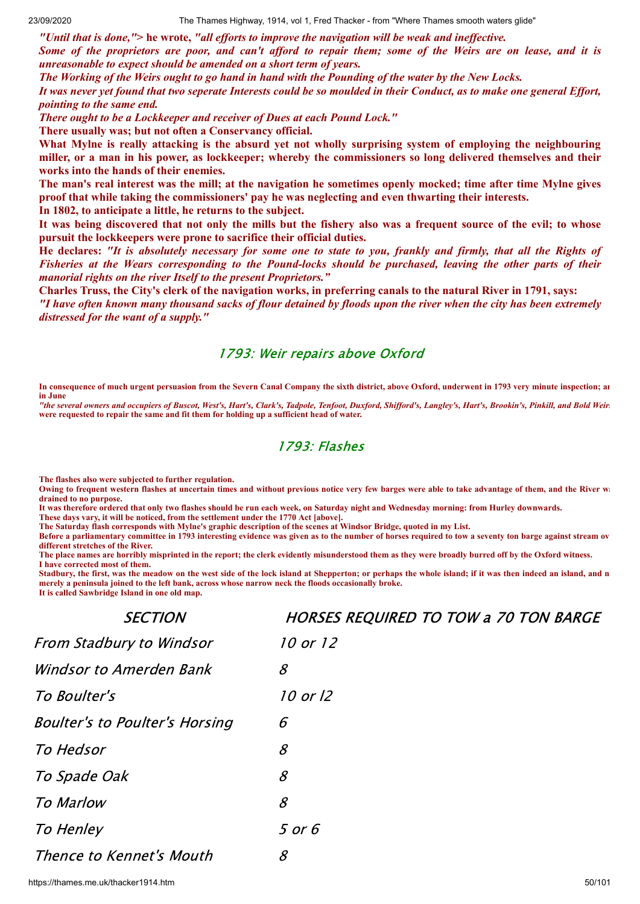"Until that is done,"> he wrote, "all efforts to improve the navigation will be weak and ineffective. Some of the proprietors are poor, and can't afford to repair them; some of the Weirs are on lease, and it is *unreasonable to expect should be amended on a short term of years.*

The Working of the Weirs ought to go hand in hand with the Pounding of the water by the New Locks.

It was never yet found that two seperate Interests could be so moulded in their Conduct, as to make one general Effort, *pointing to the same end.*

*There ought to be a Lockkeeper and receiver of Dues at each Pound Lock."* **There usually was; but not often a Conservancy official.**

What Mylne is really attacking is the absurd vet not wholly surprising system of employing the neighbouring miller, or a man in his power, as lockkeeper; whereby the commissioners so long delivered themselves and their **works into the hands of their enemies.**

The man's real interest was the mill; at the navigation he sometimes openly mocked; time after time Mylne gives **proof that while taking the commissioners' pay he was neglecting and even thwarting their interests.**

**In 1802, to anticipate a little, he returns to the subject.**

It was being discovered that not only the mills but the fishery also was a frequent source of the evil; to whose **pursuit the lockkeepers were prone to sacrifice their official duties.**

He declares: "It is absolutely necessary for some one to state to you, frankly and firmly, that all the Rights of Fisheries at the Wears corresponding to the Pound-locks should be purchased, leaving the other parts of their *manorial rights on the river Itself to the present Proprietors."*

Charles Truss, the City's clerk of the navigation works, in preferring canals to the natural River in 1791, says: "I have often known many thousand sacks of flour detained by floods upon the river when the city has been extremely *distressed for the want of a supply."*

#### 1793: Weir repairs above Oxford

**In consequence of much urgent persuasion from the Severn Canal Company the sixth district, above Oxford, underwent in 1793 very minute inspection; an in June** 

"the several owners and occupiers of Buscot, West's, Hart's, Clark's, Tadpole, Tenfoot, Duxford, Shifford's, Langley's, Hart's, Brookin's, Pinkill, and Bold Weir. **were requested to repair the same and fit them for holding up a sufficient head of water.**

# 1793: Flashes

**The flashes also were subjected to further regulation.**

**Owing to frequent western flashes at uncertain times and without previous notice very few barges were able to take advantage of them, and the River wa drained to no purpose.**

**It was therefore ordered that only two flashes should be run each week, on Saturday night and Wednesday morning: from Hurley downwards.**

**These days vary, it will be noticed, from the settlement under the 1770 Act [above].**

**The Saturday flash corresponds with Mylne's graphic description of the scenes at Windsor Bridge, quoted in my List.**

**Before a parliamentary committee in 1793 interesting evidence was given as to the number of horses required to tow a seventy ton barge against stream ov different stretches of the River.**

**The place names are horribly misprinted in the report; the clerk evidently misunderstood them as they were broadly burred off by the Oxford witness. I have corrected most of them.**

**Stadbury, the first, was the meadow on the west side of the lock island at Shepperton; or perhaps the whole island; if it was then indeed an island, and n merely a peninsula joined to the left bank, across whose narrow neck the floods occasionally broke. It is called Sawbridge Island in one old map.**

| <b>SECTION</b>                        | <b>HORSES REQUIRED TO TOW a 70 TON BARGE</b>              |
|---------------------------------------|-----------------------------------------------------------|
| From Stadbury to Windsor              | 10 or 12                                                  |
| Windsor to Amerden Bank               | $\mathcal{S}_{0}$                                         |
| To Boulter's                          | 10 or 12                                                  |
| <b>Boulter's to Poulter's Horsing</b> | 6                                                         |
| To Hedsor                             | 8                                                         |
| To Spade Oak                          | $\mathcal{S}% _{M_{1},M_{2}}^{\alpha,\beta}(\varepsilon)$ |
| <b>To Marlow</b>                      | $\mathcal{S}$                                             |
| To Henley                             | 5 or 6                                                    |
| Thence to Kennet's Mouth              | 8                                                         |

https://thames.me.uk/thacker1914.htm 50/101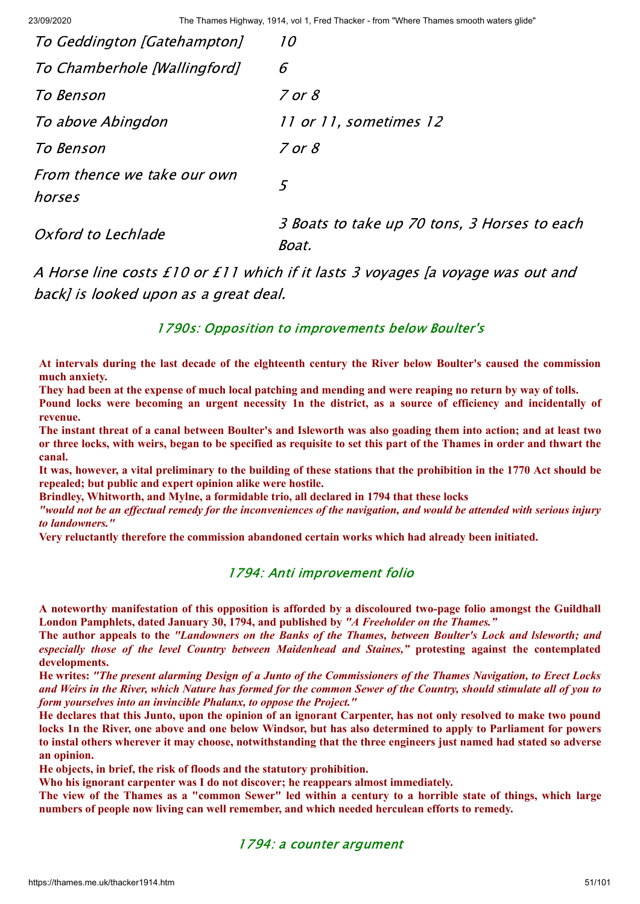| To Geddington [Gatehampton]           | 10                                                    |
|---------------------------------------|-------------------------------------------------------|
| To Chamberhole [Wallingford]          | 6                                                     |
| To Benson                             | $7$ or $8$                                            |
| To above Abingdon                     | 11 or 11, sometimes 12                                |
| To Benson                             | $7$ or $8$                                            |
| From thence we take our own<br>horses | 5                                                     |
| Oxford to Lechlade                    | 3 Boats to take up 70 tons, 3 Horses to each<br>Boat. |

A Horse line costs £10 or £11 which if it lasts 3 voyages [a voyage was out and back] is looked upon as a great deal.

#### 1790s: Opposition to improvements below Boulter's

At intervals during the last decade of the elghteenth century the River below Boulter's caused the commission **much anxiety.**

They had been at the expense of much local patching and mending and were reaping no return by way of tolls.

Pound locks were becoming an urgent necessity 1n the district, as a source of efficiency and incidentally of **revenue.**

The instant threat of a canal between Boulter's and Isleworth was also goading them into action; and at least two or three locks, with weirs, began to be specified as requisite to set this part of the Thames in order and thwart the **canal.**

It was, however, a vital preliminary to the building of these stations that the prohibition in the 1770 Act should be **repealed; but public and expert opinion alike were hostile.**

**Brindley, Whitworth, and Mylne, a formidable trio, all declared in 1794 that these locks**

"would not be an effectual remedy for the inconveniences of the navigation, and would be attended with serious injury *to landowners."*

**Very reluctantly therefore the commission abandoned certain works which had already been initiated.**

#### 1794: Anti improvement folio

**A noteworthy manifestation of this opposition is afforded by a discoloured two-page folio amongst the Guildhall London Pamphlets, dated January 30, 1794, and published by** *"A Freeholder on the Thames."*

The author appeals to the "Landowners on the Banks of the Thames, between Boulter's Lock and Isleworth; and *especially those of the level Country between Maidenhead and Staines,"* **protesting against the contemplated developments.**

He writes: "The present alarming Design of a Junto of the Commissioners of the Thames Navigation, to Erect Locks and Weirs in the River, which Nature has formed for the common Sewer of the Country, should stimulate all of you to *form yourselves into an invincible Phalanx, to oppose the Project."*

He declares that this Junto, upon the opinion of an ignorant Carpenter, has not only resolved to make two pound locks 1n the River, one above and one below Windsor, but has also determined to apply to Parliament for powers to instal others wherever it may choose, notwithstanding that the three engineers just named had stated so adverse **an opinion.**

**He objects, in brief, the risk of floods and the statutory prohibition.**

**Who his ignorant carpenter was I do not discover; he reappears almost immediately.**

The view of the Thames as a "common Sewer" led within a century to a horrible state of things, which large **numbers of people now living can well remember, and which needed herculean efforts to remedy.**

#### 1794: a counter argument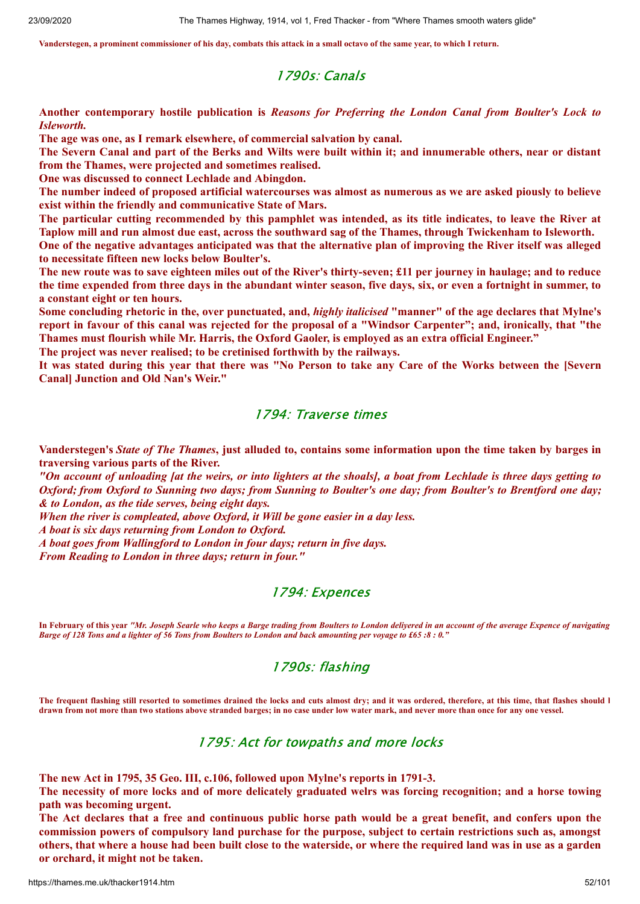**Vanderstegen, a prominent commissioner of his day, combats this attack in a small octavo of the same year, to which I return.**

#### 1790s: Canals

**Another contemporary hostile publication is** *Reasons for Preferring the London Canal from Boulter's Lock to Isleworth.*

**The age was one, as I remark elsewhere, of commercial salvation by canal.**

The Severn Canal and part of the Berks and Wilts were built within it; and innumerable others, near or distant **from the Thames, were projected and sometimes realised.**

**One was discussed to connect Lechlade and Abingdon.**

The number indeed of proposed artificial watercourses was almost as numerous as we are asked piously to believe **exist within the friendly and communicative State of Mars.**

The particular cutting recommended by this pamphlet was intended, as its title indicates, to leave the River at Taplow mill and run almost due east, across the southward sag of the Thames, through Twickenham to Isleworth. One of the negative advantages anticipated was that the alternative plan of improving the River itself was alleged

**to necessitate fifteen new locks below Boulter's.**

The new route was to save eighteen miles out of the River's thirty-seven; £11 per journey in haulage; and to reduce the time expended from three days in the abundant winter season, five days, six, or even a fortnight in summer, to **a constant eight or ten hours.**

Some concluding rhetoric in the, over punctuated, and, *highly italicised* "manner" of the age declares that Mylne's report in favour of this canal was rejected for the proposal of a "Windsor Carpenter"; and, ironically, that "the **Thames must flourish while Mr. Harris, the Oxford Gaoler, is employed as an extra official Engineer."**

**The project was never realised; to be cretinised forthwith by the railways.**

It was stated during this year that there was "No Person to take any Care of the Works between the [Severn **Canal] Junction and Old Nan's Weir."**

## 1794: Traverse times

Vanderstegen's State of The Thames, just alluded to, contains some information upon the time taken by barges in **traversing various parts of the River.**

"On account of unloading [at the weirs, or into lighters at the shoals], a boat from Lechlade is three days getting to Oxford; from Oxford to Sunning two days; from Sunning to Boulter's one day; from Boulter's to Brentford one day; *& to London, as the tide serves, being eight days.*

*When the river is compleated, above Oxford, it Will be gone easier in a day less.*

*A boat is six days returning from London to Oxford.*

*A boat goes from Wallingford to London in four days; return in five days.*

*From Reading to London in three days; return in four."*

#### 1794: Expences

**In February of this year** *"Mr. Joseph Searle who keeps a Barge trading from Boulters to London deliyered in an account of the average Expence of navigating Barge of 128 Tons and a lighter of 56 Tons from Boulters to London and back amounting per voyage to £65 :8 : 0.* 

#### 1790s: flashing

The frequent flashing still resorted to sometimes drained the locks and cuts almost dry; and it was ordered, therefore, at this time, that flashes should l **drawn from not more than two stations above stranded barges; in no case under low water mark, and never more than once for any one vessel.**

#### 1795: Act for towpaths and more locks

**The new Act in 1795, 35 Geo. III, c.106, followed upon Mylne's reports in 1791-3.**

The necessity of more locks and of more delicately graduated welrs was forcing recognition; and a horse towing **path was becoming urgent.**

The Act declares that a free and continuous public horse path would be a great benefit, and confers upon the **commission powers of compulsory land purchase for the purpose, subject to certain restrictions such as, amongst** others, that where a house had been built close to the waterside, or where the required land was in use as a garden **or orchard, it might not be taken.**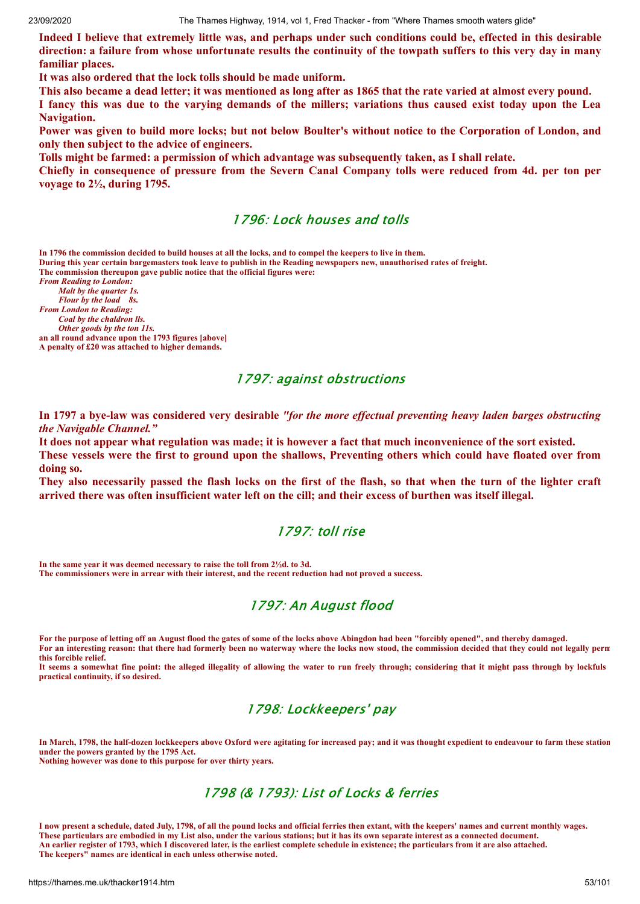Indeed I believe that extremely little was, and perhaps under such conditions could be, effected in this desirable direction: a failure from whose unfortunate results the continuity of the towpath suffers to this very day in many **familiar places.**

**It was also ordered that the lock tolls should be made uniform.**

This also became a dead letter; it was mentioned as long after as 1865 that the rate varied at almost every pound. I fancy this was due to the varying demands of the millers; variations thus caused exist today upon the Lea **Navigation.**

Power was given to build more locks; but not below Boulter's without notice to the Corporation of London, and **only then subject to the advice of engineers.**

**Tolls might be farmed: a permission of which advantage was subsequently taken, as I shall relate.**

Chiefly in consequence of pressure from the Severn Canal Company tolls were reduced from 4d. per ton per **voyage to 2½, during 1795.**

#### 1796: Lock houses and tolls

**In 1796 the commission decided to build houses at all the locks, and to compel the keepers to live in them.**

**During this year certain bargemasters took leave to publish in the Reading newspapers new, unauthorised rates of freight. The commission thereupon gave public notice that the official figures were:**

*From Reading to London: Malt by the quarter 1s. Flour by the load 8s. From London to Reading: Coal by the chaldron lls. Other goods by the ton 11s.*

**an all round advance upon the 1793 figures [above] A penalty of £20 was attached to higher demands.**

#### 1797: against obstructions

In 1797 a bye-law was considered very desirable "for the more effectual preventing heavy laden barges obstructing *the Navigable Channel."*

It does not appear what regulation was made; it is however a fact that much inconvenience of the sort existed. These vessels were the first to ground upon the shallows. Preventing others which could have floated over from **doing so.**

They also necessarily passed the flash locks on the first of the flash, so that when the turn of the lighter craft arrived there was often insufficient water left on the cill; and their excess of burthen was itself illegal.

#### 1797: toll rise

**In the same year it was deemed necessary to raise the toll from 2½d. to 3d. The commissioners were in arrear with their interest, and the recent reduction had not proved a success.**

# 1797: An August flood

**For the purpose of letting off an August flood the gates of some of the locks above Abingdon had been "forcibly opened", and thereby damaged. For an interesting reason: that there had formerly been no waterway where the locks now stood, the commission decided that they could not legally perm this forcible relief.**

**It seems a somewhat fine point: the alleged illegality of allowing the water to run freely through; considering that it might pass through by lockfuls practical continuity, if so desired.**

# 1798: Lockkeepers' pay

**In March, 1798, the half-dozen lockkeepers above Oxford were agitating for increased pay; and it was thought expedient to endeavour to farm these station under the powers granted by the 1795 Act. Nothing however was done to this purpose for over thirty years.**

# 1798 (& 1793): List of Locks & ferries

**I now present a schedule, dated July, 1798, of all the pound locks and official ferries then extant, with the keepers' names and current monthly wages. These particulars are embodied in my List also, under the various stations; but it has its own separate interest as a connected document. An earlier register of 1793, which I discovered later, is the earliest complete schedule in existence; the particulars from it are also attached. The keepers" names are identical in each unless otherwise noted.**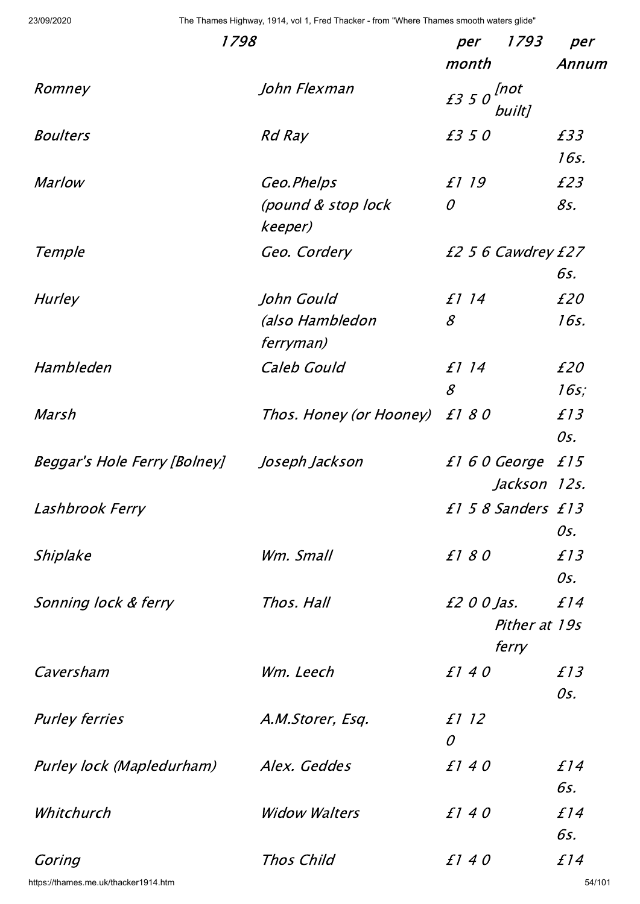| 1798                         | 1793<br>per             | per                                |         |
|------------------------------|-------------------------|------------------------------------|---------|
|                              |                         | month                              | Annum   |
| Romney                       | John Flexman            | $f350$ <sup>[not</sup> ]<br>built] |         |
| <b>Boulters</b>              | <b>Rd Ray</b>           | £350                               | £33     |
|                              |                         |                                    | 16s.    |
| <b>Marlow</b>                | Geo.Phelps              | £1 19                              | £23     |
|                              | (pound & stop lock      | $\mathcal O$                       | 85.     |
|                              | keeper)                 |                                    |         |
| Temple                       | Geo. Cordery            | £2 5 6 Cawdrey £27                 |         |
|                              |                         |                                    | 6s.     |
| <b>Hurley</b>                | John Gould              | £1 14                              | £20     |
|                              | (also Hambledon         | $\mathcal{S}$                      | 16s.    |
|                              | ferryman)               |                                    |         |
| Hambleden                    | Caleb Gould             | £1 14                              | £20     |
|                              |                         | $\mathcal{S}$                      | $16s$ ; |
| Marsh                        | Thos. Honey (or Hooney) | £180                               | f13     |
|                              |                         |                                    | Os.     |
| Beggar's Hole Ferry [Bolney] | Joseph Jackson          | £160 George                        | f15     |
|                              |                         | Jackson 12s.                       |         |
| Lashbrook Ferry              |                         | £158 Sanders £13                   |         |
|                              |                         |                                    | Os.     |
| Shiplake                     | Wm. Small               | £180                               | f13     |
|                              |                         |                                    | Os.     |
| Sonning lock & ferry         | Thos, Hall              | £2 0 0 Jas.                        | f14     |
|                              |                         | Pither at 19s                      |         |
|                              |                         | ferry                              |         |
| Caversham                    | Wm. Leech               | f140                               | f13     |
|                              |                         |                                    | Os.     |
| <b>Purley ferries</b>        | A.M.Storer, Esq.        | £1 12                              |         |
|                              |                         | $\mathcal O$                       |         |
| Purley lock (Mapledurham)    | Alex. Geddes            | f140                               | f14     |
|                              |                         |                                    | 6s.     |
| Whitchurch                   | <b>Widow Walters</b>    | f140                               | f14     |
|                              |                         |                                    | 6s.     |
| Goring                       | Thos Child              | f140                               | f14     |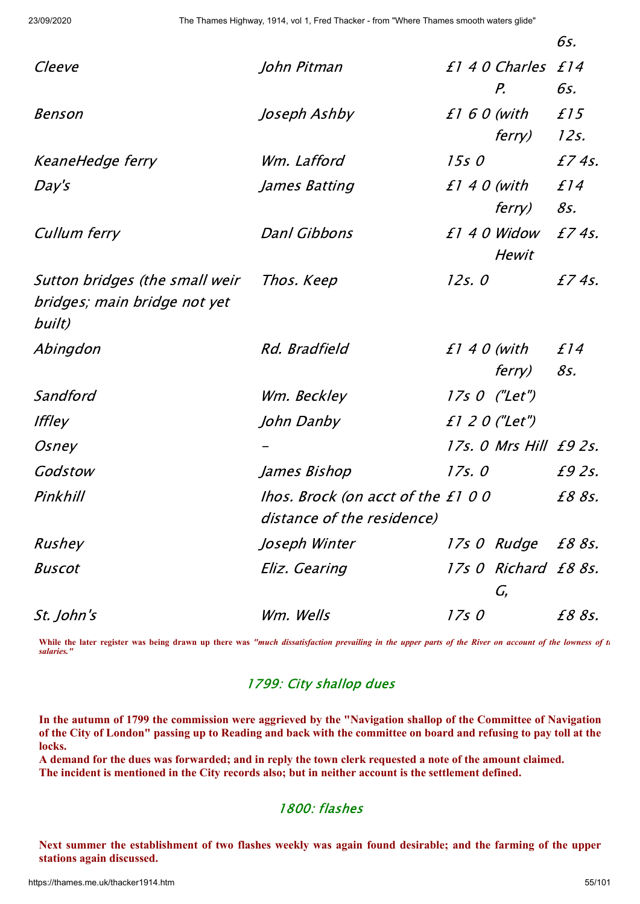|                                                                |                                                                  |               |                              | 6s.        |
|----------------------------------------------------------------|------------------------------------------------------------------|---------------|------------------------------|------------|
| Cleeve                                                         | John Pitman                                                      |               | £1 4 0 Charles               | f14        |
|                                                                |                                                                  |               | $P_{\cdot}$                  | 6s.        |
| Benson                                                         | Joseph Ashby                                                     | $f160$ (with  |                              | f15        |
|                                                                |                                                                  |               | <i>ferry)</i>                | 12s.       |
| KeaneHedge ferry                                               | Wm. Lafford                                                      | 15s0          |                              | £74s.      |
| Day's                                                          | James Batting                                                    |               | <i>£1 4 0 (with</i>          | f14        |
|                                                                |                                                                  |               | <i>ferry)</i>                | 85.        |
| Cullum ferry                                                   | Danl Gibbons                                                     |               | £1 4 0 Widow<br><b>Hewit</b> | £74s.      |
| Sutton bridges (the small weir<br>bridges; main bridge not yet | Thos. Keep                                                       | 12s.0         |                              | £74s.      |
| built)                                                         |                                                                  |               |                              |            |
| Abingdon                                                       | <i>Rd. Bradfield</i>                                             | $f1 40$ (with | <i>ferry)</i>                | f14<br>85. |
| Sandford                                                       | Wm. Beckley                                                      |               | $17s0$ ("Let")               |            |
| <i>Iffley</i>                                                  | John Danby                                                       |               | $f1$ 2 0 ("Let")             |            |
| Osney                                                          |                                                                  |               | 17s. 0 Mrs Hill £9 2s.       |            |
| Godstow                                                        | James Bishop                                                     | 17s.0         |                              | £9 2s.     |
| Pinkhill                                                       | lhos. Brock (on acct of the £1 0 0<br>distance of the residence) |               |                              | £8 8s.     |
| Rushey                                                         | Joseph Winter                                                    |               | 17s 0 Rudge                  | £8 8s.     |
| <b>Buscot</b>                                                  | Eliz. Gearing                                                    |               | 17s 0 Richard £8 8s.<br>G,   |            |
| <i>St. John's</i>                                              | Wm. Wells                                                        | 17s0          |                              | £8 8s.     |

**While the later register was being drawn up there was** *"much dissatisfaction prevailing in the upper parts of the River on account of the lowness of th salaries."*

# 1799: City shallop dues

In the autumn of 1799 the commission were aggrieved by the "Navigation shallop of the Committee of Navigation of the City of London" passing up to Reading and back with the committee on board and refusing to pay toll at the **locks.**

A demand for the dues was forwarded; and in reply the town clerk requested a note of the amount claimed. **The incident is mentioned in the City records also; but in neither account is the settlement defined.**

# 1800: flashes

Next summer the establishment of two flashes weekly was again found desirable; and the farming of the upper **stations again discussed.**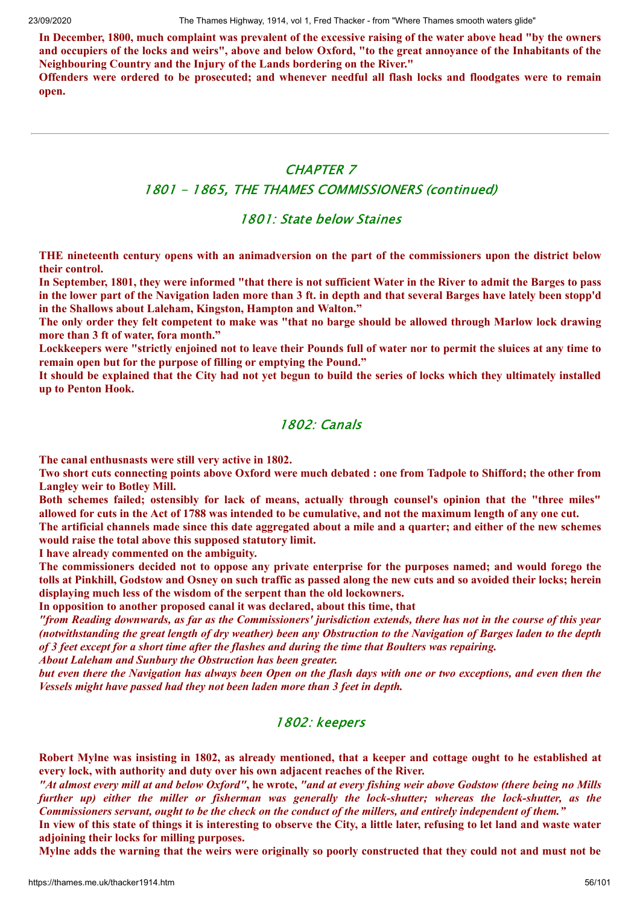In December, 1800, much complaint was prevalent of the excessive raising of the water above head "by the owners and occupiers of the locks and weirs", above and below Oxford, "to the great annovance of the Inhabitants of the **Neighbouring Country and the Injury of the Lands bordering on the River."**

Offenders were ordered to be prosecuted; and whenever needful all flash locks and floodgates were to remain **open.**

# CHAPTER 7

#### 1801 - 1865, THE THAMES COMMISSIONERS (continued)

### 1801: State below Staines

THE nineteenth century opens with an animadversion on the part of the commissioners upon the district below **their control.**

In September, 1801, they were informed "that there is not sufficient Water in the River to admit the Barges to pass in the lower part of the Navigation laden more than 3 ft. in depth and that several Barges have lately been stopp'd **in the Shallows about Laleham, Kingston, Hampton and Walton."**

The only order they felt competent to make was "that no barge should be allowed through Marlow lock drawing **more than 3 ft of water, fora month."**

Lockkeepers were "strictly enjoined not to leave their Pounds full of water nor to permit the sluices at any time to **remain open but for the purpose of filling or emptying the Pound."**

It should be explained that the City had not yet begun to build the series of locks which they ultimately installed **up to Penton Hook.**

# 1802: Canals

**The canal enthusnasts were still very active in 1802.**

Two short cuts connecting points above Oxford were much debated : one from Tadpole to Shifford; the other from **Langley weir to Botley Mill.**

**Both schemes failed; ostensibly for lack of means, actually through counsel's opinion that the "three miles"** allowed for cuts in the Act of 1788 was intended to be cumulative, and not the maximum length of any one cut.

The artificial channels made since this date aggregated about a mile and a quarter; and either of the new schemes **would raise the total above this supposed statutory limit.**

**I have already commented on the ambiguity.**

The commissioners decided not to oppose any private enterprise for the purposes named; and would forego the tolls at Pinkhill, Godstow and Osney on such traffic as passed along the new cuts and so avoided their locks; herein **displaying much less of the wisdom of the serpent than the old lockowners.**

**In opposition to another proposed canal it was declared, about this time, that**

"from Reading downwards, as far as the Commissioners' jurisdiction extends, there has not in the course of this year (notwithstanding the great length of dry weather) been any Obstruction to the Navigation of Barges laden to the depth of 3 feet except for a short time after the flashes and during the time that Boulters was repairing.

*About Laleham and Sunbury the Obstruction has been greater.*

but even there the Navigation has always been Open on the flash days with one or two exceptions, and even then the *Vessels might have passed had they not been laden more than 3 feet in depth.*

# 1802: keepers

Robert Mylne was insisting in 1802, as already mentioned, that a keeper and cottage ought to he established at **every lock, with authority and duty over his own adjacent reaches of the River.**

"At almost every mill at and below Oxford", he wrote, "and at every fishing weir above Godstow (there being no Mills *further up) either the miller or fisherman was generally the lock-shutter; whereas the lock-shutter, as the* Commissioners servant, ought to be the check on the conduct of the millers, and entirely independent of them."

In view of this state of things it is interesting to observe the City, a little later, refusing to let land and waste water **adjoining their locks for milling purposes.**

Mylne adds the warning that the weirs were originally so poorly constructed that they could not and must not be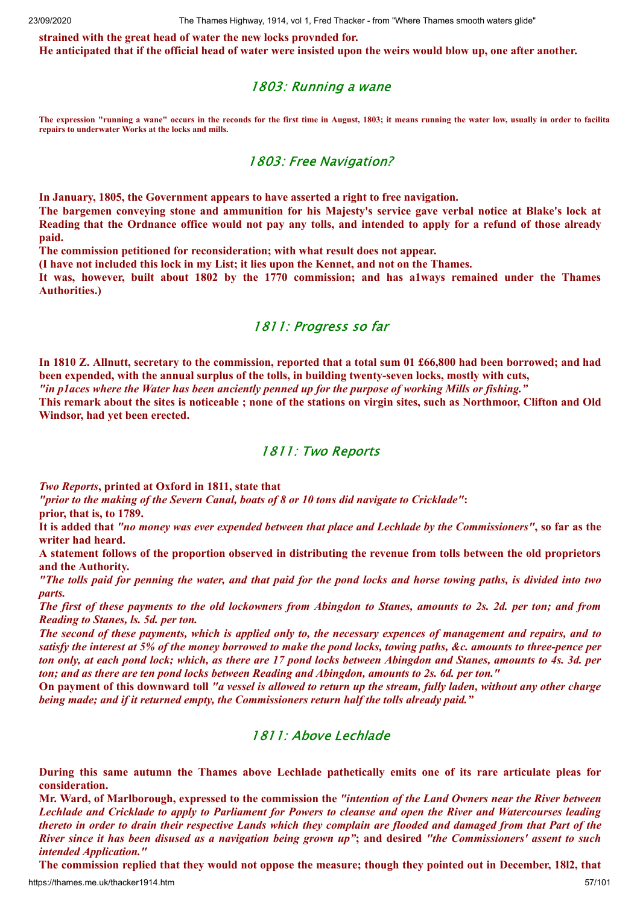**strained with the great head of water the new locks provnded for.** He anticipated that if the official head of water were insisted upon the weirs would blow up, one after another.

#### 1803: Running a wane

**The expression "running a wane" occurs in the reconds for the first time in August, 1803; it means running the water low, usually in order to facilita repairs to underwater Works at the locks and mills.**

#### 1803: Free Navigation?

**In January, 1805, the Government appears to have asserted a right to free navigation.**

The bargemen conveying stone and ammunition for his Majesty's service gave verbal notice at Blake's lock at Reading that the Ordnance office would not pay any tolls, and intended to apply for a refund of those already **paid.**

**The commission petitioned for reconsideration; with what result does not appear.**

**(I have not included this lock in my List; it lies upon the Kennet, and not on the Thames.**

**It was, however, built about 1802 by the 1770 commission; and has a1ways remained under the Thames Authorities.)**

#### 1811: Progress so far

In 1810 Z. Allnutt, secretary to the commission, reported that a total sum 01 £66,800 had been borrowed; and had **been expended, with the annual surplus of the tolls, in building twenty-seven locks, mostly with cuts,** "in places where the Water has been anciently penned up for the purpose of working Mills or fishing." This remark about the sites is noticeable; none of the stations on virgin sites, such as Northmoor, Clifton and Old

**Windsor, had yet been erected.**

#### 1811: Two Reports

*Two Reports***, printed at Oxford in 1811, state that**

*"prior to the making of the Severn Canal, boats of 8 or 10 tons did navigate to Cricklade"***:**

**prior, that is, to 1789.**

It is added that "no money was ever expended between that place and Lechlade by the Commissioners", so far as the **writer had heard.**

A statement follows of the proportion observed in distributing the revenue from tolls between the old proprietors **and the Authority.**

"The tolls paid for penning the water, and that paid for the pond locks and horse towing paths, is divided into two *parts.*

The first of these payments to the old lockowners from Abingdon to Stanes, amounts to 2s. 2d. per ton; and from *Reading to Stanes, ls. 5d. per ton.*

The second of these payments, which is applied only to, the necessary expences of management and repairs, and to satisfy the interest at 5% of the money borrowed to make the pond locks, towing paths, &c. amounts to three-pence per ton only, at each pond lock; which, as there are 17 pond locks between Abingdon and Stanes, amounts to 4s. 3d. per *ton; and as there are ten pond locks between Reading and Abingdon, amounts to 2s. 6d. per ton."*

On payment of this downward toll "a vessel is allowed to return up the stream, fully laden, without any other charge *being made; and if it returned empty, the Commissioners return half the tolls already paid."*

#### 1811: Above Lechlade

**During this same autumn the Thames above Lechlade pathetically emits one of its rare articulate pleas for consideration.**

Mr. Ward, of Marlborough, expressed to the commission the "intention of the Land Owners near the River between Lechlade and Cricklade to apply to Parliament for Powers to cleanse and open the River and Watercourses leading thereto in order to drain their respective Lands which they complain are flooded and damaged from that Part of the River since it has been disused as a navigation being grown up"; and desired "the Commissioners' assent to such *intended Application."*

https://thames.me.uk/thacker1914.htm 57/101 The commission replied that they would not oppose the measure; though they pointed out in December, 1812, that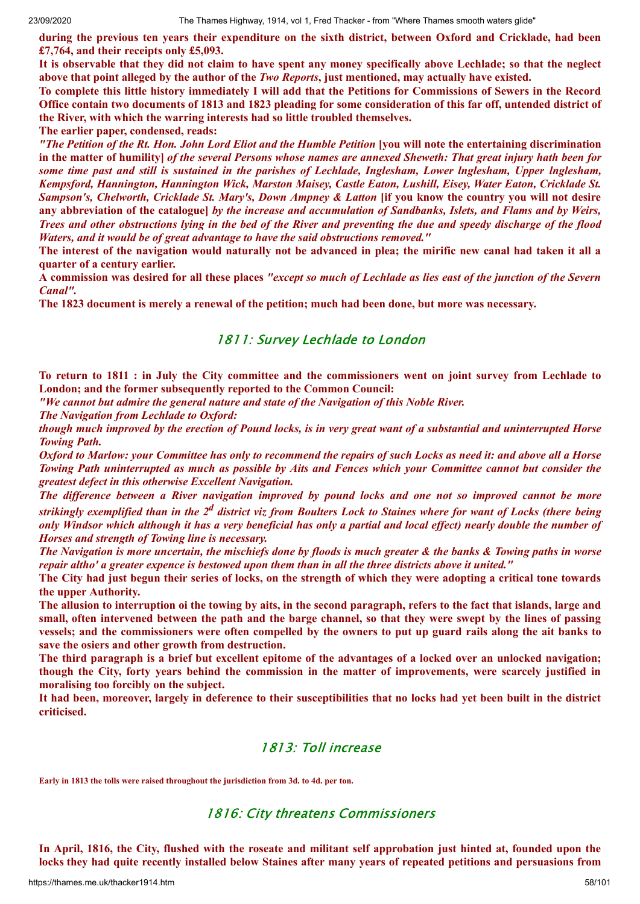during the previous ten years their expenditure on the sixth district, between Oxford and Cricklade, had been **£7,764, and their receipts only £5,093.**

It is observable that they did not claim to have spent any money specifically above Lechlade; so that the neglect above that point alleged by the author of the *Two Reports*, just mentioned, may actually have existed.

To complete this little history immediately I will add that the Petitions for Commissions of Sewers in the Record Office contain two documents of 1813 and 1823 pleading for some consideration of this far off, untended district of **the River, with which the warring interests had so little troubled themselves.**

**The earlier paper, condensed, reads:**

"The Petition of the Rt. Hon. John Lord Eliot and the Humble Petition [you will note the entertaining discrimination in the matter of humility] of the several Persons whose names are annexed Sheweth: That great injury hath been for some time past and still is sustained in the parishes of Lechlade, Inglesham, Lower Inglesham, Upper Inglesham, *Kempsford, Hannington, Hannington Wick, Marston Maisey, Castle Eaton, Lushill, Eisey, Water Eaton, Cricklade St.* Sampson's, Chelworth, Cricklade St. Mary's, Down Ampney & Latton [if you know the country you will not desire any abbreviation of the catalogue] by the increase and accumulation of Sandbanks, Islets, and Flams and by Weirs, Trees and other obstructions lying in the bed of the River and preventing the due and speedy discharge of the flood *Waters, and it would be of great advantage to have the said obstructions removed."*

The interest of the navigation would naturally not be advanced in plea; the mirific new canal had taken it all a **quarter of a century earlier.**

A commission was desired for all these places "except so much of Lechlade as lies east of the junction of the Severn *Canal".*

**The 1823 document is merely a renewal of the petition; much had been done, but more was necessary.**

#### 1811: Survey Lechlade to London

To return to 1811 : in July the City committee and the commissioners went on joint survey from Lechlade to **London; and the former subsequently reported to the Common Council:**

*"We cannot but admire the general nature and state of the Navigation of this Noble River.*

*The Navigation from Lechlade to Oxford:*

though much improved by the erection of Pound locks, is in very great want of a substantial and uninterrupted Horse *Towing Path.*

Oxford to Marlow: your Committee has only to recommend the repairs of such Locks as need it: and above all a Horse Towing Path uninterrupted as much as possible by Aits and Fences which your Committee cannot but consider the *greatest defect in this otherwise Excellent Navigation.*

The difference between a River navigation improved by pound locks and one not so improved cannot be more strikingly exemplified than in the  $2^d$  district viz from Boulters Lock to Staines where for want of Locks (there being only Windsor which although it has a very beneficial has only a partial and local effect) nearly double the number of *Horses and strength of Towing line is necessary.*

The Navigation is more uncertain, the mischiefs done by floods is much greater & the banks & Towing paths in worse repair altho' a greater expence is bestowed upon them than in all the three districts above it united."

The City had just begun their series of locks, on the strength of which they were adopting a critical tone towards **the upper Authority.**

The allusion to interruption oi the towing by aits, in the second paragraph, refers to the fact that islands, large and small, often intervened between the path and the barge channel, so that they were swept by the lines of passing vessels; and the commissioners were often compelled by the owners to put up guard rails along the ait banks to **save the osiers and other growth from destruction.**

The third paragraph is a brief but excellent epitome of the advantages of a locked over an unlocked navigation; though the City, forty years behind the commission in the matter of improvements, were scarcely justified in **moralising too forcibly on the subject.**

It had been, moreover, largely in deference to their susceptibilities that no locks had yet been built in the district **criticised.**

#### 1813: Toll increase

**Early in 1813 the tolls were raised throughout the jurisdiction from 3d. to 4d. per ton.**

#### 1816: City threatens Commissioners

In April, 1816, the City, flushed with the roseate and militant self approbation just hinted at, founded upon the locks they had quite recently installed below Staines after many years of repeated petitions and persuasions from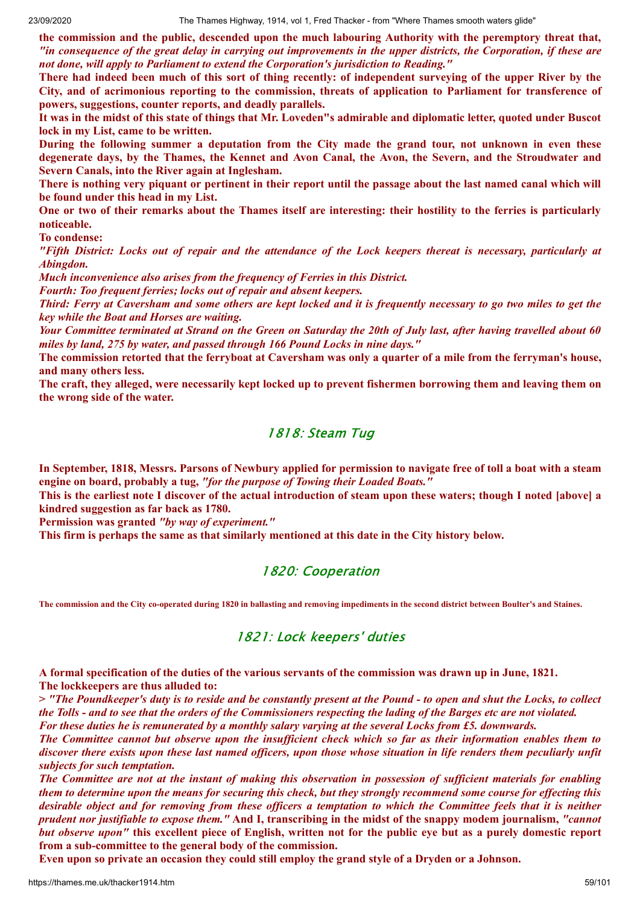**the commission and the public, descended upon the much labouring Authority with the peremptory threat that,** "in consequence of the great delay in carrying out improvements in the upper districts, the Corporation, if these are *not done, will apply to Parliament to extend the Corporation's jurisdiction to Reading."*

There had indeed been much of this sort of thing recently; of independent surveying of the upper River by the **City, and of acrimonious reporting to the commission, threats of application to Parliament for transference of powers, suggestions, counter reports, and deadly parallels.**

It was in the midst of this state of things that Mr. Loveden''s admirable and diplomatic letter, quoted under Buscot **lock in my List, came to be written.**

During the following summer a deputation from the City made the grand tour, not unknown in even these degenerate days, by the Thames, the Kennet and Avon Canal, the Avon, the Severn, and the Stroudwater and **Severn Canals, into the River again at Inglesham.**

There is nothing very piquant or pertinent in their report until the passage about the last named canal which will **be found under this head in my List.**

One or two of their remarks about the Thames itself are interesting: their hostility to the ferries is particularly **noticeable.**

**To condense:**

"Fifth District: Locks out of repair and the attendance of the Lock keepers thereat is necessary, particularly at *Abingdon.*

*Much inconvenience also arises from the frequency of Ferries in this District.*

*Fourth: Too frequent ferries; locks out of repair and absent keepers.*

Third: Ferry at Caversham and some others are kept locked and it is frequently necessary to go two miles to get the *key while the Boat and Horses are waiting.*

Your Committee terminated at Strand on the Green on Saturday the 20th of July last, after having travelled about 60 *miles by land, 275 by water, and passed through 166 Pound Locks in nine days."*

The commission retorted that the ferryboat at Caversham was only a quarter of a mile from the ferryman's house, **and many others less.**

The craft, they alleged, were necessarily kept locked up to prevent fishermen borrowing them and leaving them on **the wrong side of the water.**

## 1818: Steam Tug

In September, 1818, Messrs. Parsons of Newbury applied for permission to navigate free of toll a boat with a steam **engine on board, probably a tug,** *"for the purpose of Towing their Loaded Boats."*

This is the earliest note I discover of the actual introduction of steam upon these waters; though I noted [above] a **kindred suggestion as far back as 1780.**

**Permission was granted** *"by way of experiment."*

**This firm is perhaps the same as that similarly mentioned at this date in the City history below.**

#### 1820: Cooperation

**The commission and the City co-operated during 1820 in ballasting and removing impediments in the second district between Boulter's and Staines.**

#### 1821: Lock keepers' duties

A formal specification of the duties of the various servants of the commission was drawn up in June, 1821. **The lockkeepers are thus alluded to:**

> "The Poundkeeper's duty is to reside and be constantly present at the Pound - to open and shut the Locks, to collect the Tolls - and to see that the orders of the Commissioners respecting the lading of the Barges etc are not violated. For these duties he is remunerated by a monthly salary varying at the several Locks from £5, downwards.

The Committee cannot but observe upon the insufficient check which so far as their information enables them to discover there exists upon these last named officers, upon those whose situation in life renders them peculiarly unfit *subjects for such temptation.*

The Committee are not at the instant of making this observation in possession of sufficient materials for enabling them to determine upon the means for securing this check, but they strongly recommend some course for effecting this desirable object and for removing from these officers a temptation to which the Committee feels that it is neither prudent nor justifiable to expose them." And I, transcribing in the midst of the snappy modem journalism, "cannot but observe upon" this excellent piece of English, written not for the public eye but as a purely domestic report **from a sub-committee to the general body of the commission.**

Even upon so private an occasion they could still employ the grand style of a Dryden or a Johnson.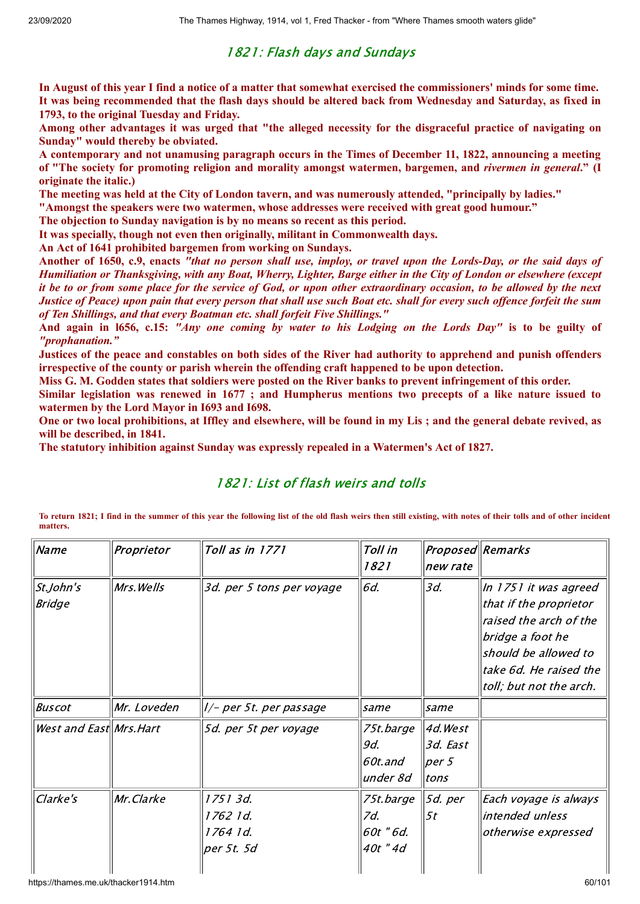# 1821: Flash days and Sundays

In August of this year I find a notice of a matter that somewhat exercised the commissioners' minds for some time. It was being recommended that the flash days should be altered back from Wednesday and Saturday, as fixed in **1793, to the original Tuesday and Friday.**

Among other advantages it was urged that "the alleged necessity for the disgraceful practice of navigating on **Sunday" would thereby be obviated.**

**A contemporary and not unamusing paragraph occurs in the Times of December 11, 1822, announcing a meeting** of "The society for promoting religion and morality amongst watermen, bargemen, and rivermen in general." (I **originate the italic.)**

**The meeting was held at the City of London tavern, and was numerously attended, "principally by ladies."**

**"Amongst the speakers were two watermen, whose addresses were received with great good humour."**

**The objection to Sunday navigation is by no means so recent as this period.**

**It was specially, though not even then originally, militant in Commonwealth days.**

**An Act of 1641 prohibited bargemen from working on Sundays.**

Another of 1650, c.9, enacts "that no person shall use, imploy, or travel upon the Lords-Day, or the said days of Humiliation or Thanksgiving, with any Boat, Wherry, Lighter, Barge either in the City of London or elsewhere (except it be to or from some place for the service of God, or upon other extraordinary occasion, to be allowed by the next Justice of Peace) upon pain that every person that shall use such Boat etc. shall for every such offence forfeit the sum *of Ten Shillings, and that every Boatman etc. shall forfeit Five Shillings."*

And again in 1656, c.15: "Any one coming by water to his Lodging on the Lords Day" is to be guilty of *"prophanation."*

Justices of the peace and constables on both sides of the River had authority to apprehend and punish offenders **irrespective of the county or parish wherein the offending craft happened to be upon detection.**

Miss G. M. Godden states that soldiers were posted on the River banks to prevent infringement of this order.

Similar legislation was renewed in 1677 : and Humpherus mentions two precepts of a like nature issued to **watermen by the Lord Mayor in I693 and I698.**

One or two local prohibitions, at Iffley and elsewhere, will be found in my Lis; and the general debate revived, as **will be described, in 1841.**

**The statutory inhibition against Sunday was expressly repealed in a Watermen's Act of 1827.**

# 1821: List of flash weirs and tolls

**To return 1821; I find in the summer of this year the following list of the old flash weirs then still existing, with notes of their tolls and of other incident matters.**

| <b>Name</b>                | Proprietor  | Toll as in 1771                                | Toll in<br>1821                           | Proposed Remarks<br>new rate          |                                                                                                                                                                            |
|----------------------------|-------------|------------------------------------------------|-------------------------------------------|---------------------------------------|----------------------------------------------------------------------------------------------------------------------------------------------------------------------------|
| St.John's<br><b>Bridge</b> | Mrs.Wells   | 3d. per 5 tons per voyage                      | 6d.                                       | 3d.                                   | In 1751 it was agreed<br>that if the proprietor<br>raised the arch of the<br>bridge a foot he<br>should be allowed to<br>take 6d. He raised the<br>toll; but not the arch. |
| <b>Buscot</b>              | Mr. Loveden | l/- per 5t. per passage                        | same                                      | same                                  |                                                                                                                                                                            |
| West and East Mrs. Hart    |             | 5d. per 5t per voyage                          | 75t.barge<br>9d.<br>60t.and<br>under 8d   | 4d. West<br>3d. East<br>per 5<br>tons |                                                                                                                                                                            |
| Clarke's                   | Mr.Clarke   | 1751 3d.<br>1762 1d.<br>1764 1d.<br>per 5t. 5d | 75t.barge<br>7d.<br>60t " 6d.<br>40t " 4d | 5d. per<br>5 <sub>t</sub>             | Each voyage is always<br>intended unless<br>otherwise expressed                                                                                                            |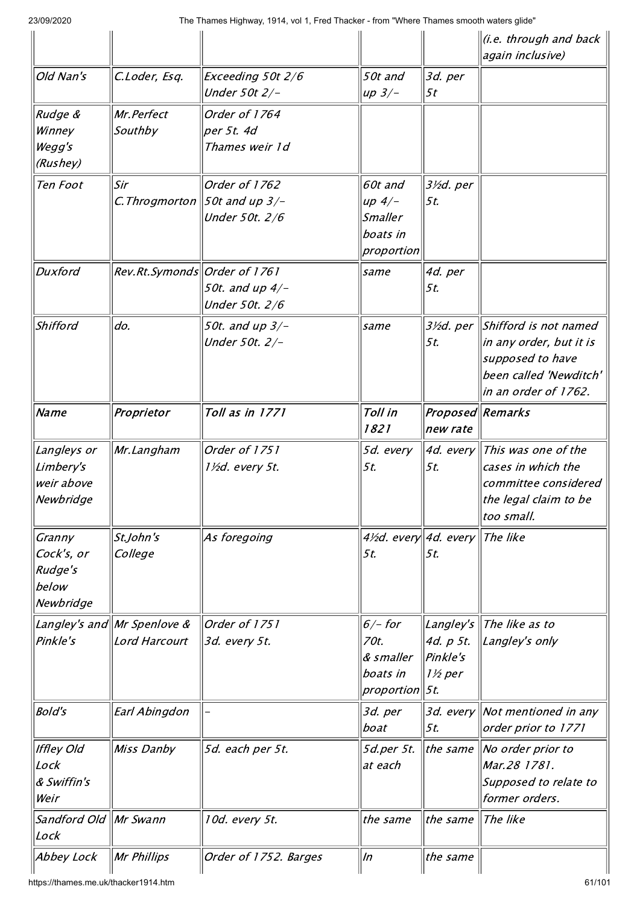|                                                       |                                              |                                                     |                                                                 |                                              | (i.e. through and back<br>again inclusive)                                                                             |
|-------------------------------------------------------|----------------------------------------------|-----------------------------------------------------|-----------------------------------------------------------------|----------------------------------------------|------------------------------------------------------------------------------------------------------------------------|
| Old Nan's                                             | C.Loder, Esq.                                | Exceeding 50t 2/6<br>Under 50t 2/-                  | 50t and<br>$up$ 3/-                                             | 3d. per<br>5t                                |                                                                                                                        |
| Rudge &<br>Winney<br>Wegg's<br>(Rushey)               | Mr.Perfect<br>Southby                        | Order of 1764<br>per 5t. 4d<br>Thames weir 1d       |                                                                 |                                              |                                                                                                                        |
| Ten Foot                                              | Sir<br>C. Throgmorton                        | Order of 1762<br>50t and up $3/-$<br>Under 50t. 2/6 | 60t and<br>up $4/-$<br><b>Smaller</b><br>boats in<br>proportion | 3½d. per<br>5t.                              |                                                                                                                        |
| <b>Duxford</b>                                        | Rev.Rt.Symonds  Order of 1761                | 50t. and up 4/-<br>Under 50t. 2/6                   | same                                                            | 4d. per<br>5t.                               |                                                                                                                        |
| Shifford                                              | do.                                          | 50t. and up 3/-<br>Under 50t. 2/-                   | same                                                            | 3½d. per<br>5t.                              | Shifford is not named<br>in any order, but it is<br>supposed to have<br>been called 'Newditch'<br>in an order of 1762. |
| Name                                                  | Proprietor                                   | Toll as in 1771                                     | Toll in<br>1821                                                 | Proposed Remarks<br>new rate                 |                                                                                                                        |
| Langleys or<br>Limbery's<br>weir above<br>Newbridge   | Mr.Langham                                   | Order of 1751<br>1½d. every 5t.                     | 5d. every<br>5t.                                                | 4d. every<br>5t.                             | This was one of the<br>cases in which the<br>committee considered<br>the legal claim to be<br>too small.               |
| Granny<br>Cock's, or<br>Rudge's<br>below<br>Newbridge | St.John's<br>College                         | As foregoing                                        | 4½d. every 4d. every<br>5t.                                     | 5t.                                          | The like                                                                                                               |
| Pinkle's                                              | Langley's and Mr Spenlove &<br>Lord Harcourt | Order of 1751<br>3d. every 5t.                      | $6/-$ for<br>70t.<br>& smaller<br>boats in<br>proportion  5t.   | Langley's<br>4d. p 5t.<br>Pinkle's<br>1½ per | The like as to<br>$\parallel$ Langley's only                                                                           |
| <b>Bold's</b>                                         | Earl Abingdon                                |                                                     | 3d. per<br>boat                                                 | 5t.                                          | 3d. every Not mentioned in any<br>order prior to 1771                                                                  |
| <b>Iffley Old</b><br>Lock<br>& Swiffin's<br>Weir      | Miss Danby                                   | 5d. each per 5t.                                    | 5d.per 5t.<br>at each                                           | the same                                     | $\parallel$ No order prior to<br>Mar.28 1781.<br>Supposed to relate to<br>former orders.                               |
| Sandford Old Mr Swann<br>Lock                         |                                              | 10d. every 5t.                                      | the same                                                        | the same                                     | The like                                                                                                               |
| Abbey Lock                                            | Mr Phillips                                  | Order of 1752. Barges                               | $\ln$                                                           | the same                                     |                                                                                                                        |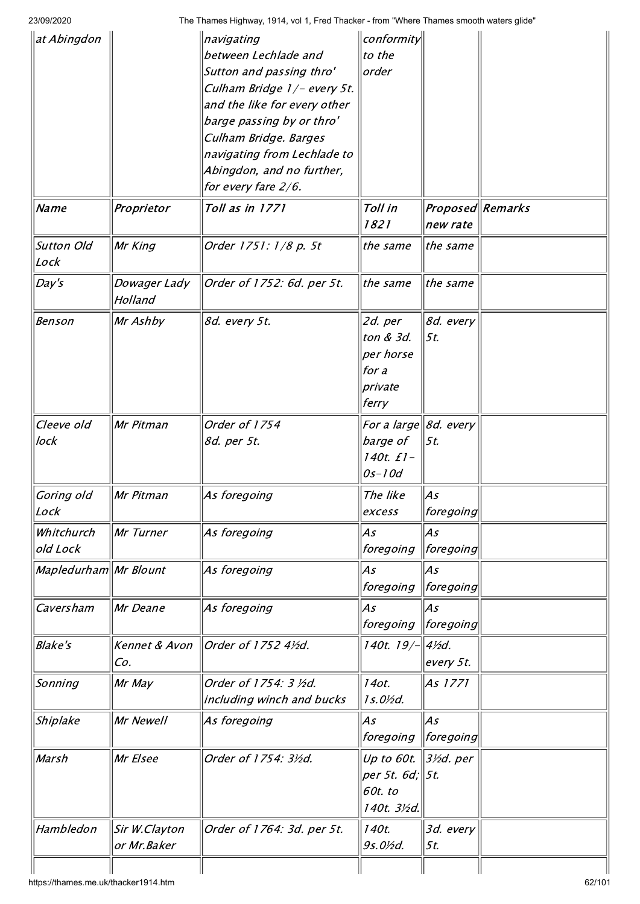|                              | navigating                                                                                                                              |                                                                                                                                                                                                                                                                                                                                                                  |                                                                                                                                                                           |                                                                                                                                                                                                                                                                                                                           |
|------------------------------|-----------------------------------------------------------------------------------------------------------------------------------------|------------------------------------------------------------------------------------------------------------------------------------------------------------------------------------------------------------------------------------------------------------------------------------------------------------------------------------------------------------------|---------------------------------------------------------------------------------------------------------------------------------------------------------------------------|---------------------------------------------------------------------------------------------------------------------------------------------------------------------------------------------------------------------------------------------------------------------------------------------------------------------------|
|                              | between Lechlade and                                                                                                                    | to the                                                                                                                                                                                                                                                                                                                                                           |                                                                                                                                                                           |                                                                                                                                                                                                                                                                                                                           |
|                              |                                                                                                                                         | order                                                                                                                                                                                                                                                                                                                                                            |                                                                                                                                                                           |                                                                                                                                                                                                                                                                                                                           |
|                              |                                                                                                                                         |                                                                                                                                                                                                                                                                                                                                                                  |                                                                                                                                                                           |                                                                                                                                                                                                                                                                                                                           |
|                              |                                                                                                                                         |                                                                                                                                                                                                                                                                                                                                                                  |                                                                                                                                                                           |                                                                                                                                                                                                                                                                                                                           |
|                              |                                                                                                                                         |                                                                                                                                                                                                                                                                                                                                                                  |                                                                                                                                                                           |                                                                                                                                                                                                                                                                                                                           |
|                              |                                                                                                                                         |                                                                                                                                                                                                                                                                                                                                                                  |                                                                                                                                                                           |                                                                                                                                                                                                                                                                                                                           |
|                              |                                                                                                                                         |                                                                                                                                                                                                                                                                                                                                                                  |                                                                                                                                                                           |                                                                                                                                                                                                                                                                                                                           |
|                              |                                                                                                                                         |                                                                                                                                                                                                                                                                                                                                                                  |                                                                                                                                                                           |                                                                                                                                                                                                                                                                                                                           |
|                              |                                                                                                                                         |                                                                                                                                                                                                                                                                                                                                                                  |                                                                                                                                                                           |                                                                                                                                                                                                                                                                                                                           |
|                              |                                                                                                                                         |                                                                                                                                                                                                                                                                                                                                                                  |                                                                                                                                                                           |                                                                                                                                                                                                                                                                                                                           |
| Proprietor                   | Toll as in 1771                                                                                                                         | Toll in<br>1821                                                                                                                                                                                                                                                                                                                                                  | new rate                                                                                                                                                                  |                                                                                                                                                                                                                                                                                                                           |
|                              | Order 1751: 1/8 p. 5t                                                                                                                   | the same                                                                                                                                                                                                                                                                                                                                                         | the same                                                                                                                                                                  |                                                                                                                                                                                                                                                                                                                           |
| Dowager Lady<br>Holland      | Order of 1752: 6d. per 5t.                                                                                                              | the same                                                                                                                                                                                                                                                                                                                                                         | the same                                                                                                                                                                  |                                                                                                                                                                                                                                                                                                                           |
|                              |                                                                                                                                         |                                                                                                                                                                                                                                                                                                                                                                  |                                                                                                                                                                           |                                                                                                                                                                                                                                                                                                                           |
|                              |                                                                                                                                         |                                                                                                                                                                                                                                                                                                                                                                  |                                                                                                                                                                           |                                                                                                                                                                                                                                                                                                                           |
|                              |                                                                                                                                         |                                                                                                                                                                                                                                                                                                                                                                  |                                                                                                                                                                           |                                                                                                                                                                                                                                                                                                                           |
|                              |                                                                                                                                         |                                                                                                                                                                                                                                                                                                                                                                  |                                                                                                                                                                           |                                                                                                                                                                                                                                                                                                                           |
|                              |                                                                                                                                         |                                                                                                                                                                                                                                                                                                                                                                  |                                                                                                                                                                           |                                                                                                                                                                                                                                                                                                                           |
|                              |                                                                                                                                         |                                                                                                                                                                                                                                                                                                                                                                  |                                                                                                                                                                           |                                                                                                                                                                                                                                                                                                                           |
|                              |                                                                                                                                         |                                                                                                                                                                                                                                                                                                                                                                  |                                                                                                                                                                           |                                                                                                                                                                                                                                                                                                                           |
| Mr Pitman                    | Order of 1754                                                                                                                           |                                                                                                                                                                                                                                                                                                                                                                  |                                                                                                                                                                           |                                                                                                                                                                                                                                                                                                                           |
|                              | 8d. per 5t.                                                                                                                             | barge of                                                                                                                                                                                                                                                                                                                                                         | 5t.                                                                                                                                                                       |                                                                                                                                                                                                                                                                                                                           |
|                              |                                                                                                                                         | 140t. £1-                                                                                                                                                                                                                                                                                                                                                        |                                                                                                                                                                           |                                                                                                                                                                                                                                                                                                                           |
|                              |                                                                                                                                         | 0s-10d                                                                                                                                                                                                                                                                                                                                                           |                                                                                                                                                                           |                                                                                                                                                                                                                                                                                                                           |
|                              |                                                                                                                                         |                                                                                                                                                                                                                                                                                                                                                                  |                                                                                                                                                                           |                                                                                                                                                                                                                                                                                                                           |
|                              |                                                                                                                                         |                                                                                                                                                                                                                                                                                                                                                                  |                                                                                                                                                                           |                                                                                                                                                                                                                                                                                                                           |
|                              |                                                                                                                                         |                                                                                                                                                                                                                                                                                                                                                                  |                                                                                                                                                                           |                                                                                                                                                                                                                                                                                                                           |
|                              |                                                                                                                                         |                                                                                                                                                                                                                                                                                                                                                                  |                                                                                                                                                                           |                                                                                                                                                                                                                                                                                                                           |
|                              |                                                                                                                                         |                                                                                                                                                                                                                                                                                                                                                                  |                                                                                                                                                                           |                                                                                                                                                                                                                                                                                                                           |
|                              | As foregoing                                                                                                                            | As                                                                                                                                                                                                                                                                                                                                                               | As                                                                                                                                                                        |                                                                                                                                                                                                                                                                                                                           |
|                              |                                                                                                                                         | foregoing                                                                                                                                                                                                                                                                                                                                                        | $ ~$ foregoing $ ~$                                                                                                                                                       |                                                                                                                                                                                                                                                                                                                           |
|                              |                                                                                                                                         |                                                                                                                                                                                                                                                                                                                                                                  |                                                                                                                                                                           |                                                                                                                                                                                                                                                                                                                           |
|                              |                                                                                                                                         |                                                                                                                                                                                                                                                                                                                                                                  |                                                                                                                                                                           |                                                                                                                                                                                                                                                                                                                           |
|                              |                                                                                                                                         |                                                                                                                                                                                                                                                                                                                                                                  |                                                                                                                                                                           |                                                                                                                                                                                                                                                                                                                           |
|                              |                                                                                                                                         |                                                                                                                                                                                                                                                                                                                                                                  |                                                                                                                                                                           |                                                                                                                                                                                                                                                                                                                           |
|                              |                                                                                                                                         |                                                                                                                                                                                                                                                                                                                                                                  |                                                                                                                                                                           |                                                                                                                                                                                                                                                                                                                           |
| Mr May                       | Order of 1754: 3 ½d.                                                                                                                    | 14ot.                                                                                                                                                                                                                                                                                                                                                            | As 1771                                                                                                                                                                   |                                                                                                                                                                                                                                                                                                                           |
|                              | including winch and bucks                                                                                                               | $1s.0\frac{1}{2}d.$                                                                                                                                                                                                                                                                                                                                              |                                                                                                                                                                           |                                                                                                                                                                                                                                                                                                                           |
|                              |                                                                                                                                         |                                                                                                                                                                                                                                                                                                                                                                  |                                                                                                                                                                           |                                                                                                                                                                                                                                                                                                                           |
|                              |                                                                                                                                         |                                                                                                                                                                                                                                                                                                                                                                  |                                                                                                                                                                           |                                                                                                                                                                                                                                                                                                                           |
|                              |                                                                                                                                         |                                                                                                                                                                                                                                                                                                                                                                  |                                                                                                                                                                           |                                                                                                                                                                                                                                                                                                                           |
|                              |                                                                                                                                         |                                                                                                                                                                                                                                                                                                                                                                  |                                                                                                                                                                           |                                                                                                                                                                                                                                                                                                                           |
|                              |                                                                                                                                         | per 5t. 6d;                                                                                                                                                                                                                                                                                                                                                      | 5t.                                                                                                                                                                       |                                                                                                                                                                                                                                                                                                                           |
|                              |                                                                                                                                         | 60t. to                                                                                                                                                                                                                                                                                                                                                          |                                                                                                                                                                           |                                                                                                                                                                                                                                                                                                                           |
|                              |                                                                                                                                         |                                                                                                                                                                                                                                                                                                                                                                  |                                                                                                                                                                           |                                                                                                                                                                                                                                                                                                                           |
|                              |                                                                                                                                         | 140t. 3½d.                                                                                                                                                                                                                                                                                                                                                       |                                                                                                                                                                           |                                                                                                                                                                                                                                                                                                                           |
|                              |                                                                                                                                         |                                                                                                                                                                                                                                                                                                                                                                  |                                                                                                                                                                           |                                                                                                                                                                                                                                                                                                                           |
| Sir W.Clayton<br>or Mr.Baker | Order of 1764: 3d. per 5t.                                                                                                              | 140t.<br>9s.0½d.                                                                                                                                                                                                                                                                                                                                                 | 3d. every<br>5t.                                                                                                                                                          |                                                                                                                                                                                                                                                                                                                           |
|                              | Mr King<br>Mr Ashby<br>$\ MrP$ itman<br>Mr Turner<br>Mapledurham Mr Blount<br>Mr Deane<br>Kennet & Avon<br>Co.<br>Mr Newell<br>Mr Elsee | Sutton and passing thro'<br>Culham Bridge 1/- every 5t.<br>and the like for every other<br>barge passing by or thro'<br>Culham Bridge. Barges<br>navigating from Lechlade to<br>Abingdon, and no further,<br>for every fare 2/6.<br>8d. every 5t.<br>As foregoing<br>As foregoing<br>As foregoing<br>Order of 1752 41/2d.<br>As foregoing<br>Order of 1754: 3½d. | 2d. per<br>ton & 3d.<br>per horse<br>for a<br>private<br>ferry<br>The like<br>excess<br>As<br>foregoing<br>As<br>foregoing<br>140t. 19/-<br>As<br>foregoing<br>Up to 60t. | The Thames Highway, 1914, vol 1, Fred Thacker - from "Where Thames smooth waters glide"<br>conformity<br>Proposed Remarks<br>8d. every<br>5t.<br>For a large $ \mathcal{8}d$ . every<br>$\ As$<br>foregoing<br>As<br> foregoing <br>As<br> foregoing <br>$4\frac{1}{2}$ d.<br>every 5t.<br>As<br>  foregoing<br> 3½d. per |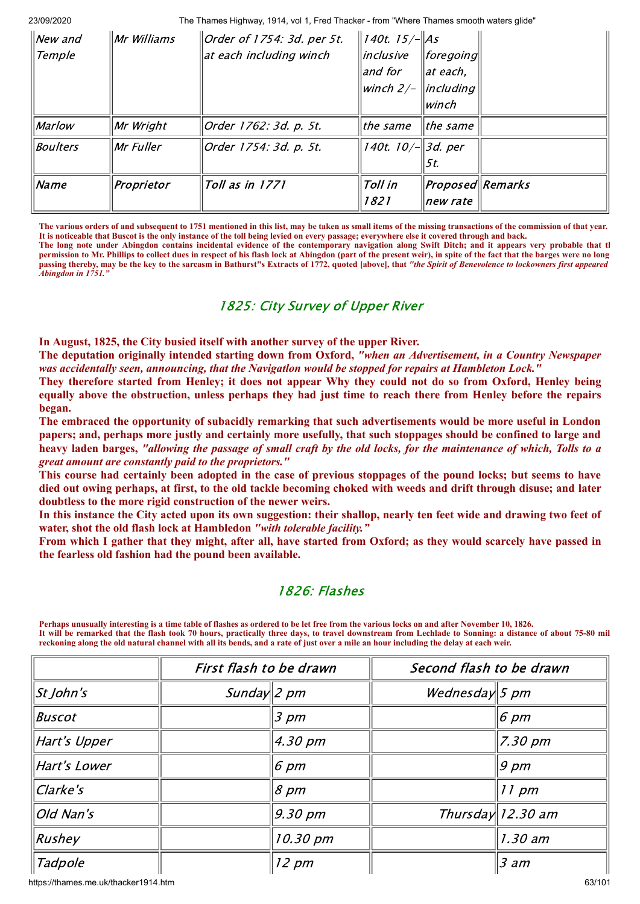| $ New$ and<br><b>Temple</b> | $\ Mr$ Williams | $\vert$ Order of 1754: 3d. per 5t.<br>at each including winch | $\ $ 140t. 15/- $\ $ As<br> inclusive<br>$ $ and for<br>winch 2/- | $\ $ foregoing $\ $<br>$\parallel$ at each,<br>$\parallel$ <i>including</i><br> winch |  |
|-----------------------------|-----------------|---------------------------------------------------------------|-------------------------------------------------------------------|---------------------------------------------------------------------------------------|--|
| Marlow                      | Mr Wright       | Order 1762: 3d. p. 5t.                                        | l <i>the same</i>                                                 | $ $ the same                                                                          |  |
| Boulters                    | Mr Fuller       | Order 1754: 3d. p. 5t.                                        | 140t. 10/ $-$   3d. per                                           | 15t.                                                                                  |  |
| Name                        | Proprietor      | Toll as in 1771                                               | Toll in<br>1821                                                   | <i>Proposed</i> Remarks<br>new rate                                                   |  |

**The various orders of and subsequent to 1751 mentioned in this list, may be taken as small items of the missing transactions of the commission of that year. It is noticeable that Buscot is the only instance of the toll being levied on every passage; everywhere else it covered through and back.**

**The long note under Abingdon contains incidental evidence of the contemporary navigation along Swift Ditch; and it appears very probable that th permission to Mr. Phillips to collect dues in respect of his flash lock at Abingdon (part of the present weir), in spite of the fact that the barges were no long** passing thereby, may be the key to the sarcasm in Bathurst"s Extracts of 1772, quoted [above], that "the Spirit of Benevolence to lockowners first appeared *Abingdon in 1751."*

# 1825: City Survey of Upper River

**In August, 1825, the City busied itself with another survey of the upper River.**

**The deputation originally intended starting down from Oxford,** *"when an Advertisement, in a Country Newspaper was accidentally seen, announcing, that the Navigatlon would be stopped for repairs at Hambleton Lock."*

They therefore started from Henley; it does not appear Why they could not do so from Oxford, Henley being equally above the obstruction, unless perhaps they had just time to reach there from Henley before the repairs **began.**

**The embraced the opportunity of subacidly remarking that such advertisements would be more useful in London** papers; and, perhaps more justly and certainly more usefully, that such stoppages should be confined to large and heavy laden barges, "allowing the passage of small craft by the old locks, for the maintenance of which, Tolls to a *great amount are constantly paid to the proprietors."*

This course had certainly been adopted in the case of previous stoppages of the pound locks; but seems to have died out owing perhaps, at first, to the old tackle becoming choked with weeds and drift through disuse; and later **doubtless to the more rigid construction of the newer weirs.**

In this instance the City acted upon its own suggestion: their shallop, nearly ten feet wide and drawing two feet of **water, shot the old flash lock at Hambledon** *"with tolerable facility."*

From which I gather that they might, after all, have started from Oxford; as they would scarcely have passed in **the fearless old fashion had the pound been available.**

# 1826: Flashes

**Perhaps unusually interesting is a time table of flashes as ordered to be let free from the various locks on and after November 10, 1826. It will be remarked that the flash took 70 hours, practically three days, to travel downstream from Lechlade to Sonning: a distance of about 75-80 mil reckoning along the old natural channel with all its bends, and a rate of just over a mile an hour including the delay at each weir.**

|              | First flash to be drawn |                   | Second flash to be drawn |                     |
|--------------|-------------------------|-------------------|--------------------------|---------------------|
| St John's    | Sunday $2$ pm           |                   | Wednesday 5 pm           |                     |
| Buscot       |                         | 3 pm              |                          | $ 6 \> \rho m$      |
| Hart's Upper |                         | $4.30 \text{ pm}$ |                          | 7.30 pm             |
| Hart's Lower |                         | 6 pm              |                          | $9 \, \rho m$       |
| Clarke's     |                         | $8 \, \text{pm}$  |                          | $11 \text{ pm}$     |
| Old Nan's    |                         | 9.30 pm           |                          | Thursday $12.30$ am |
| Rushey       |                         | 10.30 pm          |                          | 1.30 am             |
| Tadpole      |                         | $12 \, \text{pm}$ |                          | $3$ am              |

https://thames.me.uk/thacker1914.htm 63/101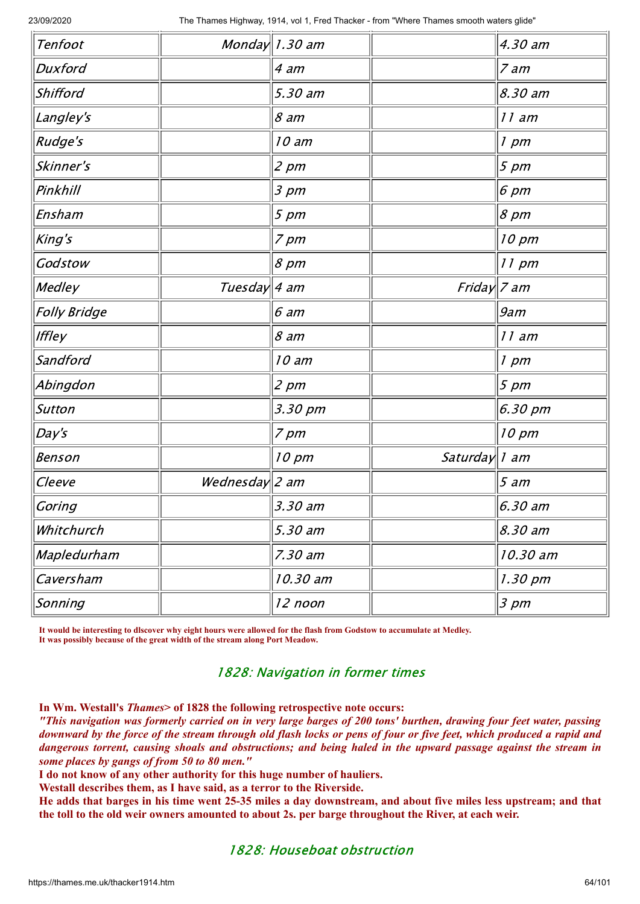|                   |                                                         | 4.30 am                         |
|-------------------|---------------------------------------------------------|---------------------------------|
| 4 am              |                                                         | 7 am                            |
| 5.30 am           |                                                         | 8.30 am                         |
| $8$ am            |                                                         | 11 am                           |
| 10 am             |                                                         | $1$ pm                          |
| $2 \, pm$         |                                                         | $5 \, pm$                       |
| $3 \, pm$         |                                                         | 6 pm                            |
| $5 \, pm$         |                                                         | $8 \, \text{pm}$                |
| $7 \, \text{pm}$  |                                                         | 10 pm                           |
| $8 \, \rho m$     |                                                         | 11 pm                           |
|                   |                                                         |                                 |
| 6 am              |                                                         | 9am                             |
| $8$ am            |                                                         | 11 am                           |
| 10 am             |                                                         | $1$ pm                          |
| $2 \, \text{pm}$  |                                                         | $5 \, \text{pm}$                |
| 3.30 pm           |                                                         | 6.30 pm                         |
| $7 \, \text{pm}$  |                                                         | 10 pm                           |
| $10 \, \text{pm}$ |                                                         |                                 |
|                   |                                                         | 5 am                            |
| 3.30 am           |                                                         | 6.30 am                         |
| 5.30 am           |                                                         | 8.30 am                         |
| 7.30 am           |                                                         | 10.30 am                        |
| 10.30 am          |                                                         | 1.30 pm                         |
| 12 noon           |                                                         | $3 \, pm$                       |
|                   | Monday $1.30$ am<br>Tuesday   4 am<br>Wednesday $ 2$ am | Friday $ 7$ am<br>Saturday 1 am |

**It would be interesting to dlscover why eight hours were allowed for the flash from Godstow to accumulate at Medley. It was possibly because of the great width of the stream along Port Meadow.**

# 1828: Navigation in former times

**In Wm. Westall's** *Thames***> of 1828 the following retrospective note occurs:**

"This navigation was formerly carried on in very large barges of 200 tons' burthen, drawing four feet water, passing downward by the force of the stream through old flash locks or pens of four or five feet, which produced a rapid and dangerous torrent, causing shoals and obstructions; and being haled in the upward passage against the stream in *some places by gangs of from 50 to 80 men."*

**I do not know of any other authority for this huge number of hauliers.**

**Westall describes them, as I have said, as a terror to the Riverside.**

He adds that barges in his time went 25-35 miles a day downstream, and about five miles less upstream; and that the toll to the old weir owners amounted to about 2s, per barge throughout the River, at each weir.

# 1828: Houseboat obstruction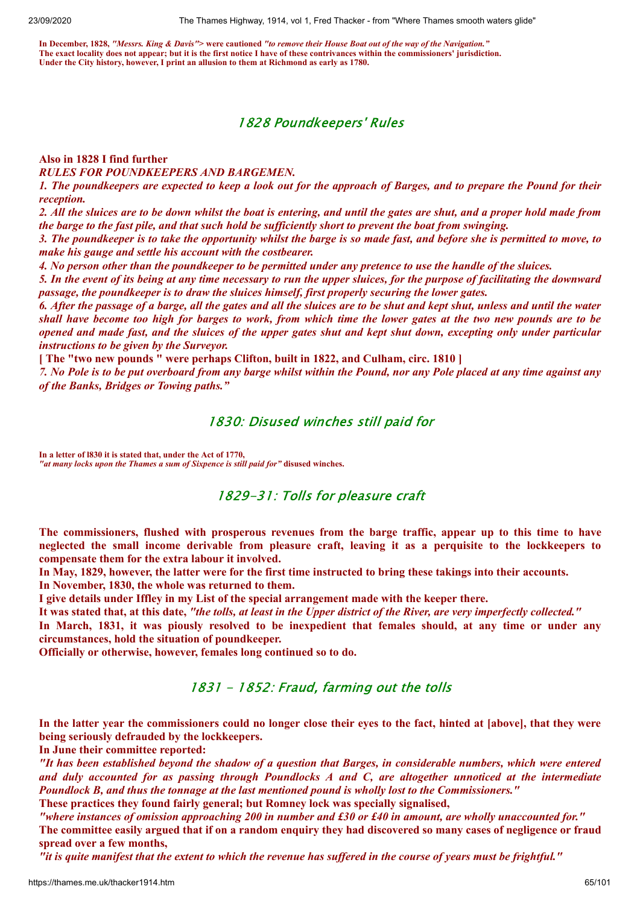**In December, 1828,** *"Messrs. King & Davis"***> were cautioned** *"to remove their House Boat out of the way of the Navigation."* **The exact locality does not appear; but it is the first notice I have of these contrivances within the commissioners' jurisdiction. Under the City history, however, I print an allusion to them at Richmond as early as 1780.**

#### 1828 Poundkeepers' Rules

#### **Also in 1828 I find further**

*RULES FOR POUNDKEEPERS AND BARGEMEN.*

1. The poundkeepers are expected to keep a look out for the approach of Barges, and to prepare the Pound for their *reception.*

2. All the sluices are to be down whilst the boat is entering, and until the gates are shut, and a proper hold made from the barge to the fast pile, and that such hold be sufficiently short to prevent the boat from swinging.

3. The poundkeeper is to take the opportunity whilst the barge is so made fast, and before she is permitted to move, to *make his gauge and settle his account with the costbearer.*

4. No person other than the poundkeeper to be permitted under any pretence to use the handle of the sluices.

5. In the event of its being at any time necessary to run the upper sluices, for the purpose of facilitating the downward *passage, the poundkeeper is to draw the sluices himself, first properly securing the lower gates.*

6. After the passage of a barge, all the gates and all the sluices are to be shut and kept shut, unless and until the water shall have become too high for barges to work, from which time the lower gates at the two new pounds are to be opened and made fast, and the sluices of the upper gates shut and kept shut down, excepting only under particular *instructions to be given by the Surveyor.*

**[ The "two new pounds " were perhaps Clifton, built in 1822, and Culham, circ. 1810 ]**

7. No Pole is to be put overboard from any barge whilst within the Pound, nor any Pole placed at any time against any *of the Banks, Bridges or Towing paths."*

#### 1830: Disused winches still paid for

**In a letter of l830 it is stated that, under the Act of 1770,**  *"at many locks upon the Thames a sum of Sixpence is still paid for"* **disused winches.**

#### 1829-31: Tolls for pleasure craft

The commissioners, flushed with prosperous revenues from the barge traffic, appear up to this time to have neglected the small income derivable from pleasure craft, leaving it as a perquisite to the lockkeepers to **compensate them for the extra labour it involved.**

In May, 1829, however, the latter were for the first time instructed to bring these takings into their accounts.

**In November, 1830, the whole was returned to them.**

**I give details under Iffley in my List of the special arrangement made with the keeper there.**

It was stated that, at this date, "the tolls, at least in the Upper district of the River, are very imperfectly collected."

In March, 1831, it was piously resolved to be inexpedient that females should, at any time or under any **circumstances, hold the situation of poundkeeper.**

**Officially or otherwise, however, females long continued so to do.**

#### 1831 - 1852: Fraud, farming out the tolls

In the latter year the commissioners could no longer close their eyes to the fact, hinted at [above], that they were **being seriously defrauded by the lockkeepers.**

**In June their committee reported:**

"It has been established beyond the shadow of a question that Barges, in considerable numbers, which were entered and duly accounted for as passing through Poundlocks A and C, are altogether unnoticed at the intermediate *Poundlock B, and thus the tonnage at the last mentioned pound is wholly lost to the Commissioners."* **These practices they found fairly general; but Romney lock was specially signalised,**

"where instances of omission approaching 200 in number and £30 or £40 in amount, are wholly unaccounted for." The committee easily argued that if on a random enquiry they had discovered so many cases of negligence or fraud **spread over a few months,**

"it is quite manifest that the extent to which the revenue has suffered in the course of years must be frightful."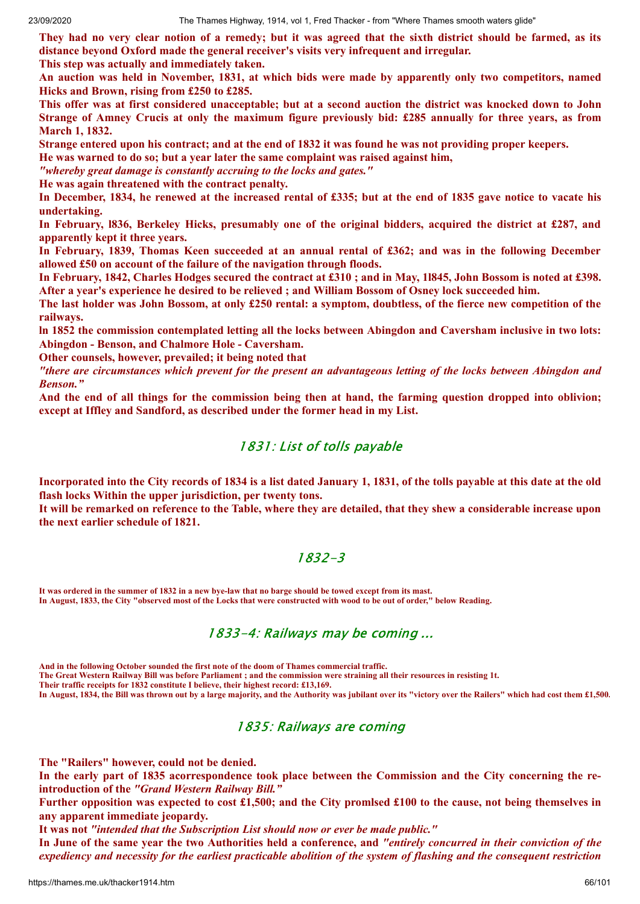They had no very clear notion of a remedy; but it was agreed that the sixth district should be farmed, as its **distance beyond Oxford made the general receiver's visits very infrequent and irregular.**

**This step was actually and immediately taken.**

An auction was held in November, 1831, at which bids were made by apparently only two competitors, named **Hicks and Brown, rising from £250 to £285.**

This offer was at first considered unacceptable; but at a second auction the district was knocked down to John Strange of Amney Crucis at only the maximum figure previously bid: £285 annually for three years, as from **March 1, 1832.**

Strange entered upon his contract; and at the end of 1832 it was found he was not providing proper keepers.

**He was warned to do so; but a year later the same complaint was raised against him,**

*"whereby great damage is constantly accruing to the locks and gates."*

**He was again threatened with the contract penalty.**

In December, 1834, he renewed at the increased rental of £335; but at the end of 1835 gave notice to vacate his **undertaking.**

In February, 1836, Berkeley Hicks, presumably one of the original bidders, acquired the district at £287, and **apparently kept it three years.**

In February, 1839, Thomas Keen succeeded at an annual rental of £362; and was in the following December **allowed £50 on account of the failure of the navigation through floods.**

In February, 1842, Charles Hodges secured the contract at £310; and in May, 11845, John Bossom is noted at £398. After a year's experience he desired to be relieved; and William Bossom of Osney lock succeeded him.

The last holder was John Bossom, at only £250 rental: a symptom, doubtless, of the fierce new competition of the **railways.**

In 1852 the commission contemplated letting all the locks between Abingdon and Caversham inclusive in two lots: **Abingdon - Benson, and Chalmore Hole - Caversham.**

**Other counsels, however, prevailed; it being noted that**

"there are circumstances which prevent for the present an advantageous letting of the locks between Abingdon and *Benson."*

And the end of all things for the commission being then at hand, the farming question dropped into oblivion; **except at Iffley and Sandford, as described under the former head in my List.**

### 1831: List of tolls payable

Incorporated into the City records of 1834 is a list dated January 1, 1831, of the tolls payable at this date at the old **flash locks Within the upper jurisdiction, per twenty tons.**

It will be remarked on reference to the Table, where they are detailed, that they shew a considerable increase upon **the next earlier schedule of 1821.**

# 1832-3

**It was ordered in the summer of 1832 in a new bye-law that no barge should be towed except from its mast. In August, 1833, the City "observed most of the Locks that were constructed with wood to be out of order," below Reading.**

# 1833-4: Railways may be coming ...

**And in the following October sounded the first note of the doom of Thames commercial traffic. The Great Western Railway Bill was before Parliament ; and the commission were straining all their resources in resisting 1t. Their traffic receipts for 1832 constitute I believe, their highest record: £13,169. In August, 1834, the Bill was thrown out by a large majority, and the Authority was jubilant over its "victory over the Railers" which had cost them £1,500.**

# 1835: Railways are coming

**The "Railers" however, could not be denied.**

In the early part of 1835 acorrespondence took place between the Commission and the City concerning the re**introduction of the** *"Grand Western Railway Bill."*

Further opposition was expected to cost  $£1,500$ ; and the City promised £100 to the cause, not being themselves in **any apparent immediate jeopardy.**

**It was not** *"intended that the Subscription List should now or ever be made public."*

In June of the same year the two Authorities held a conference, and "entirely concurred in their conviction of the expediency and necessity for the earliest practicable abolition of the system of flashing and the consequent restriction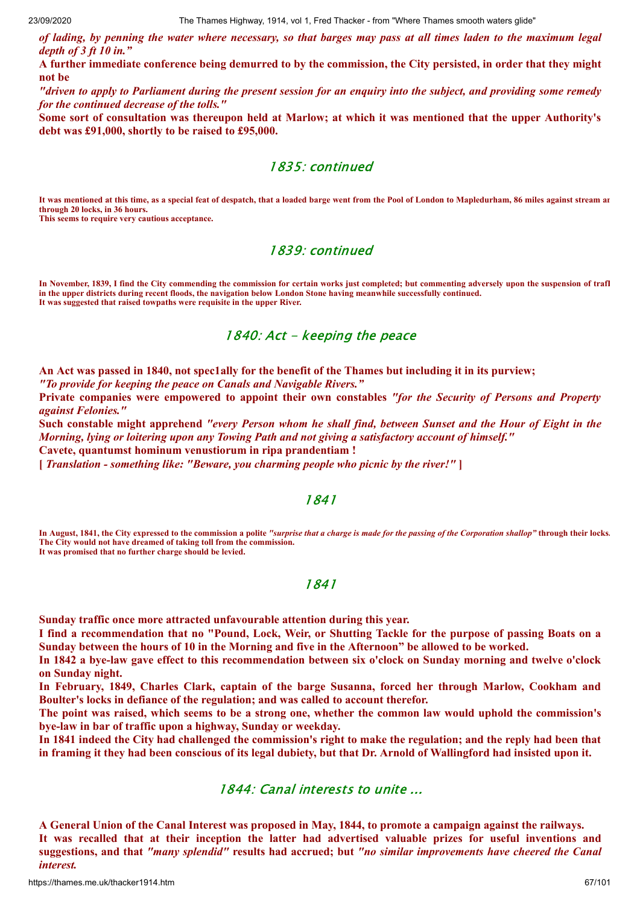of lading, by penning the water where necessary, so that barges may pass at all times laden to the maximum legal *depth of 3 ft 10 in."*

A further immediate conference being demurred to by the commission, the City persisted, in order that they might **not be**

"driven to apply to Parliament during the present session for an enquiry into the subject, and providing some remedy *for the continued decrease of the tolls."*

Some sort of consultation was thereupon held at Marlow; at which it was mentioned that the upper Authority's **debt was £91,000, shortly to be raised to £95,000.**

#### 1835: continued

**It was mentioned at this time, as a special feat of despatch, that a loaded barge went from the Pool of London to Mapledurham, 86 miles against stream an through 20 locks, in 36 hours. This seems to require very cautious acceptance.**

#### 1839: continued

**In November, 1839, I find the City commending the commission for certain works just completed; but commenting adversely upon the suspension of trafI in the upper districts during recent floods, the navigation below London Stone having meanwhile successfully continued. It was suggested that raised towpaths were requisite in the upper River.**

### 1840: Act - keeping the peace

An Act was passed in 1840, not spec1ally for the benefit of the Thames but including it in its purview;

*"To provide for keeping the peace on Canals and Navigable Rivers."*

**Private companies were empowered to appoint their own constables** *"for the Security of Persons and Property against Felonies."*

Such constable might apprehend "every Person whom he shall find, between Sunset and the Hour of Eight in the *Morning, lying or loitering upon any Towing Path and not giving a satisfactory account of himself."*

**Cavete, quantumst hominum venustiorum in ripa prandentiam !**

**[** *Translation - something like: "Beware, you charming people who picnic by the river!"* **]**

#### 1841

**In August, 1841, the City expressed to the commission a polite** *"surprise that a charge is made for the passing of the Corporation shallop"* **through their locks. The City would not have dreamed of taking toll from the commission. It was promised that no further charge should be levied.**

### 1841

**Sunday traffic once more attracted unfavourable attention during this year.**

I find a recommendation that no "Pound, Lock, Weir, or Shutting Tackle for the purpose of passing Boats on a Sunday between the hours of 10 in the Morning and five in the Afternoon" be allowed to be worked.

In 1842 a bye-law gave effect to this recommendation between six o'clock on Sunday morning and twelve o'clock **on Sunday night.**

**In February, 1849, Charles Clark, captain of the barge Susanna, forced her through Marlow, Cookham and Boulter's locks in defiance of the regulation; and was called to account therefor.**

The point was raised, which seems to be a strong one, whether the common law would uphold the commission's **bye-law in bar of traffic upon a highway, Sunday or weekday.**

In 1841 indeed the City had challenged the commission's right to make the regulation; and the reply had been that in framing it they had been conscious of its legal dubiety, but that Dr. Arnold of Wallingford had insisted upon it.

#### 1844: Canal interests to unite ...

A General Union of the Canal Interest was proposed in May, 1844, to promote a campaign against the railways. It was recalled that at their inception the latter had advertised valuable prizes for useful inventions and **suggestions, and that** *"many splendid"* **results had accrued; but** *"no similar improvements have cheered the Canal interest.*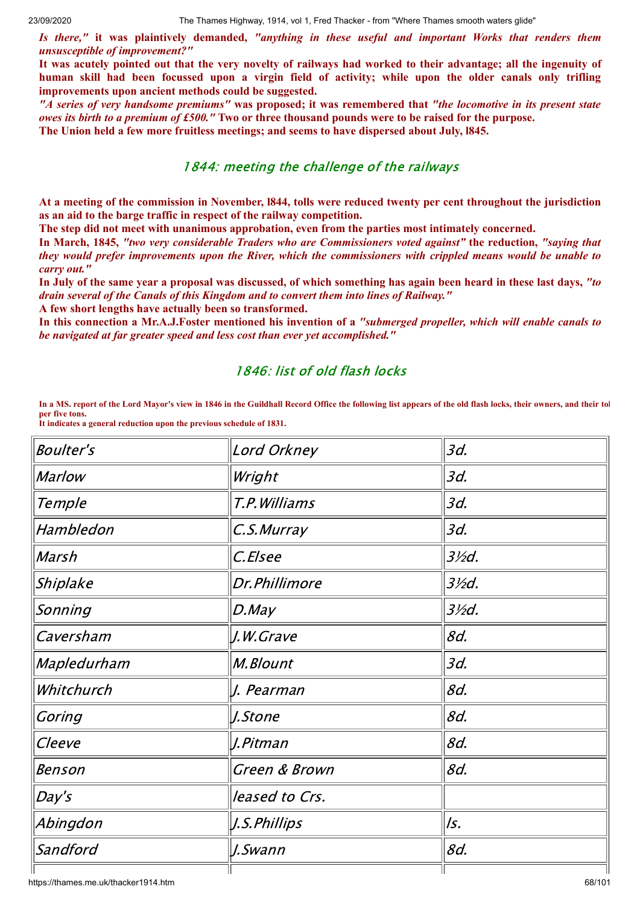*Is there,"* **it was plaintively demanded,** *"anything in these useful and important Works that renders them unsusceptible of improvement?"*

It was acutely pointed out that the very novelty of railways had worked to their advantage; all the ingenuity of human skill had been focussed upon a virgin field of activity; while upon the older canals only trifling **improvements upon ancient methods could be suggested.**

"A series of very handsome premiums" was proposed; it was remembered that "the locomotive in its present state *owes its birth to a premium of £500.*" Two or three thousand pounds were to be raised for the purpose.

**The Union held a few more fruitless meetings; and seems to have dispersed about July, l845.**

# 1844: meeting the challenge of the railways

At a meeting of the commission in November, 1844, tolls were reduced twenty per cent throughout the jurisdiction **as an aid to the barge traffic in respect of the railway competition.**

**The step did not meet with unanimous approbation, even from the parties most intimately concerned.**

**In March, 1845,** *"two very considerable Traders who are Commissioners voted against"* **the reduction,** *"saying that* they would prefer improvements upon the River, which the commissioners with crippled means would be unable to *carry out."*

In July of the same year a proposal was discussed, of which something has again been heard in these last days, "to *drain several of the Canals of this Kingdom and to convert them into lines of Railway."*

**A few short lengths have actually been so transformed.**

In this connection a Mr.A.J.Foster mentioned his invention of a "submerged propeller, which will enable canals to *be navigated at far greater speed and less cost than ever yet accomplished."*

# 1846: list of old flash locks

**In a MS. report of the Lord Mayor's view in 1846 in the Guildhall Record Office the following list appears of the old flash locks, their owners, and their tol per five tons.**

| <b>Boulter's</b> | Lord Orkney    | 3d.              |
|------------------|----------------|------------------|
| <b>Marlow</b>    | Wright         | 3d.              |
| Temple           | T.P. Williams  | 3d.              |
| Hambledon        | C.S.Murray     | 3d.              |
| Marsh            | C.Elsee        | $3\frac{1}{2}$ . |
| Shiplake         | Dr.Phillimore  | $3\frac{1}{2}$ . |
| Sonning          | $D$ . May      | $3\frac{1}{2}$ . |
| Caversham        | J.W.Grave      | 8d.              |
| Mapledurham      | M.Blount       | 3d.              |
| Whitchurch       | J. Pearman     | 8d.              |
| Goring           | J.Stone        | 8d.              |
| Cleeve           | J.Pitman       | 8d.              |
| Benson           | Green & Brown  | 8d.              |
| Day's            | leased to Crs. |                  |
| Abingdon         | J.S.Phillips   | ls.              |
| Sandford         | J.Swann        | 8d.              |
|                  |                |                  |

**It indicates a general reduction upon the previous schedule of 1831.**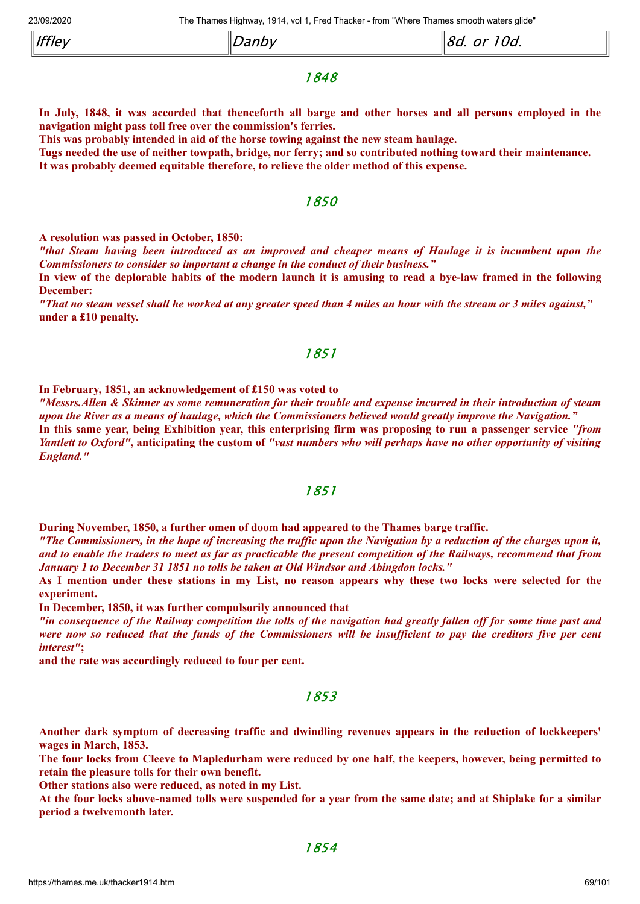| $ $ Iffley | Danby | <i>or 10d.</i><br>‼ <i>8d.</i> |
|------------|-------|--------------------------------|
|------------|-------|--------------------------------|

### 1848

In July, 1848, it was accorded that thenceforth all barge and other horses and all persons employed in the **navigation might pass toll free over the commission's ferries.**

**This was probably intended in aid of the horse towing against the new steam haulage.**

Tugs needed the use of neither towpath, bridge, nor ferry; and so contributed nothing toward their maintenance. **It was probably deemed equitable therefore, to relieve the older method of this expense.**

#### 1850

**A resolution was passed in October, 1850:**

"that Steam having been introduced as an improved and cheaper means of Haulage it is incumbent upon the *Commissioners to consider so important a change in the conduct of their business."*

In view of the deplorable habits of the modern launch it is amusing to read a bye-law framed in the following **December:**

"That no steam vessel shall he worked at any greater speed than 4 miles an hour with the stream or 3 miles against." **under a £10 penalty.**

#### 1851

**In February, 1851, an acknowledgement of £150 was voted to**

"Messrs. Allen & Skinner as some remuneration for their trouble and expense incurred in their introduction of steam upon the River as a means of haulage, which the Commissioners believed would greatly improve the Navigation." In this same year, being Exhibition year, this enterprising firm was proposing to run a passenger service "from Yantlett to Oxford", anticipating the custom of "vast numbers who will perhaps have no other opportunity of visiting *England."*

#### 1851

**During November, 1850, a further omen of doom had appeared to the Thames barge traffic.**

"The Commissioners, in the hope of increasing the traffic upon the Navigation by a reduction of the charges upon it, and to enable the traders to meet as far as practicable the present competition of the Railways, recommend that from *January 1 to December 31 1851 no tolls be taken at Old Windsor and Abingdon locks."*

As I mention under these stations in my List, no reason appears why these two locks were selected for the **experiment.**

**In December, 1850, it was further compulsorily announced that**

"in consequence of the Railway competition the tolls of the navigation had greatly fallen off for some time past and were now so reduced that the funds of the Commissioners will be insufficient to pay the creditors five per cent *interest"***;**

**and the rate was accordingly reduced to four per cent.**

#### 1853

**Another dark symptom of decreasing traffic and dwindling revenues appears in the reduction of lockkeepers' wages in March, 1853.**

The four locks from Cleeve to Mapledurham were reduced by one half, the keepers, however, being permitted to **retain the pleasure tolls for their own benefit.**

**Other stations also were reduced, as noted in my List.**

At the four locks above-named tolls were suspended for a vear from the same date; and at Shiplake for a similar **period a twelvemonth later.**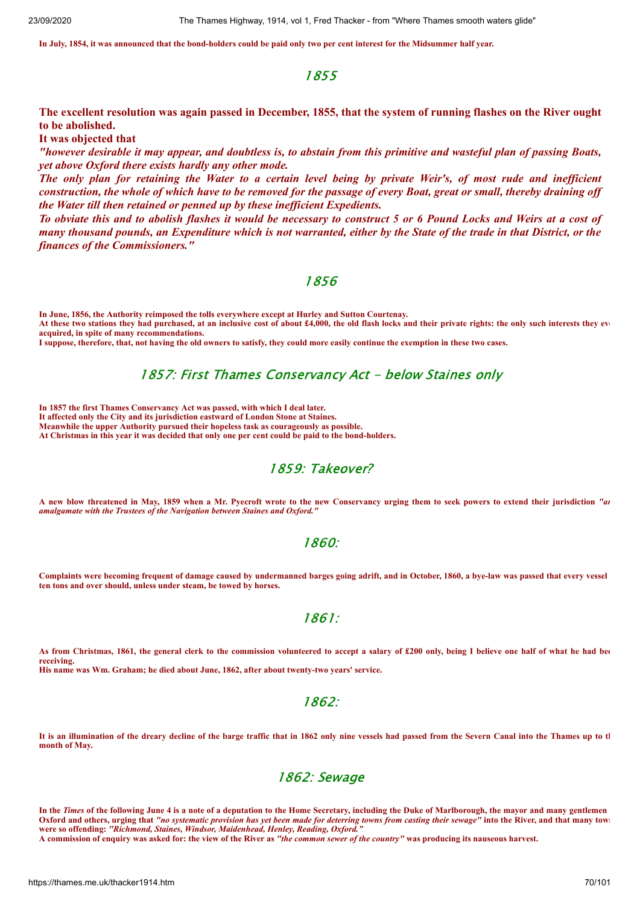**In July, 1854, it was announced that the bond-holders could be paid only two per cent interest for the Midsummer half year.**

#### 1855

The excellent resolution was again passed in December, 1855, that the system of running flashes on the River ought **to be abolished.**

**It was objected that**

"however desirable it may appear, and doubtless is, to abstain from this primitive and wasteful plan of passing Boats, *yet above Oxford there exists hardly any other mode.*

The only plan for retaining the Water to a certain level being by private Weir's, of most rude and inefficient construction, the whole of which have to be removed for the passage of every Boat, great or small, thereby draining off *the Water till then retained or penned up by these inef icient Expedients.*

To obviate this and to abolish flashes it would be necessary to construct 5 or 6 Pound Locks and Weirs at a cost of many thousand pounds, an Expenditure which is not warranted, either by the State of the trade in that District, or the *finances of the Commissioners."*

#### 1856

**In June, 1856, the Authority reimposed the tolls everywhere except at Hurley and Sutton Courtenay.**

**At these two stations they had purchased, at an inclusive cost of about £4,000, the old flash locks and their private rights: the only such interests they eve acquired, in spite of many recommendations.**

**I suppose, therefore, that, not having the old owners to satisfy, they could more easily continue the exemption in these two cases.**

#### 1857: First Thames Conservancy Act - below Staines only

**In 1857 the first Thames Conservancy Act was passed, with which I deal later. It affected only the City and its jurisdiction eastward of London Stone at Staines. Meanwhile the upper Authority pursued their hopeless task as courageously as possible. At Christmas in this year it was decided that only one per cent could be paid to the bond-holders.**

#### 1859: Takeover?

**A new blow threatened in May, 1859 when a Mr. Pyecroft wrote to the new Conservancy urging them to seek powers to extend their jurisdiction** *"an amalgamate with the Trustees of the Navigation between Staines and Oxford."*

#### 1860:

**Complaints were becoming frequent of damage caused by undermanned barges going adrift, and in October, 1860, a bye-law was passed that every vessel ten tons and over should, unless under steam, be towed by horses.**

#### 1861:

**As from Christmas, 1861, the general clerk to the commission volunteered to accept a salary of £200 only, being I believe one half of what he had bee receiving. His name was Wm. Graham; he died about June, 1862, after about twenty-two years' service.**

#### 1862:

**It is an illumination of the dreary decline of the barge traffic that in 1862 only nine vessels had passed from the Severn Canal into the Thames up to th month of May.**

#### 1862: Sewage

**In the** *Times* **of the following June 4 is a note of a deputation to the Home Secretary, including the Duke of Marlborough, the mayor and many gentlemen Oxford and others, urging that** *"no systematic provision has yet been made for deterring towns from casting their sewage"* **into the River, and that many town were so offending:** *"Richmond, Staines, Windsor, Maidenhead, Henley, Reading, Oxford."*

**A commission of enquiry was asked for: the view of the River as** *"the common sewer of the country"* **was producing its nauseous harvest.**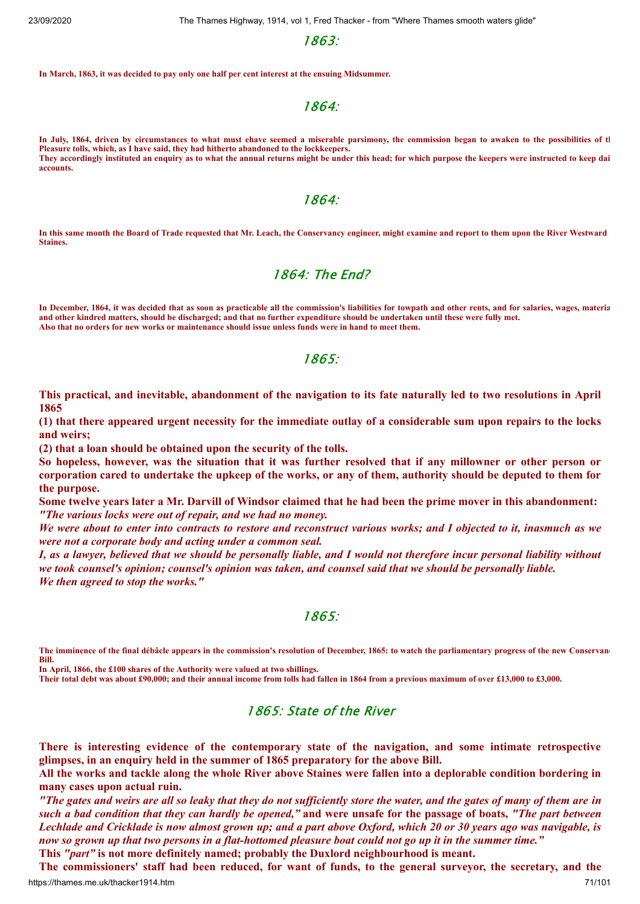1863:

**In March, 1863, it was decided to pay only one half per cent interest at the ensuing Midsummer.**

1864:

**In July, 1864, driven by circumstances to what must ehave seemed a miserable parsimony, the commission began to awaken to the possibilities of th Pleasure tolls, which, as I have said, they had hitherto abandoned to the lockkeepers. They accordingly instituted an enquiry as to what the annual returns might be under this head; for which purpose the keepers were instructed to keep dai accounts.**

#### 1864:

**In this same month the Board of Trade requested that Mr. Leach, the Conservancy engineer, might examine and report to them upon the River Westward Staines.**

#### 1864: The End?

**In December, 1864, it was decided that as soon as practicable all the commission's liabilities for towpath and other rents, and for salaries, wages, materia and other kindred matters, should be discharged; and that no further expenditure should be undertaken until these were fully met. Also that no orders for new works or maintenance should issue unless funds were in hand to meet them.**

#### 1865:

This practical, and inevitable, abandonment of the navigation to its fate naturally led to two resolutions in April **1865**

(1) that there appeared urgent necessity for the immediate outlay of a considerable sum upon repairs to the locks **and weirs;**

**(2) that a loan should be obtained upon the security of the tolls.**

So hopeless, however, was the situation that it was further resolved that if any millowner or other person or corporation cared to undertake the upkeep of the works, or any of them, authority should be deputed to them for **the purpose.**

Some twelve vears later a Mr. Darvill of Windsor claimed that he had been the prime mover in this abandonment: *"The various locks were out of repair, and we had no money.*

We were about to enter into contracts to restore and reconstruct various works; and I objected to it, inasmuch as we *were not a corporate body and acting under a common seal.*

I, as a lawyer, believed that we should be personally liable, and I would not therefore incur personal liability without we took counsel's opinion; counsel's opinion was taken, and counsel said that we should be personally liable. *We then agreed to stop the works."*

#### 1865:

**The imminence of the final débâcle appears in the commission's resolution of December, 1865: to watch the parliamentary progress of the new Conservanc Bill.**

**In April, 1866, the £100 shares of the Authority were valued at two shillings.**

**Their total debt was about £90,000; and their annual income from tolls had fallen in 1864 from a previous maximum of over £13,000 to £3,000.**

#### 1865: State of the River

**There is interesting evidence of the contemporary state of the navigation, and some intimate retrospective glimpses, in an enquiry held in the summer of 1865 preparatory for the above Bill.**

All the works and tackle along the whole River above Staines were fallen into a deplorable condition bordering in **many cases upon actual ruin.**

"The gates and weirs are all so leaky that they do not sufficiently store the water, and the gates of many of them are in such a bad condition that they can hardly be opened," and were unsafe for the passage of boats, "The part between Lechlade and Cricklade is now almost grown up; and a part above Oxford, which 20 or 30 years ago was navigable, is now so grown up that two persons in a flat-hottomed pleasure boat could not go up it in the summer time."

**This** *"part"* **is not more definitely named; probably the Duxlord neighbourhood is meant.**

https://thames.me.uk/thacker1914.htm 71/101 The commissioners' staff had been reduced, for want of funds, to the general surveyor, the secretary, and the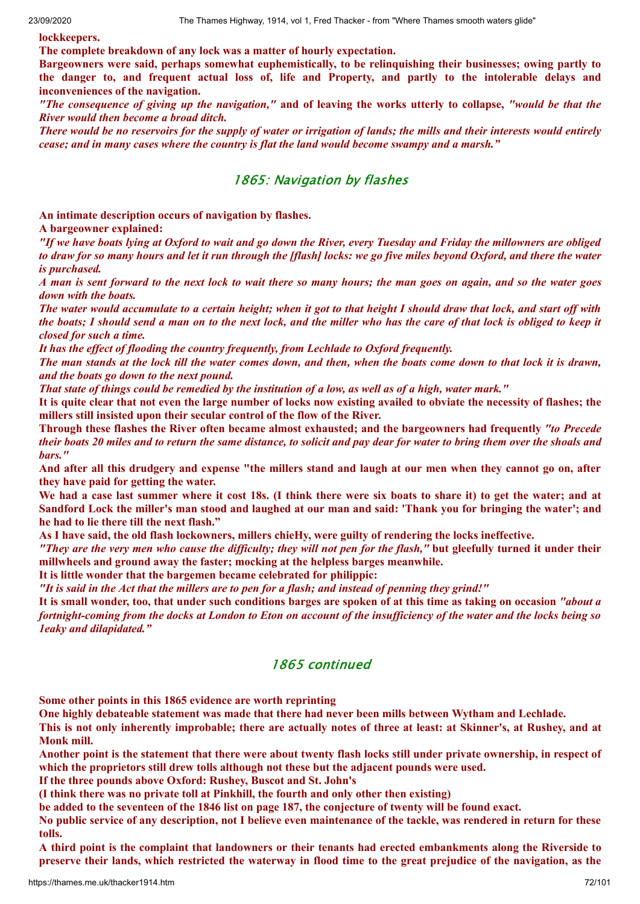**lockkeepers.**

**The complete breakdown of any lock was a matter of hourly expectation.**

**Bargeowners were said, perhaps somewhat euphemistically, to be relinquishing their businesses; owing partly to** the danger to, and frequent actual loss of, life and Property, and partly to the intolerable delays and **inconveniences of the navigation.**

"The consequence of giving up the navigation," and of leaving the works utterly to collapse, "would be that the *River would then become a broad ditch.*

There would be no reservoirs for the supply of water or irrigation of lands; the mills and their interests would entirely *cease; and in many cases where the country is flat the land would become swampy and a marsh."*

#### 1865: Navigation by flashes

**An intimate description occurs of navigation by flashes.**

**A bargeowner explained:**

"If we have boats lying at Oxford to wait and go down the River, every Tuesday and Friday the millowners are obliged to draw for so many hours and let it run through the [flash] locks: we go five miles beyond Oxford, and there the water *is purchased.*

A man is sent forward to the next lock to wait there so many hours; the man goes on again, and so the water goes *down with the boats.*

The water would accumulate to a certain height; when it got to that height I should draw that lock, and start off with the boats; I should send a man on to the next lock, and the miller who has the care of that lock is obliged to keep it *closed for such a time.*

*It has the ef ect of flooding the country frequently, from Lechlade to Oxford frequently.*

The man stands at the lock till the water comes down, and then, when the boats come down to that lock it is drawn, *and the boats go down to the next pound.*

That state of things could be remedied by the institution of a low, as well as of a high, water mark."

It is quite clear that not even the large number of locks now existing availed to obviate the necessity of flashes; the **millers still insisted upon their secular control of the flow of the River.**

**Through these flashes the River often became almost exhausted; and the bargeowners had frequently** *"to Precede* their boats 20 miles and to return the same distance, to solicit and pay dear for water to bring them over the shoals and *bars."*

And after all this drudgery and expense "the millers stand and laugh at our men when they cannot go on, after **they have paid for getting the water.**

We had a case last summer where it cost 18s. (I think there were six boats to share it) to get the water; and at Sandford Lock the miller's man stood and laughed at our man and said: 'Thank you for bringing the water'; and **he had to lie there till the next flash."**

**As I have said, the old flash lockowners, millers chieHy, were guilty of rendering the locks ineffective.**

"They are the very men who cause the difficulty; they will not pen for the flash," but gleefully turned it under their **millwheels and ground away the faster; mocking at the helpless barges meanwhile.**

**It is little wonder that the bargemen became celebrated for philippic:**

"It is said in the Act that the millers are to pen for a flash; and instead of penning they grind!"

It is small wonder, too, that under such conditions barges are spoken of at this time as taking on occasion "about a fortnight-coming from the docks at London to Eton on account of the insufficiency of the water and the locks being so *1eaky and dilapidated."*

# 1865 continued

**Some other points in this 1865 evidence are worth reprinting**

**One highly debateable statement was made that there had never been mills between Wytham and Lechlade.**

This is not only inherently improbable; there are actually notes of three at least: at Skinner's, at Rushey, and at **Monk mill.**

Another point is the statement that there were about twenty flash locks still under private ownership, in respect of **which the proprietors still drew tolls although not these but the adjacent pounds were used.**

**If the three pounds above Oxford: Rushey, Buscot and St. John's**

**(I think there was no private toll at Pinkhill, the fourth and only other then existing)**

be added to the seventeen of the 1846 list on page 187, the conjecture of twenty will be found exact.

No public service of any description, not I believe even maintenance of the tackle, was rendered in return for these **tolls.**

A third point is the complaint that landowners or their tenants had erected embankments along the Riverside to preserve their lands, which restricted the waterway in flood time to the great prejudice of the navigation, as the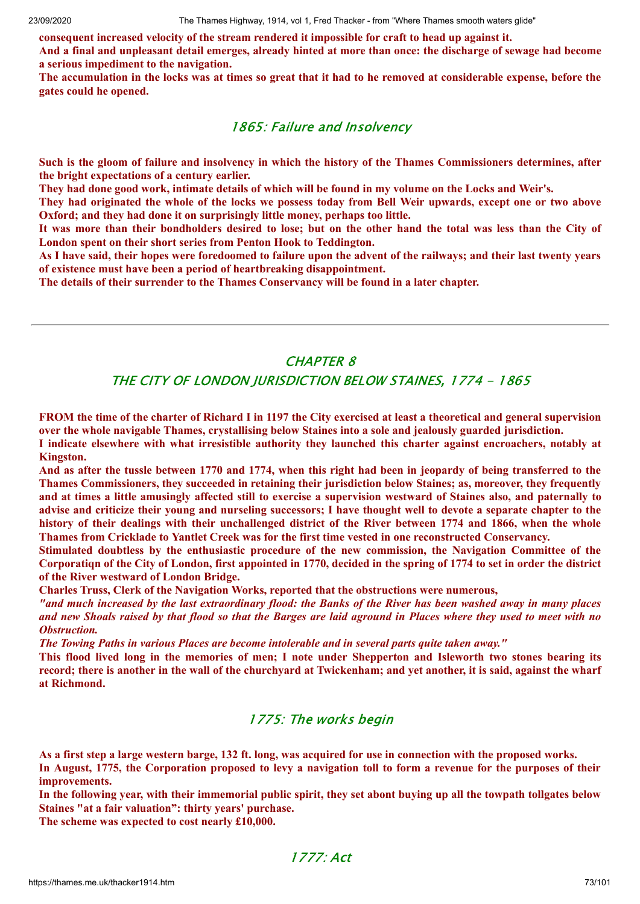**consequent increased velocity of the stream rendered it impossible for craft to head up against it.**

And a final and unpleasant detail emerges, already hinted at more than once: the discharge of sewage had become **a serious impediment to the navigation.**

The accumulation in the locks was at times so great that it had to he removed at considerable expense, before the **gates could he opened.**

### 1865: Failure and Insolvency

Such is the gloom of failure and insolvency in which the history of the Thames Commissioners determines, after **the bright expectations of a century earlier.**

They had done good work, intimate details of which will be found in my volume on the Locks and Weir's.

They had originated the whole of the locks we possess today from Bell Weir upwards, except one or two above **Oxford; and they had done it on surprisingly little money, perhaps too little.**

It was more than their bondholders desired to lose; but on the other hand the total was less than the City of **London spent on their short series from Penton Hook to Teddington.**

As I have said, their hopes were foredoomed to failure upon the advent of the railways; and their last twenty years **of existence must have been a period of heartbreaking disappointment.**

**The details of their surrender to the Thames Conservancy will be found in a later chapter.**

## CHAPTER 8

### THE CITY OF LONDON JURISDICTION BELOW STAINES, 1774 - 1865

FROM the time of the charter of Richard I in 1197 the City exercised at least a theoretical and general supervision **over the whole navigable Thames, crystallising below Staines into a sole and jealously guarded jurisdiction. I indicate elsewhere with what irresistible authority they launched this charter against encroachers, notably at Kingston.**

And as after the tussle between 1770 and 1774, when this right had been in jeopardy of being transferred to the **Thames Commissioners, they succeeded in retaining their jurisdiction below Staines; as, moreover, they frequently** and at times a little amusingly affected still to exercise a supervision westward of Staines also, and paternally to advise and criticize their young and nurseling successors; I have thought well to devote a separate chapter to the history of their dealings with their unchallenged district of the River between 1774 and 1866, when the whole **Thames from Cricklade to Yantlet Creek was for the first time vested in one reconstructed Conservancy.**

**Stimulated doubtless by the enthusiastic procedure of the new commission, the Navigation Committee of the** Corporation of the City of London, first appointed in 1770, decided in the spring of 1774 to set in order the district **of the River westward of London Bridge.**

**Charles Truss, Clerk of the Navigation Works, reported that the obstructions were numerous,**

"and much increased by the last extraordinary flood: the Banks of the River has been washed away in many places and new Shoals raised by that flood so that the Barges are laid aground in Places where they used to meet with no *Obstruction.*

*The Towing Paths in various Places are become intolerable and in several parts quite taken away."*

This flood lived long in the memories of men; I note under Shepperton and Isleworth two stones bearing its record; there is another in the wall of the churchyard at Twickenham; and yet another, it is said, against the wharf **at Richmond.**

## 1775: The works begin

As a first step a large western barge, 132 ft. long, was acquired for use in connection with the proposed works.

In August, 1775, the Corporation proposed to levy a navigation toll to form a revenue for the purposes of their **improvements.**

In the following year, with their immemorial public spirit, they set abont buying up all the towpath tollgates below **Staines "at a fair valuation": thirty years' purchase.**

**The scheme was expected to cost nearly £10,000.**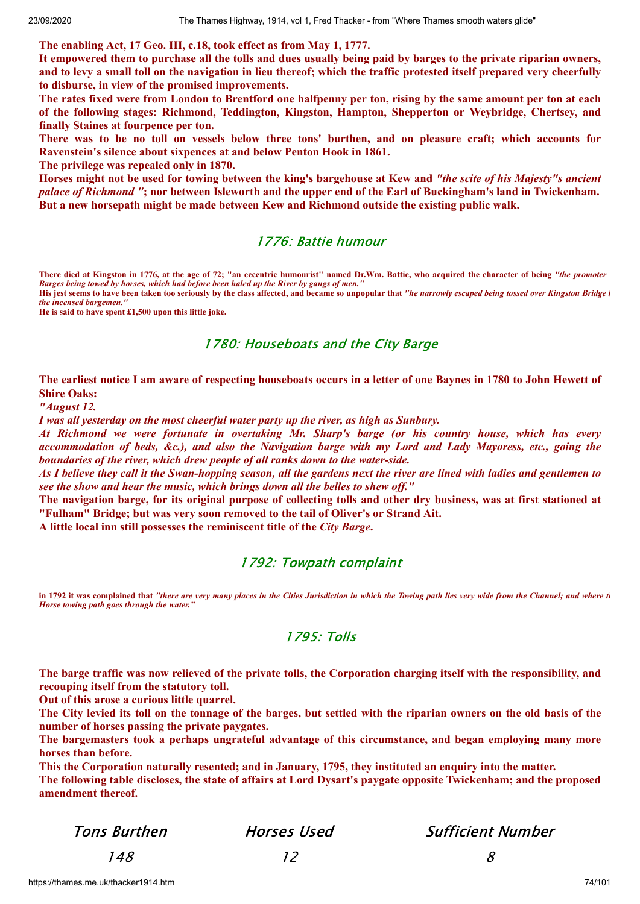**The enabling Act, 17 Geo. III, c.18, took effect as from May 1, 1777.**

It empowered them to purchase all the tolls and dues usually being paid by barges to the private riparian owners, and to levy a small toll on the navigation in lieu thereof; which the traffic protested itself prepared very cheerfully **to disburse, in view of the promised improvements.**

The rates fixed were from London to Brentford one halfpenny per ton, rising by the same amount per ton at each **of the following stages: Richmond, Teddington, Kingston, Hampton, Shepperton or Weybridge, Chertsey, and finally Staines at fourpence per ton.**

There was to be no toll on vessels below three tons' burthen, and on pleasure craft; which accounts for **Ravenstein's silence about sixpences at and below Penton Hook in 1861.**

**The privilege was repealed only in 1870.**

Horses might not be used for towing between the king's bargehouse at Kew and "the scite of his Majesty"s ancient palace of Richmond "; nor between Isleworth and the upper end of the Earl of Buckingham's land in Twickenham. **But a new horsepath might be made between Kew and Richmond outside the existing public walk.**

### 1776: Battie humour

**There died at Kingston in 1776, at the age of 72; "an eccentric humourist" named Dr.Wm. Battie, who acquired the character of being** *"the promoter Barges being towed by horses, which had before been haled up the River by gangs of men."*

His jest seems to have been taken too seriously by the class affected, and became so unpopular that "he narrowly escaped being tossed over Kingston Bridge i *the incensed bargemen."*

**He is said to have spent £1,500 upon this little joke.**

### 1780: Houseboats and the City Barge

The earliest notice I am aware of respecting houseboats occurs in a letter of one Baynes in 1780 to John Hewett of **Shire Oaks:**

*"August 12.*

*I was all yesterday on the most cheerful water party up the river, as high as Sunbury.*

*At Richmond we were fortunate in overtaking Mr. Sharp's barge (or his country house, which has every* accommodation of beds, &c.), and also the Navigation barge with my Lord and Lady Mayoress, etc., going the *boundaries of the river, which drew people of all ranks down to the water-side.*

As I believe they call it the Swan-hopping season, all the gardens next the river are lined with ladies and gentlemen to *see the show and hear the music, which brings down all the belles to shew of ."*

The navigation barge, for its original purpose of collecting tolls and other dry business, was at first stationed at **"Fulham" Bridge; but was very soon removed to the tail of Oliver's or Strand Ait.**

**A little local inn still possesses the reminiscent title of the** *City Barge***.**

## 1792: Towpath complaint

**in 1792 it was complained that** *"there are very many places in the Cities Jurisdiction in which the Towing path lies very wide from the Channel; and where th Horse towing path goes through the water."*

### 1795: Tolls

The barge traffic was now relieved of the private tolls, the Corporation charging itself with the responsibility, and **recouping itself from the statutory toll.**

**Out of this arose a curious little quarrel.**

The City levied its toll on the tonnage of the barges, but settled with the riparian owners on the old basis of the **number of horses passing the private paygates.**

**The bargemasters took a perhaps ungrateful advantage of this circumstance, and began employing many more horses than before.**

**This the Corporation naturally resented; and in January, 1795, they instituted an enquiry into the matter.**

The following table discloses, the state of affairs at Lord Dysart's paygate opposite Twickenham; and the proposed **amendment thereof.**

Tons Burthen Horses Used Sufficient Number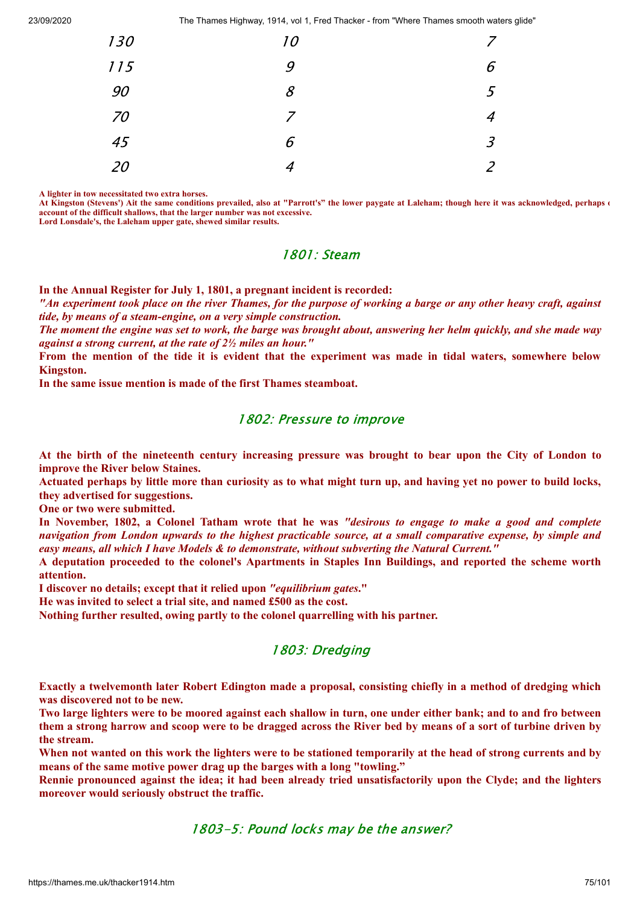| 130 | 10 | $\overline{z}$ |
|-----|----|----------------|
| 115 | 9  | 6              |
| 90  | 8  | 5              |
| 70  | 7  | $\overline{4}$ |
| 45  | 6  | $\mathfrak{Z}$ |
| 20  | 4  | 2              |

**A lighter in tow necessitated two extra horses.**

At Kingston (Stevens') Ait the same conditions prevailed, also at "Parrott's" the lower paygate at Laleham; though here it was acknowledged, perhaps  $\epsilon$ **account of the difficult shallows, that the larger number was not excessive. Lord Lonsdale's, the Laleham upper gate, shewed similar results.**

### 1801: Steam

**In the Annual Register for July 1, 1801, a pregnant incident is recorded:**

"An experiment took place on the river Thames, for the purpose of working a barge or any other heavy craft, against *tide, by means of a steam-engine, on a very simple construction.*

The moment the engine was set to work, the barge was brought about, answering her helm quickly, and she made way *against a strong current, at the rate of 2½ miles an hour."*

From the mention of the tide it is evident that the experiment was made in tidal waters, somewhere below **Kingston.**

**In the same issue mention is made of the first Thames steamboat.**

### 1802: Pressure to improve

At the birth of the nineteenth century increasing pressure was brought to bear upon the City of London to **improve the River below Staines.**

Actuated perhaps by little more than curiosity as to what might turn up, and having yet no power to build locks, **they advertised for suggestions.**

**One or two were submitted.**

In November, 1802, a Colonel Tatham wrote that he was "desirous to engage to make a good and complete navigation from London upwards to the highest practicable source, at a small comparative expense, by simple and *easy means, all which I have Models & to demonstrate, without subverting the Natural Current."*

**A deputation proceeded to the colonel's Apartments in Staples Inn Buildings, and reported the scheme worth attention.**

**I discover no details; except that it relied upon** *"equilibrium gates***."**

**He was invited to select a trial site, and named £500 as the cost.**

**Nothing further resulted, owing partly to the colonel quarrelling with his partner.**

### 1803: Dredging

Exactly a twelvemonth later Robert Edington made a proposal, consisting chiefly in a method of dredging which **was discovered not to be new.**

Two large lighters were to be moored against each shallow in turn, one under either bank; and to and fro between them a strong harrow and scoop were to be dragged across the River bed by means of a sort of turbine driven by **the stream.**

When not wanted on this work the lighters were to be stationed temporarily at the head of strong currents and by **means of the same motive power drag up the barges with a long "towling."**

Rennie pronounced against the idea; it had been already tried unsatisfactorily upon the Clyde; and the lighters **moreover would seriously obstruct the traffic.**

1803-5: Pound locks may be the answer?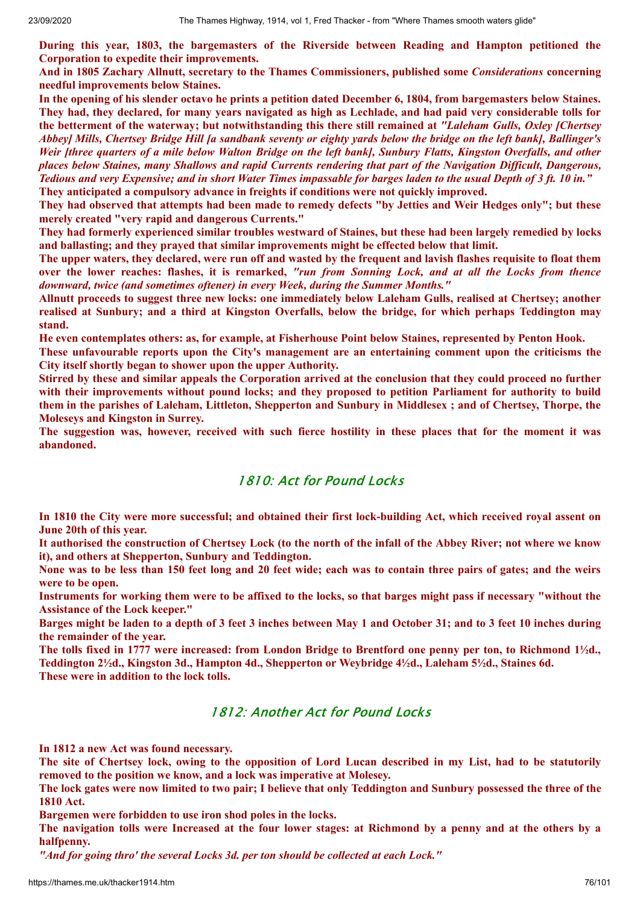**During this year, 1803, the bargemasters of the Riverside between Reading and Hampton petitioned the Corporation to expedite their improvements.**

**And in 1805 Zachary Allnutt, secretary to the Thames Commissioners, published some** *Considerations* **concerning needful improvements below Staines.**

In the opening of his slender octavo he prints a petition dated December 6, 1804, from bargemasters below Staines. They had, they declared, for many years navigated as high as Lechlade, and had paid very considerable tolls for **the betterment of the waterway; but notwithstanding this there still remained at** *"Laleham Gulls, Oxley [Chertsey* Abbeyl Mills, Chertsey Bridge Hill [a sandbank seventy or eighty vards below the bridge on the left bank], Ballinger's Weir [three quarters of a mile below Walton Bridge on the left bank], Sunbury Flatts, Kingston Overfalls, and other places below Staines, many Shallows and rapid Currents rendering that part of the Navigation Difficult, Dangerous, Tedious and very Expensive; and in short Water Times impassable for barges laden to the usual Depth of 3 ft. 10 in." **They anticipated a compulsory advance in freights if conditions were not quickly improved.**

They had observed that attempts had been made to remedy defects "by Jetties and Weir Hedges only"; but these **merely created "very rapid and dangerous Currents."**

They had formerly experienced similar troubles westward of Staines, but these had been largely remedied by locks **and ballasting; and they prayed that similar improvements might be effected below that limit.**

The upper waters, they declared, were run off and wasted by the frequent and lavish flashes requisite to float them over the lower reaches: flashes, it is remarked, "run from Sonning Lock, and at all the Locks from thence *downward, twice (and sometimes oftener) in every Week, during the Summer Months."*

**Allnutt proceeds to suggest three new locks: one immediately below Laleham Gulls, realised at Chertsey; another** realised at Sunbury; and a third at Kingston Overfalls, below the bridge, for which perhaps Teddington may **stand.**

**He even contemplates others: as, for example, at Fisherhouse Point below Staines, represented by Penton Hook.**

**These unfavourable reports upon the City's management are an entertaining comment upon the criticisms the City itself shortly began to shower upon the upper Authority.**

Stirred by these and similar appeals the Corporation arrived at the conclusion that they could proceed no further **with their improvements without pound locks; and they proposed to petition Parliament for authority to build** them in the parishes of Laleham, Littleton, Shepperton and Sunbury in Middlesex; and of Chertsey, Thorpe, the **Moleseys and Kingston in Surrey.**

The suggestion was, however, received with such fierce hostility in these places that for the moment it was **abandoned.**

### 1810: Act for Pound Locks

In 1810 the City were more successful; and obtained their first lock-building Act, which received royal assent on **June 20th of this year.**

It authorised the construction of Chertsey Lock (to the north of the infall of the Abbey River; not where we know **it), and others at Shepperton, Sunbury and Teddington.**

None was to be less than 150 feet long and 20 feet wide; each was to contain three pairs of gates; and the weirs **were to be open.**

Instruments for working them were to be affixed to the locks, so that barges might pass if necessary "without the **Assistance of the Lock keeper."**

Barges might be laden to a depth of 3 feet 3 inches between May 1 and October 31; and to 3 feet 10 inches during **the remainder of the year.**

The tolls fixed in 1777 were increased: from London Bridge to Brentford one penny per ton, to Richmond 1<sup>1</sup>/2d., **Teddington 2½d., Kingston 3d., Hampton 4d., Shepperton or Weybridge 4½d., Laleham 5½d., Staines 6d. These were in addition to the lock tolls.**

# 1812: Another Act for Pound Locks

**In 1812 a new Act was found necessary.**

The site of Chertsey lock, owing to the opposition of Lord Lucan described in my List, had to be statutorily **removed to the position we know, and a lock was imperative at Molesey.**

The lock gates were now limited to two pair; I believe that only Teddington and Sunbury possessed the three of the **1810 Act.**

**Bargemen were forbidden to use iron shod poles in the locks.**

The navigation tolls were Increased at the four lower stages: at Richmond by a penny and at the others by a **halfpenny.**

*"And for going thro' the several Locks 3d. per ton should be collected at each Lock."*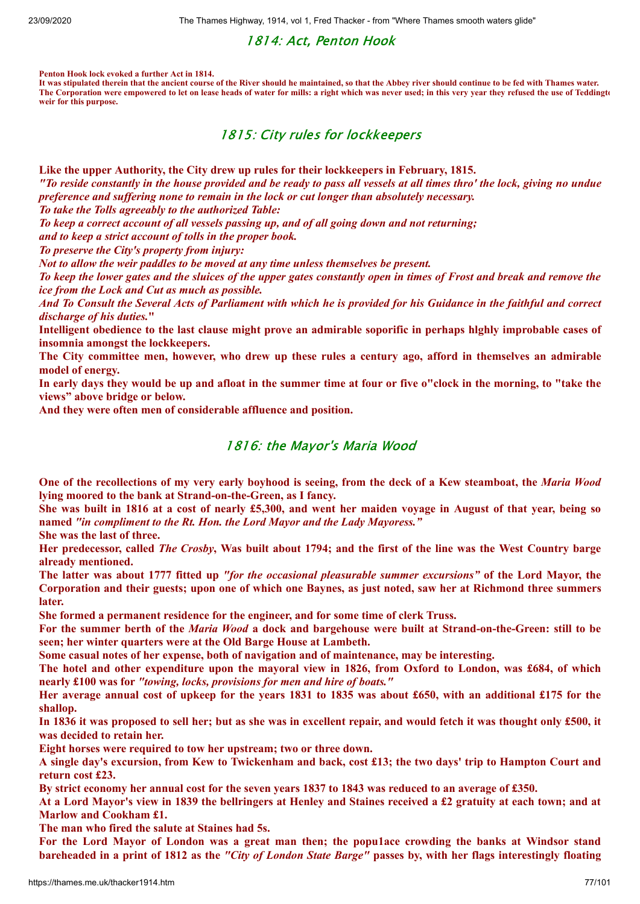## 1814: Act, Penton Hook

**Penton Hook lock evoked a further Act in 1814.**

**It was stipulated therein that the ancient course of the River should he maintained, so that the Abbey river should continue to be fed with Thames water. The Corporation were empowered to let on lease heads of water for mills: a right which was never used; in this very year they refused the use of Teddingto weir for this purpose.**

## 1815: City rules for lockkeepers

**Like the upper Authority, the City drew up rules for their lockkeepers in February, 1815.**

"To reside constantly in the house provided and be ready to pass all vessels at all times thro' the lock, giving no undue *preference and suf ering none to remain in the lock or cut longer than absolutely necessary.*

*To take the Tolls agreeably to the authorized Table:*

*To keep a correct account of all vessels passing up, and of all going down and not returning;*

*and to keep a strict account of tolls in the proper book.*

*To preserve the City's property from injury:*

*Not to allow the weir paddles to be moved at any time unless themselves be present.*

To keep the lower gates and the sluices of the upper gates constantly open in times of Frost and break and remove the *ice from the Lock and Cut as much as possible.*

And To Consult the Several Acts of Parliament with which he is provided for his Guidance in the faithful and correct *discharge of his duties.***"**

Intelligent obedience to the last clause might prove an admirable soporific in perhaps highly improbable cases of **insomnia amongst the lockkeepers.**

The City committee men, however, who drew up these rules a century ago, afford in themselves an admirable **model of energy.**

In early days they would be up and afloat in the summer time at four or five o"clock in the morning, to "take the **views" above bridge or below.**

**And they were often men of considerable affluence and position.**

### 1816: the Mayor's Maria Wood

One of the recollections of my very early boyhood is seeing, from the deck of a Kew steamboat, the Maria Wood **lying moored to the bank at Strand-on-the-Green, as I fancy.**

She was built in 1816 at a cost of nearly £5,300, and went her maiden voyage in August of that year, being so **named** *"in compliment to the Rt. Hon. the Lord Mayor and the Lady Mayoress."*

**She was the last of three.**

Her predecessor, called *The Crosby*, Was built about 1794; and the first of the line was the West Country barge **already mentioned.**

The latter was about 1777 fitted up "for the occasional pleasurable summer excursions" of the Lord Mayor, the Corporation and their guests; upon one of which one Baynes, as just noted, saw her at Richmond three summers **later.**

**She formed a permanent residence for the engineer, and for some time of clerk Truss.**

For the summer berth of the *Maria Wood* a dock and bargehouse were built at Strand-on-the-Green: still to be **seen; her winter quarters were at the Old Barge House at Lambeth.**

**Some casual notes of her expense, both of navigation and of maintenance, may be interesting.**

The hotel and other expenditure upon the mayoral view in 1826, from Oxford to London, was £684, of which **nearly £100 was for** *"towing, locks, provisions for men and hire of boats."*

Her average annual cost of upkeep for the years 1831 to 1835 was about £650, with an additional £175 for the **shallop.**

In 1836 it was proposed to sell her; but as she was in excellent repair, and would fetch it was thought only £500, it **was decided to retain her.**

**Eight horses were required to tow her upstream; two or three down.**

A single day's excursion, from Kew to Twickenham and back, cost £13; the two days' trip to Hampton Court and **return cost £23.**

By strict economy her annual cost for the seven years 1837 to 1843 was reduced to an average of £350.

At a Lord Mayor's view in 1839 the bellringers at Henley and Staines received a £2 gratuity at each town; and at **Marlow and Cookham £1.**

**The man who fired the salute at Staines had 5s.**

For the Lord Mayor of London was a great man then; the populace crowding the banks at Windsor stand bareheaded in a print of 1812 as the "City of London State Barge" passes by, with her flags interestingly floating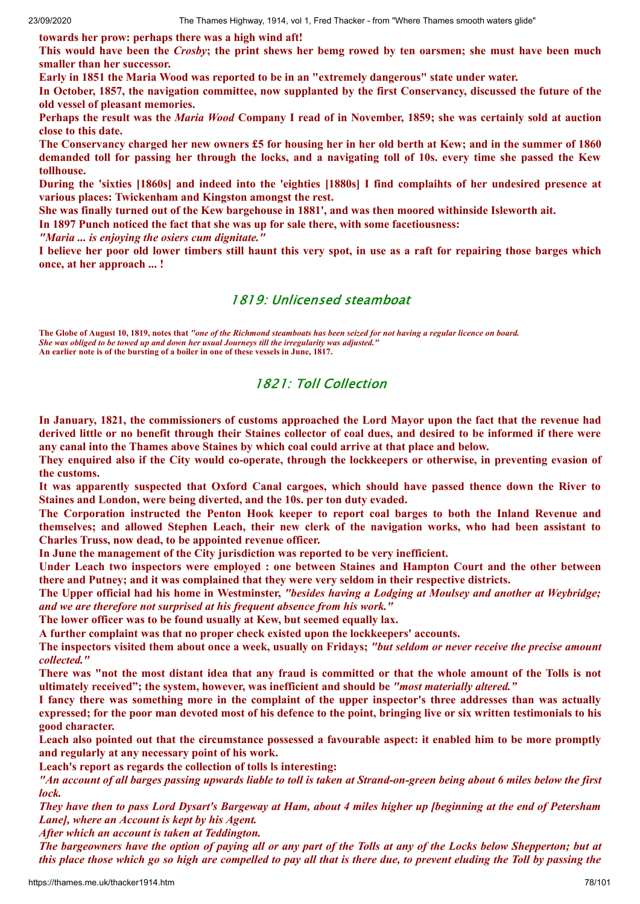**towards her prow: perhaps there was a high wind aft!**

This would have been the *Crosby*; the print shews her bemg rowed by ten oarsmen; she must have been much **smaller than her successor.**

**Early in 1851 the Maria Wood was reported to be in an "extremely dangerous" state under water.**

In October, 1857, the navigation committee, now supplanted by the first Conservancy, discussed the future of the **old vessel of pleasant memories.**

Perhaps the result was the *Maria Wood* Company I read of in November, 1859; she was certainly sold at auction **close to this date.**

The Conservancy charged her new owners £5 for housing her in her old berth at Kew; and in the summer of 1860 demanded toll for passing her through the locks, and a navigating toll of 10s. every time she passed the Kew **tollhouse.**

During the 'sixties [1860s] and indeed into the 'eighties [1880s] I find complaints of her undesired presence at **various places: Twickenham and Kingston amongst the rest.**

She was finally turned out of the Kew bargehouse in 1881', and was then moored withinside Isleworth ait.

**In 1897 Punch noticed the fact that she was up for sale there, with some facetiousness:**

*"Maria ... is enjoying the osiers cum dignitate."*

I believe her poor old lower timbers still haunt this very spot, in use as a raft for repairing those barges which **once, at her approach ... !**

## 1819: Unlicensed steamboat

**The Globe of August 10, 1819, notes that** *"one of the Richmond steamboats has been seized for not having a regular licence on board. She was obliged to be towed up and down her usual Journeys till the irregularity was adjusted."* **An earlier note is of the bursting of a boiler in one of these vessels in June, 1817.**

## 1821: Toll Collection

In January, 1821, the commissioners of customs approached the Lord Mayor upon the fact that the revenue had derived little or no benefit through their Staines collector of coal dues, and desired to be informed if there were **any canal into the Thames above Staines by which coal could arrive at that place and below.**

They enquired also if the City would co-operate, through the lockkeepers or otherwise, in preventing evasion of **the customs.**

**It was apparently suspected that Oxford Canal cargoes, which should have passed thence down the River to Staines and London, were being diverted, and the 10s. per ton duty evaded.**

**The Corporation instructed the Penton Hook keeper to report coal barges to both the Inland Revenue and themselves; and allowed Stephen Leach, their new clerk of the navigation works, who had been assistant to Charles Truss, now dead, to be appointed revenue officer.**

**In June the management of the City jurisdiction was reported to be very inefficient.**

**Under Leach two inspectors were employed : one between Staines and Hampton Court and the other between there and Putney; and it was complained that they were very seldom in their respective districts.**

The Upper official had his home in Westminster, "besides having a Lodging at Moulsey and another at Weybridge; *and we are therefore not surprised at his frequent absence from his work."*

**The lower officer was to be found usually at Kew, but seemed equally lax.**

**A further complaint was that no proper check existed upon the lockkeepers' accounts.**

The inspectors visited them about once a week, usually on Fridays; "but seldom or never receive the precise amount *collected."*

There was "not the most distant idea that any fraud is committed or that the whole amount of the Tolls is not **ultimately received"; the system, however, was inefficient and should be** *"most materially altered."*

I fancy there was something more in the complaint of the upper inspector's three addresses than was actually expressed; for the poor man devoted most of his defence to the point, bringing live or six written testimonials to his **good character.**

Leach also pointed out that the circumstance possessed a favourable aspect: it enabled him to be more promptly **and regularly at any necessary point of his work.**

**Leach's report as regards the collection of tolls ls interesting:**

"An account of all barges passing upwards liable to toll is taken at Strand-on-green being about 6 miles below the first *lock.*

They have then to pass Lord Dysart's Bargeway at Ham, about 4 miles higher up [beginning at the end of Petersham *Lane], where an Account is kept by his Agent.*

*After which an account is taken at Teddington.*

The bargeowners have the option of paying all or any part of the Tolls at any of the Locks below Shepperton; but at this place those which go so high are compelled to pay all that is there due, to prevent eluding the Toll by passing the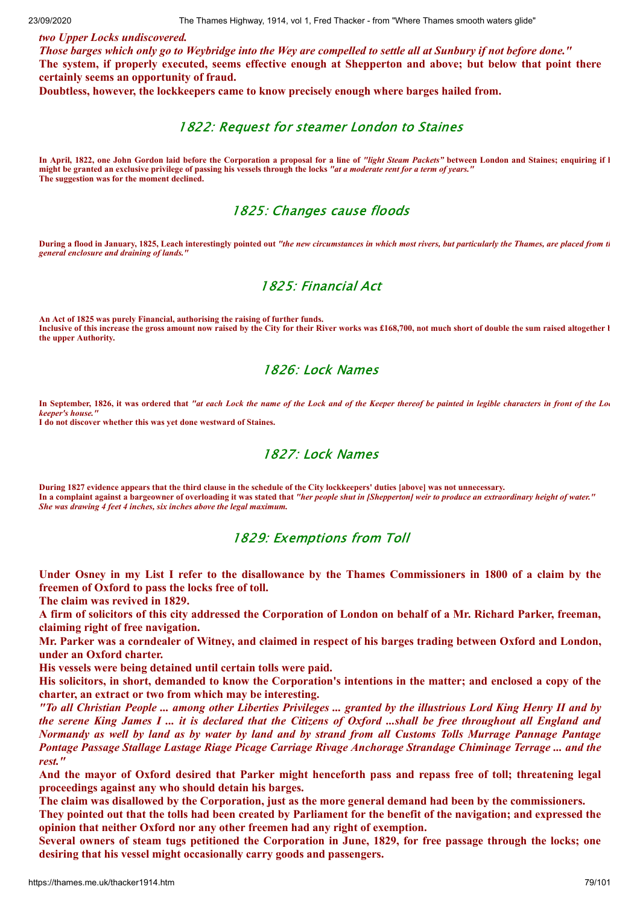#### *two Upper Locks undiscovered.*

Those barges which only go to Weybridge into the Wey are compelled to settle all at Sunbury if not before done." The system, if properly executed, seems effective enough at Shepperton and above; but below that point there **certainly seems an opportunity of fraud.**

**Doubtless, however, the lockkeepers came to know precisely enough where barges hailed from.**

### 1822: Request for steamer London to Staines

**In April, 1822, one John Gordon laid before the Corporation a proposal for a line of** *"light Steam Packets"* **between London and Staines; enquiring if h might be granted an exclusive privilege of passing his vessels through the locks** *"at a moderate rent for a term of years."* **The suggestion was for the moment declined.**

## 1825: Changes cause floods

**During a flood in January, 1825, Leach interestingly pointed out** *"the new circumstances in which most rivers, but particularly the Thames, are placed from th general enclosure and draining of lands."*

# 1825: Financial Act

**An Act of 1825 was purely Financial, authorising the raising of further funds. Inclusive of this increase the gross amount now raised by the City for their River works was £168,700, not much short of double the sum raised altogether b the upper Authority.**

## 1826: Lock Names

**In September, 1826, it was ordered that** *"at each Lock the name of the Lock and of the Keeper thereof be painted in legible characters in front of the Loc keeper's house."*

**I do not discover whether this was yet done westward of Staines.**

## 1827: Lock Names

**During 1827 evidence appears that the third clause in the schedule of the City lockkeepers' duties [above] was not unnecessary. In a complaint against a bargeowner of overloading it was stated that** *"her people shut in [Shepperton] weir to produce an extraordinary height of water." She was drawing 4 feet 4 inches, six inches above the legal maximum.*

### 1829: Exemptions from Toll

Under Osney in my List I refer to the disallowance by the Thames Commissioners in 1800 of a claim by the **freemen of Oxford to pass the locks free of toll.**

**The claim was revived in 1829.**

A firm of solicitors of this city addressed the Corporation of London on behalf of a Mr. Richard Parker, freeman, **claiming right of free navigation.**

Mr. Parker was a corndealer of Witney, and claimed in respect of his barges trading between Oxford and London, **under an Oxford charter.**

**His vessels were being detained until certain tolls were paid.**

His solicitors, in short, demanded to know the Corporation's intentions in the matter; and enclosed a copy of the **charter, an extract or two from which may be interesting.**

"To all Christian People ... among other Liberties Privileges ... granted by the illustrious Lord King Henry II and by the serene King James I ... it is declared that the Citizens of Oxford ...shall be free throughout all England and Normandy as well by land as by water by land and by strand from all Customs Tolls Murrage Pannage Pantage *Pontage Passage Stallage Lastage Riage Picage Carriage Rivage Anchorage Strandage Chiminage Terrage ... and the rest."*

And the mayor of Oxford desired that Parker might henceforth pass and repass free of toll; threatening legal **proceedings against any who should detain his barges.**

The claim was disallowed by the Corporation, just as the more general demand had been by the commissioners.

They pointed out that the tolls had been created by Parliament for the benefit of the navigation; and expressed the **opinion that neither Oxford nor any other freemen had any right of exemption.**

Several owners of steam tugs petitioned the Corporation in June, 1829, for free passage through the locks; one **desiring that his vessel might occasionally carry goods and passengers.**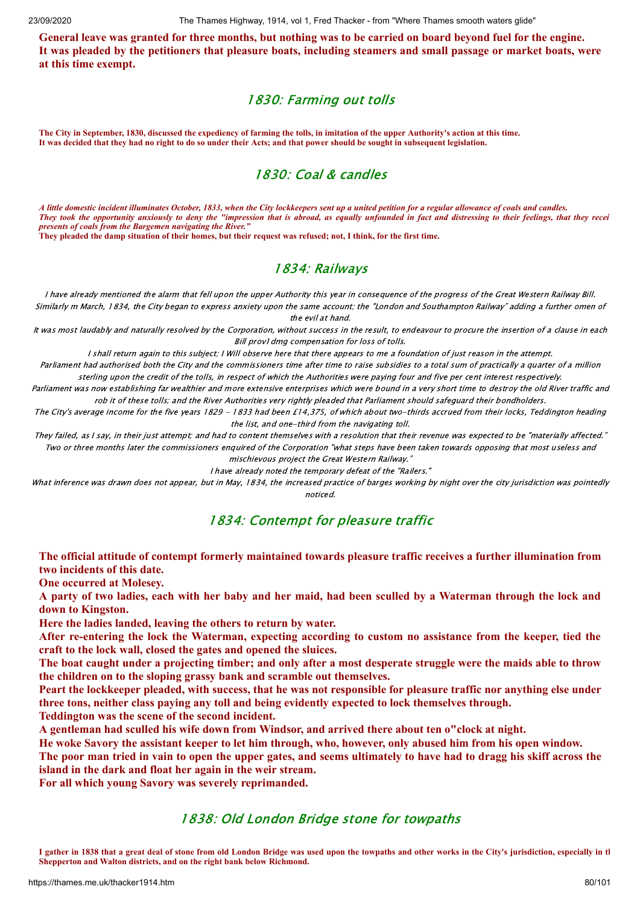General leave was granted for three months, but nothing was to be carried on board beyond fuel for the engine. It was pleaded by the petitioners that pleasure boats, including steamers and small passage or market boats, were **at this time exempt.**

# 1830: Farming out tolls

**The City in September, 1830, discussed the expediency of farming the tolls, in imitation of the upper Authority's action at this time. It was decided that they had no right to do so under their Acts; and that power should be sought in subsequent legislation.**

# 1830: Coal & candles

*A little domestic incident illuminates October, 1833, when the City lockkeepers sent up a united petition for a regular allowance of coals and candles. They took the opportunity anxiously to deny the "impression that is abroad, as equally unfounded in fact and distressing to their feelings, that they recei presents of coals from the Bargemen navigating the River."*

**They pleaded the damp situation of their homes, but their request was refused; not, I think, for the first time.**

# 1834: Railways

I have already mentioned the alarm that fell upon the upper Authority this year in consequence of the progress of the Great Western Railway Bill. Similarly m March, 1834, the City began to express anxiety upon the same account; the "London and Southampton Railway" adding a further omen of the evil at hand.

It was most laudably and naturally resolved by the Corporation, without success in the result, to endeavour to procure the insertion of a clause in each Bill prov1dmg compensation for loss of tolls.

I shall return again to this subject; I Will observe here that there appears to me a foundation of just reason in the attempt.

Parliament had authorised both the City and the commissioners time after time to raise subsidies to a total sum of practically a quarter of a million sterling upon the credit of the tolls, in respect of which the Authorities were paying four and five per cent interest respectively.

Parliament was now establishing far wealthier and more extensive enterprises which were bound in a very short time to destroy the old River traffic and rob it of these tolls; and the River Authorities very rightly pleaded that Parliament should safeguard their bondholders.

The City's average income for the five years 1829 - 1833 had been £14,375, of which about two-thirds accrued from their locks, Teddington heading the list, and one-third from the navigating toll.

They failed, as I say, in their just attempt; and had to content themselves with a resolution that their revenue was expected to be "materially affected." Two or three months later the commissioners enquired of the Corporation "what steps have been taken towards opposing that most useless and mischievous project the Great Western Railway."

I have already noted the temporary defeat of the "Railers."

What inference was drawn does not appear, but in May, 1834, the increased practice of barges working by night over the city jurisdiction was pointedly noticed.

# 1834: Contempt for pleasure traffic

### **The official attitude of contempt formerly maintained towards pleasure traffic receives a further illumination from two incidents of this date.**

**One occurred at Molesey.**

A party of two ladies, each with her baby and her maid, had been sculled by a Waterman through the lock and **down to Kingston.**

**Here the ladies landed, leaving the others to return by water.**

After re-entering the lock the Waterman, expecting according to custom no assistance from the keeper, tied the **craft to the lock wall, closed the gates and opened the sluices.**

The boat caught under a projecting timber; and only after a most desperate struggle were the maids able to throw **the children on to the sloping grassy bank and scramble out themselves.**

Peart the lockkeeper pleaded, with success, that he was not responsible for pleasure traffic nor anything else under **three tons, neither class paying any toll and being evidently expected to lock themselves through.**

**Teddington was the scene of the second incident.**

**A gentleman had sculled his wife down from Windsor, and arrived there about ten o"clock at night.**

He woke Savory the assistant keeper to let him through, who, however, only abused him from his open window.

The poor man tried in vain to open the upper gates, and seems ultimately to have had to dragg his skiff across the **island in the dark and float her again in the weir stream.**

**For all which young Savory was severely reprimanded.**

# 1838: Old London Bridge stone for towpaths

**I gather in 1838 that a great deal of stone from old London Bridge was used upon the towpaths and other works in the City's jurisdiction, especially in th Shepperton and Walton districts, and on the right bank below Richmond.**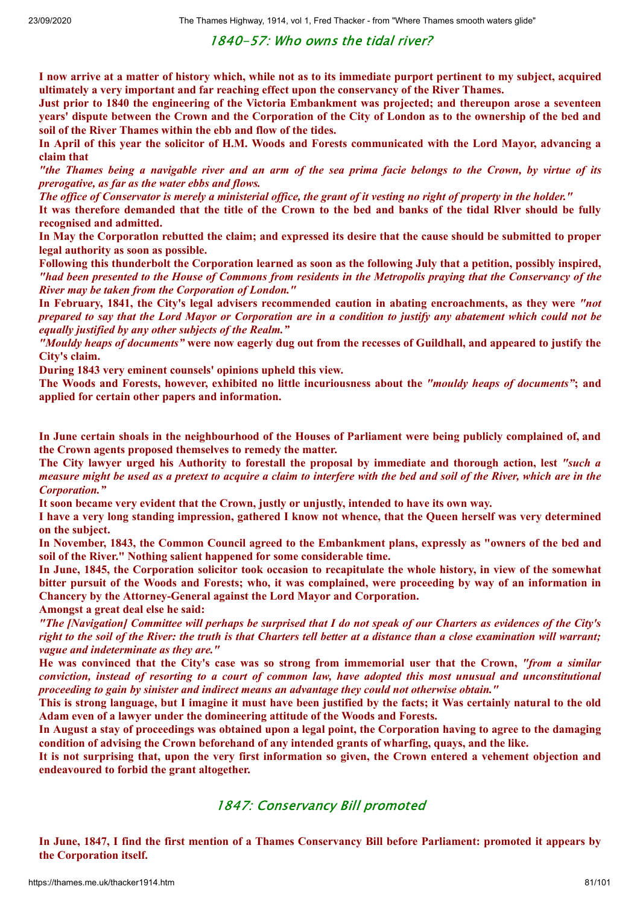1840-57: Who owns the tidal river?

I now arrive at a matter of history which, while not as to its immediate purport pertinent to my subject, acquired **ultimately a very important and far reaching effect upon the conservancy of the River Thames.**

Just prior to 1840 the engineering of the Victoria Embankment was projected; and thereupon arose a seventeen years' dispute between the Crown and the Corporation of the City of London as to the ownership of the bed and **soil of the River Thames within the ebb and flow of the tides.**

In April of this year the solicitor of H.M. Woods and Forests communicated with the Lord Mayor, advancing a **claim that**

"the Thames being a navigable river and an arm of the sea prima facie belongs to the Crown, by virtue of its *prerogative, as far as the water ebbs and flows.*

The office of Conservator is merely a ministerial office, the grant of it vesting no right of property in the holder."

It was therefore demanded that the title of the Crown to the bed and banks of the tidal River should be fully **recognised and admitted.**

In May the Corporation rebutted the claim; and expressed its desire that the cause should be submitted to proper **legal authority as soon as possible.**

Following this thunderbolt the Corporation learned as soon as the following July that a petition, possibly inspired, "had been presented to the House of Commons from residents in the Metropolis praying that the Conservancy of the *River may be taken from the Corporation of London."*

**In February, 1841, the City's legal advisers recommended caution in abating encroachments, as they were** *"not* prepared to say that the Lord Mayor or Corporation are in a condition to justify any abatement which could not be *equally justified by any other subjects of the Realm."*

"Mouldy heaps of documents" were now eagerly dug out from the recesses of Guildhall, and appeared to justify the **City's claim.**

**During 1843 very eminent counsels' opinions upheld this view.**

The Woods and Forests, however, exhibited no little incuriousness about the "mouldy heaps of documents"; and **applied for certain other papers and information.**

In June certain shoals in the neighbourhood of the Houses of Parliament were being publicly complained of, and **the Crown agents proposed themselves to remedy the matter.**

The City lawyer urged his Authority to forestall the proposal by immediate and thorough action, lest "such a measure might be used as a pretext to acquire a claim to interfere with the bed and soil of the River, which are in the *Corporation."*

**It soon became very evident that the Crown, justly or unjustly, intended to have its own way.**

I have a very long standing impression, gathered I know not whence, that the Queen herself was very determined **on the subject.**

In November, 1843, the Common Council agreed to the Embankment plans, expressly as "owners of the bed and **soil of the River." Nothing salient happened for some considerable time.**

In June, 1845, the Corporation solicitor took occasion to recapitulate the whole history, in view of the somewhat bitter pursuit of the Woods and Forests; who, it was complained, were proceeding by way of an information in **Chancery by the Attorney-General against the Lord Mayor and Corporation.**

**Amongst a great deal else he said:**

"The [Navigation] Committee will perhaps be surprised that I do not speak of our Charters as evidences of the City's right to the soil of the River: the truth is that Charters tell better at a distance than a close examination will warrant; *vague and indeterminate as they are."*

He was convinced that the City's case was so strong from immemorial user that the Crown, "from a similar conviction, instead of resorting to a court of common law, have adopted this most unusual and unconstitutional *proceeding to gain by sinister and indirect means an advantage they could not otherwise obtain."*

This is strong language, but I imagine it must have been justified by the facts; it Was certainly natural to the old **Adam even of a lawyer under the domineering attitude of the Woods and Forests.**

In August a stay of proceedings was obtained upon a legal point, the Corporation having to agree to the damaging **condition of advising the Crown beforehand of any intended grants of wharfing, quays, and the like.**

It is not surprising that, upon the very first information so given, the Crown entered a vehement objection and **endeavoured to forbid the grant altogether.**

## 1847: Conservancy Bill promoted

In June, 1847, I find the first mention of a Thames Conservancy Bill before Parliament: promoted it appears by **the Corporation itself.**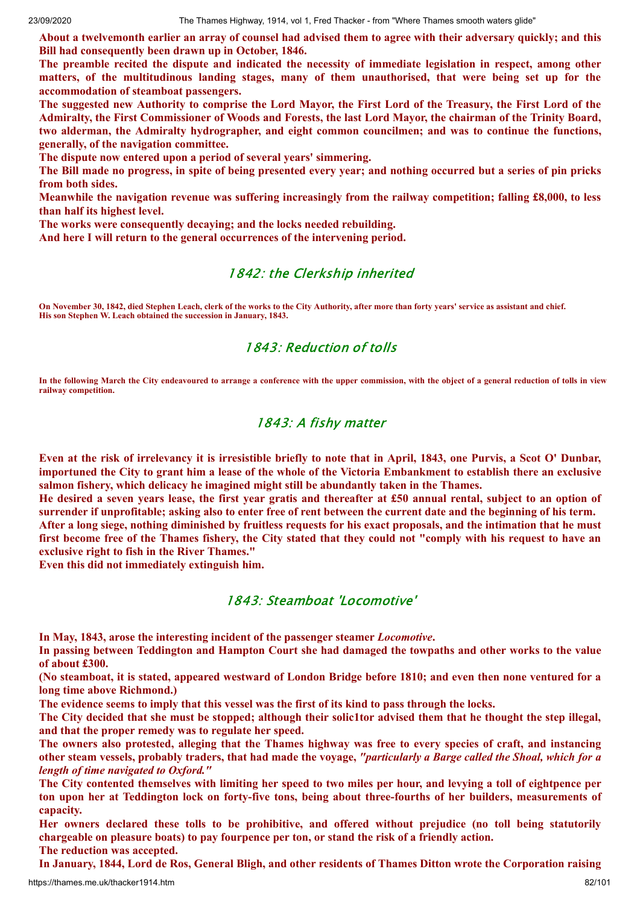About a twelvemonth earlier an array of counsel had advised them to agree with their adversary quickly; and this **Bill had consequently been drawn up in October, 1846.**

**The preamble recited the dispute and indicated the necessity of immediate legislation in respect, among other matters, of the multitudinous landing stages, many of them unauthorised, that were being set up for the accommodation of steamboat passengers.**

The suggested new Authority to comprise the Lord Mayor, the First Lord of the Treasury, the First Lord of the Admiralty, the First Commissioner of Woods and Forests, the last Lord Mayor, the chairman of the Trinity Board, **two alderman, the Admiralty hydrographer, and eight common councilmen; and was to continue the functions, generally, of the navigation committee.**

**The dispute now entered upon a period of several years' simmering.**

The Bill made no progress, in spite of being presented every year; and nothing occurred but a series of pin pricks **from both sides.**

**Meanwhile the navigation revenue was suffering increasingly from the railway competition; falling £8,000, to less than half its highest level.**

**The works were consequently decaying; and the locks needed rebuilding.**

**And here I will return to the general occurrences of the intervening period.**

### 1842: the Clerkship inherited

**On November 30, 1842, died Stephen Leach, clerk of the works to the City Authority, after more than forty years' service as assistant and chief. His son Stephen W. Leach obtained the succession in January, 1843.**

## 1843: Reduction of tolls

**In the following March the City endeavoured to arrange a conference with the upper commission, with the object of a general reduction of tolls in view railway competition.**

### 1843: A fishy matter

Even at the risk of irrelevancy it is irresistible briefly to note that in April, 1843, one Purvis, a Scot O' Dunbar, importuned the City to grant him a lease of the whole of the Victoria Embankment to establish there an exclusive **salmon fishery, which delicacy he imagined might still be abundantly taken in the Thames.**

He desired a seven years lease, the first year gratis and thereafter at £50 annual rental, subject to an option of surrender if unprofitable; asking also to enter free of rent between the current date and the beginning of his term.

After a long siege, nothing diminished by fruitless requests for his exact proposals, and the intimation that he must first become free of the Thames fishery, the City stated that they could not "comply with his request to have an **exclusive right to fish in the River Thames."**

**Even this did not immediately extinguish him.**

### 1843: Steamboat 'Locomotive'

**In May, 1843, arose the interesting incident of the passenger steamer** *Locomotive***.**

In passing between Teddington and Hampton Court she had damaged the towpaths and other works to the value **of about £300.**

(No steamboat, it is stated, appeared westward of London Bridge before 1810; and even then none ventured for a **long time above Richmond.)**

The evidence seems to imply that this vessel was the first of its kind to pass through the locks.

The City decided that she must be stopped; although their solicitor advised them that he thought the step illegal, **and that the proper remedy was to regulate her speed.**

The owners also protested, alleging that the Thames highway was free to every species of craft, and instancing other steam vessels, probably traders, that had made the voyage, "particularly a Barge called the Shoal, which for a *length of time navigated to Oxford."*

The City contented themselves with limiting her speed to two miles per hour, and levying a toll of eightpence per ton upon her at Teddington lock on forty-five tons, being about three-fourths of her builders, measurements of **capacity.**

**Her owners declared these tolls to be prohibitive, and offered without prejudice (no toll being statutorily chargeable on pleasure boats) to pay fourpence per ton, or stand the risk of a friendly action.**

**The reduction was accepted.**

In January, 1844, Lord de Ros, General Bligh, and other residents of Thames Ditton wrote the Corporation raising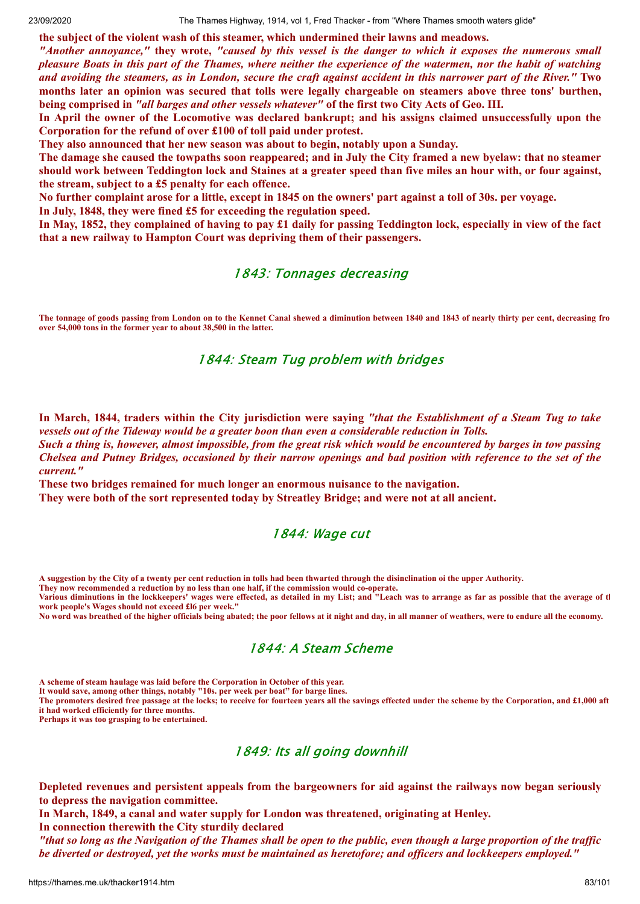**the subject of the violent wash of this steamer, which undermined their lawns and meadows.**

"Another annovance," they wrote, "caused by this vessel is the danger to which it exposes the numerous small pleasure Boats in this part of the Thames, where neither the experience of the watermen, nor the habit of watching and avoiding the steamers, as in London, secure the craft against accident in this narrower part of the River." Two months later an opinion was secured that tolls were legally chargeable on steamers above three tons' burthen, **being comprised in** *"all barges and other vessels whatever"* **of the first two City Acts of Geo. III.**

In April the owner of the Locomotive was declared bankrupt; and his assigns claimed unsuccessfully upon the **Corporation for the refund of over £100 of toll paid under protest.**

**They also announced that her new season was about to begin, notably upon a Sunday.**

The damage she caused the towpaths soon reappeared; and in July the City framed a new byelaw: that no steamer should work between Teddington lock and Staines at a greater speed than five miles an hour with, or four against, **the stream, subject to a £5 penalty for each offence.**

No further complaint arose for a little, except in 1845 on the owners' part against a toll of 30s. per voyage.

**In July, 1848, they were fined £5 for exceeding the regulation speed.**

In May, 1852, they complained of having to pay £1 daily for passing Teddington lock, especially in view of the fact **that a new railway to Hampton Court was depriving them of their passengers.**

## 1843: Tonnages decreasing

**The tonnage of goods passing from London on to the Kennet Canal shewed a diminution between 1840 and 1843 of nearly thirty per cent, decreasing fro over 54,000 tons in the former year to about 38,500 in the latter.**

## 1844: Steam Tug problem with bridges

In March, 1844, traders within the City jurisdiction were saying "that the Establishment of a Steam Tug to take *vessels out of the Tideway would be a greater boon than even a considerable reduction in Tolls.*

Such a thing is, however, almost impossible, from the great risk which would be encountered by barges in tow passing Chelsea and Putney Bridges, occasioned by their narrow openings and bad position with reference to the set of the *current."*

**These two bridges remained for much longer an enormous nuisance to the navigation.**

**They were both of the sort represented today by Streatley Bridge; and were not at all ancient.**

### 1844: Wage cut

**A suggestion by the City of a twenty per cent reduction in tolls had been thwarted through the disinclination oi the upper Authority.**

**They now recommended a reduction by no less than one half, if the commission would co-operate.**

**Various diminutions in the lockkeepers' wages were effected, as detailed in my List; and "Leach was to arrange as far as possible that the average of th work people's Wages should not exceed £l6 per week."**

**No word was breathed of the higher officials being abated; the poor fellows at it night and day, in all manner of weathers, were to endure all the economy.**

## 1844: A Steam Scheme

**A scheme of steam haulage was laid before the Corporation in October of this year.**

**It would save, among other things, notably "10s. per week per boat" for barge lines.**

**The promoters desired free passage at the locks; to receive for fourteen years all the savings effected under the scheme by the Corporation, and £1,000 aft it had worked efficiently for three months.**

**Perhaps it was too grasping to be entertained.**

## 1849: Its all going downhill

**Depleted revenues and persistent appeals from the bargeowners for aid against the railways now began seriously to depress the navigation committee.**

**In March, 1849, a canal and water supply for London was threatened, originating at Henley. In connection therewith the City sturdily declared**

"that so long as the Navigation of the Thames shall be open to the public, even though a large proportion of the traffic be diverted or destroved, vet the works must be maintained as heretofore; and officers and lockkeepers emploved."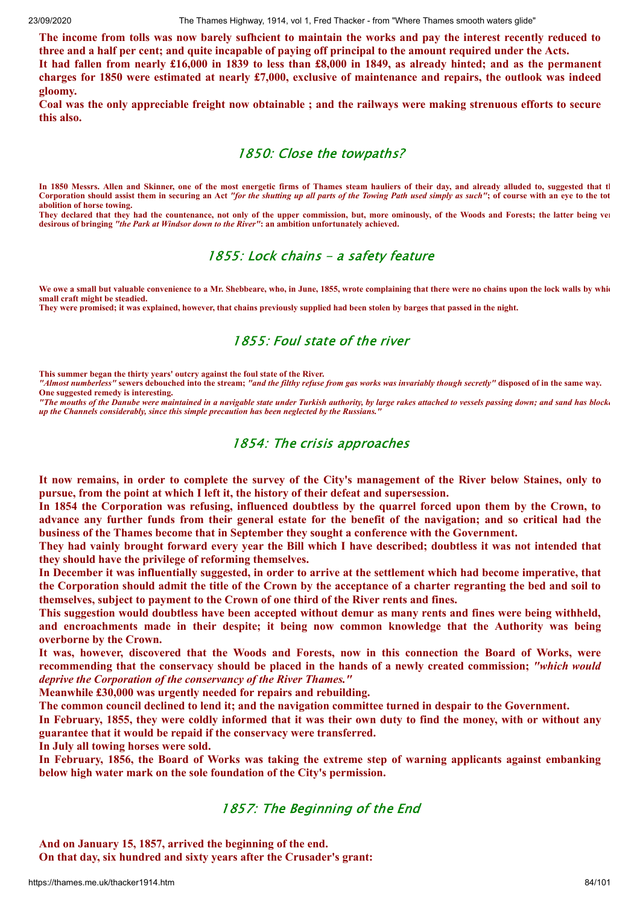The income from tolls was now barely sufficient to maintain the works and pay the interest recently reduced to three and a half per cent; and quite incapable of paying off principal to the amount required under the Acts.

It had fallen from nearly £16,000 in 1839 to less than £8,000 in 1849, as already hinted; and as the permanent charges for 1850 were estimated at nearly  $£7,000$ , exclusive of maintenance and repairs, the outlook was indeed **gloomy.**

Coal was the only appreciable freight now obtainable; and the railways were making strenuous efforts to secure **this also.**

### 1850: Close the towpaths?

**In 1850 Messrs. Allen and Skinner, one of the most energetic firms of Thames steam hauliers of their day, and already alluded to, suggested that th Corporation should assist them in securing an Act** *"for the shutting up all parts of the Towing Path used simply as such"***; of course with an eye to the tot abolition of horse towing.**

**They declared that they had the countenance, not only of the upper commission, but, more ominously, of the Woods and Forests; the latter being ver desirous of bringing** *"the Park at Windsor down to the River"***: an ambition unfortunately achieved.**

## 1855: Lock chains - a safety feature

We owe a small but valuable convenience to a Mr. Shebbeare, who, in June, 1855, wrote complaining that there were no chains upon the lock walls by whic **small craft might be steadied.**

**They were promised; it was explained, however, that chains previously supplied had been stolen by barges that passed in the night.**

## 1855: Foul state of the river

**This summer began the thirty years' outcry against the foul state of the River.**

*"Almost numberless"* **sewers debouched into the stream;** *"and the filthy refuse from gas works was invariably though secretly"* **disposed of in the same way. One suggested remedy is interesting.**

*"The mouths of the Danube were maintained in a navigable state under Turkish authority, by large rakes attached to vessels passing down; and sand has blocke up the Channels considerably, since this simple precaution has been neglected by the Russians."*

## 1854: The crisis approaches

It now remains, in order to complete the survey of the City's management of the River below Staines, only to **pursue, from the point at which I left it, the history of their defeat and supersession.**

In 1854 the Corporation was refusing, influenced doubtless by the quarrel forced upon them by the Crown, to advance any further funds from their general estate for the benefit of the navigation; and so critical had the **business of the Thames become that in September they sought a conference with the Government.**

They had vainly brought forward every year the Bill which I have described; doubtless it was not intended that **they should have the privilege of reforming themselves.**

In December it was influentially suggested, in order to arrive at the settlement which had become imperative, that the Corporation should admit the title of the Crown by the acceptance of a charter regranting the bed and soil to **themselves, subject to payment to the Crown of one third of the River rents and fines.**

This suggestion would doubtless have been accepted without demur as many rents and fines were being withheld, **and encroachments made in their despite; it being now common knowledge that the Authority was being overborne by the Crown.**

It was, however, discovered that the Woods and Forests, now in this connection the Board of Works, were recommending that the conservacy should be placed in the hands of a newly created commission: "which would *deprive the Corporation of the conservancy of the River Thames."*

**Meanwhile £30,000 was urgently needed for repairs and rebuilding.**

**The common council declined to lend it; and the navigation committee turned in despair to the Government.**

In February, 1855, they were coldly informed that it was their own duty to find the money, with or without any **guarantee that it would be repaid if the conservacy were transferred.**

**In July all towing horses were sold.**

**In February, 1856, the Board of Works was taking the extreme step of warning applicants against embanking below high water mark on the sole foundation of the City's permission.**

## 1857: The Beginning of the End

**And on January 15, 1857, arrived the beginning of the end.**

**On that day, six hundred and sixty years after the Crusader's grant:**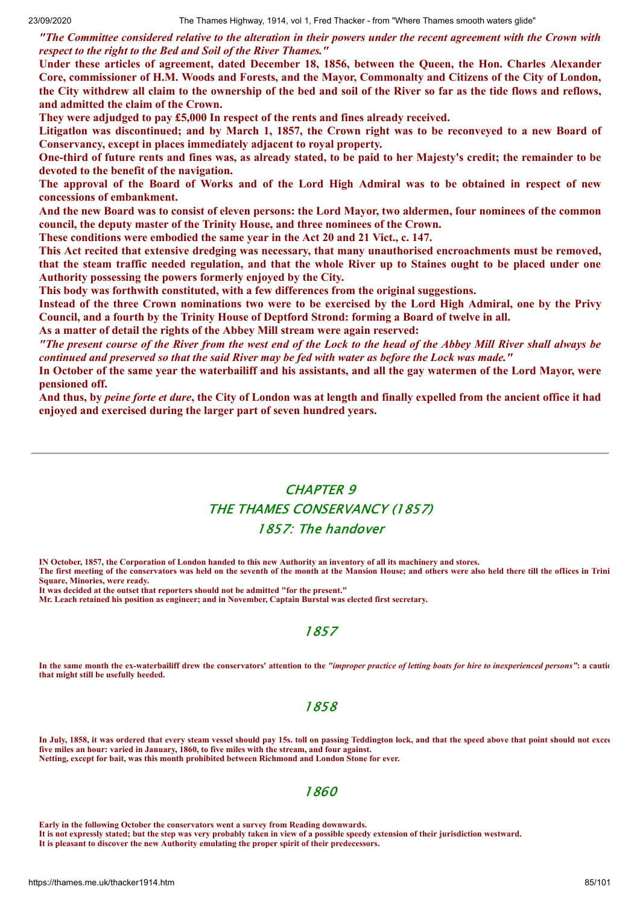"The Committee considered relative to the alteration in their powers under the recent agreement with the Crown with *respect to the right to the Bed and Soil of the River Thames."*

**Under these articles of agreement, dated December 18, 1856, between the Queen, the Hon. Charles Alexander** Core, commissioner of H.M. Woods and Forests, and the Mayor, Commonalty and Citizens of the City of London, the City withdrew all claim to the ownership of the bed and soil of the River so far as the tide flows and reflows, **and admitted the claim of the Crown.**

**They were adjudged to pay £5,000 In respect of the rents and fines already received.**

Litigation was discontinued; and by March 1, 1857, the Crown right was to be reconveyed to a new Board of **Conservancy, except in places immediately adjacent to royal property.**

One-third of future rents and fines was, as already stated, to be paid to her Majesty's credit; the remainder to be **devoted to the benefit of the navigation.**

The approval of the Board of Works and of the Lord High Admiral was to be obtained in respect of new **concessions of embankment.**

And the new Board was to consist of eleven persons: the Lord Mayor, two aldermen, four nominees of the common **council, the deputy master of the Trinity House, and three nominees of the Crown.**

**These conditions were embodied the same year in the Act 20 and 21 Vict., c. 147.**

**This Act recited that extensive dredging was necessary, that many unauthorised encroachments must be removed,** that the steam traffic needed regulation, and that the whole River up to Staines ought to be placed under one **Authority possessing the powers formerly enjoyed by the City.**

**This body was forthwith constituted, with a few differences from the original suggestions.**

Instead of the three Crown nominations two were to be exercised by the Lord High Admiral, one by the Privy **Council, and a fourth by the Trinity House of Deptford Strond: forming a Board of twelve in all.**

**As a matter of detail the rights of the Abbey Mill stream were again reserved:**

"The present course of the River from the west end of the Lock to the head of the Abbey Mill River shall always be continued and preserved so that the said River may be fed with water as before the Lock was made."

In October of the same year the waterbailiff and his assistants, and all the gay watermen of the Lord Mayor, were **pensioned off.**

And thus, by *peine forte et dure*, the City of London was at length and finally expelled from the ancient office it had **enjoyed and exercised during the larger part of seven hundred years.**

# CHAPTER 9 THE THAMES CONSERVANCY (1857) 1857: The handover

**IN October, 1857, the Corporation of London handed to this new Authority an inventory of all its machinery and stores. The first meeting of the conservators was held on the seventh of the month at the Mansion House; and others were also held there till the ofIices in Trini Square, Minories, were ready.**

**It was decided at the outset that reporters should not be admitted "for the present."**

**Mr. Leach retained his position as engineer; and in November, Captain Burstal was elected first secretary.**

## 1857

**In the same month the ex-waterbailiff drew the conservators' attention to the** *"improper practice of letting boats for hire to inexperienced persons"***: a cautio that might still be usefully heeded.**

### 1858

**In July, 1858, it was ordered that every steam vessel should pay 15s. toll on passing Teddington lock, and that the speed above that point should not excee five miles an hour: varied in January, 1860, to five miles with the stream, and four against. Netting, except for bait, was this month prohibited between Richmond and London Stone for ever.**

### 1860

**Early in the following October the conservators went a survey from Reading downwards.**

**It is not expressly stated; but the step was very probably taken in view of a possible speedy extension of their jurisdiction westward.**

**It is pleasant to discover the new Authority emulating the proper spirit of their predecessors.**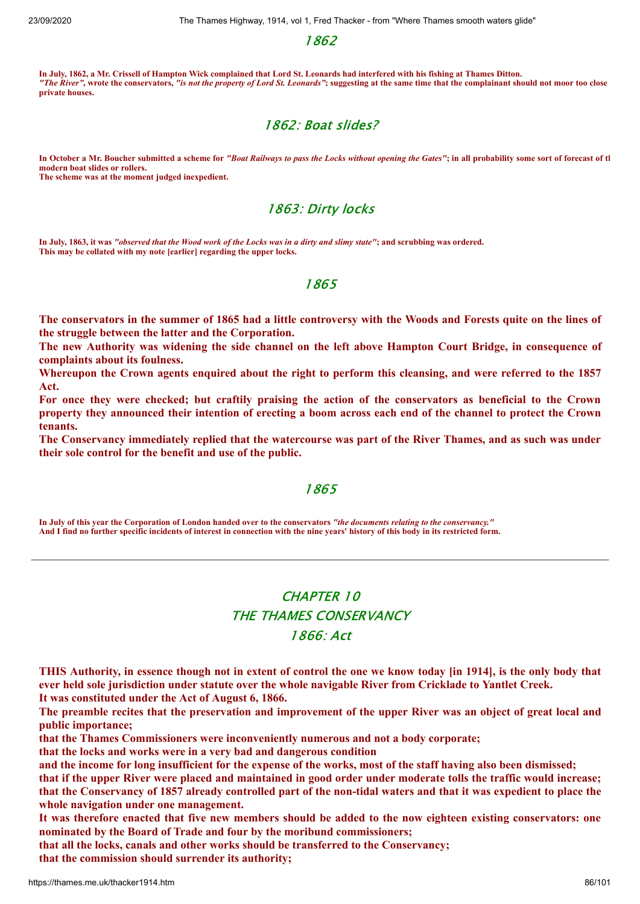1862

**In July, 1862, a Mr. Crissell of Hampton Wick complained that Lord St. Leonards had interfered with his fishing at Thames Ditton.** *"The River"***, wrote the conservators,** *"is not the property of Lord St. Leonards"***; suggesting at the same time that the complainant should not moor too close private houses.**

## 1862: Boat slides?

**In October a Mr. Boucher submitted a scheme for** *"Boat Railways to pass the Locks without opening the Gates"***; in all probability some sort of forecast of th modern boat slides or rollers.**

**The scheme was at the moment judged inexpedient.**

## 1863: Dirty locks

**In July, 1863, it was** *"observed that the Wood work of the Locks was in a dirty and slimy state"***; and scrubbing was ordered. This may be collated with my note [earlier] regarding the upper locks.**

### 1865

The conservators in the summer of 1865 had a little controversy with the Woods and Forests quite on the lines of **the struggle between the latter and the Corporation.**

The new Authority was widening the side channel on the left above Hampton Court Bridge, in consequence of **complaints about its foulness.**

Whereupon the Crown agents enquired about the right to perform this cleansing, and were referred to the 1857 **Act.**

For once they were checked; but craftily praising the action of the conservators as beneficial to the Crown property they announced their intention of erecting a boom across each end of the channel to protect the Crown **tenants.**

The Conservancy immediately replied that the watercourse was part of the River Thames, and as such was under **their sole control for the benefit and use of the public.**

### 1865

**In July of this year the Corporation of London handed over to the conservators** *"the documents relating to the conservancy."* **And I find no further specific incidents of interest in connection with the nine years' history of this body in its restricted form.**

# CHAPTER 10 THE THAMES CONSERVANCY 1866: Act

THIS Authority, in essence though not in extent of control the one we know today [in 1914], is the only body that **ever held sole jurisdiction under statute over the whole navigable River from Cricklade to Yantlet Creek.**

**It was constituted under the Act of August 6, 1866.**

The preamble recites that the preservation and improvement of the upper River was an object of great local and **public importance;**

**that the Thames Commissioners were inconveniently numerous and not a body corporate;**

**that the locks and works were in a very bad and dangerous condition**

and the income for long insufficient for the expense of the works, most of the staff having also been dismissed;

that if the upper River were placed and maintained in good order under moderate tolls the traffic would increase; that the Conservancy of 1857 already controlled part of the non-tidal waters and that it was expedient to place the **whole navigation under one management.**

It was therefore enacted that five new members should be added to the now eighteen existing conservators: one **nominated by the Board of Trade and four by the moribund commissioners;**

**that all the locks, canals and other works should be transferred to the Conservancy;**

**that the commission should surrender its authority;**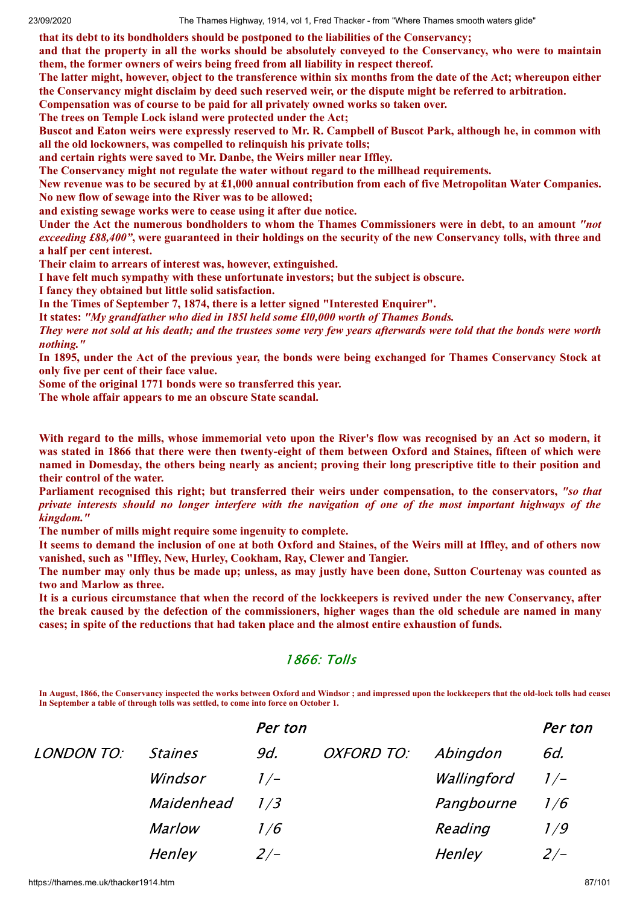**that its debt to its bondholders should be postponed to the liabilities of the Conservancy;**

and that the property in all the works should be absolutely conveyed to the Conservancy, who were to maintain **them, the former owners of weirs being freed from all liability in respect thereof.**

The latter might, however, object to the transference within six months from the date of the Act; whereupon either the Conservancy might disclaim by deed such reserved weir, or the dispute might be referred to arbitration.

**Compensation was of course to be paid for all privately owned works so taken over. The trees on Temple Lock island were protected under the Act;**

Buscot and Eaton weirs were expressly reserved to Mr. R. Campbell of Buscot Park, although he, in common with **all the old lockowners, was compelled to relinquish his private tolls;**

**and certain rights were saved to Mr. Danbe, the Weirs miller near Iffley.**

**The Conservancy might not regulate the water without regard to the millhead requirements.**

New revenue was to be secured by at £1,000 annual contribution from each of five Metropolitan Water Companies. **No new flow of sewage into the River was to be allowed;**

**and existing sewage works were to cease using it after due notice.**

Under the Act the numerous bondholders to whom the Thames Commissioners were in debt, to an amount "not *exceeding £88,400"*, were guaranteed in their holdings on the security of the new Conservancy tolls, with three and **a half per cent interest.**

**Their claim to arrears of interest was, however, extinguished.**

**I have felt much sympathy with these unfortunate investors; but the subject is obscure.**

**I fancy they obtained but little solid satisfaction.**

**In the Times of September 7, 1874, there is a letter signed "Interested Enquirer".**

**It states:** *"My grandfather who died in 185l held some £l0,000 worth of Thames Bonds.*

They were not sold at his death; and the trustees some very few years afterwards were told that the bonds were worth *nothing."*

In 1895, under the Act of the previous year, the bonds were being exchanged for Thames Conservancy Stock at **only five per cent of their face value.**

**Some of the original 1771 bonds were so transferred this year.**

**The whole affair appears to me an obscure State scandal.**

With regard to the mills, whose immemorial veto upon the River's flow was recognised by an Act so modern, it was stated in 1866 that there were then twenty-eight of them between Oxford and Staines, fifteen of which were named in Domesday, the others being nearly as ancient; proving their long prescriptive title to their position and **their control of the water.**

**Parliament recognised this right; but transferred their weirs under compensation, to the conservators,** *"so that* private interests should no longer interfere with the navigation of one of the most important highways of the *kingdom."*

**The number of mills might require some ingenuity to complete.**

It seems to demand the inclusion of one at both Oxford and Staines, of the Weirs mill at Iffley, and of others now **vanished, such as "Iffley, New, Hurley, Cookham, Ray, Clewer and Tangier.**

The number may only thus be made up: unless, as may justly have been done. Sutton Courtenay was counted as **two and Marlow as three.**

It is a curious circumstance that when the record of the lockkeepers is revived under the new Conservancy, after the break caused by the defection of the commissioners, higher wages than the old schedule are named in many **cases; in spite of the reductions that had taken place and the almost entire exhaustion of funds.**

## 1866: Tolls

In August, 1866, the Conservancy inspected the works between Oxford and Windsor ; and impressed upon the lockkeepers that the old-lock tolls had ceased **In September a table of through tolls was settled, to come into force on October 1.**

|            |                | Per ton |            |             | Per ton |
|------------|----------------|---------|------------|-------------|---------|
| LONDON TO: | <b>Staines</b> | 9d.     | OXFORD TO: | Abingdon    | 6d.     |
|            | Windsor        | $1/-$   |            | Wallingford | $1/-$   |
|            | Maidenhead     | 1/3     |            | Pangbourne  | 1/6     |
|            | <b>Marlow</b>  | 1/6     |            | Reading     | 1 / 9   |
|            | Henley         | $2/-$   |            | Henley      | $2/-$   |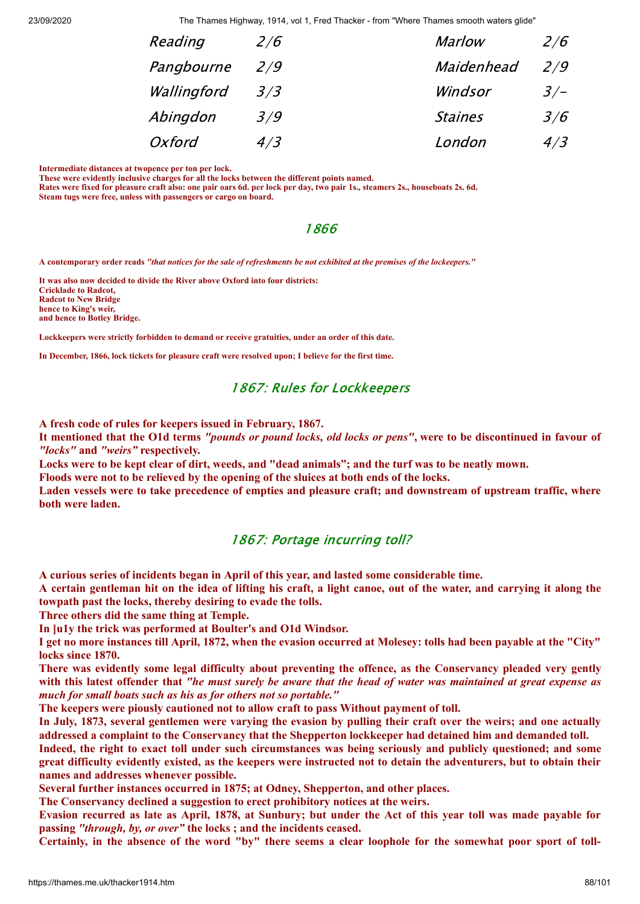| 2/6 | <b>Marlow</b>  | 2/6   |
|-----|----------------|-------|
| 2/9 | Maidenhead     | 2/9   |
| 3/3 | Windsor        | $3/-$ |
| 3/9 | <b>Staines</b> | 3/6   |
| 4/3 | London         | 4/3   |
|     |                |       |

**Intermediate distances at twopence per ton per lock.**

**These were evidently inclusive charges for all the locks between the different points named.**

**Rates were fixed for pleasure craft also: one pair oars 6d. per lock per day, two pair 1s., steamers 2s., houseboats 2s. 6d. Steam tugs were free, unless with passengers or cargo on board.**

### 1866

**A contemporary order reads** *"that notices for the sale of refreshments be not exhibited at the premises of the lockeepers."*

**It was also now decided to divide the River above Oxford into four districts: Cricklade to Radcot, Radcot to New Bridge hence to King's weir, and hence to Botley Bridge.**

**Lockkeepers were strictly forbidden to demand or receive gratuities, under an order of this date.**

**In December, 1866, lock tickets for pleasure craft were resolved upon; I believe for the first time.**

### 1867: Rules for Lockkeepers

**A fresh code of rules for keepers issued in February, 1867.**

It mentioned that the O1d terms "pounds or pound locks, old locks or pens", were to be discontinued in favour of *"locks"* **and** *"weirs"* **respectively.**

Locks were to be kept clear of dirt, weeds, and "dead animals"; and the turf was to be neatly mown.

**Floods were not to be relieved by the opening of the sluices at both ends of the locks.**

Laden vessels were to take precedence of empties and pleasure craft; and downstream of upstream traffic, where **both were laden.**

## 1867: Portage incurring toll?

**A curious series of incidents began in April of this year, and lasted some considerable time.**

A certain gentleman hit on the idea of lifting his craft, a light canoe, out of the water, and carrying it along the **towpath past the locks, thereby desiring to evade the tolls.**

**Three others did the same thing at Temple.**

**In ]u1y the trick was performed at Boulter's and O1d Windsor.**

I get no more instances till April, 1872, when the evasion occurred at Molesey: tolls had been payable at the "City" **locks since 1870.**

**There was evidently some legal difficulty about preventing the offence, as the Conservancy pleaded very gently** with this latest offender that "he must surely be aware that the head of water was maintained at great expense as *much for small boats such as his as for others not so portable."*

**The keepers were piously cautioned not to allow craft to pass Without payment of toll.**

In July, 1873, several gentlemen were varying the evasion by pulling their craft over the weirs; and one actually **addressed a complaint to the Conservancy that the Shepperton lockkeeper had detained him and demanded toll.**

Indeed, the right to exact toll under such circumstances was being seriously and publicly questioned; and some great difficulty evidently existed, as the keepers were instructed not to detain the adventurers, but to obtain their **names and addresses whenever possible.**

**Several further instances occurred in 1875; at Odney, Shepperton, and other places.**

**The Conservancy declined a suggestion to erect prohibitory notices at the weirs.**

Evasion recurred as late as April, 1878, at Sunbury; but under the Act of this year toll was made payable for **passing** *"through, by, or over"* **the locks ; and the incidents ceased.**

Certainly, in the absence of the word "by" there seems a clear loophole for the somewhat poor sport of toll-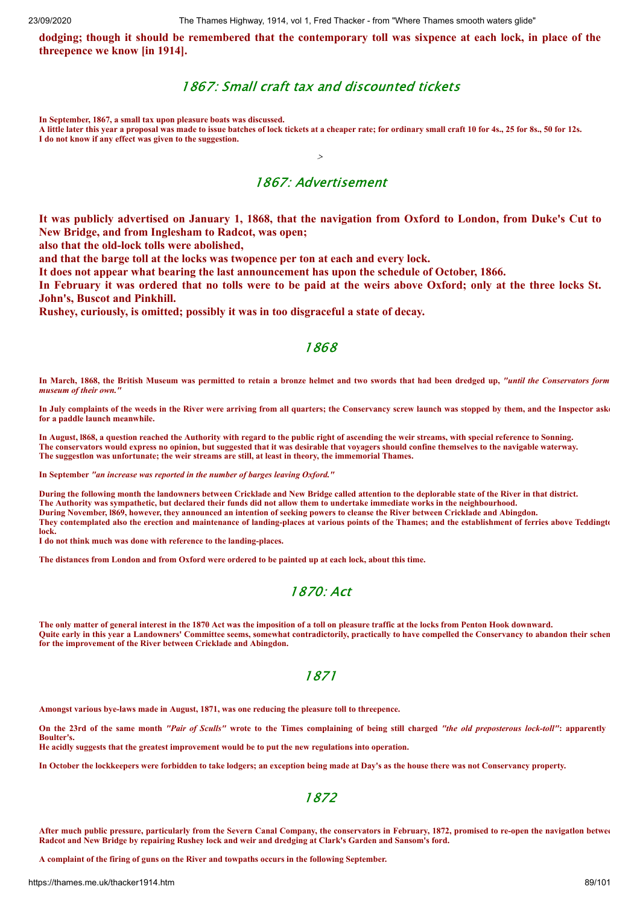dodging; though it should be remembered that the contemporary toll was sixpence at each lock, in place of the **threepence we know [in 1914].**

## 1867: Small craft tax and discounted tickets

**In September, 1867, a small tax upon pleasure boats was discussed.**

**A little later this year a proposal was made to issue batches of lock tickets at a cheaper rate; for ordinary small craft 10 for 4s., 25 for 8s., 50 for 12s. I do not know if any effect was given to the suggestion.**

## 1867: Advertisement

>

It was publicly advertised on January 1, 1868, that the navigation from Oxford to London, from Duke's Cut to **New Bridge, and from Inglesham to Radcot, was open;**

**also that the old-lock tolls were abolished,**

**and that the barge toll at the locks was twopence per ton at each and every lock.**

**It does not appear what bearing the last announcement has upon the schedule of October, 1866.**

In February it was ordered that no tolls were to be paid at the weirs above Oxford; only at the three locks St. **John's, Buscot and Pinkhill.**

**Rushey, curiously, is omitted; possibly it was in too disgraceful a state of decay.**

## 1868

**In March, 1868, the British Museum was permitted to retain a bronze helmet and two swords that had been dredged up,** *"until the Conservators form museum of their own."*

**In July complaints of the weeds in the River were arriving from all quarters; the Conservancy screw launch was stopped by them, and the Inspector aske for a paddle launch meanwhile.**

**In August, l868, a question reached the Authority with regard to the public right of ascending the weir streams, with special reference to Sonning. The conservators would express no opinion, but suggested that it was desirable that voyagers should confine themselves to the navigable waterway. The suggestlon was unfortunate; the weir streams are still, at least in theory, the immemorial Thames.**

**In September** *"an increase was reported in the number of barges leaving Oxford."*

**During the following month the landowners between Cricklade and New Bridge called attention to the deplorable state of the River in that district. The Authority was sympathetic, but declared their funds did not allow them to undertake immediate works in the neighbourhood. During November, l869, however, they announced an intention of seeking powers to cleanse the River between Cricklade and Abingdon. They contemplated also the erection and maintenance of landing-places at various points of the Thames; and the establishment of ferries above Teddingto lock.**

**I do not think much was done with reference to the landing-places.**

**The distances from London and from Oxford were ordered to be painted up at each lock, about this time.**

## 1870: Act

**The only matter of general interest in the 1870 Act was the imposition of a toll on pleasure traffic at the locks from Penton Hook downward. Quite early in this year a Landowners' Committee seems, somewhat contradictorily, practically to have compelled the Conservancy to abandon their schem for the improvement of the River between Cricklade and Abingdon.**

#### 1871

**Amongst various bye-laws made in August, 1871, was one reducing the pleasure toll to threepence.**

**On the 23rd of the same month** *"Pair of Sculls"* **wrote to the Times complaining of being still charged** *"the old preposterous lock-toll"***: apparently Boulter's.**

**He acidly suggests that the greatest improvement would be to put the new regulations into operation.**

**In October the lockkeepers were forbidden to take lodgers; an exception being made at Day's as the house there was not Conservancy property.**

### 1872

**After much public pressure, particularly from the Severn Canal Company, the conservators in February, 1872, promised to re-open the navigatlon betwee Radcot and New Bridge by repairing Rushey lock and weir and dredging at Clark's Garden and Sansom's ford.**

**A complaint of the firing of guns on the River and towpaths occurs in the following September.**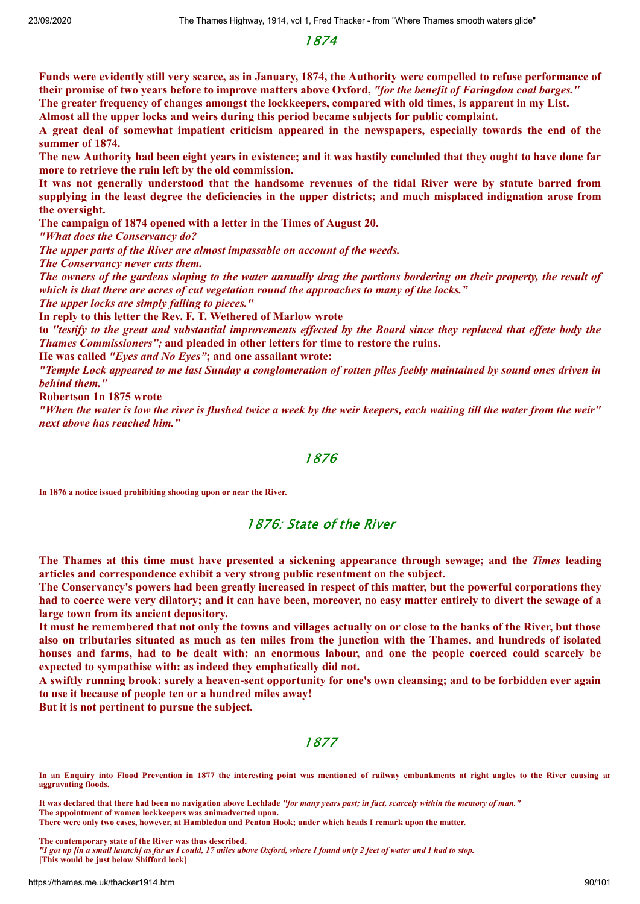1874

Funds were evidently still very scarce, as in January, 1874, the Authority were compelled to refuse performance of their promise of two years before to improve matters above Oxford, "for the benefit of Faringdon coal barges." The greater frequency of changes amongst the lockkeepers, compared with old times, is apparent in my List.

**Almost all the upper locks and weirs during this period became subjects for public complaint.**

A great deal of somewhat impatient criticism appeared in the newspapers, especially towards the end of the **summer of 1874.**

The new Authority had been eight years in existence; and it was hastily concluded that they ought to have done far **more to retrieve the ruin left by the old commission.**

It was not generally understood that the handsome revenues of the tidal River were by statute barred from supplying in the least degree the deficiencies in the upper districts; and much misplaced indignation arose from **the oversight.**

**The campaign of 1874 opened with a letter in the Times of August 20.**

*"What does the Conservancy do?*

*The upper parts of the River are almost impassable on account of the weeds.*

*The Conservancy never cuts them.*

The owners of the gardens sloping to the water annually drag the portions bordering on their property, the result of *which is that there are acres of cut vegetation round the approaches to many of the locks."*

*The upper locks are simply falling to pieces."*

**In reply to this letter the Rev. F. T. Wethered of Marlow wrote**

to "testify to the great and substantial improvements effected by the Board since they replaced that effete body the *Thames Commissioners";* **and pleaded in other letters for time to restore the ruins.**

**He was called** *"Eyes and No Eyes"***; and one assailant wrote:**

"Temple Lock appeared to me last Sunday a conglomeration of rotten piles feebly maintained by sound ones driven in *behind them."*

**Robertson 1n 1875 wrote**

"When the water is low the river is flushed twice a week by the weir keepers, each waiting till the water from the weir" *next above has reached him."*

#### 1876

**In 1876 a notice issued prohibiting shooting upon or near the River.**

### 1876: State of the River

**The Thames at this time must have presented a sickening appearance through sewage; and the** *Times* **leading articles and correspondence exhibit a very strong public resentment on the subject.**

The Conservancy's powers had been greatly increased in respect of this matter, but the powerful corporations they had to coerce were very dilatory; and it can have been, moreover, no easy matter entirely to divert the sewage of a **large town from its ancient depository.**

It must he remembered that not only the towns and villages actually on or close to the banks of the River, but those also on tributaries situated as much as ten miles from the junction with the Thames, and hundreds of isolated houses and farms, had to be dealt with: an enormous labour, and one the people coerced could scarcely be **expected to sympathise with: as indeed they emphatically did not.**

A swiftly running brook: surely a heaven-sent opportunity for one's own cleansing; and to be forbidden ever again **to use it because of people ten or a hundred miles away!**

**But it is not pertinent to pursue the subject.**

## 1877

**In an Enquiry into Flood Prevention in 1877 the interesting point was mentioned of railway embankments at right angles to the River causing an aggravating floods.**

**It was declared that there had been no navigation above Lechlade** *"for many years past; in fact, scarcely within the memory of man."* **The appointment of women lockkeepers was animadverted upon.**

**There were only two cases, however, at Hambledon and Penton Hook; under which heads I remark upon the matter.**

**The contemporary state of the River was thus described.**

*"I got up [in a small launch] as far as I could, 17 miles above Oxford, where I found only 2 feet of water and I had to stop.* **[This would be just below Shifford lock]**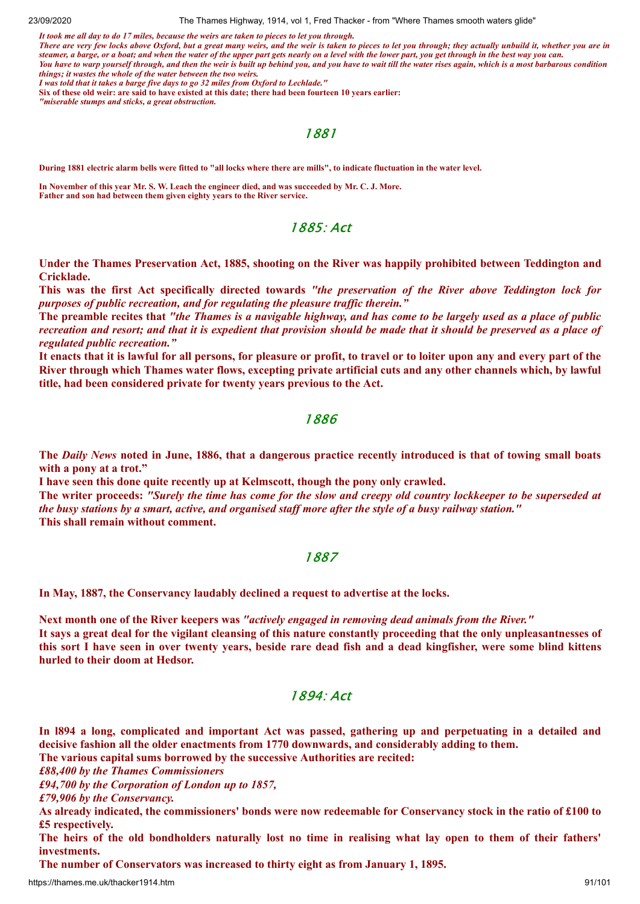*It took me all day to do 17 miles, because the weirs are taken to pieces to let you through.*

*There are very few locks above Oxford, but a great many weirs, and the weir is taken to pieces to let you through; they actually unbuild it, whether you are in steamer, a barge, or a boat; and when the water of the upper part gets nearly on a level with the lower part, you get through in the best way you can. You have to warp yourself through, and then the weir is built up behind you, and you have to wait till the water rises again, which is a most barbarous condition things; it wastes the whole of the water between the two weirs.*

*I was told that it takes a barge five days to go 32 miles from Oxford to Lechlade."*

**Six of these old weir: are said to have existed at this date; there had been fourteen 10 years earlier:** 

*"miserable stumps and sticks, a great obstruction.*

1881

**During 1881 electric alarm bells were fitted to "all locks where there are mills", to indicate fluctuation in the water level.**

**In November of this year Mr. S. W. Leach the engineer died, and was succeeded by Mr. C. J. More. Father and son had between them given eighty years to the River service.**

1885: Act

**Under the Thames Preservation Act, 1885, shooting on the River was happily prohibited between Teddington and Cricklade.**

This was the first Act specifically directed towards "the preservation of the River above Teddington lock for *purposes of public recreation, and for regulating the pleasure traf ic therein."*

The preamble recites that "the Thames is a navigable highway, and has come to be largely used as a place of public recreation and resort; and that it is expedient that provision should be made that it should be preserved as a place of *regulated public recreation."*

It enacts that it is lawful for all persons, for pleasure or profit, to travel or to loiter upon any and every part of the River through which Thames water flows, excepting private artificial cuts and any other channels which, by lawful **title, had been considered private for twenty years previous to the Act.**

### 1886

The Daily News noted in June, 1886, that a dangerous practice recently introduced is that of towing small boats **with a pony at a trot."**

**I have seen this done quite recently up at Kelmscott, though the pony only crawled.** The writer proceeds: "Surely the time has come for the slow and creepy old country lockkeeper to be superseded at the busy stations by a smart, active, and organised staff more after the style of a busy railway station." **This shall remain without comment.**

### 1887

**In May, 1887, the Conservancy laudably declined a request to advertise at the locks.**

**Next month one of the River keepers was** *"actively engaged in removing dead animals from the River."* It says a great deal for the vigilant cleansing of this nature constantly proceeding that the only unpleasantnesses of this sort I have seen in over twenty years, beside rare dead fish and a dead kingfisher, were some blind kittens **hurled to their doom at Hedsor.**

### 1894: Act

In 1894 a long, complicated and important Act was passed, gathering up and perpetuating in a detailed and **decisive fashion all the older enactments from 1770 downwards, and considerably adding to them.**

**The various capital sums borrowed by the successive Authorities are recited:**

*£88,400 by the Thames Commissioners*

*£94,700 by the Corporation of London up to 1857,*

*£79,906 by the Conservancy.*

As already indicated, the commissioners' bonds were now redeemable for Conservancy stock in the ratio of £100 to **£5 respectively.**

The heirs of the old bondholders naturally lost no time in realising what lay open to them of their fathers' **investments.**

**The number of Conservators was increased to thirty eight as from January 1, 1895.**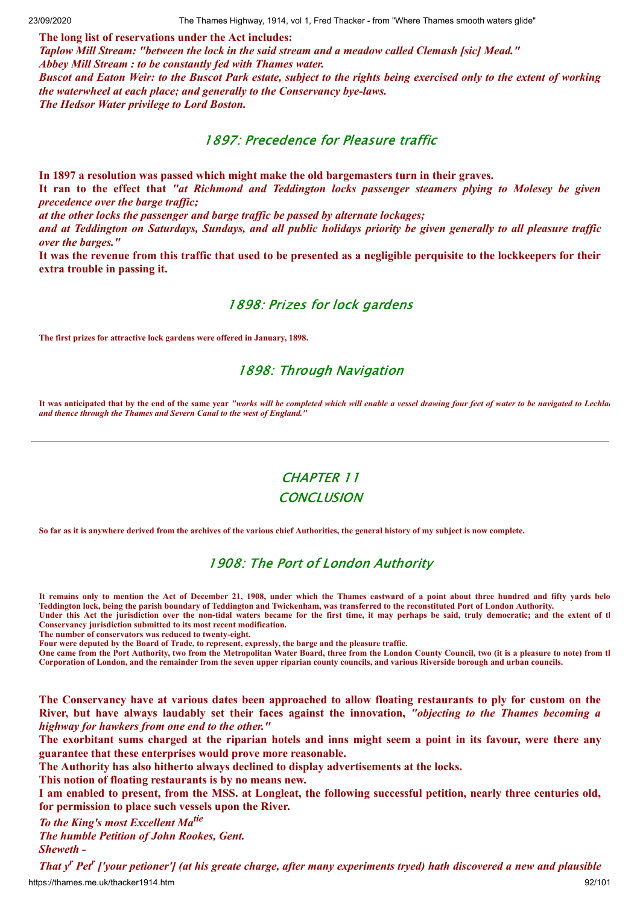**The long list of reservations under the Act includes:** *Taplow Mill Stream: "between the lock in the said stream and a meadow called Clemash [sic] Mead." Abbey Mill Stream : to be constantly fed with Thames water.* Buscot and Eaton Weir: to the Buscot Park estate, subject to the rights being exercised only to the extent of working *the waterwheel at each place; and generally to the Conservancy bye-laws. The Hedsor Water privilege to Lord Boston.*

## 1897: Precedence for Pleasure traffic

**In 1897 a resolution was passed which might make the old bargemasters turn in their graves.**

It ran to the effect that "at Richmond and Teddington locks passenger steamers plying to Molesey be given *precedence over the barge traffic;* 

*at the other locks the passenger and barge traf ic be passed by alternate lockages;*

and at Teddington on Saturdays, Sundays, and all public holidays priority be given generally to all pleasure traffic *over the barges."*

It was the revenue from this traffic that used to be presented as a negligible perquisite to the lockkeepers for their **extra trouble in passing it.**

## 1898: Prizes for lock gardens

**The first prizes for attractive lock gardens were offered in January, 1898.**

# 1898: Through Navigation

It was anticipated that by the end of the same year *"works will be completed which will enable a vessel drawing four feet of water to be navigated to Lechla*. *and thence through the Thames and Severn Canal to the west of England."*

# CHAPTER 11 **CONCLUSION**

**So far as it is anywhere derived from the archives of the various chief Authorities, the general history of my subject is now complete.**

# 1908: The Port of London Authority

**It remains only to mention the Act of December 21, 1908, under which the Thames eastward of a point about three hundred and fifty yards belo Teddington lock, being the parish boundary of Teddington and Twickenham, was transferred to the reconstituted Port of London Authority.**

**Under this Act the jurisdiction over the non-tidal waters became for the first time, it may perhaps be said, truly democratic; and the extent of th Conservancy jurisdiction submitted to its most recent modification.**

**The number of conservators was reduced to twenty-eight.**

**Four were deputed by the Board of Trade, to represent, expressly, the barge and the pleasure traffic.**

**One came from the Port Authority, two from the Metropolitan Water Board, three from the London County Council, two (it is a pleasure to note) from th Corporation of London, and the remainder from the seven upper riparian county councils, and various Riverside borough and urban councils.**

The Conservancy have at various dates been approached to allow floating restaurants to ply for custom on the River, but have always laudably set their faces against the innovation, "objecting to the Thames becoming a *highway for hawkers from one end to the other."*

The exorbitant sums charged at the riparian hotels and inns might seem a point in its favour, were there any **guarantee that these enterprises would prove more reasonable.**

**The Authority has also hitherto always declined to display advertisements at the locks.**

**This notion of floating restaurants is by no means new.**

I am enabled to present, from the MSS. at Longleat, the following successful petition, nearly three centuries old, **for permission to place such vessels upon the River.**

## *To the King's most Excellent Ma tie*

*The humble Petition of John Rookes, Gent.*

*Sheweth -*

https://thames.me.uk/thacker1914.htm 92/101 That y<sup>r</sup> Pet<sup>r</sup> ['your petioner'] (at his greate charge, after many experiments tryed) hath discovered a new and plausible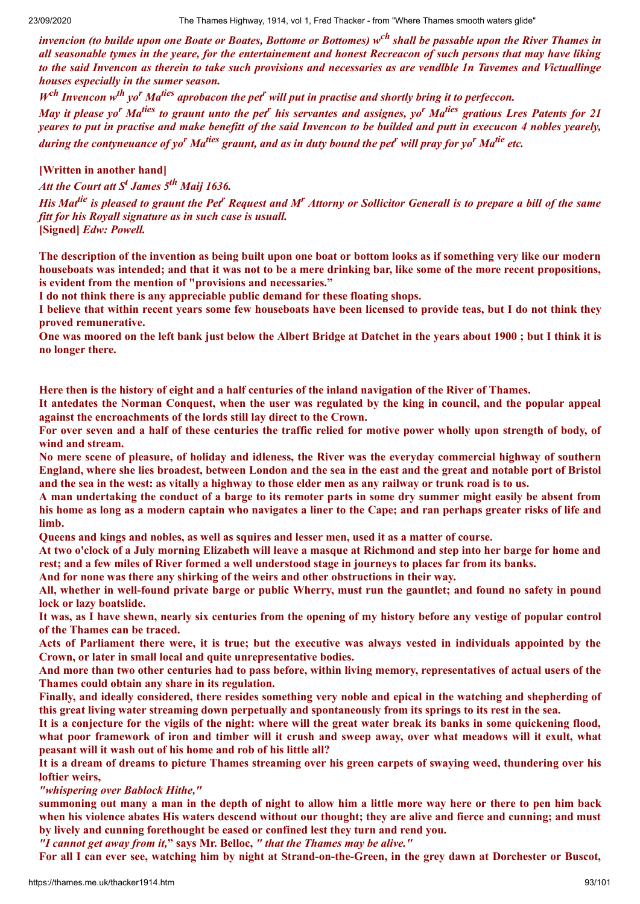invencion (to builde upon one Boate or Boates, Bottome or Bottomes) w<sup>ch</sup> shall be passable upon the River Thames in all seasonable tymes in the yeare, for the entertainement and honest Recreacon of such persons that may have liking to the said Invencon as therein to take such provisions and necessaries as are vendlble In Tavemes and Victuallinge *houses especially in the sumer season.*

 $W^{ch}$  Invencon w<sup>th</sup> yo<sup>r</sup> Ma<sup>ties</sup> aprobacon the pet<sup>r</sup> will put in practise and shortly bring it to perfeccon.

May it please yo<sup>r</sup> Ma<sup>ties</sup> to graunt unto the pet<sup>r</sup> his servantes and assignes, yo<sup>r</sup> Ma<sup>ties</sup> gratious Lres Patents for 21 yeares to put in practise and make benefitt of the said Invencon to be builded and putt in execucon 4 nobles yearely, during the contyneuance of yo<sup>r</sup> Ma<sup>ties</sup> graunt, and as in duty bound the pet<sup>r</sup> will pray for yo<sup>r</sup> Ma<sup>tie</sup> etc.

**[Written in another hand]**

*Att the Court att S <sup>t</sup> James 5 th Maij 1636.*

His Mat<sup>tie</sup> is pleased to graunt the Pet<sup>r</sup> Request and M<sup>r</sup> Attorny or Sollicitor Generall is to prepare a bill of the same *fitt for his Royall signature as in such case is usuall.*

**[Signed]** *Edw: Powell.*

The description of the invention as being built upon one boat or bottom looks as if something very like our modern houseboats was intended; and that it was not to be a mere drinking bar, like some of the more recent propositions, **is evident from the mention of "provisions and necessaries."**

**I do not think there is any appreciable public demand for these floating shops.**

I believe that within recent years some few houseboats have been licensed to provide teas, but I do not think they **proved remunerative.**

One was moored on the left bank just below the Albert Bridge at Datchet in the years about 1900; but I think it is **no longer there.**

Here then is the history of eight and a half centuries of the inland navigation of the River of Thames.

It antedates the Norman Conquest, when the user was regulated by the king in council, and the popular appeal **against the encroachments of the lords still lay direct to the Crown.**

For over seven and a half of these centuries the traffic relied for motive power wholly upon strength of body, of **wind and stream.**

No mere scene of pleasure, of holiday and idleness, the River was the everyday commercial highway of southern England, where she lies broadest, between London and the sea in the east and the great and notable port of Bristol and the sea in the west: as vitally a highway to those elder men as any railway or trunk road is to us.

A man undertaking the conduct of a barge to its remoter parts in some dry summer might easily be absent from his home as long as a modern captain who navigates a liner to the Cape; and ran perhaps greater risks of life and **limb.**

Queens and kings and nobles, as well as squires and lesser men, used it as a matter of course.

At two o'clock of a July morning Elizabeth will leave a masque at Richmond and step into her barge for home and rest; and a few miles of River formed a well understood stage in journeys to places far from its banks.

**And for none was there any shirking of the weirs and other obstructions in their way.**

All, whether in well-found private barge or public Wherry, must run the gauntlet; and found no safety in pound **lock or lazy boatslide.**

It was, as I have shewn, nearly six centuries from the opening of my history before any vestige of popular control **of the Thames can be traced.**

Acts of Parliament there were, it is true; but the executive was always vested in individuals appointed by the **Crown, or later in small local and quite unrepresentative bodies.**

And more than two other centuries had to pass before, within living memory, representatives of actual users of the **Thames could obtain any share in its regulation.**

Finally, and ideally considered, there resides something very noble and epical in the watching and shepherding of this great living water streaming down perpetually and spontaneously from its springs to its rest in the sea.

It is a conjecture for the vigils of the night: where will the great water break its banks in some quickening flood. what poor framework of iron and timber will it crush and sweep away, over what meadows will it exult, what **peasant will it wash out of his home and rob of his little all?**

It is a dream of dreams to picture Thames streaming over his green carpets of swaying weed, thundering over his **loftier weirs,**

*"whispering over Bablock Hithe,"*

summoning out many a man in the depth of night to allow him a little more way here or there to pen him back when his violence abates His waters descend without our thought; they are alive and fierce and cunning; and must **by lively and cunning forethought be eased or confined lest they turn and rend you.**

*"I cannot get away from it,***" says Mr. Belloc,** *" that the Thames may be alive."*

For all I can ever see, watching him by night at Strand-on-the-Green, in the grey dawn at Dorchester or Buscot,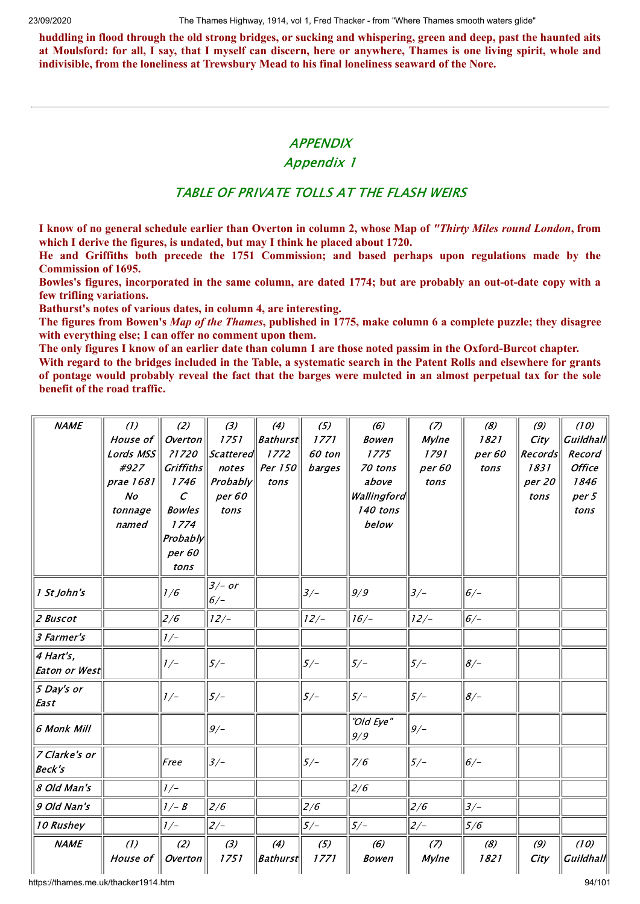huddling in flood through the old strong bridges, or sucking and whispering, green and deep, past the haunted aits at Moulsford: for all, I say, that I myself can discern, here or anywhere, Thames is one living spirit, whole and **indivisible, from the loneliness at Trewsbury Mead to his final loneliness seaward of the Nore.**

## **APPENDIX**

## Appendix 1

# TABLE OF PRIVATE TOLLS AT THE FLASH WEIRS

I know of no general schedule earlier than Overton in column 2, whose Map of "Thirty Miles round London, from **which I derive the figures, is undated, but may I think he placed about 1720.**

**He and Griffiths both precede the 1751 Commission; and based perhaps upon regulations made by the Commission of 1695.**

Bowles's figures, incorporated in the same column, are dated 1774; but are probably an out-ot-date copy with a **few trifling variations.**

**Bathurst's notes of various dates, in column 4, are interesting.**

The figures from Bowen's Map of the Thames, published in 1775, make column 6 a complete puzzle; they disagree **with everything else; I can offer no comment upon them.**

The only figures I know of an earlier date than column 1 are those noted passim in the Oxford-Burcot chapter.

With regard to the bridges included in the Table, a systematic search in the Patent Rolls and elsewhere for grants of pontage would probably reveal the fact that the barges were mulcted in an almost perpetual tax for the sole **benefit of the road traffic.**

| <b>NAME</b>                    | (1)             | (2)              | (3)               | (4)                    | (5)         | (6)                 | (7)                 | (8)         | (9)         | (10)              |
|--------------------------------|-----------------|------------------|-------------------|------------------------|-------------|---------------------|---------------------|-------------|-------------|-------------------|
|                                | House of        | Overton          | 1751              | <b>Bathurst</b>        | 1771        | <b>Bowen</b>        | Mylne               | 1821        | City        | Guildhall         |
|                                | Lords MSS       | ?1720            | Scattered         | 1772                   | 60 ton      | 1775                | 1791                | per 60      | Records     | Record            |
|                                | #927            | <b>Griffiths</b> | notes             | Per 150                | barges      | 70 tons             | per 60              | tons        | 1831        | <b>Office</b>     |
|                                | prae 1681       | 1746             | Probability       | tons                   |             | above               | tons                |             | per 20      | 1846              |
|                                | N <sub>O</sub>  | $\epsilon$       | per 60            |                        |             | Wallingford         |                     |             | tons        | per 5             |
|                                | tonnage         | <b>Bowles</b>    | tons              |                        |             | 140 tons            |                     |             |             | tons              |
|                                | named           | 1774             |                   |                        |             | below               |                     |             |             |                   |
|                                |                 | Probably         |                   |                        |             |                     |                     |             |             |                   |
|                                |                 | per 60           |                   |                        |             |                     |                     |             |             |                   |
|                                |                 | tons             |                   |                        |             |                     |                     |             |             |                   |
| 1 St John's                    |                 | 1/6              | $3/- or$<br>$6/-$ |                        | $3/-$       | 9/9                 | $3/-$               | $6/-$       |             |                   |
| 2 Buscot                       |                 | 2/6              | $12/-$            |                        | $12/-$      | $16/-$              | $12/-$              | $6/-$       |             |                   |
| <i>3 Farmer's</i>              |                 | $1/-$            |                   |                        |             |                     |                     |             |             |                   |
| 4 Hart's,<br>Eaton or West     |                 | $1/-$            | $5/-$             |                        | $5/-$       | $5/-$               | $5/-$               | $8/-$       |             |                   |
| 5 Day's or<br>East             |                 | $1/-$            | $5/-$             |                        | $5/-$       | $5/-$               | $5/-$               | $8/-$       |             |                   |
| 6 Monk Mill                    |                 |                  | 9/                |                        |             | "Old Eye"<br>9/9    | $9/-$               |             |             |                   |
| 7 Clarke's or<br><b>Beck's</b> |                 | Free             | $3/-$             |                        | $5/-$       | 7/6                 | $5/-$               | $6/-$       |             |                   |
| 8 Old Man's                    |                 | $1/-$            |                   |                        |             | 2/6                 |                     |             |             |                   |
| 9 Old Nan's                    |                 | $1/- B$          | 2/6               |                        | 2/6         |                     | 2/6                 | $3/-$       |             |                   |
| 10 Rushey                      |                 | $1/-$            | $2/-$             |                        | $5/-$       | $5/-$               | $2/-$               | 5/6         |             |                   |
| <b>NAME</b>                    | (1)<br>House of | (2)<br>Overton   | (3)<br>1751       | (4)<br><b>Bathurst</b> | (5)<br>1771 | (6)<br><b>Bowen</b> | (7)<br><b>Mylne</b> | (8)<br>1821 | (9)<br>City | (10)<br>Guildhall |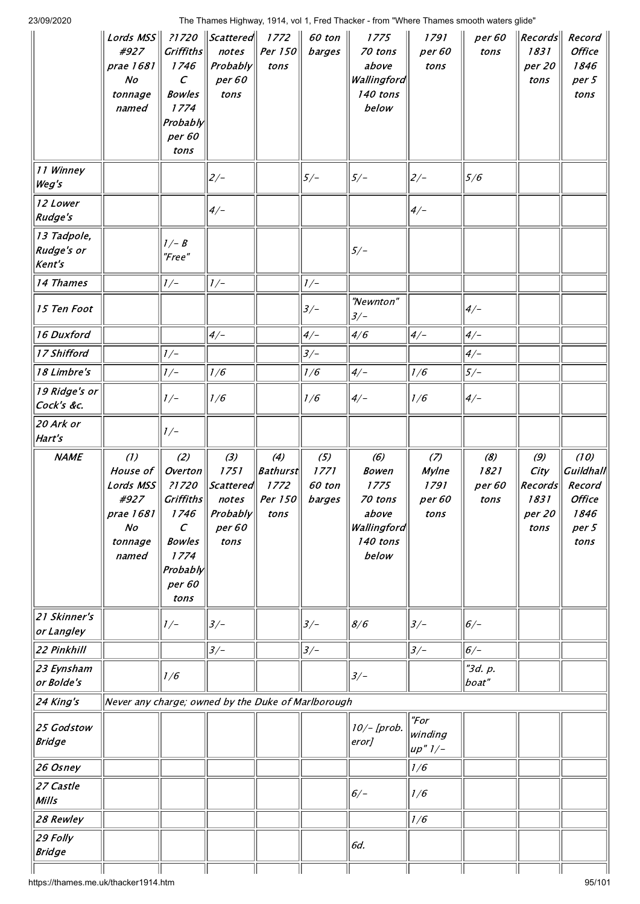| 23/09/2020 |  |  |
|------------|--|--|
|            |  |  |

|                                     | Lords $MSS$<br>#927<br>prae 1681<br>N <sub>O</sub><br>tonnage<br>named                    | <b>Griffiths</b><br>1746<br>$\mathcal{C}$<br><b>Bowles</b><br>1774<br>Probably<br>per 60<br>tons                     | ?1720    Scattered   <br>notes<br>Probably<br>per 60<br>tons           | 1772<br>Per 150<br>tons                           | 60 ton<br>barges                | 1775<br>70 tons<br>above<br>Wallingford<br>140 tons<br>below                        | 1791<br>per 60<br>tons                        | per 60<br>tons                | $\vert$ Records $\vert\vert$<br>1831<br>per 20<br>tons | Record<br><b>Office</b><br>1846<br>per 5<br>tons                             |
|-------------------------------------|-------------------------------------------------------------------------------------------|----------------------------------------------------------------------------------------------------------------------|------------------------------------------------------------------------|---------------------------------------------------|---------------------------------|-------------------------------------------------------------------------------------|-----------------------------------------------|-------------------------------|--------------------------------------------------------|------------------------------------------------------------------------------|
| 11 Winney<br>Weg's                  |                                                                                           |                                                                                                                      | $2/-$                                                                  |                                                   | $5/-$                           | $5/-$                                                                               | $2/-$                                         | 5/6                           |                                                        |                                                                              |
| 12 Lower<br>Rudge's                 |                                                                                           |                                                                                                                      | $4/-$                                                                  |                                                   |                                 |                                                                                     | $4/-$                                         |                               |                                                        |                                                                              |
| 13 Tadpole,<br>Rudge's or<br>Kent's |                                                                                           | $1/- B$<br>"Free"                                                                                                    |                                                                        |                                                   |                                 | $5/-$                                                                               |                                               |                               |                                                        |                                                                              |
| 14 Thames                           |                                                                                           | $1/-$                                                                                                                | $1/-$                                                                  |                                                   | $1/-$                           |                                                                                     |                                               |                               |                                                        |                                                                              |
| 15 Ten Foot                         |                                                                                           |                                                                                                                      |                                                                        |                                                   | $3/-$                           | "Newnton"<br>$3/-$                                                                  |                                               | $4/-$                         |                                                        |                                                                              |
| 16 Duxford                          |                                                                                           |                                                                                                                      | $4/-$                                                                  |                                                   | $4/-$                           | 4/6                                                                                 | $4/-$                                         | $4/-$                         |                                                        |                                                                              |
| 17 Shifford                         |                                                                                           | $1/-$                                                                                                                |                                                                        |                                                   | $3/-$                           |                                                                                     |                                               | $4/-$                         |                                                        |                                                                              |
| 18 Limbre's                         |                                                                                           | $J/\text{--}$                                                                                                        | 1/6                                                                    |                                                   | 1/6                             | $4/-$                                                                               | 1/6                                           | $5/-$                         |                                                        |                                                                              |
| 19 Ridge's or<br>Cock's &c.         |                                                                                           | $1/-$                                                                                                                | 1/6                                                                    |                                                   | 1/6                             | $4/-$                                                                               | 1/6                                           | $4/-$                         |                                                        |                                                                              |
| 20 Ark or<br>Hart's                 |                                                                                           | $1/-$                                                                                                                |                                                                        |                                                   |                                 |                                                                                     |                                               |                               |                                                        |                                                                              |
| <b>NAME</b>                         | (1)<br>House of<br>Lords MSS<br>#927<br>prae $1681$<br>N <sub>O</sub><br>tonnage<br>named | (2)<br>Overton<br>?1720<br>Griffiths<br>1746<br>$\mathcal{C}$<br><b>Bowles</b><br>1774<br>Probably<br>per 60<br>tons | (3)<br>1751<br><b>Scattered</b><br>notes<br>Probably<br>per 60<br>tons | (4)<br><b>Bathurst</b><br>1772<br>Per 150<br>tons | (5)<br>1771<br>60 ton<br>barges | (6)<br><b>Bowen</b><br>1775<br>70 tons<br>above<br>Wallingford<br>140 tons<br>below | (7)<br><b>Mylne</b><br>1791<br>per 60<br>tons | (8)<br>1821<br>per 60<br>tons | (9)<br>City<br>Records<br>1831<br>per 20<br>tons       | (10)<br><b>Guildhall</b><br>Record<br><b>Office</b><br>1846<br>per 5<br>tons |
| 21 Skinner's<br>or Langley          |                                                                                           | $1/-$                                                                                                                | $3/-$                                                                  |                                                   | $3/-$                           | 8/6                                                                                 | $3/-$                                         | $6/-$                         |                                                        |                                                                              |
| 22 Pinkhill                         |                                                                                           |                                                                                                                      | $3/-$                                                                  |                                                   | $3/-$                           |                                                                                     | $3/-$                                         | $6/-$                         |                                                        |                                                                              |
| 23 Eynsham<br>or Bolde's            |                                                                                           | 1/6                                                                                                                  |                                                                        |                                                   |                                 | $3/-$                                                                               |                                               | "3d. p.<br>boat"              |                                                        |                                                                              |
| 24 King's                           | Never any charge; owned by the Duke of Marlborough                                        |                                                                                                                      |                                                                        |                                                   |                                 |                                                                                     |                                               |                               |                                                        |                                                                              |
| 25 Godstow<br><b>Bridge</b>         |                                                                                           |                                                                                                                      |                                                                        |                                                   |                                 | $10/-$ [prob.<br>eror]                                                              | "For<br>winding<br>$up''$ 1/-                 |                               |                                                        |                                                                              |
| 26 Osney                            |                                                                                           |                                                                                                                      |                                                                        |                                                   |                                 |                                                                                     | 1/6                                           |                               |                                                        |                                                                              |
| 27 Castle<br>Mills                  |                                                                                           |                                                                                                                      |                                                                        |                                                   |                                 | $6/-$                                                                               | 1/6                                           |                               |                                                        |                                                                              |
| 28 Rewley                           |                                                                                           |                                                                                                                      |                                                                        |                                                   |                                 |                                                                                     | 1/6                                           |                               |                                                        |                                                                              |
|                                     |                                                                                           |                                                                                                                      |                                                                        |                                                   |                                 |                                                                                     |                                               |                               |                                                        |                                                                              |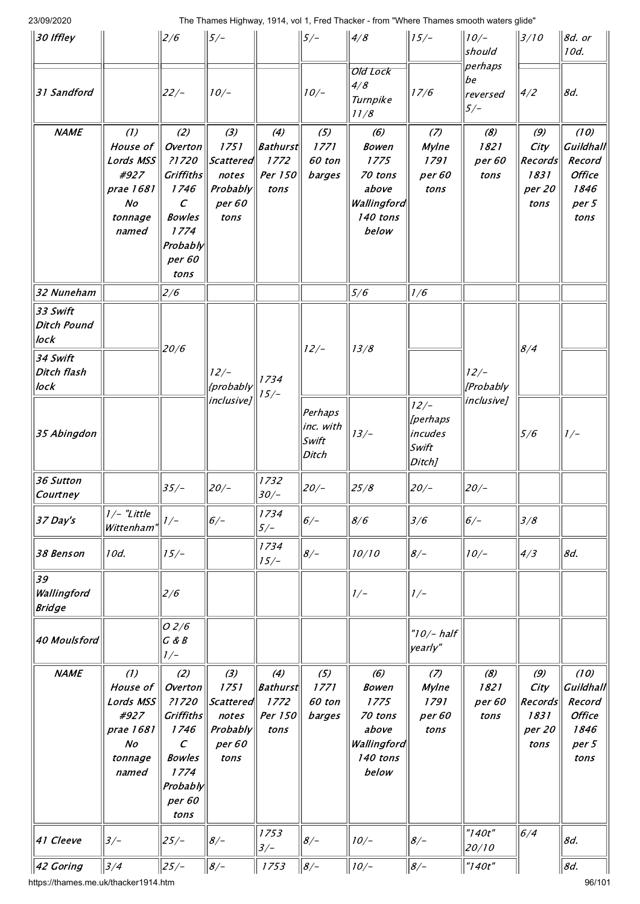| 30 Iffley                                                          |                                                                                         | 2/6                                                                                                                  | $5/-$                                                            |                                                   | $\left 5\right>$ –                        | 4/8                                                                                 | $  15/-$                                          | $\parallel$ 10/–<br>should         | $\parallel$ 3/10                                 | $8d.$ or<br>10d.                                                      |
|--------------------------------------------------------------------|-----------------------------------------------------------------------------------------|----------------------------------------------------------------------------------------------------------------------|------------------------------------------------------------------|---------------------------------------------------|-------------------------------------------|-------------------------------------------------------------------------------------|---------------------------------------------------|------------------------------------|--------------------------------------------------|-----------------------------------------------------------------------|
| 31 Sandford                                                        |                                                                                         | $22/-$                                                                                                               | $10/-$                                                           |                                                   | $10/-$                                    | Old Lock<br>4/8<br>Turnpike<br>11/8                                                 | 17/6                                              | perhaps<br>be<br>reversed<br>$5/-$ | 4/2                                              | 8d.                                                                   |
| <b>NAME</b>                                                        | (1)<br>House of<br>Lords MSS<br>#927<br>prae 1681<br>$N$ o<br>tonnage<br>named          | (2)<br>Overton<br>?1720<br>Griffiths<br>1746<br>$\cal C$<br><b>Bowles</b><br>1774<br>Probably<br>per 60<br>tons      | (3)<br>1751<br> Scattered<br>notes<br>Probably<br>per 60<br>tons | (4)<br><b>Bathurst</b><br>1772<br>Per 150<br>tons | (5)<br>1771<br>60 ton<br>barges           | (6)<br><b>Bowen</b><br>1775<br>70 tons<br>above<br>Wallingford<br>140 tons<br>below | (7)<br>Mylne<br>1791<br>per 60<br>tons            | (8)<br>1821<br>per 60<br>tons      | (9)<br>City<br>Records<br>1831<br>per 20<br>tons | (10)<br>Guildhall<br>Record<br><b>Office</b><br>1846<br>per 5<br>tons |
| 32 Nuneham                                                         |                                                                                         | 2/6                                                                                                                  |                                                                  |                                                   |                                           | 5/6                                                                                 | 1/6                                               |                                    |                                                  |                                                                       |
| 33 Swift<br>Ditch Pound<br>lock<br>34 Swift<br>Ditch flash<br>lock |                                                                                         | 20/6                                                                                                                 | $12/-$<br>{probably                                              | 1734                                              | $12/-$                                    | 13/8                                                                                |                                                   | $12/-$<br>[Probably                | 8/4                                              |                                                                       |
| 35 Abingdon                                                        |                                                                                         |                                                                                                                      | inclusive]                                                       | $15/-$                                            | Perhaps<br>$ inc.$ with<br>Swift<br>Ditch | $13/-$                                                                              | $12/-$<br>[perhaps<br> incudes<br>Swift<br>Ditch] | <i>inclusive]</i>                  | 5/6                                              | $1/-$                                                                 |
| 36 Sutton<br>Courtney                                              |                                                                                         | $35/-$                                                                                                               | $20/-$                                                           | 1732<br>$30/-$                                    | $20/-$                                    | 25/8                                                                                | 20/                                               | $20/-$                             |                                                  |                                                                       |
| 37 Day's                                                           | $1/-$ "Little<br>Wittenham"                                                             | $1/-$                                                                                                                | $6/-$                                                            | 1734<br>$5/-$                                     | $6/-$                                     | 8/6                                                                                 | 3/6                                               | $6/-$                              | 3/8                                              |                                                                       |
| 38 Benson                                                          | 10d.                                                                                    | $15/-$                                                                                                               |                                                                  | 1734<br>$15/-$                                    | $8/-$                                     | 10/10                                                                               | $8/-$                                             | $10/-$                             | 4/3                                              | 8d.                                                                   |
| 39<br>Wallingford<br><b>Bridge</b>                                 |                                                                                         | 2/6                                                                                                                  |                                                                  |                                                   |                                           | $1/-$                                                                               | $1/-$                                             |                                    |                                                  |                                                                       |
| 40 Moulsford                                                       |                                                                                         | O <sub>2/6</sub><br>G & B<br>$1/-$                                                                                   |                                                                  |                                                   |                                           |                                                                                     | $"10/-$ half<br>yearly"                           |                                    |                                                  |                                                                       |
| <b>NAME</b>                                                        | (1)<br>House of<br>Lords MSS<br>#927<br>prae 1681<br>$\mathcal{N}o$<br>tonnage<br>named | (2)<br>Overton<br>?1720<br>Griffiths<br>1746<br>$\mathcal{C}$<br><b>Bowles</b><br>1774<br>Probably<br>per 60<br>tons | (3)<br>1751<br> Scattered<br>notes<br>Probably<br>per 60<br>tons | (4)<br><b>Bathurst</b><br>1772<br>Per 150<br>tons | $(5)$<br>1771<br>60 ton<br>barges         | (6)<br><b>Bowen</b><br>1775<br>70 tons<br>above<br>Wallingford<br>140 tons<br>below | (7)<br><b>Mylne</b><br>1791<br>per 60<br>tons     | (8)<br>1821<br>per 60<br>tons      | (9)<br>City<br>Records<br>1831<br>per 20<br>tons | (10)<br>Guildhall<br>Record<br><b>Office</b><br>1846<br>per 5<br>tons |
| 41 Cleeve                                                          | $3/-$                                                                                   | $25/-$                                                                                                               | $8/-$                                                            | 1753<br>$3/-$                                     | $8/-$                                     | $10/-$                                                                              | $8/-$                                             | "140t"<br>20/10                    | 6/4                                              | 8d.                                                                   |
| 42 Goring                                                          | 3/4                                                                                     | $25/-$                                                                                                               | $8/-$                                                            | 1753                                              | $8/-$                                     | $10/-$                                                                              | $8/-$                                             | "140t"                             |                                                  | 8d.                                                                   |

https://thames.me.uk/thacker1914.htm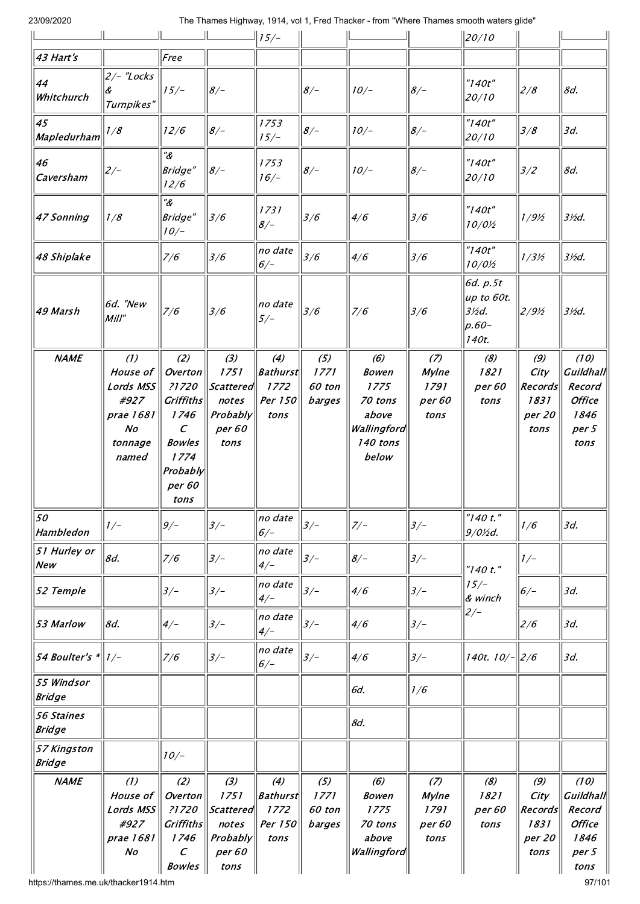|                                    |                                                                                         |                                                                                                                             |                                                                        | $\frac{1}{15}$ /-                                 |                                   |                                                                                     |                                               | $\parallel$ 20/10                                                                   |                                                  |                                                                              |
|------------------------------------|-----------------------------------------------------------------------------------------|-----------------------------------------------------------------------------------------------------------------------------|------------------------------------------------------------------------|---------------------------------------------------|-----------------------------------|-------------------------------------------------------------------------------------|-----------------------------------------------|-------------------------------------------------------------------------------------|--------------------------------------------------|------------------------------------------------------------------------------|
| 43 Hart's                          |                                                                                         | Free                                                                                                                        |                                                                        |                                                   |                                   |                                                                                     |                                               |                                                                                     |                                                  |                                                                              |
| 44<br>Whitchurch                   | $2/-$ "Locks<br>Turnpikes"                                                              | $15/-$                                                                                                                      | $8/-$                                                                  |                                                   | $8/-$                             | $10/-$                                                                              | $8/-$                                         | "140t"<br>20/10                                                                     | 2/8                                              | 8d.                                                                          |
| 45<br>Mapledurham                  | 1/8                                                                                     | 12/6                                                                                                                        | $8/-$                                                                  | 1753<br>$15/-$                                    | $8/-$                             | $10/-$                                                                              | $8/-$                                         | "140t"<br>20/10                                                                     | 3/8                                              | 3d.                                                                          |
| 46<br>Caversham                    | $2/-$                                                                                   | $^{\prime\prime}$ &<br>Bridge"<br>12/6                                                                                      | $8/-$                                                                  | 1753<br>$16/-$                                    | $8/-$                             | $10/-$                                                                              | $8/-$                                         | "140t"<br>20/10                                                                     | 3/2                                              | 8d.                                                                          |
| 47 Sonning                         | 1/8                                                                                     | $^{\prime\prime}$ &<br>Bridge"<br>$10/-$                                                                                    | 3/6                                                                    | 1731<br>$8/-$                                     | 3/6                               | 4/6                                                                                 | 3/6                                           | "140t"<br>$10/0$ /2                                                                 | 1/9/2                                            | $3$ %d.                                                                      |
| 48 Shiplake                        |                                                                                         | 7/6                                                                                                                         | 3/6                                                                    | no date<br>$6/-$                                  | 3/6                               | 4/6                                                                                 | 3/6                                           | "140t"<br>$10/0$ /2                                                                 | $1/3\frac{1}{2}$                                 | $3$ /2d.                                                                     |
| 49 Marsh                           | 6d. "New<br>Mill''                                                                      | 7/6                                                                                                                         | 3/6                                                                    | no date<br>$5/-$                                  | 3/6                               | 7/6                                                                                 | 3/6                                           | 6d. p.5t<br>up to 60t.<br>$3$ <sup><math>/2</math></sup> $d$ .<br>$ p.60-$<br>140t. | 2/9/2                                            | $3$ %d.                                                                      |
| <b>NAME</b>                        | (1)<br>House of<br>Lords MSS<br>#927<br>prae 1681<br>N <sub>O</sub><br>tonnage<br>named | (2)<br>Overton<br>?1720<br><b>Griffiths</b><br>1746<br>$\mathcal{C}$<br><b>Bowles</b><br>1774<br>Probably<br>per 60<br>tons | (3)<br>1751<br><i>Scattered</i><br>notes<br>Probably<br>per 60<br>tons | (4)<br><b>Bathurst</b><br>1772<br>Per 150<br>tons | $(5)$<br>1771<br>60 ton<br>barges | (6)<br><b>Bowen</b><br>1775<br>70 tons<br>above<br>Wallingford<br>140 tons<br>below | (7)<br><b>Mylne</b><br>1791<br>per 60<br>tons | (8)<br>1821<br>per 60<br>tons                                                       | (9)<br>City<br>Records<br>1831<br>per 20<br>tons | (10)<br><b>Guildhall</b><br>Record<br><b>Office</b><br>1846<br>per 5<br>tons |
| 50<br>Hambledon                    | $1/-$                                                                                   | $9/-$                                                                                                                       | $3/-$                                                                  | no date<br>$6/-$                                  | $3/-$                             | $7/-$                                                                               | $3/-$                                         | "140 t."<br>$9/0$ /2d.                                                              | 1/6                                              | 3d.                                                                          |
| 51 Hurley or<br>New                | 8d.                                                                                     | 7/6                                                                                                                         | $3/-$                                                                  | no date<br>$4/-$                                  | $3/-$                             | $8/-$                                                                               | $3/-$                                         | "140 t."                                                                            | $1/-$                                            |                                                                              |
| 52 Temple                          |                                                                                         | $3/-$                                                                                                                       | $3/-$                                                                  | no date<br>$4/-$                                  | $3/-$                             | 4/6                                                                                 | $3/-$                                         | $15/-$<br>& winch                                                                   | $6/-$                                            | 3d.                                                                          |
| 53 Marlow                          | 8d.                                                                                     | $4/-$                                                                                                                       | $3/-$                                                                  | no date<br>$4/-$                                  | $3/-$                             | 4/6                                                                                 | $3/-$                                         | $2/-$                                                                               | 2/6                                              | 3d.                                                                          |
| 54 Boulter's *                     | $1/-$                                                                                   | 7/6                                                                                                                         | $3/-$                                                                  | no date<br>$6/-$                                  | $3/-$                             | 4/6                                                                                 | $3/-$                                         | 140t. $10/$ - $ 2/6$                                                                |                                                  | 3d.                                                                          |
| 55 Windsor<br><b>Bridge</b>        |                                                                                         |                                                                                                                             |                                                                        |                                                   |                                   | 6d.                                                                                 | 1/6                                           |                                                                                     |                                                  |                                                                              |
| <b>56 Staines</b><br><b>Bridge</b> |                                                                                         |                                                                                                                             |                                                                        |                                                   |                                   | 8d.                                                                                 |                                               |                                                                                     |                                                  |                                                                              |
| 57 Kingston<br><b>Bridge</b>       |                                                                                         | $10/-$                                                                                                                      |                                                                        |                                                   |                                   |                                                                                     |                                               |                                                                                     |                                                  |                                                                              |
| <b>NAME</b>                        | (1)<br>House of<br>Lords MSS<br>#927<br>prae 1681<br>No                                 | (2)<br>Overton<br>?1720<br><b>Griffiths</b><br>1746<br>$\mathcal{C}_{0}$<br><b>Bowles</b>                                   | (3)<br>1751<br>Scattered<br>notes<br>Probably<br>per 60<br>tons        | (4)<br><b>Bathurst</b><br>1772<br>Per 150<br>tons | (5)<br>1771<br>60 ton<br>barges   | (6)<br><b>Bowen</b><br>1775<br>70 tons<br>above<br>Wallingford                      | (7)<br>Mylne<br>1791<br>per 60<br>tons        | (8)<br>1821<br>per 60<br>tons                                                       | (9)<br>City<br>Records<br>1831<br>per 20<br>tons | (10)<br><b>Guildhall</b><br>Record<br><b>Office</b><br>1846<br>per 5<br>tons |

https://thames.me.uk/thacker1914.htm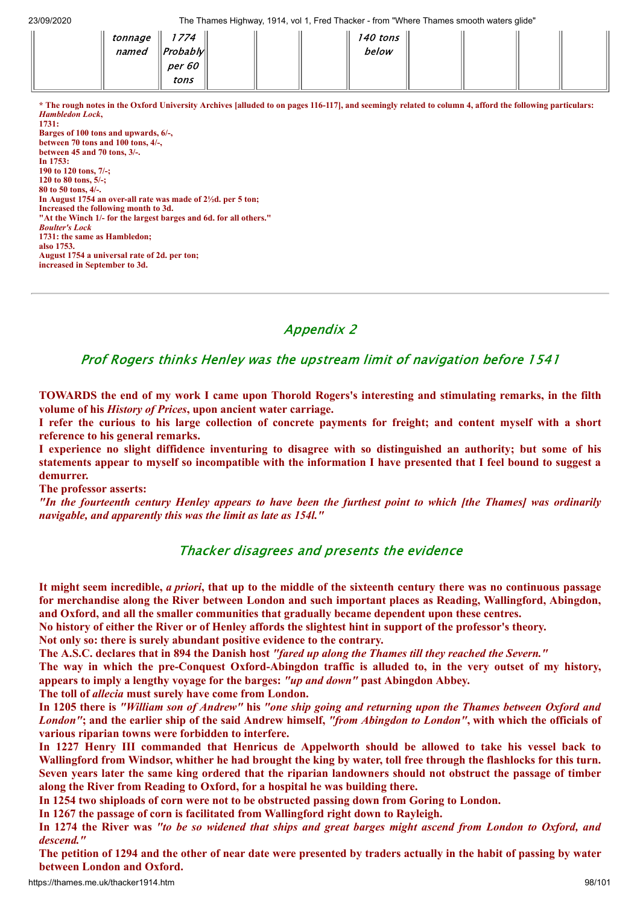| tonnage | 1774               |  | 140 tons |  |  |
|---------|--------------------|--|----------|--|--|
| named   | $\ $ Probably $\ $ |  | below    |  |  |
|         | <i>per 60</i>      |  |          |  |  |
|         | tons               |  |          |  |  |

**\* The rough notes in the Oxford University Archives [alluded to on pages 116-117], and seemingly related to column 4, afford the following particulars:** *Hambledon Lock***, 1731: Barges of 100 tons and upwards, 6/-, between 70 tons and 100 tons, 4/-,**

**between 45 and 70 tons, 3/-. In 1753: 190 to 120 tons, 7/-; 120 to 80 tons, 5/-; 80 to 50 tons, 4/-. In August 1754 an over-all rate was made of 2½d. per 5 ton; Increased the following month to 3d. "At the Winch 1/- for the largest barges and 6d. for all others."** *Boulter's Lock* **1731: the same as Hambledon; also 1753. August 1754 a universal rate of 2d. per ton; increased in September to 3d.**

# Appendix 2

Prof Rogers thinks Henley was the upstream limit of navigation before 1541

TOWARDS the end of my work I came upon Thorold Rogers's interesting and stimulating remarks, in the filth **volume of his** *History of Prices***, upon ancient water carriage.**

I refer the curious to his large collection of concrete payments for freight; and content myself with a short **reference to his general remarks.**

I experience no slight diffidence inventuring to disagree with so distinguished an authority; but some of his statements appear to myself so incompatible with the information I have presented that I feel bound to suggest a **demurrer.**

**The professor asserts:**

"In the fourteenth century Henley appears to have been the furthest point to which [the Thames] was ordinarily *navigable, and apparently this was the limit as late as 154l."*

## Thacker disagrees and presents the evidence

It might seem incredible, *a priori*, that up to the middle of the sixteenth century there was no continuous passage **for merchandise along the River between London and such important places as Reading, Wallingford, Abingdon, and Oxford, and all the smaller communities that gradually became dependent upon these centres.**

No history of either the River or of Henley affords the slightest hint in support of the professor's theory.

**Not only so: there is surely abundant positive evidence to the contrary.**

The A.S.C. declares that in 894 the Danish host "fared up along the Thames till they reached the Severn."

The way in which the pre-Conquest Oxford-Abingdon traffic is alluded to, in the very outset of my history, **appears to imply a lengthy voyage for the barges:** *"up and down"* **past Abingdon Abbey.**

**The toll of** *allecia* **must surely have come from London.**

In 1205 there is "William son of Andrew" his "one ship going and returning upon the Thames between Oxford and London"; and the earlier ship of the said Andrew himself, "from Abingdon to London", with which the officials of **various riparian towns were forbidden to interfere.**

In 1227 Henry III commanded that Henricus de Appelworth should be allowed to take his vessel back to Wallingford from Windsor, whither he had brought the king by water, toll free through the flashlocks for this turn. Seven years later the same king ordered that the riparian landowners should not obstruct the passage of timber **along the River from Reading to Oxford, for a hospital he was building there.**

**In 1254 two shiploads of corn were not to be obstructed passing down from Goring to London.**

**In 1267 the passage of corn is facilitated from Wallingford right down to Rayleigh.**

In 1274 the River was "to be so widened that ships and great barges might ascend from London to Oxford, and *descend."*

The petition of 1294 and the other of near date were presented by traders actually in the habit of passing by water **between London and Oxford.**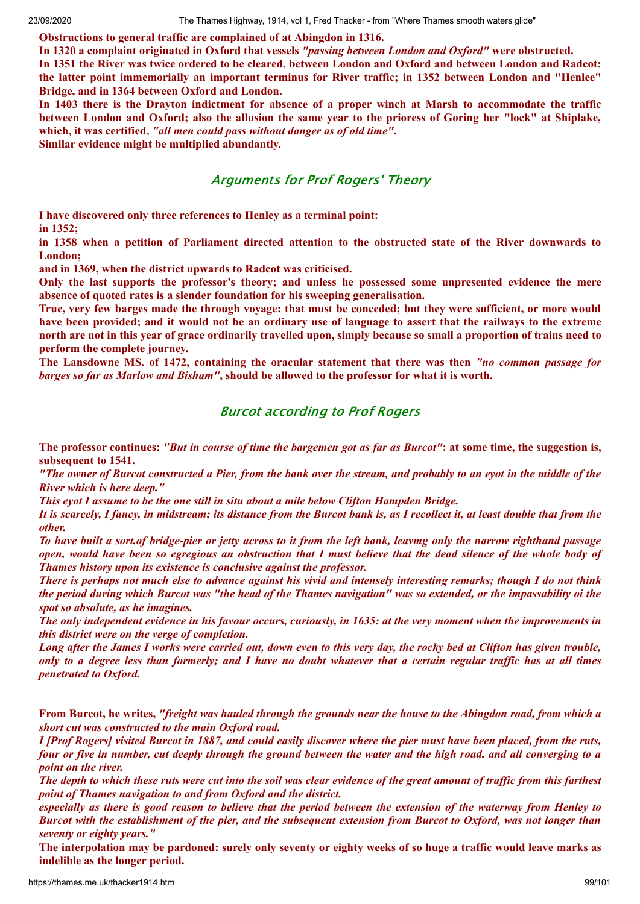**Obstructions to general traffic are complained of at Abingdon in 1316.**

**In 1320 a complaint originated in Oxford that vessels** *"passing between London and Oxford"* **were obstructed.**

In 1351 the River was twice ordered to be cleared, between London and Oxford and between London and Radcot: **the latter point immemorially an important terminus for River traffic; in 1352 between London and "Henlee" Bridge, and in 1364 between Oxford and London.**

In 1403 there is the Drayton indictment for absence of a proper winch at Marsh to accommodate the traffic between London and Oxford; also the allusion the same year to the prioress of Goring her "lock" at Shiplake, **which, it was certified,** *"all men could pass without danger as of old time"***.**

**Similar evidence might be multiplied abundantly.**

## Arguments for Prof Rogers' Theory

**I have discovered only three references to Henley as a terminal point:**

**in 1352;**

in 1358 when a petition of Parliament directed attention to the obstructed state of the River downwards to **London;**

**and in 1369, when the district upwards to Radcot was criticised.**

**Only the last supports the professor's theory; and unless he possessed some unpresented evidence the mere absence of quoted rates is a slender foundation for his sweeping generalisation.**

True, very few barges made the through voyage: that must be conceded; but they were sufficient, or more would have been provided; and it would not be an ordinary use of language to assert that the railways to the extreme north are not in this year of grace ordinarily travelled upon, simply because so small a proportion of trains need to **perform the complete journey.**

**The Lansdowne MS. of 1472, containing the oracular statement that there was then** *"no common passage for* barges so far as Marlow and Bisham", should be allowed to the professor for what it is worth.

## Burcot according to Prof Rogers

The professor continues: "But in course of time the bargemen got as far as Burcot": at some time, the suggestion is, **subsequent to 1541.**

"The owner of Burcot constructed a Pier, from the bank over the stream, and probably to an eyot in the middle of the *River which is here deep."*

*This eyot I assume to be the one still in situ about a mile below Clifton Hampden Bridge.*

It is scarcely, I fancy, in midstream; its distance from the Burcot bank is, as I recollect it, at least double that from the *other.*

To have built a sort of bridge-pier or jetty across to it from the left bank, leavmg only the narrow righthand passage open, would have been so egregious an obstruction that I must believe that the dead silence of the whole body of *Thames history upon its existence is conclusive against the professor.*

There is perhaps not much else to advance against his vivid and intensely interesting remarks; though I do not think the period during which Burcot was "the head of the Thames navigation" was so extended, or the impassability oi the *spot so absolute, as he imagines.*

The only independent evidence in his favour occurs, curiously, in 1635; at the very moment when the improvements in *this district were on the verge of completion.*

Long after the James I works were carried out, down even to this very day, the rocky bed at Clifton has given trouble, only to a degree less than formerly; and I have no doubt whatever that a certain regular traffic has at all times *penetrated to Oxford.*

From Burcot, he writes, "freight was hauled through the grounds near the house to the Abingdon road, from which a *short cut was constructed to the main Oxford road.*

I [Prof Rogers] visited Burcot in 1887, and could easily discover where the pier must have been placed, from the ruts, four or five in number, cut deeply through the ground between the water and the high road, and all converging to a *point on the river.*

The depth to which these ruts were cut into the soil was clear evidence of the great amount of traffic from this farthest *point of Thames navigation to and from Oxford and the district.*

especially as there is good reason to believe that the period between the extension of the waterway from Henley to Burcot with the establishment of the pier, and the subsequent extension from Burcot to Oxford, was not longer than *seventy or eighty years."*

The interpolation may be pardoned: surely only seventy or eighty weeks of so huge a traffic would leave marks as **indelible as the longer period.**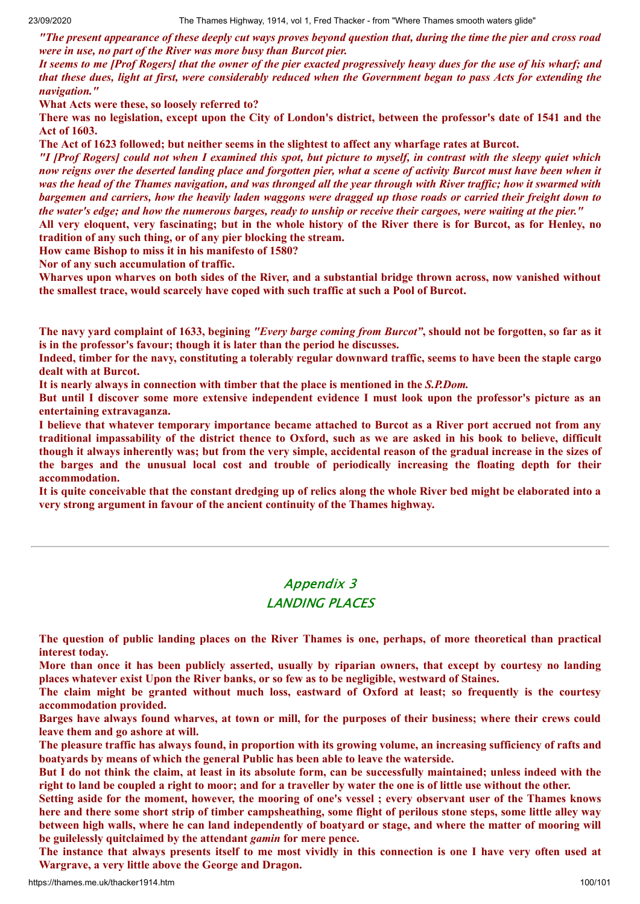"The present appearance of these deeply cut ways proves beyond question that, during the time the pier and cross road *were in use, no part of the River was more busy than Burcot pier.*

It seems to me [Prof Rogers] that the owner of the pier exacted progressively heavy dues for the use of his wharf; and that these dues, light at first, were considerably reduced when the Government began to pass Acts for extending the *navigation."*

**What Acts were these, so loosely referred to?**

There was no legislation, except upon the City of London's district, between the professor's date of 1541 and the **Act of 1603.**

The Act of 1623 followed; but neither seems in the slightest to affect any wharfage rates at Burcot.

"I [Prof Rogers] could not when I examined this spot, but picture to myself, in contrast with the sleepy quiet which now reigns over the deserted landing place and forgotten pier, what a scene of activity Burcot must have been when it was the head of the Thames navigation, and was thronged all the vear through with River traffic; how it swarmed with bargemen and carriers, how the heavily laden waggons were dragged up those roads or carried their freight down to the water's edge; and how the numerous barges, ready to unship or receive their cargoes, were waiting at the pier."

All very eloquent, very fascinating; but in the whole history of the River there is for Burcot, as for Henley, no **tradition of any such thing, or of any pier blocking the stream.**

**How came Bishop to miss it in his manifesto of 1580?**

**Nor of any such accumulation of traffic.**

Wharves upon wharves on both sides of the River, and a substantial bridge thrown across, now vanished without **the smallest trace, would scarcely have coped with such traffic at such a Pool of Burcot.**

The navy vard complaint of 1633, begining "Every barge coming from Burcot", should not be forgotten, so far as it **is in the professor's favour; though it is later than the period he discusses.**

Indeed, timber for the navy, constituting a tolerably regular downward traffic, seems to have been the staple cargo **dealt with at Burcot.**

**It is nearly always in connection with timber that the place is mentioned in the** *S.P.Dom.*

But until I discover some more extensive independent evidence I must look upon the professor's picture as an **entertaining extravaganza.**

I believe that whatever temporary importance became attached to Burcot as a River port accrued not from any traditional impassability of the district thence to Oxford, such as we are asked in his book to believe, difficult though it always inherently was; but from the very simple, accidental reason of the gradual increase in the sizes of **the barges and the unusual local cost and trouble of periodically increasing the floating depth for their accommodation.**

It is quite conceivable that the constant dredging up of relics along the whole River bed might be elaborated into a **very strong argument in favour of the ancient continuity of the Thames highway.**

# Appendix 3 LANDING PLACES

The question of public landing places on the River Thames is one, perhaps, of more theoretical than practical **interest today.**

More than once it has been publicly asserted, usually by riparian owners, that except by courtesy no landing **places whatever exist Upon the River banks, or so few as to be negligible, westward of Staines.**

The claim might be granted without much loss, eastward of Oxford at least; so frequently is the courtesy **accommodation provided.**

Barges have always found wharves, at town or mill, for the purposes of their business; where their crews could **leave them and go ashore at will.**

The pleasure traffic has always found, in proportion with its growing volume, an increasing sufficiency of rafts and **boatyards by means of which the general Public has been able to leave the waterside.**

But I do not think the claim, at least in its absolute form, can be successfully maintained; unless indeed with the right to land be coupled a right to moor; and for a traveller by water the one is of little use without the other.

Setting aside for the moment, however, the mooring of one's vessel; every observant user of the Thames knows here and there some short strip of timber campsheathing, some flight of perilous stone steps, some little alley way between high walls, where he can land independently of boatvard or stage, and where the matter of mooring will **be guilelessly quitclaimed by the attendant** *gamin* **for mere pence.**

The instance that always presents itself to me most vividly in this connection is one I have very often used at **Wargrave, a very little above the George and Dragon.**